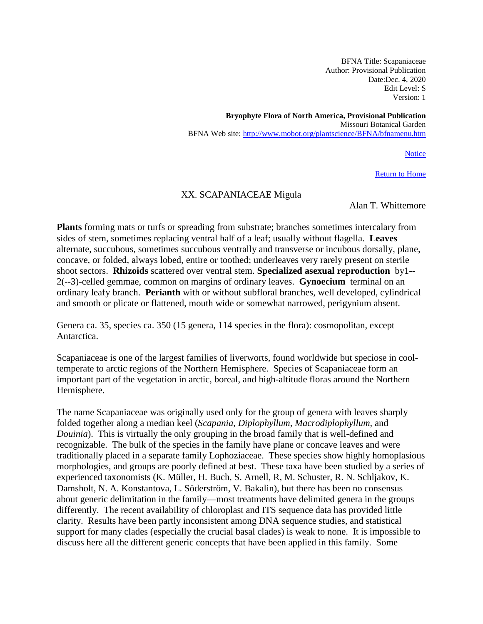BFNA Title: Scapaniaceae Author: Provisional Publication Date:Dec. 4, 2020 Edit Level: S Version: 1

**Bryophyte Flora of North America, Provisional Publication** Missouri Botanical Garden BFNA Web site:<http://www.mobot.org/plantscience/BFNA/bfnamenu.htm>

**Notice** 

[Return to Home](http://www.mobot.org/plantscience/BFNA/SUMMary.htm)

### XX. SCAPANIACEAE Migula

Alan T. Whittemore

**Plants** forming mats or turfs or spreading from substrate; branches sometimes intercalary from sides of stem, sometimes replacing ventral half of a leaf; usually without flagella. **Leaves**  alternate, succubous, sometimes succubous ventrally and transverse or incubous dorsally, plane, concave, or folded, always lobed, entire or toothed; underleaves very rarely present on sterile shoot sectors. **Rhizoids** scattered over ventral stem. **Specialized asexual reproduction** by1-- 2(--3)-celled gemmae, common on margins of ordinary leaves. **Gynoecium** terminal on an ordinary leafy branch. **Perianth** with or without subfloral branches, well developed, cylindrical and smooth or plicate or flattened, mouth wide or somewhat narrowed, perigynium absent.

Genera ca. 35, species ca. 350 (15 genera, 114 species in the flora): cosmopolitan, except Antarctica.

Scapaniaceae is one of the largest families of liverworts, found worldwide but speciose in cooltemperate to arctic regions of the Northern Hemisphere. Species of Scapaniaceae form an important part of the vegetation in arctic, boreal, and high-altitude floras around the Northern Hemisphere.

The name Scapaniaceae was originally used only for the group of genera with leaves sharply folded together along a median keel (*Scapania*, *Diplophyllum*, *Macrodiplophyllum*, and *Douinia*). This is virtually the only grouping in the broad family that is well-defined and recognizable. The bulk of the species in the family have plane or concave leaves and were traditionally placed in a separate family Lophoziaceae. These species show highly homoplasious morphologies, and groups are poorly defined at best. These taxa have been studied by a series of experienced taxonomists (K. Müller, H. Buch, S. Arnell, R, M. Schuster, R. N. Schljakov, K. Damsholt, N. A. Konstantova, L. Söderström, V. Bakalin), but there has been no consensus about generic delimitation in the family—most treatments have delimited genera in the groups differently. The recent availability of chloroplast and ITS sequence data has provided little clarity. Results have been partly inconsistent among DNA sequence studies, and statistical support for many clades (especially the crucial basal clades) is weak to none. It is impossible to discuss here all the different generic concepts that have been applied in this family. Some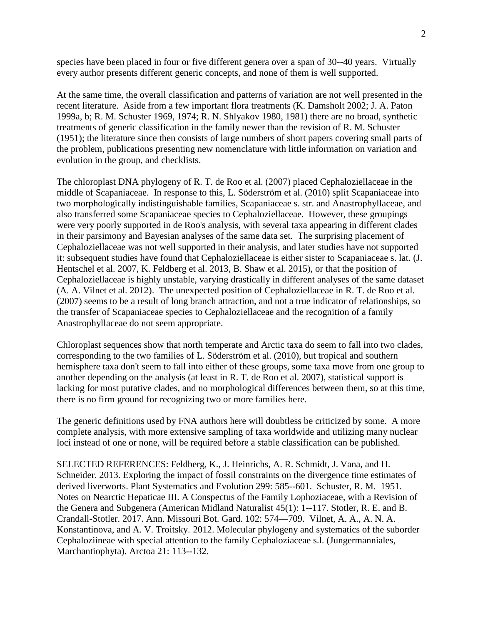species have been placed in four or five different genera over a span of 30--40 years. Virtually every author presents different generic concepts, and none of them is well supported.

At the same time, the overall classification and patterns of variation are not well presented in the recent literature. Aside from a few important flora treatments (K. Damsholt 2002; J. A. Paton 1999a, b; R. M. Schuster 1969, 1974; R. N. Shlyakov 1980, 1981) there are no broad, synthetic treatments of generic classification in the family newer than the revision of R. M. Schuster (1951); the literature since then consists of large numbers of short papers covering small parts of the problem, publications presenting new nomenclature with little information on variation and evolution in the group, and checklists.

The chloroplast DNA phylogeny of R. T. de Roo et al. (2007) placed Cephaloziellaceae in the middle of Scapaniaceae. In response to this, L. Söderström et al. (2010) split Scapaniaceae into two morphologically indistinguishable families, Scapaniaceae s. str. and Anastrophyllaceae, and also transferred some Scapaniaceae species to Cephaloziellaceae. However, these groupings were very poorly supported in de Roo's analysis, with several taxa appearing in different clades in their parsimony and Bayesian analyses of the same data set. The surprising placement of Cephaloziellaceae was not well supported in their analysis, and later studies have not supported it: subsequent studies have found that Cephaloziellaceae is either sister to Scapaniaceae s. lat. (J. Hentschel et al. 2007, K. Feldberg et al. 2013, B. Shaw et al. 2015), or that the position of Cephaloziellaceae is highly unstable, varying drastically in different analyses of the same dataset (A. A. Vilnet et al. 2012). The unexpected position of Cephaloziellaceae in R. T. de Roo et al. (2007) seems to be a result of long branch attraction, and not a true indicator of relationships, so the transfer of Scapaniaceae species to Cephaloziellaceae and the recognition of a family Anastrophyllaceae do not seem appropriate.

Chloroplast sequences show that north temperate and Arctic taxa do seem to fall into two clades, corresponding to the two families of L. Söderström et al. (2010), but tropical and southern hemisphere taxa don't seem to fall into either of these groups, some taxa move from one group to another depending on the analysis (at least in R. T. de Roo et al. 2007), statistical support is lacking for most putative clades, and no morphological differences between them, so at this time, there is no firm ground for recognizing two or more families here.

The generic definitions used by FNA authors here will doubtless be criticized by some. A more complete analysis, with more extensive sampling of taxa worldwide and utilizing many nuclear loci instead of one or none, will be required before a stable classification can be published.

SELECTED REFERENCES: Feldberg, K., J. Heinrichs, A. R. Schmidt, J. Vana, and H. Schneider. 2013. Exploring the impact of fossil constraints on the divergence time estimates of derived liverworts. Plant Systematics and Evolution 299: 585--601. Schuster, R. M. 1951. Notes on Nearctic Hepaticae III. A Conspectus of the Family Lophoziaceae, with a Revision of the Genera and Subgenera (American Midland Naturalist 45(1): 1--117. Stotler, R. E. and B. Crandall-Stotler. 2017. Ann. Missouri Bot. Gard. 102: 574—709. Vilnet, A. A., A. N. A. Konstantinova, and A. V. Troitsky. 2012. Molecular phylogeny and systematics of the suborder Cephaloziineae with special attention to the family Cephaloziaceae s.l. (Jungermanniales, Marchantiophyta). Arctoa 21: 113--132.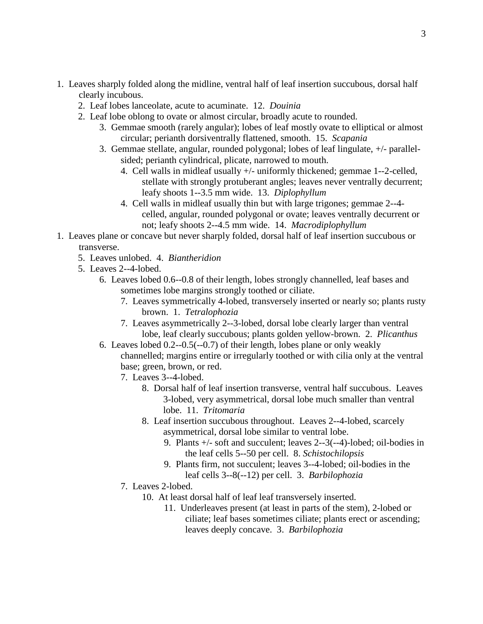- 1. Leaves sharply folded along the midline, ventral half of leaf insertion succubous, dorsal half clearly incubous.
	- 2. Leaf lobes lanceolate, acute to acuminate. 12. *Douinia*
	- 2. Leaf lobe oblong to ovate or almost circular, broadly acute to rounded.
		- 3. Gemmae smooth (rarely angular); lobes of leaf mostly ovate to elliptical or almost circular; perianth dorsiventrally flattened, smooth. 15. *Scapania*
		- 3. Gemmae stellate, angular, rounded polygonal; lobes of leaf lingulate, +/- parallelsided; perianth cylindrical, plicate, narrowed to mouth.
			- 4. Cell walls in midleaf usually +/- uniformly thickened; gemmae 1--2-celled, stellate with strongly protuberant angles; leaves never ventrally decurrent; leafy shoots 1--3.5 mm wide. 13. *Diplophyllum*
			- 4. Cell walls in midleaf usually thin but with large trigones; gemmae 2--4 celled, angular, rounded polygonal or ovate; leaves ventrally decurrent or not; leafy shoots 2--4.5 mm wide. 14. *Macrodiplophyllum*
- 1. Leaves plane or concave but never sharply folded, dorsal half of leaf insertion succubous or transverse.
	- 5. Leaves unlobed. 4. *Biantheridion*
	- 5. Leaves 2--4-lobed.
		- 6. Leaves lobed 0.6--0.8 of their length, lobes strongly channelled, leaf bases and sometimes lobe margins strongly toothed or ciliate.
			- 7. Leaves symmetrically 4-lobed, transversely inserted or nearly so; plants rusty brown. 1. *Tetralophozia*
			- 7. Leaves asymmetrically 2--3-lobed, dorsal lobe clearly larger than ventral lobe, leaf clearly succubous; plants golden yellow-brown. 2. *Plicanthus*
		- 6. Leaves lobed 0.2--0.5(--0.7) of their length, lobes plane or only weakly channelled; margins entire or irregularly toothed or with cilia only at the ventral base; green, brown, or red.
			- 7. Leaves 3--4-lobed.
				- 8. Dorsal half of leaf insertion transverse, ventral half succubous. Leaves 3-lobed, very asymmetrical, dorsal lobe much smaller than ventral lobe. 11. *Tritomaria*
				- 8. Leaf insertion succubous throughout. Leaves 2--4-lobed, scarcely asymmetrical, dorsal lobe similar to ventral lobe.
					- 9. Plants +/- soft and succulent; leaves 2--3(--4)-lobed; oil-bodies in the leaf cells 5--50 per cell. 8. *Schistochilopsis*
					- 9. Plants firm, not succulent; leaves 3--4-lobed; oil-bodies in the leaf cells 3--8(--12) per cell. 3. *Barbilophozia*
			- 7. Leaves 2-lobed.
				- 10. At least dorsal half of leaf leaf transversely inserted.
					- 11. Underleaves present (at least in parts of the stem), 2-lobed or ciliate; leaf bases sometimes ciliate; plants erect or ascending; leaves deeply concave. 3. *Barbilophozia*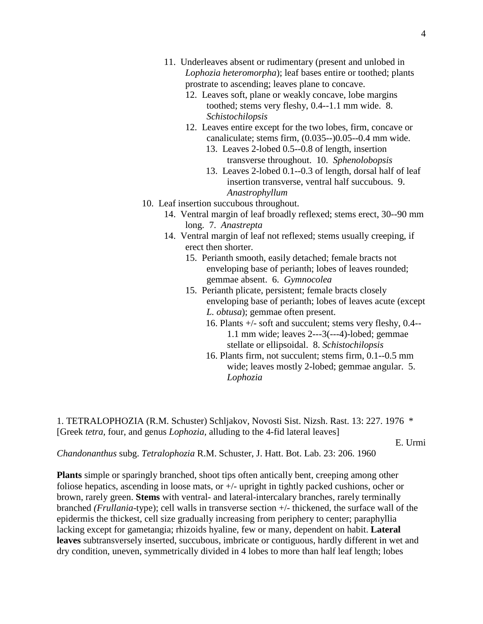- 11. Underleaves absent or rudimentary (present and unlobed in *Lophozia heteromorpha*); leaf bases entire or toothed; plants prostrate to ascending; leaves plane to concave.
	- 12. Leaves soft, plane or weakly concave, lobe margins toothed; stems very fleshy, 0.4--1.1 mm wide. 8. *Schistochilopsis*
	- 12. Leaves entire except for the two lobes, firm, concave or canaliculate; stems firm, (0.035--)0.05--0.4 mm wide.
		- 13. Leaves 2-lobed 0.5--0.8 of length, insertion transverse throughout. 10. *Sphenolobopsis*
		- 13. Leaves 2-lobed 0.1--0.3 of length, dorsal half of leaf insertion transverse, ventral half succubous. 9. *Anastrophyllum*
- 10. Leaf insertion succubous throughout.
	- 14. Ventral margin of leaf broadly reflexed; stems erect, 30--90 mm long. 7. *Anastrepta*
	- 14. Ventral margin of leaf not reflexed; stems usually creeping, if erect then shorter.
		- 15. Perianth smooth, easily detached; female bracts not enveloping base of perianth; lobes of leaves rounded; gemmae absent. 6. *Gymnocolea*
		- 15. Perianth plicate, persistent; female bracts closely enveloping base of perianth; lobes of leaves acute (except *L. obtusa*); gemmae often present.
			- 16. Plants +/- soft and succulent; stems very fleshy, 0.4-- 1.1 mm wide; leaves 2---3(---4)-lobed; gemmae stellate or ellipsoidal. 8. *Schistochilopsis*
			- 16. Plants firm, not succulent; stems firm, 0.1--0.5 mm wide; leaves mostly 2-lobed; gemmae angular. 5. *Lophozia*

1. TETRALOPHOZIA (R.M. Schuster) Schljakov, Novosti Sist. Nizsh. Rast. 13: 227. 1976 \* [Greek *tetra,* four, and genus *Lophozia,* alluding to the 4-fid lateral leaves]

E. Urmi

*Chandonanthus* subg. *Tetralophozia* R.M. Schuster, J. Hatt. Bot. Lab. 23: 206. 1960

**Plants** simple or sparingly branched, shoot tips often antically bent, creeping among other foliose hepatics, ascending in loose mats, or +/- upright in tightly packed cushions, ocher or brown, rarely green. **Stems** with ventral- and lateral-intercalary branches, rarely terminally branched *(Frullania-*type); cell walls in transverse section +/- thickened, the surface wall of the epidermis the thickest, cell size gradually increasing from periphery to center; paraphyllia lacking except for gametangia; rhizoids hyaline, few or many, dependent on habit. **Lateral leaves** subtransversely inserted, succubous, imbricate or contiguous, hardly different in wet and dry condition, uneven, symmetrically divided in 4 lobes to more than half leaf length; lobes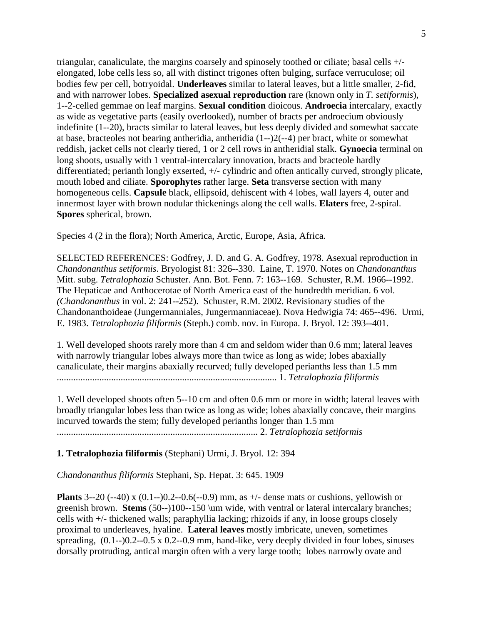triangular, canaliculate, the margins coarsely and spinosely toothed or ciliate; basal cells +/ elongated, lobe cells less so, all with distinct trigones often bulging, surface verruculose; oil bodies few per cell, botryoidal. **Underleaves** similar to lateral leaves, but a little smaller, 2-fid, and with narrower lobes. **Specialized asexual reproduction** rare (known only in *T. setiformis*), 1--2-celled gemmae on leaf margins. **Sexual condition** dioicous. **Androecia** intercalary, exactly as wide as vegetative parts (easily overlooked), number of bracts per androecium obviously indefinite (1--20), bracts similar to lateral leaves, but less deeply divided and somewhat saccate at base, bracteoles not bearing antheridia, antheridia (1--)2(--4) per bract, white or somewhat reddish, jacket cells not clearly tiered, 1 or 2 cell rows in antheridial stalk. **Gynoecia** terminal on long shoots, usually with 1 ventral-intercalary innovation, bracts and bracteole hardly differentiated; perianth longly exserted, +/- cylindric and often antically curved, strongly plicate, mouth lobed and ciliate. **Sporophytes** rather large. **Seta** transverse section with many homogeneous cells. **Capsule** black, ellipsoid, dehiscent with 4 lobes, wall layers 4, outer and innermost layer with brown nodular thickenings along the cell walls. **Elaters** free, 2-spiral. **Spores** spherical, brown.

Species 4 (2 in the flora); North America, Arctic, Europe, Asia, Africa.

SELECTED REFERENCES: Godfrey, J. D. and G. A. Godfrey, 1978. Asexual reproduction in *Chandonanthus setiformis*. Bryologist 81: 326--330. Laine, T. 1970. Notes on *Chandonanthus* Mitt. subg. *Tetralophozia* Schuster. Ann. Bot. Fenn. 7: 163--169. Schuster, R.M. 1966--1992. The Hepaticae and Anthocerotae of North America east of the hundredth meridian. 6 vol. *(Chandonanthus* in vol. 2: 241--252). Schuster, R.M. 2002. Revisionary studies of the Chandonanthoideae (Jungermanniales, Jungermanniaceae). Nova Hedwigia 74: 465--496. Urmi, E. 1983. *Tetralophozia filiformis* (Steph.) comb. nov. in Europa. J. Bryol. 12: 393--401.

1. Well developed shoots rarely more than 4 cm and seldom wider than 0.6 mm; lateral leaves with narrowly triangular lobes always more than twice as long as wide; lobes abaxially canaliculate, their margins abaxially recurved; fully developed perianths less than 1.5 mm ............................................................................................. 1. *Tetralophozia filiformis*

1. Well developed shoots often 5--10 cm and often 0.6 mm or more in width; lateral leaves with broadly triangular lobes less than twice as long as wide; lobes abaxially concave, their margins incurved towards the stem; fully developed perianths longer than 1.5 mm

..................................................................................... 2. *Tetralophozia setiformis*

**1. Tetralophozia filiformis** (Stephani) Urmi, J. Bryol. 12: 394

*Chandonanthus filiformis* Stephani, Sp. Hepat. 3: 645. 1909

**Plants** 3--20 (--40) x (0.1--)0.2--0.6(--0.9) mm, as +/- dense mats or cushions, yellowish or greenish brown. **Stems** (50--)100--150 \um wide, with ventral or lateral intercalary branches; cells with +/- thickened walls; paraphyllia lacking; rhizoids if any, in loose groups closely proximal to underleaves, hyaline. **Lateral leaves** mostly imbricate, uneven, sometimes spreading, (0.1--)0.2--0.5 x 0.2--0.9 mm, hand-like, very deeply divided in four lobes, sinuses dorsally protruding, antical margin often with a very large tooth; lobes narrowly ovate and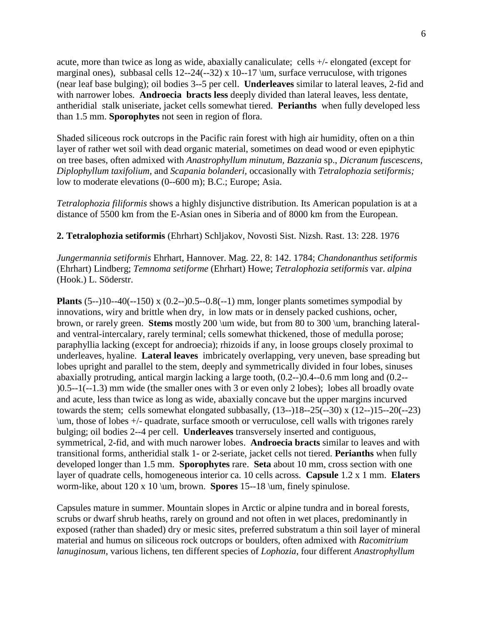acute, more than twice as long as wide, abaxially canaliculate; cells +/- elongated (except for marginal ones), subbasal cells 12--24(--32) x 10--17 \um, surface verruculose, with trigones (near leaf base bulging); oil bodies 3--5 per cell. **Underleaves** similar to lateral leaves, 2-fid and with narrower lobes. **Androecia bracts less** deeply divided than lateral leaves, less dentate, antheridial stalk uniseriate, jacket cells somewhat tiered. **Perianths** when fully developed less than 1.5 mm. **Sporophytes** not seen in region of flora.

Shaded siliceous rock outcrops in the Pacific rain forest with high air humidity, often on a thin layer of rather wet soil with dead organic material, sometimes on dead wood or even epiphytic on tree bases, often admixed with *Anastrophyllum minutum, Bazzania* sp., *Dicranum fuscescens, Diplophyllum taxifolium,* and *Scapania bolanderi,* occasionally with *Tetralophozia setiformis;*  low to moderate elevations (0--600 m); B.C.; Europe; Asia.

*Tetralophozia filiformis* shows a highly disjunctive distribution. Its American population is at a distance of 5500 km from the E-Asian ones in Siberia and of 8000 km from the European.

**2. Tetralophozia setiformis** (Ehrhart) Schljakov, Novosti Sist. Nizsh. Rast. 13: 228. 1976

*Jungermannia setiformis* Ehrhart, Hannover. Mag. 22, 8: 142. 1784; *Chandonanthus setiformis*  (Ehrhart) Lindberg; *Temnoma setiforme* (Ehrhart) Howe; *Tetralophozia setiformis* var. *alpina*  (Hook.) L. Söderstr.

**Plants** (5--)10--40(--150) x (0.2--)0.5--0.8(--1) mm, longer plants sometimes sympodial by innovations, wiry and brittle when dry, in low mats or in densely packed cushions, ocher, brown, or rarely green. **Stems** mostly 200 \um wide, but from 80 to 300 \um, branching lateraland ventral-intercalary, rarely terminal; cells somewhat thickened, those of medulla porose; paraphyllia lacking (except for androecia); rhizoids if any, in loose groups closely proximal to underleaves, hyaline. **Lateral leaves** imbricately overlapping, very uneven, base spreading but lobes upright and parallel to the stem, deeply and symmetrically divided in four lobes, sinuses abaxially protruding, antical margin lacking a large tooth, (0.2--)0.4--0.6 mm long and (0.2-- )0.5--1(--1.3) mm wide (the smaller ones with 3 or even only 2 lobes); lobes all broadly ovate and acute, less than twice as long as wide, abaxially concave but the upper margins incurved towards the stem; cells somewhat elongated subbasally,  $(13-18-25(-30) \times (12-15-20(-23))$ \um, those of lobes +/- quadrate, surface smooth or verruculose, cell walls with trigones rarely bulging; oil bodies 2--4 per cell. **Underleaves** transversely inserted and contiguous, symmetrical, 2-fid, and with much narower lobes. **Androecia bracts** similar to leaves and with transitional forms, antheridial stalk 1- or 2-seriate, jacket cells not tiered. **Perianths** when fully developed longer than 1.5 mm. **Sporophytes** rare. **Seta** about 10 mm, cross section with one layer of quadrate cells, homogeneous interior ca. 10 cells across. **Capsule** 1.2 x 1 mm. **Elaters**  worm-like, about 120 x 10 \um, brown. **Spores** 15--18 \um, finely spinulose.

Capsules mature in summer. Mountain slopes in Arctic or alpine tundra and in boreal forests, scrubs or dwarf shrub heaths, rarely on ground and not often in wet places, predominantly in exposed (rather than shaded) dry or mesic sites, preferred substratum a thin soil layer of mineral material and humus on siliceous rock outcrops or boulders, often admixed with *Racomitrium lanuginosum,* various lichens, ten different species of *Lophozia*, four different *Anastrophyllum*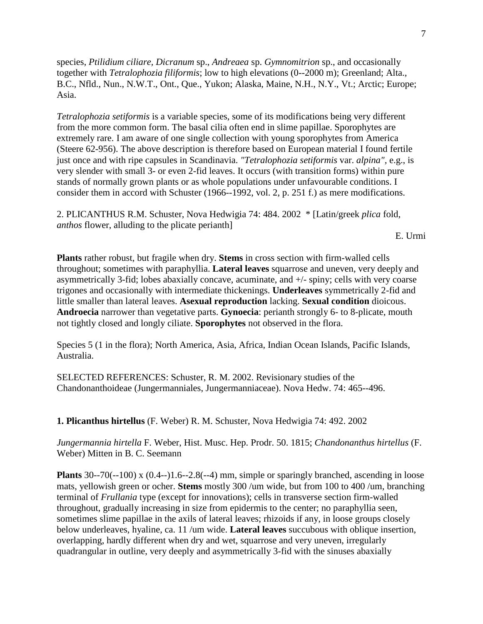species, *Ptilidium ciliare, Dicranum* sp., *Andreaea* sp. *Gymnomitrion* sp., and occasionally together with *Tetralophozia filiformis*; low to high elevations (0--2000 m); Greenland; Alta., B.C., Nfld., Nun., N.W.T., Ont., Que., Yukon; Alaska, Maine, N.H., N.Y., Vt.; Arctic; Europe; Asia.

*Tetralophozia setiformis* is a variable species, some of its modifications being very different from the more common form. The basal cilia often end in slime papillae. Sporophytes are extremely rare. I am aware of one single collection with young sporophytes from America (Steere 62-956). The above description is therefore based on European material I found fertile just once and with ripe capsules in Scandinavia. *"Tetralophozia setiformis* var. *alpina",* e.g., is very slender with small 3- or even 2-fid leaves. It occurs (with transition forms) within pure stands of normally grown plants or as whole populations under unfavourable conditions. I consider them in accord with Schuster (1966--1992, vol. 2, p. 251 f.) as mere modifications.

2. PLICANTHUS R.M. Schuster, Nova Hedwigia 74: 484. 2002 \* [Latin/greek *plica* fold, *anthos* flower, alluding to the plicate perianth]

#### E. Urmi

**Plants** rather robust, but fragile when dry. **Stems** in cross section with firm-walled cells throughout; sometimes with paraphyllia. **Lateral leaves** squarrose and uneven, very deeply and asymmetrically 3-fid; lobes abaxially concave, acuminate, and +/- spiny; cells with very coarse trigones and occasionally with intermediate thickenings. **Underleaves** symmetrically 2-fid and little smaller than lateral leaves. **Asexual reproduction** lacking. **Sexual condition** dioicous. **Androecia** narrower than vegetative parts. **Gynoecia**: perianth strongly 6- to 8-plicate, mouth not tightly closed and longly ciliate. **Sporophytes** not observed in the flora.

Species 5 (1 in the flora); North America, Asia, Africa, Indian Ocean Islands, Pacific Islands, Australia.

SELECTED REFERENCES: Schuster, R. M. 2002. Revisionary studies of the Chandonanthoideae (Jungermanniales, Jungermanniaceae). Nova Hedw. 74: 465--496.

**1. Plicanthus hirtellus** (F. Weber) R. M. Schuster, Nova Hedwigia 74: 492. 2002

*Jungermannia hirtella* F. Weber, Hist. Musc. Hep. Prodr. 50. 1815; *Chandonanthus hirtellus* (F. Weber) Mitten in B. C. Seemann

**Plants** 30--70(--100) x (0.4--)1.6--2.8(--4) mm, simple or sparingly branched, ascending in loose mats, yellowish green or ocher. **Stems** mostly 300 /um wide, but from 100 to 400 /um, branching terminal of *Frullania* type (except for innovations); cells in transverse section firm-walled throughout, gradually increasing in size from epidermis to the center; no paraphyllia seen, sometimes slime papillae in the axils of lateral leaves; rhizoids if any, in loose groups closely below underleaves, hyaline, ca. 11 /um wide. **Lateral leaves** succubous with oblique insertion, overlapping, hardly different when dry and wet, squarrose and very uneven, irregularly quadrangular in outline, very deeply and asymmetrically 3-fid with the sinuses abaxially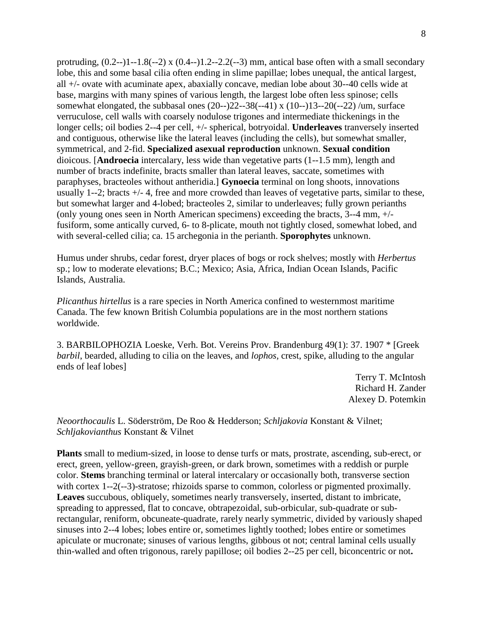protruding,  $(0.2-11-1.8(-2) \times (0.4-11.2-2.2(-3) \text{ mm})$ , antical base often with a small secondary lobe, this and some basal cilia often ending in slime papillae; lobes unequal, the antical largest, all +/- ovate with acuminate apex, abaxially concave, median lobe about 30--40 cells wide at base, margins with many spines of various length, the largest lobe often less spinose; cells somewhat elongated, the subbasal ones  $(20-)22-38(-41) \times (10-)13-20(-22) / \text{um}$ , surface verruculose, cell walls with coarsely nodulose trigones and intermediate thickenings in the longer cells; oil bodies 2--4 per cell, +/- spherical, botryoidal. **Underleaves** tranversely inserted and contiguous, otherwise like the lateral leaves (including the cells), but somewhat smaller, symmetrical, and 2-fid. **Specialized asexual reproduction** unknown. **Sexual condition**  dioicous. [**Androecia** intercalary, less wide than vegetative parts (1--1.5 mm), length and number of bracts indefinite, bracts smaller than lateral leaves, saccate, sometimes with paraphyses, bracteoles without antheridia.] **Gynoecia** terminal on long shoots, innovations usually 1--2; bracts +/- 4, free and more crowded than leaves of vegetative parts, similar to these, but somewhat larger and 4-lobed; bracteoles 2, similar to underleaves; fully grown perianths (only young ones seen in North American specimens) exceeding the bracts, 3--4 mm, +/ fusiform, some antically curved, 6- to 8-plicate, mouth not tightly closed, somewhat lobed, and with several-celled cilia; ca. 15 archegonia in the perianth. **Sporophytes** unknown.

Humus under shrubs, cedar forest, dryer places of bogs or rock shelves; mostly with *Herbertus* sp.; low to moderate elevations; B.C.; Mexico; Asia, Africa, Indian Ocean Islands, Pacific Islands, Australia.

*Plicanthus hirtellus* is a rare species in North America confined to westernmost maritime Canada. The few known British Columbia populations are in the most northern stations worldwide.

3. BARBILOPHOZIA Loeske, Verh. Bot. Vereins Prov. Brandenburg 49(1): 37. 1907 \* [Greek *barbil*, bearded, alluding to cilia on the leaves, and *lophos,* crest, spike, alluding to the angular ends of leaf lobes]

> Terry T. McIntosh Richard H. Zander Alexey D. Potemkin

*Neoorthocaulis* L. Söderström, De Roo & Hedderson; *Schljakovia* Konstant & Vilnet; *Schljakovianthus* Konstant & Vilnet

**Plants** small to medium-sized, in loose to dense turfs or mats, prostrate, ascending, sub-erect, or erect, green, yellow-green, grayish-green, or dark brown, sometimes with a reddish or purple color. **Stems** branching terminal or lateral intercalary or occasionally both, transverse section with cortex 1--2(--3)-stratose; rhizoids sparse to common, colorless or pigmented proximally. **Leaves** succubous, obliquely, sometimes nearly transversely, inserted, distant to imbricate, spreading to appressed, flat to concave, obtrapezoidal, sub-orbicular, sub-quadrate or subrectangular, reniform, obcuneate-quadrate, rarely nearly symmetric, divided by variously shaped sinuses into 2--4 lobes; lobes entire or, sometimes lightly toothed; lobes entire or sometimes apiculate or mucronate; sinuses of various lengths, gibbous ot not; central laminal cells usually thin-walled and often trigonous, rarely papillose; oil bodies 2--25 per cell, biconcentric or not**.**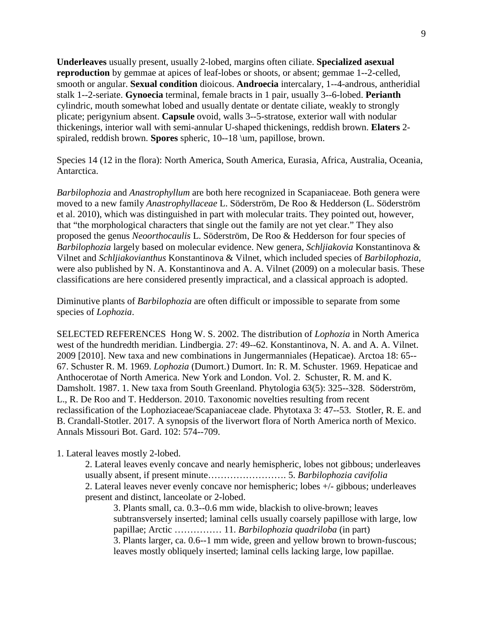**Underleaves** usually present, usually 2-lobed, margins often ciliate. **Specialized asexual reproduction** by gemmae at apices of leaf-lobes or shoots, or absent; gemmae 1--2-celled, smooth or angular. **Sexual condition** dioicous. **Androecia** intercalary, 1--4-androus, antheridial stalk 1--2-seriate. **Gynoecia** terminal, female bracts in 1 pair, usually 3--6-lobed. **Perianth** cylindric, mouth somewhat lobed and usually dentate or dentate ciliate, weakly to strongly plicate; perigynium absent. **Capsule** ovoid, walls 3--5-stratose, exterior wall with nodular thickenings, interior wall with semi-annular U-shaped thickenings, reddish brown. **Elaters** 2 spiraled, reddish brown. **Spores** spheric, 10--18 \um, papillose, brown.

Species 14 (12 in the flora): North America, South America, Eurasia, Africa, Australia, Oceania, Antarctica.

*Barbilophozia* and *Anastrophyllum* are both here recognized in Scapaniaceae. Both genera were moved to a new family *Anastrophyllaceae* L. Söderström, De Roo & Hedderson (L. Söderström et al. 2010), which was distinguished in part with molecular traits. They pointed out, however, that "the morphological characters that single out the family are not yet clear." They also proposed the genus *Neoorthocaulis* L. Söderström, De Roo & Hedderson for four species of *Barbilophozia* largely based on molecular evidence. New genera, *Schljiakovia* Konstantinova & Vilnet and *Schljiakovianthus* Konstantinova & Vilnet, which included species of *Barbilophozia,*  were also published by N. A. Konstantinova and A. A. Vilnet (2009) on a molecular basis. These classifications are here considered presently impractical, and a classical approach is adopted.

Diminutive plants of *Barbilophozia* are often difficult or impossible to separate from some species of *Lophozia*.

SELECTED REFERENCES Hong W. S. 2002. The distribution of *Lophozia* in North America west of the hundredth meridian. Lindbergia. 27: 49--62. Konstantinova, N. A. and A. A. Vilnet. 2009 [2010]. New taxa and new combinations in Jungermanniales (Hepaticae). Arctoa 18: 65-- 67. Schuster R. M. 1969. *Lophozia* (Dumort.) Dumort. In: R. M. Schuster. 1969. Hepaticae and Anthocerotae of North America. New York and London. Vol. 2. Schuster, R. M. and K. Damsholt. 1987. 1. New taxa from South Greenland. Phytologia 63(5): 325--328. Söderström, L., R. De Roo and T. Hedderson. 2010. Taxonomic novelties resulting from recent reclassification of the Lophoziaceae/Scapaniaceae clade. Phytotaxa 3: 47--53. Stotler, R. E. and B. Crandall-Stotler. 2017. A synopsis of the liverwort flora of North America north of Mexico. Annals Missouri Bot. Gard. 102: 574--709.

1. Lateral leaves mostly 2-lobed.

2. Lateral leaves evenly concave and nearly hemispheric, lobes not gibbous; underleaves usually absent, if present minute……………………. 5. *Barbilophozia cavifolia* 2. Lateral leaves never evenly concave nor hemispheric; lobes +/- gibbous; underleaves present and distinct, lanceolate or 2-lobed.

3. Plants small, ca. 0.3--0.6 mm wide, blackish to olive-brown; leaves subtransversely inserted; laminal cells usually coarsely papillose with large, low papillae; Arctic …………… 11. *Barbilophozia quadriloba* (in part) 3. Plants larger, ca. 0.6--1 mm wide, green and yellow brown to brown-fuscous; leaves mostly obliquely inserted; laminal cells lacking large, low papillae.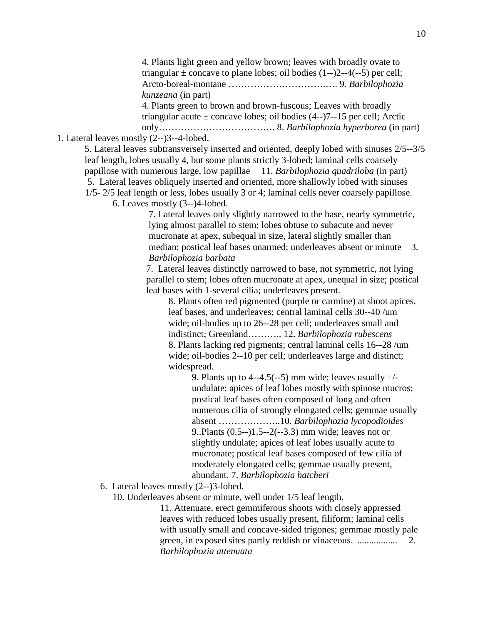4. Plants light green and yellow brown; leaves with broadly ovate to triangular  $\pm$  concave to plane lobes; oil bodies (1--)2--4(--5) per cell; Arcto-boreal-montane ………………………….…. 9. *Barbilophozia kunzeana* (in part) 4. Plants green to brown and brown-fuscous; Leaves with broadly triangular acute  $\pm$  concave lobes; oil bodies (4--)7--15 per cell; Arctic only………………………………. 8. *Barbilophozia hyperborea* (in part)

# 1. Lateral leaves mostly (2--)3--4-lobed.

5. Lateral leaves subtransversely inserted and oriented, deeply lobed with sinuses 2/5--3/5 leaf length, lobes usually 4, but some plants strictly 3-lobed; laminal cells coarsely papillose with numerous large, low papillae 11. *Barbilophozia quadriloba* (in part) 5. Lateral leaves obliquely inserted and oriented, more shallowly lobed with sinuses 1/5- 2/5 leaf length or less, lobes usually 3 or 4; laminal cells never coarsely papillose.

6. Leaves mostly (3--)4-lobed.

7. Lateral leaves only slightly narrowed to the base, nearly symmetric, lying almost parallel to stem; lobes obtuse to subacute and never mucronate at apex, subequal in size, lateral slightly smaller than median; postical leaf bases unarmed; underleaves absent or minute 3. *Barbilophozia barbata*

7. Lateral leaves distinctly narrowed to base, not symmetric, not lying parallel to stem; lobes often mucronate at apex, unequal in size; postical leaf bases with 1-several cilia; underleaves present.

8. Plants often red pigmented (purple or carmine) at shoot apices, leaf bases, and underleaves; central laminal cells 30--40 /um wide; oil-bodies up to 26--28 per cell; underleaves small and indistinct; Greenland……….. 12. *Barbilophozia rubescens* 8. Plants lacking red pigments; central laminal cells 16--28 /um wide; oil-bodies 2--10 per cell; underleaves large and distinct; widespread.

9. Plants up to 4--4.5(--5) mm wide; leaves usually  $+/$ undulate; apices of leaf lobes mostly with spinose mucros; postical leaf bases often composed of long and often numerous cilia of strongly elongated cells; gemmae usually absent ………………..10. *Barbilophozia lycopodioides* 9..Plants (0.5--)1.5--2(--3.3) mm wide; leaves not or slightly undulate; apices of leaf lobes usually acute to mucronate; postical leaf bases composed of few cilia of moderately elongated cells; gemmae usually present, abundant. 7. *Barbilophozia hatcheri*

6. Lateral leaves mostly (2--)3-lobed.

10. Underleaves absent or minute, well under 1/5 leaf length.

11. Attenuate, erect gemmiferous shoots with closely appressed leaves with reduced lobes usually present, filiform; laminal cells with usually small and concave-sided trigones; gemmae mostly pale green, in exposed sites partly reddish or vinaceous. ................. 2. *Barbilophozia attenuata*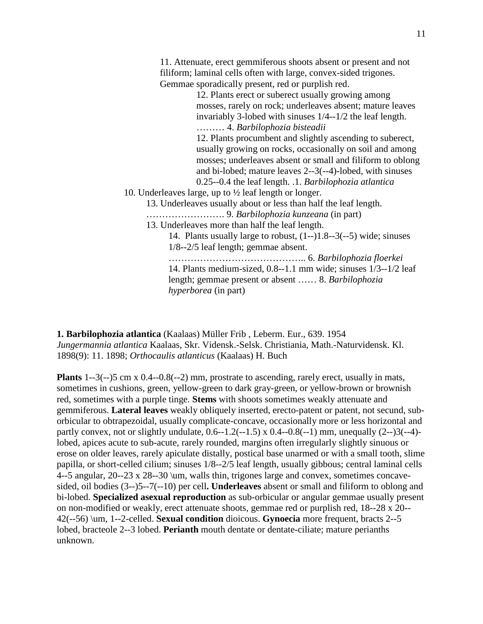11. Attenuate, erect gemmiferous shoots absent or present and not filiform; laminal cells often with large, convex-sided trigones. Gemmae sporadically present, red or purplish red. 12. Plants erect or suberect usually growing among mosses*,* rarely on rock; underleaves absent; mature leaves invariably 3-lobed with sinuses 1/4--1/2 the leaf length. ……… 4. *Barbilophozia bisteadii* 12. Plants procumbent and slightly ascending to suberect, usually growing on rocks, occasionally on soil and among mosses; underleaves absent or small and filiform to oblong and bi-lobed; mature leaves 2--3(--4)-lobed, with sinuses

- 0.25--0.4 the leaf length. .1. *Barbilophozia atlantica* 10. Underleaves large, up to ½ leaf length or longer.
	- 13. Underleaves usually about or less than half the leaf length.
	- ……………………. 9. *Barbilophozia kunzeana* (in part)
	- 13. Underleaves more than half the leaf length.
		- 14. Plants usually large to robust, (1--)1.8--3(--5) wide; sinuses 1/8--2/5 leaf length; gemmae absent.

…………………………………….. 6. *Barbilophozia floerkei* 14. Plants medium-sized, 0.8--1.1 mm wide; sinuses 1/3--1/2 leaf length; gemmae present or absent …… 8. *Barbilophozia hyperborea* (in part)

**1. Barbilophozia atlantica** (Kaalaas) Müller Frib , Leberm. Eur., 639. 1954 *Jungermannia atlantica* Kaalaas, Skr. Vidensk.-Selsk. Christiania, Math.-Naturvidensk. Kl. 1898(9): 11. 1898; *Orthocaulis atlanticus* (Kaalaas) H. Buch

**Plants** 1--3(--)5 cm x 0.4--0.8(--2) mm, prostrate to ascending, rarely erect, usually in mats, sometimes in cushions, green, yellow-green to dark gray-green, or yellow-brown or brownish red, sometimes with a purple tinge. **Stems** with shoots sometimes weakly attenuate and gemmiferous. **Lateral leaves** weakly obliquely inserted, erecto-patent or patent, not secund, suborbicular to obtrapezoidal, usually complicate-concave, occasionally more or less horizontal and partly convex, not or slightly undulate, 0.6--1.2(--1.5) x 0.4--0.8(--1) mm, unequally (2--)3(--4) lobed, apices acute to sub-acute, rarely rounded, margins often irregularly slightly sinuous or erose on older leaves, rarely apiculate distally, postical base unarmed or with a small tooth, slime papilla, or short-celled cilium; sinuses 1/8--2/5 leaf length, usually gibbous; central laminal cells 4--5 angular, 20--23 x 28--30 \um, walls thin, trigones large and convex, sometimes concavesided, oil bodies (3--)5--7(--10) per cell**. Underleaves** absent or small and filiform to oblong and bi-lobed. **Specialized asexual reproduction** as sub-orbicular or angular gemmae usually present on non-modified or weakly, erect attenuate shoots, gemmae red or purplish red, 18--28 x 20-- 42(--56) \um, 1--2-celled. **Sexual condition** dioicous. **Gynoecia** more frequent, bracts 2--5 lobed, bracteole 2--3 lobed. **Perianth** mouth dentate or dentate-ciliate; mature perianths unknown.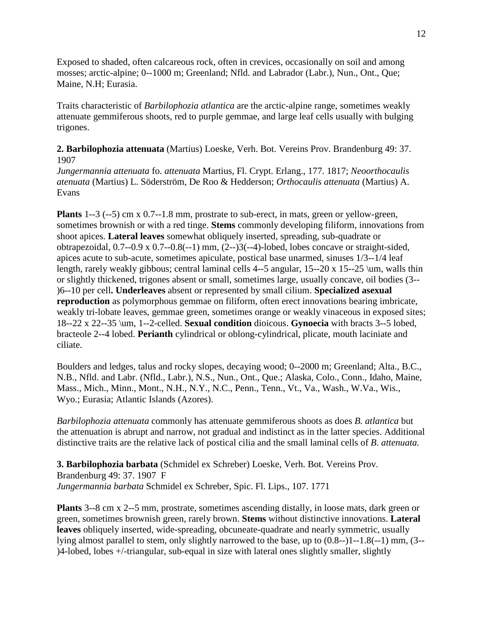Exposed to shaded, often calcareous rock, often in crevices, occasionally on soil and among mosses; arctic-alpine; 0--1000 m; Greenland; Nfld. and Labrador (Labr.), Nun., Ont., Que; Maine, N.H; Eurasia.

Traits characteristic of *Barbilophozia atlantica* are the arctic-alpine range, sometimes weakly attenuate gemmiferous shoots, red to purple gemmae, and large leaf cells usually with bulging trigones.

**2. Barbilophozia attenuata** (Martius) Loeske, Verh. Bot. Vereins Prov. Brandenburg 49: 37. 1907

*Jungermannia attenuata* fo. *attenuata* Martius, Fl. Crypt. Erlang., 177. 1817; *Neoorthocaulis atenuata* (Martius) L. Söderström, De Roo & Hedderson; *Orthocaulis attenuata* (Martius) A. Evans

**Plants** 1--3 (--5) cm x 0.7--1.8 mm, prostrate to sub-erect, in mats, green or yellow-green, sometimes brownish or with a red tinge. **Stems** commonly developing filiform, innovations from shoot apices. **Lateral leaves** somewhat obliquely inserted, spreading, sub-quadrate or obtrapezoidal, 0.7--0.9 x 0.7--0.8(--1) mm, (2--)3(--4)-lobed, lobes concave or straight-sided, apices acute to sub-acute, sometimes apiculate, postical base unarmed, sinuses 1/3--1/4 leaf length, rarely weakly gibbous; central laminal cells 4--5 angular, 15--20 x 15--25 \um, walls thin or slightly thickened, trigones absent or small, sometimes large, usually concave, oil bodies (3-- )6--10 per cell**. Underleaves** absent or represented by small cilium. **Specialized asexual reproduction** as polymorphous gemmae on filiform, often erect innovations bearing imbricate, weakly tri-lobate leaves, gemmae green, sometimes orange or weakly vinaceous in exposed sites; 18--22 x 22--35 \um, 1--2-celled. **Sexual condition** dioicous. **Gynoecia** with bracts 3--5 lobed, bracteole 2--4 lobed. **Perianth** cylindrical or oblong-cylindrical, plicate, mouth laciniate and ciliate.

Boulders and ledges, talus and rocky slopes, decaying wood; 0--2000 m; Greenland; Alta., B.C., N.B., Nfld. and Labr. (Nfld., Labr.), N.S., Nun., Ont., Que.; Alaska, Colo., Conn., Idaho, Maine, Mass., Mich., Minn., Mont., N.H., N.Y., N.C., Penn., Tenn., Vt., Va., Wash., W.Va., Wis., Wyo.; Eurasia; Atlantic Islands (Azores).

*Barbilophozia attenuata* commonly has attenuate gemmiferous shoots as does *B. atlantica* but the attenuation is abrupt and narrow, not gradual and indistinct as in the latter species. Additional distinctive traits are the relative lack of postical cilia and the small laminal cells of *B*. *attenuata.*

**3. Barbilophozia barbata** (Schmidel ex Schreber) Loeske, Verh. Bot. Vereins Prov. Brandenburg 49: 37. 1907 F *Jungermannia barbata* Schmidel ex Schreber, Spic. Fl. Lips., 107. 1771

**Plants** 3--8 cm x 2--5 mm, prostrate, sometimes ascending distally, in loose mats, dark green or green, sometimes brownish green, rarely brown. **Stems** without distinctive innovations. **Lateral leaves** obliquely inserted, wide-spreading, obcuneate-quadrate and nearly symmetric, usually lying almost parallel to stem, only slightly narrowed to the base, up to (0.8--)1--1.8(--1) mm, (3-- )4-lobed, lobes +/-triangular, sub-equal in size with lateral ones slightly smaller, slightly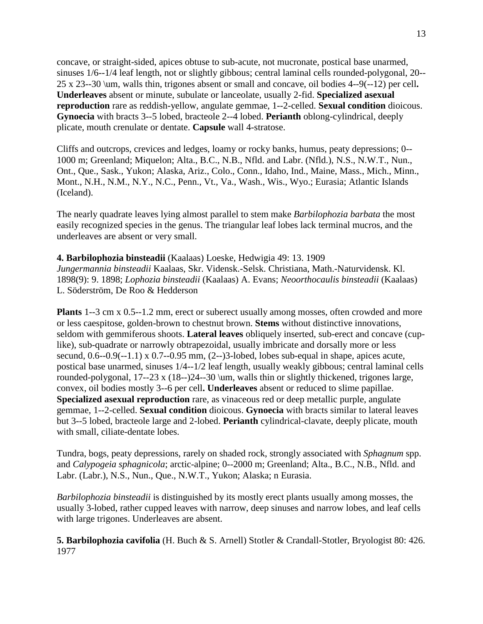concave, or straight-sided, apices obtuse to sub-acute, not mucronate, postical base unarmed, sinuses 1/6--1/4 leaf length, not or slightly gibbous; central laminal cells rounded-polygonal, 20-- 25 x 23--30 \um, walls thin, trigones absent or small and concave, oil bodies 4--9(--12) per cell**. Underleaves** absent or minute, subulate or lanceolate, usually 2-fid. **Specialized asexual reproduction** rare as reddish-yellow, angulate gemmae, 1--2-celled. **Sexual condition** dioicous. **Gynoecia** with bracts 3--5 lobed, bracteole 2--4 lobed. **Perianth** oblong-cylindrical, deeply plicate, mouth crenulate or dentate. **Capsule** wall 4-stratose.

Cliffs and outcrops, crevices and ledges, loamy or rocky banks, humus, peaty depressions; 0-- 1000 m; Greenland; Miquelon; Alta., B.C., N.B., Nfld. and Labr. (Nfld.), N.S., N.W.T., Nun., Ont., Que., Sask., Yukon; Alaska, Ariz., Colo., Conn., Idaho, Ind., Maine, Mass., Mich., Minn., Mont., N.H., N.M., N.Y., N.C., Penn., Vt., Va., Wash., Wis., Wyo.; Eurasia; Atlantic Islands (Iceland).

The nearly quadrate leaves lying almost parallel to stem make *Barbilophozia barbata* the most easily recognized species in the genus. The triangular leaf lobes lack terminal mucros, and the underleaves are absent or very small.

**4. Barbilophozia binsteadii** (Kaalaas) Loeske, Hedwigia 49: 13. 1909 *Jungermannia binsteadii* Kaalaas, Skr. Vidensk.-Selsk. Christiana, Math.-Naturvidensk. Kl. 1898(9): 9. 1898; *Lophozia binsteadii* (Kaalaas) A. Evans; *Neoorthocaulis binsteadii* (Kaalaas) L. Söderström, De Roo & Hedderson

**Plants** 1--3 cm x 0.5--1.2 mm, erect or suberect usually among mosses, often crowded and more or less caespitose, golden-brown to chestnut brown. **Stems** without distinctive innovations, seldom with gemmiferous shoots. **Lateral leaves** obliquely inserted, sub-erect and concave (cuplike), sub-quadrate or narrowly obtrapezoidal, usually imbricate and dorsally more or less secund,  $0.6-0.9(-1.1) \times 0.7-0.95$  mm,  $(2-)3$ -lobed, lobes sub-equal in shape, apices acute, postical base unarmed, sinuses 1/4--1/2 leaf length, usually weakly gibbous; central laminal cells rounded-polygonal, 17--23 x (18--)24--30 \um, walls thin or slightly thickened, trigones large, convex, oil bodies mostly 3--6 per cell**. Underleaves** absent or reduced to slime papillae. **Specialized asexual reproduction** rare, as vinaceous red or deep metallic purple, angulate gemmae, 1--2-celled. **Sexual condition** dioicous. **Gynoecia** with bracts similar to lateral leaves but 3--5 lobed, bracteole large and 2-lobed. **Perianth** cylindrical-clavate, deeply plicate, mouth with small, ciliate-dentate lobes.

Tundra, bogs, peaty depressions, rarely on shaded rock, strongly associated with *Sphagnum* spp. and *Calypogeia sphagnicola*; arctic-alpine; 0--2000 m; Greenland; Alta., B.C., N.B., Nfld. and Labr. (Labr.), N.S., Nun., Que., N.W.T., Yukon; Alaska; n Eurasia.

*Barbilophozia binsteadii* is distinguished by its mostly erect plants usually among mosses, the usually 3-lobed, rather cupped leaves with narrow, deep sinuses and narrow lobes, and leaf cells with large trigones. Underleaves are absent.

**5. Barbilophozia cavifolia** (H. Buch & S. Arnell) Stotler & Crandall-Stotler, Bryologist 80: 426. 1977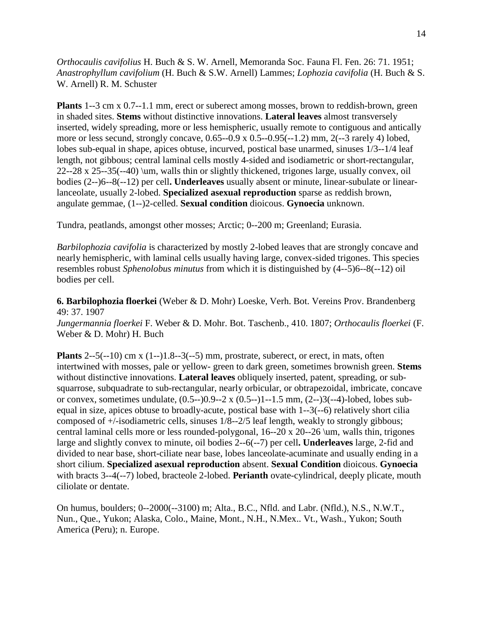*Orthocaulis cavifolius* H. Buch & S. W. Arnell, Memoranda Soc. Fauna Fl. Fen. 26: 71. 1951; *Anastrophyllum cavifolium* (H. Buch & S.W. Arnell) Lammes; *Lophozia cavifolia* (H. Buch & S. W. Arnell) R. M. Schuster

**Plants** 1--3 cm x 0.7--1.1 mm, erect or suberect among mosses, brown to reddish-brown, green in shaded sites. **Stems** without distinctive innovations. **Lateral leaves** almost transversely inserted, widely spreading, more or less hemispheric, usually remote to contiguous and antically more or less secund, strongly concave, 0.65--0.9 x 0.5--0.95(--1.2) mm, 2(--3 rarely 4) lobed, lobes sub-equal in shape, apices obtuse, incurved, postical base unarmed, sinuses 1/3--1/4 leaf length, not gibbous; central laminal cells mostly 4-sided and isodiametric or short-rectangular, 22--28 x 25--35(--40) \um, walls thin or slightly thickened, trigones large, usually convex, oil bodies (2--)6--8(--12) per cell**. Underleaves** usually absent or minute, linear-subulate or linearlanceolate, usually 2-lobed. **Specialized asexual reproduction** sparse as reddish brown, angulate gemmae, (1--)2-celled. **Sexual condition** dioicous. **Gynoecia** unknown.

Tundra, peatlands, amongst other mosses; Arctic; 0--200 m; Greenland; Eurasia.

*Barbilophozia cavifolia* is characterized by mostly 2-lobed leaves that are strongly concave and nearly hemispheric, with laminal cells usually having large, convex-sided trigones. This species resembles robust *Sphenolobus minutus* from which it is distinguished by (4--5)6--8(--12) oil bodies per cell.

**6. Barbilophozia floerkei** (Weber & D. Mohr) Loeske, Verh. Bot. Vereins Prov. Brandenberg 49: 37. 1907

*Jungermannia floerkei* F. Weber & D. Mohr. Bot. Taschenb., 410. 1807; *Orthocaulis floerkei* (F. Weber & D. Mohr) H. Buch

**Plants**  $2-5(-10)$  cm x  $(1-1)1.8-3(-5)$  mm, prostrate, suberect, or erect, in mats, often intertwined with mosses, pale or yellow- green to dark green, sometimes brownish green. **Stems** without distinctive innovations. **Lateral leaves** obliquely inserted, patent, spreading, or subsquarrose, subquadrate to sub-rectangular, nearly orbicular, or obtrapezoidal, imbricate, concave or convex, sometimes undulate, (0.5--)0.9--2 x (0.5--)1--1.5 mm, (2--)3(--4)-lobed, lobes subequal in size, apices obtuse to broadly-acute, postical base with 1--3(--6) relatively short cilia composed of +/-isodiametric cells, sinuses 1/8--2/5 leaf length, weakly to strongly gibbous; central laminal cells more or less rounded-polygonal, 16--20 x 20--26 \um, walls thin, trigones large and slightly convex to minute, oil bodies 2--6(--7) per cell**. Underleaves** large, 2-fid and divided to near base, short-ciliate near base, lobes lanceolate-acuminate and usually ending in a short cilium. **Specialized asexual reproduction** absent. **Sexual Condition** dioicous. **Gynoecia** with bracts 3--4(--7) lobed, bracteole 2-lobed. **Perianth** ovate-cylindrical, deeply plicate, mouth ciliolate or dentate.

On humus, boulders; 0--2000(--3100) m; Alta., B.C., Nfld. and Labr. (Nfld.), N.S., N.W.T., Nun., Que., Yukon; Alaska, Colo., Maine, Mont., N.H., N.Mex.. Vt., Wash., Yukon; South America (Peru); n. Europe.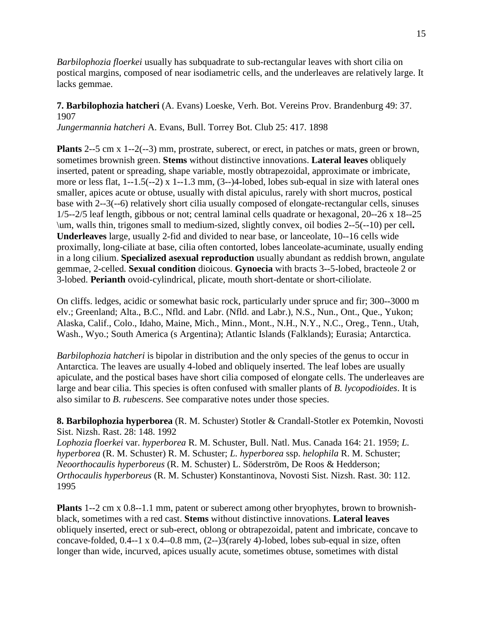*Barbilophozia floerkei* usually has subquadrate to sub-rectangular leaves with short cilia on postical margins, composed of near isodiametric cells, and the underleaves are relatively large. It lacks gemmae.

# **7. Barbilophozia hatcheri** (A. Evans) Loeske, Verh. Bot. Vereins Prov. Brandenburg 49: 37. 1907

*Jungermannia hatcheri* A. Evans, Bull. Torrey Bot. Club 25: 417. 1898

**Plants** 2--5 cm x 1--2(--3) mm, prostrate, suberect, or erect, in patches or mats, green or brown, sometimes brownish green. **Stems** without distinctive innovations. **Lateral leaves** obliquely inserted, patent or spreading, shape variable, mostly obtrapezoidal, approximate or imbricate, more or less flat, 1--1.5(--2) x 1--1.3 mm, (3--)4-lobed, lobes sub-equal in size with lateral ones smaller, apices acute or obtuse, usually with distal apiculus, rarely with short mucros, postical base with 2--3(--6) relatively short cilia usually composed of elongate-rectangular cells, sinuses 1/5--2/5 leaf length, gibbous or not; central laminal cells quadrate or hexagonal, 20--26 x 18--25 \um, walls thin, trigones small to medium-sized, slightly convex, oil bodies 2--5(--10) per cell**. Underleaves** large, usually 2-fid and divided to near base, or lanceolate, 10--16 cells wide proximally, long-ciliate at base, cilia often contorted, lobes lanceolate-acuminate, usually ending in a long cilium. **Specialized asexual reproduction** usually abundant as reddish brown, angulate gemmae, 2-celled. **Sexual condition** dioicous. **Gynoecia** with bracts 3--5-lobed, bracteole 2 or 3-lobed. **Perianth** ovoid-cylindrical, plicate, mouth short-dentate or short-ciliolate.

On cliffs. ledges, acidic or somewhat basic rock, particularly under spruce and fir; 300--3000 m elv.; Greenland; Alta., B.C., Nfld. and Labr. (Nfld. and Labr.), N.S., Nun., Ont., Que., Yukon; Alaska, Calif., Colo., Idaho, Maine, Mich., Minn., Mont., N.H., N.Y., N.C., Oreg., Tenn., Utah, Wash., Wyo.; South America (s Argentina); Atlantic Islands (Falklands); Eurasia; Antarctica.

*Barbilophozia hatcheri* is bipolar in distribution and the only species of the genus to occur in Antarctica. The leaves are usually 4-lobed and obliquely inserted. The leaf lobes are usually apiculate, and the postical bases have short cilia composed of elongate cells. The underleaves are large and bear cilia. This species is often confused with smaller plants of *B. lycopodioides*. It is also similar to *B. rubescens*. See comparative notes under those species.

**8. Barbilophozia hyperborea** (R. M. Schuster) Stotler & Crandall-Stotler ex Potemkin, Novosti Sist. Nizsh. Rast. 28: 148. 1992

*Lophozia floerkei* var. *hyperborea* R. M. Schuster, Bull. Natl. Mus. Canada 164: 21. 1959; *L. hyperborea* (R. M. Schuster) R. M. Schuster; *L. hyperborea* ssp. *helophila* R. M. Schuster; *Neoorthocaulis hyperboreus* (R. M. Schuster) L. Söderström, De Roos & Hedderson; *Orthocaulis hyperboreus* (R. M. Schuster) Konstantinova, Novosti Sist. Nizsh. Rast. 30: 112. 1995

**Plants** 1--2 cm x 0.8--1.1 mm, patent or suberect among other bryophytes, brown to brownishblack, sometimes with a red cast. **Stems** without distinctive innovations. **Lateral leaves** obliquely inserted, erect or sub-erect, oblong or obtrapezoidal, patent and imbricate, concave to concave-folded, 0.4--1 x 0.4--0.8 mm, (2--)3(rarely 4)-lobed, lobes sub-equal in size, often longer than wide, incurved, apices usually acute, sometimes obtuse, sometimes with distal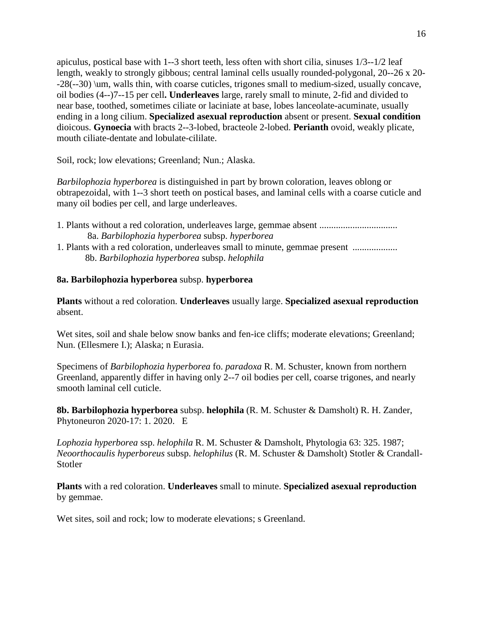apiculus, postical base with 1--3 short teeth, less often with short cilia, sinuses 1/3--1/2 leaf length, weakly to strongly gibbous; central laminal cells usually rounded-polygonal, 20--26 x 20- -28(--30) \um, walls thin, with coarse cuticles, trigones small to medium-sized, usually concave, oil bodies (4--)7--15 per cell**. Underleaves** large, rarely small to minute, 2-fid and divided to near base, toothed, sometimes ciliate or laciniate at base, lobes lanceolate-acuminate, usually ending in a long cilium. **Specialized asexual reproduction** absent or present. **Sexual condition** dioicous. **Gynoecia** with bracts 2--3-lobed, bracteole 2-lobed. **Perianth** ovoid, weakly plicate, mouth ciliate-dentate and lobulate-cililate.

Soil, rock; low elevations; Greenland; Nun.; Alaska.

*Barbilophozia hyperborea* is distinguished in part by brown coloration, leaves oblong or obtrapezoidal, with 1--3 short teeth on postical bases, and laminal cells with a coarse cuticle and many oil bodies per cell, and large underleaves.

- 1. Plants without a red coloration, underleaves large, gemmae absent ................................. 8a. *Barbilophozia hyperborea* subsp. *hyperborea*
- 1. Plants with a red coloration, underleaves small to minute, gemmae present ................... 8b. *Barbilophozia hyperborea* subsp. *helophila*

# **8a. Barbilophozia hyperborea** subsp. **hyperborea**

**Plants** without a red coloration. **Underleaves** usually large. **Specialized asexual reproduction** absent.

Wet sites, soil and shale below snow banks and fen-ice cliffs; moderate elevations; Greenland; Nun. (Ellesmere I.); Alaska; n Eurasia.

Specimens of *Barbilophozia hyperborea* fo. *paradoxa* R. M. Schuster, known from northern Greenland, apparently differ in having only 2--7 oil bodies per cell, coarse trigones, and nearly smooth laminal cell cuticle.

**8b. Barbilophozia hyperborea** subsp. **helophila** (R. M. Schuster & Damsholt) R. H. Zander, Phytoneuron 2020-17: 1. 2020.E

*Lophozia hyperborea* ssp. *helophila* R. M. Schuster & Damsholt, Phytologia 63: 325. 1987; *Neoorthocaulis hyperboreus* subsp. *helophilus* (R. M. Schuster & Damsholt) Stotler & Crandall-**Stotler** 

**Plants** with a red coloration. **Underleaves** small to minute. **Specialized asexual reproduction** by gemmae.

Wet sites, soil and rock; low to moderate elevations; s Greenland.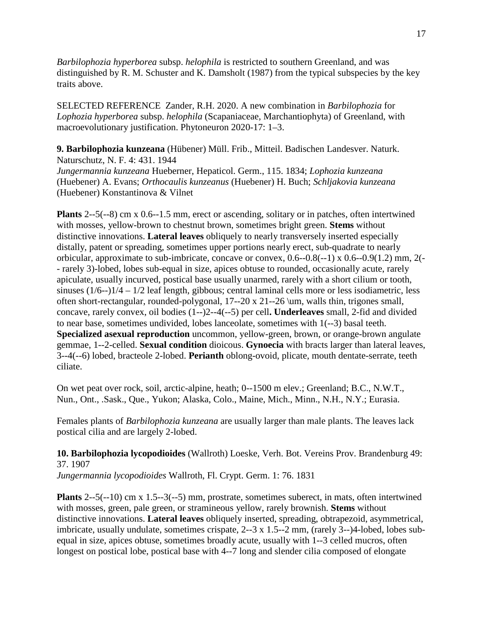*Barbilophozia hyperborea* subsp. *helophila* is restricted to southern Greenland, and was distinguished by R. M. Schuster and K. Damsholt (1987) from the typical subspecies by the key traits above.

SELECTED REFERENCE Zander, R.H. 2020. A new combination in *Barbilophozia* for *Lophozia hyperborea* subsp. *helophila* (Scapaniaceae, Marchantiophyta) of Greenland, with macroevolutionary justification. Phytoneuron 2020-17: 1–3.

**9. Barbilophozia kunzeana** (Hübener) Müll. Frib., Mitteil. Badischen Landesver. Naturk. Naturschutz, N. F. 4: 431. 1944

*Jungermannia kunzeana* Hueberner, Hepaticol. Germ., 115. 1834; *Lophozia kunzeana* (Huebener) A. Evans; *Orthocaulis kunzeanus* [\(Huebener\) H. Buch;](https://www.tropicos.org/Name/35209890) *[Schljakovia](https://www.tropicos.org/Name/100355659) kunzeana* [\(Huebener\) Konstantinova & Vilnet](https://www.tropicos.org/Name/100355659)

**Plants** 2--5(--8) cm x 0.6--1.5 mm, erect or ascending, solitary or in patches, often intertwined with mosses, yellow-brown to chestnut brown, sometimes bright green. **Stems** without distinctive innovations. **Lateral leaves** obliquely to nearly transversely inserted especially distally, patent or spreading, sometimes upper portions nearly erect, sub-quadrate to nearly orbicular, approximate to sub-imbricate, concave or convex, 0.6--0.8(--1) x 0.6--0.9(1.2) mm, 2(- - rarely 3)-lobed, lobes sub-equal in size, apices obtuse to rounded, occasionally acute, rarely apiculate, usually incurved, postical base usually unarmed, rarely with a short cilium or tooth, sinuses (1/6--)1/4 – 1/2 leaf length, gibbous; central laminal cells more or less isodiametric, less often short-rectangular, rounded-polygonal, 17--20 x 21--26 \um, walls thin, trigones small, concave, rarely convex, oil bodies (1--)2--4(--5) per cell**. Underleaves** small, 2-fid and divided to near base, sometimes undivided, lobes lanceolate, sometimes with 1(--3) basal teeth. **Specialized asexual reproduction** uncommon, yellow-green, brown, or orange-brown angulate gemmae, 1--2-celled. **Sexual condition** dioicous. **Gynoecia** with bracts larger than lateral leaves, 3--4(--6) lobed, bracteole 2-lobed. **Perianth** oblong-ovoid, plicate, mouth dentate-serrate, teeth ciliate.

On wet peat over rock, soil, arctic-alpine, heath; 0--1500 m elev.; Greenland; B.C., N.W.T., Nun., Ont., .Sask., Que., Yukon; Alaska, Colo., Maine, Mich., Minn., N.H., N.Y.; Eurasia.

Females plants of *Barbilophozia kunzeana* are usually larger than male plants. The leaves lack postical cilia and are largely 2-lobed.

**10. Barbilophozia lycopodioides** (Wallroth) Loeske, Verh. Bot. Vereins Prov. Brandenburg 49: 37. 1907

*Jungermannia lycopodioides* Wallroth, Fl. Crypt. Germ. 1: 76. 1831

**Plants** 2--5(--10) cm x 1.5--3(--5) mm, prostrate, sometimes suberect, in mats, often intertwined with mosses, green, pale green, or stramineous yellow, rarely brownish. **Stems** without distinctive innovations. **Lateral leaves** obliquely inserted, spreading, obtrapezoid, asymmetrical, imbricate, usually undulate, sometimes crispate, 2--3 x 1.5--2 mm, (rarely 3--)4-lobed, lobes subequal in size, apices obtuse, sometimes broadly acute, usually with 1--3 celled mucros, often longest on postical lobe, postical base with 4--7 long and slender cilia composed of elongate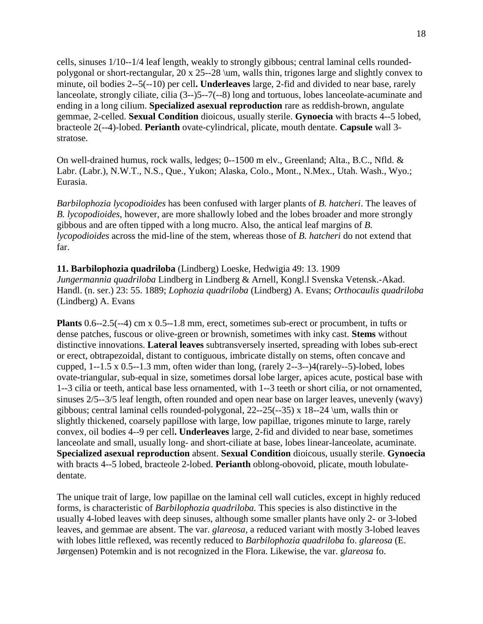cells, sinuses 1/10--1/4 leaf length, weakly to strongly gibbous; central laminal cells roundedpolygonal or short-rectangular, 20 x 25--28 \um, walls thin, trigones large and slightly convex to minute, oil bodies 2--5(--10) per cell**. Underleaves** large, 2-fid and divided to near base, rarely lanceolate, strongly ciliate, cilia (3--)5--7(--8) long and tortuous, lobes lanceolate-acuminate and ending in a long cilium. **Specialized asexual reproduction** rare as reddish-brown, angulate gemmae, 2-celled. **Sexual Condition** dioicous, usually sterile. **Gynoecia** with bracts 4--5 lobed, bracteole 2(--4)-lobed. **Perianth** ovate-cylindrical, plicate, mouth dentate. **Capsule** wall 3 stratose.

On well-drained humus, rock walls, ledges; 0--1500 m elv., Greenland; Alta., B.C., Nfld. & Labr. (Labr.), N.W.T., N.S., Que., Yukon; Alaska, Colo., Mont., N.Mex., Utah. Wash., Wyo.; Eurasia.

*Barbilophozia lycopodioides* has been confused with larger plants of *B. hatcheri*. The leaves of *B. lycopodioides*, however, are more shallowly lobed and the lobes broader and more strongly gibbous and are often tipped with a long mucro. Also, the antical leaf margins of *B. lycopodioides* across the mid-line of the stem, whereas those of *B. hatcheri* do not extend that far.

**11. Barbilophozia quadriloba** (Lindberg) Loeske, Hedwigia 49: 13. 1909 *Jungermannia quadriloba* Lindberg in Lindberg & Arnell, Kongl.l Svenska Vetensk.-Akad. Handl. (n. ser.) 23: 55. 1889; *Lophozia quadriloba* (Lindberg) A. Evans; *Orthocaulis quadriloba*  (Lindberg) A. Evans

**Plants** 0.6--2.5(--4) cm x 0.5--1.8 mm, erect, sometimes sub-erect or procumbent, in tufts or dense patches, fuscous or olive-green or brownish, sometimes with inky cast. **Stems** without distinctive innovations. **Lateral leaves** subtransversely inserted, spreading with lobes sub-erect or erect, obtrapezoidal, distant to contiguous, imbricate distally on stems, often concave and cupped, 1--1.5 x 0.5--1.3 mm, often wider than long, (rarely 2--3--)4(rarely--5)-lobed, lobes ovate-triangular, sub-equal in size, sometimes dorsal lobe larger, apices acute, postical base with 1--3 cilia or teeth, antical base less ornamented, with 1--3 teeth or short cilia, or not ornamented, sinuses 2/5--3/5 leaf length, often rounded and open near base on larger leaves, unevenly (wavy) gibbous; central laminal cells rounded-polygonal, 22--25(--35) x 18--24 \um, walls thin or slightly thickened, coarsely papillose with large, low papillae, trigones minute to large, rarely convex, oil bodies 4--9 per cell**. Underleaves** large, 2-fid and divided to near base, sometimes lanceolate and small, usually long- and short-ciliate at base, lobes linear-lanceolate, acuminate. **Specialized asexual reproduction** absent. **Sexual Condition** dioicous, usually sterile. **Gynoecia** with bracts 4--5 lobed, bracteole 2-lobed. **Perianth** oblong-obovoid, plicate, mouth lobulatedentate.

The unique trait of large, low papillae on the laminal cell wall cuticles, except in highly reduced forms, is characteristic of *Barbilophozia quadriloba.* This species is also distinctive in the usually 4-lobed leaves with deep sinuses, although some smaller plants have only 2- or 3-lobed leaves, and gemmae are absent. The var. *glareosa,* a reduced variant with mostly 3-lobed leaves with lobes little reflexed, was recently reduced to *Barbilophozia quadriloba* fo. *glareosa* (E. Jørgensen) Potemkin and is not recognized in the Flora. Likewise, the var. g*lareosa* fo.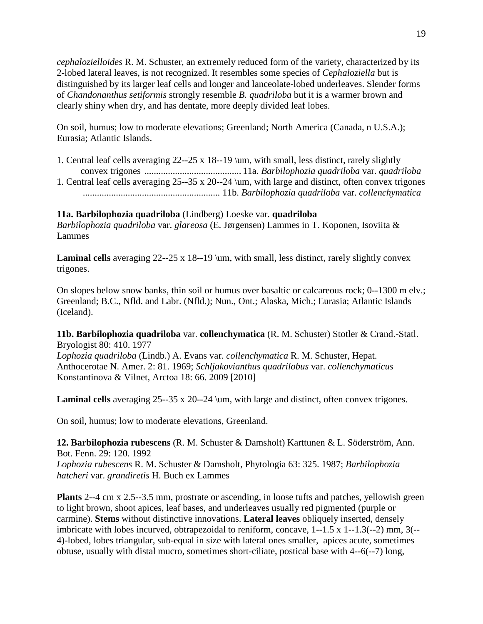*cephalozielloides* R. M. Schuster, an extremely reduced form of the variety, characterized by its 2-lobed lateral leaves, is not recognized. It resembles some species of *Cephaloziella* but is distinguished by its larger leaf cells and longer and lanceolate-lobed underleaves. Slender forms of *Chandonanthus setiformis* strongly resemble *B. quadriloba* but it is a warmer brown and clearly shiny when dry, and has dentate, more deeply divided leaf lobes.

On soil, humus; low to moderate elevations; Greenland; North America (Canada, n U.S.A.); Eurasia; Atlantic Islands.

- 1. Central leaf cells averaging 22--25 x 18--19 \um, with small, less distinct, rarely slightly convex trigones ......................................... 11a. *Barbilophozia quadriloba* var. *quadriloba*
- 1. Central leaf cells averaging 25--35 x 20--24 \um, with large and distinct, often convex trigones .......................................................... 11b. *Barbilophozia quadriloba* var. *collenchymatica*

# **11a. Barbilophozia quadriloba** (Lindberg) Loeske var. **quadriloba**

*Barbilophozia quadriloba* var. *glareosa* (E. Jørgensen) Lammes in T. Koponen, Isoviita & Lammes

Laminal cells averaging 22--25 x 18--19 \um, with small, less distinct, rarely slightly convex trigones.

On slopes below snow banks, thin soil or humus over basaltic or calcareous rock; 0--1300 m elv.; Greenland; B.C., Nfld. and Labr. (Nfld.); Nun., Ont.; Alaska, Mich.; Eurasia; Atlantic Islands (Iceland).

# **11b. Barbilophozia quadriloba** var. **collenchymatica** (R. M. Schuster) Stotler & Crand.-Statl. Bryologist 80: 410. 1977

*Lophozia quadriloba* (Lindb.) A. Evans var. *collenchymatica* R. M. Schuster, Hepat. Anthocerotae N. Amer. 2: 81. 1969; *Schljakovianthus quadrilobus* var. *collenchymaticus*  Konstantinova & Vilnet, Arctoa 18: 66. 2009 [2010]

**Laminal cells** averaging 25--35 x 20--24 \um, with large and distinct, often convex trigones.

On soil, humus; low to moderate elevations, Greenland.

**12. Barbilophozia rubescens** (R. M. Schuster & Damsholt) Karttunen & L. Söderström, Ann. Bot. Fenn. 29: 120. 1992 *Lophozia rubescens* R. M. Schuster & Damsholt, Phytologia 63: 325. 1987; *Barbilophozia hatcheri* var. *grandiretis* H. Buch ex Lammes

**Plants** 2--4 cm x 2.5--3.5 mm, prostrate or ascending, in loose tufts and patches, yellowish green to light brown, shoot apices, leaf bases, and underleaves usually red pigmented (purple or carmine). **Stems** without distinctive innovations. **Lateral leaves** obliquely inserted, densely imbricate with lobes incurved, obtrapezoidal to reniform, concave,  $1 - 1.5 \times 1 - 1.3(-2)$  mm,  $3(-$ 4)-lobed, lobes triangular, sub-equal in size with lateral ones smaller, apices acute, sometimes obtuse, usually with distal mucro, sometimes short-ciliate, postical base with 4--6(--7) long,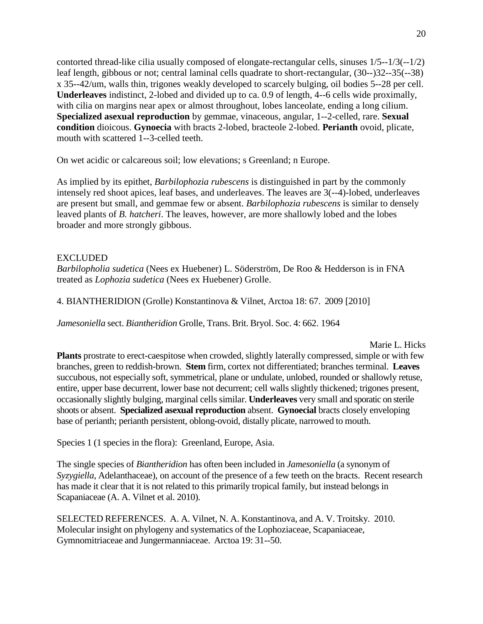contorted thread-like cilia usually composed of elongate-rectangular cells, sinuses 1/5--1/3(--1/2) leaf length, gibbous or not; central laminal cells quadrate to short-rectangular, (30--)32--35(--38) x 35--42/um, walls thin, trigones weakly developed to scarcely bulging, oil bodies 5--28 per cell. **Underleaves** indistinct, 2-lobed and divided up to ca. 0.9 of length, 4--6 cells wide proximally, with cilia on margins near apex or almost throughout, lobes lanceolate, ending a long cilium. **Specialized asexual reproduction** by gemmae, vinaceous, angular, 1--2-celled, rare. **Sexual condition** dioicous. **Gynoecia** with bracts 2-lobed, bracteole 2-lobed. **Perianth** ovoid, plicate, mouth with scattered 1--3-celled teeth.

On wet acidic or calcareous soil; low elevations; s Greenland; n Europe.

As implied by its epithet, *Barbilophozia rubescens* is distinguished in part by the commonly intensely red shoot apices, leaf bases, and underleaves. The leaves are 3(--4)-lobed, underleaves are present but small, and gemmae few or absent. *Barbilophozia rubescens* is similar to densely leaved plants of *B. hatcheri*. The leaves, however, are more shallowly lobed and the lobes broader and more strongly gibbous.

# EXCLUDED

*Barbilopholia sudetica* (Nees ex Huebener) L. Söderström, De Roo & Hedderson is in FNA treated as *Lophozia sudetica* (Nees ex Huebener) Grolle.

4. BIANTHERIDION (Grolle) Konstantinova & Vilnet, Arctoa 18: 67. 2009 [2010]

*Jamesoniella* sect. *Biantheridion* Grolle, Trans. Brit. Bryol. Soc. 4: 662. 1964

Marie L. Hicks

**Plants** prostrate to erect-caespitose when crowded, slightly laterally compressed, simple or with few branches, green to reddish-brown. **Stem** firm, cortex not differentiated; branches terminal. **Leaves** succubous, not especially soft, symmetrical, plane or undulate, unlobed, rounded or shallowly retuse, entire, upper base decurrent, lower base not decurrent; cell walls slightly thickened; trigones present, occasionally slightly bulging, marginal cells similar. **Underleaves** very small and sporatic on sterile shoots or absent. **Specialized asexual reproduction** absent. **Gynoecial** bracts closely enveloping base of perianth; perianth persistent, oblong-ovoid, distally plicate, narrowed to mouth.

Species 1 (1 species in the flora): Greenland, Europe, Asia.

The single species of *Biantheridion* has often been included in *Jamesoniella* (a synonym of *Syzygiella*, Adelanthaceae), on account of the presence of a few teeth on the bracts. Recent research has made it clear that it is not related to this primarily tropical family, but instead belongs in Scapaniaceae (A. A. Vilnet et al. 2010).

SELECTED REFERENCES. A. A. Vilnet, N. A. Konstantinova, and A. V. Troitsky. 2010. Molecular insight on phylogeny and systematics of the Lophoziaceae, Scapaniaceae, Gymnomitriaceae and Jungermanniaceae. Arctoa 19: 31--50.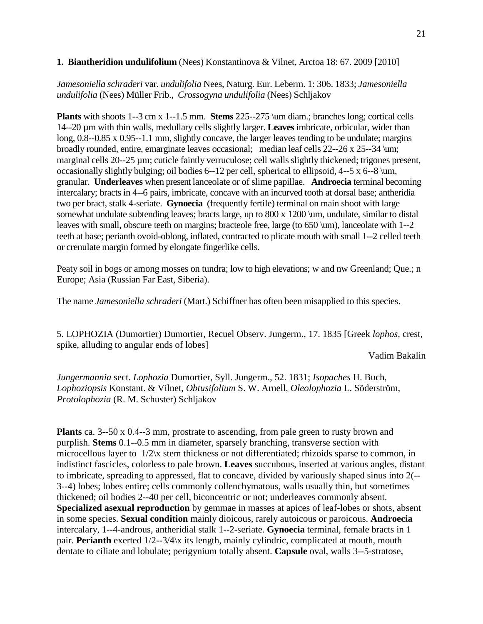# **1. Biantheridion undulifolium** (Nees) Konstantinova & Vilnet, Arctoa 18: 67. 2009 [2010]

*Jamesoniella schraderi* var. *undulifolia* Nees, Naturg. Eur. Leberm. 1: 306. 1833; *Jamesoniella undulifolia* (Nees) Müller Frib., *Crossogyna undulifolia* (Nees) Schljakov

**Plants** with shoots 1--3 cm x 1--1.5 mm. **Stems** 225--275 \um diam.; branches long; cortical cells 14--20 µm with thin walls, medullary cells slightly larger. **Leaves** imbricate, orbicular, wider than long, 0.8--0.85 x 0.95--1.1 mm, slightly concave, the larger leaves tending to be undulate; margins broadly rounded, entire, emarginate leaves occasional; median leaf cells 22--26 x 25--34 \um; marginal cells 20--25 µm; cuticle faintly verruculose; cell walls slightly thickened; trigones present, occasionally slightly bulging; oil bodies 6--12 per cell, spherical to ellipsoid, 4--5 x 6--8 \um, granular. **Underleaves** when present lanceolate or of slime papillae. **Androecia** terminal becoming intercalary; bracts in 4--6 pairs, imbricate, concave with an incurved tooth at dorsal base; antheridia two per bract, stalk 4-seriate. **Gynoecia** (frequently fertile) terminal on main shoot with large somewhat undulate subtending leaves; bracts large, up to 800 x 1200 \um, undulate, similar to distal leaves with small, obscure teeth on margins; bracteole free, large (to 650 \um), lanceolate with 1--2 teeth at base; perianth ovoid-oblong, inflated, contracted to plicate mouth with small 1--2 celled teeth or crenulate margin formed by elongate fingerlike cells.

Peaty soil in bogs or among mosses on tundra; low to high elevations; w and nw Greenland; Que.; n Europe; Asia (Russian Far East, Siberia).

The name *Jamesoniella schraderi* (Mart.) Schiffner has often been misapplied to this species.

5. LOPHOZIA (Dumortier) Dumortier, Recuel Observ. Jungerm., 17. 1835 [Greek *lophos,* crest, spike, alluding to angular ends of lobes]

Vadim Bakalin

*Jungermannia* sect. *Lophozia* Dumortier, Syll. Jungerm., 52. 1831; *Isopaches* H. Buch, *Lophoziopsis* Konstant. & Vilnet, *Obtusifolium* S. W. Arnell, *Oleolophozia* L. Söderström, *Protolophozia* (R. M. Schuster) Schljakov

**Plants** ca. 3--50 x 0.4--3 mm, prostrate to ascending, from pale green to rusty brown and purplish. **Stems** 0.1--0.5 mm in diameter, sparsely branching, transverse section with microcellous layer to 1/2\x stem thickness or not differentiated; rhizoids sparse to common, in indistinct fascicles, colorless to pale brown. **Leaves** succubous, inserted at various angles, distant to imbricate, spreading to appressed, flat to concave, divided by variously shaped sinus into 2(-- 3--4) lobes; lobes entire; cells commonly collenchymatous, walls usually thin, but sometimes thickened; oil bodies 2--40 per cell, biconcentric or not; underleaves commonly absent. **Specialized asexual reproduction** by gemmae in masses at apices of leaf-lobes or shots, absent in some species. **Sexual condition** mainly dioicous, rarely autoicous or paroicous. **Androecia** intercalary, 1--4-androus, antheridial stalk 1--2-seriate. **Gynoecia** terminal, female bracts in 1 pair. **Perianth** exerted  $1/2$ --3/4 $\chi$  its length, mainly cylindric, complicated at mouth, mouth dentate to ciliate and lobulate; perigynium totally absent. **Capsule** oval, walls 3--5-stratose,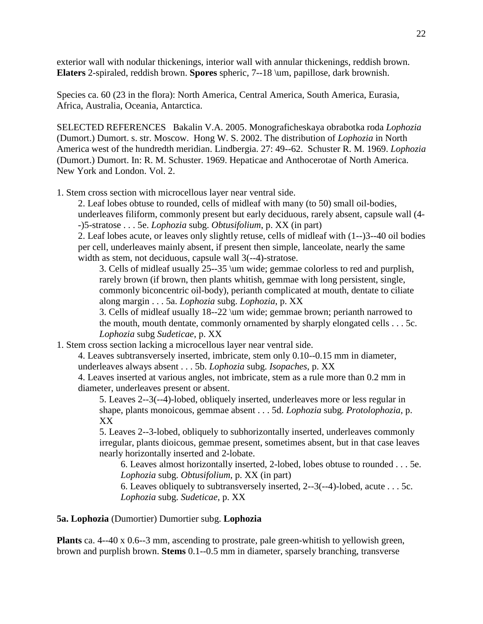exterior wall with nodular thickenings, interior wall with annular thickenings, reddish brown. **Elaters** 2-spiraled, reddish brown. **Spores** spheric, 7--18 \um, papillose, dark brownish.

Species ca. 60 (23 in the flora): North America, Central America, South America, Eurasia, Africa, Australia, Oceania, Antarctica.

SELECTED REFERENCES Bakalin V.A. 2005. Monograficheskaya obrabotka roda *Lophozia*  (Dumort.) Dumort. s. str. Moscow. Hong W. S. 2002. The distribution of *Lophozia* in North America west of the hundredth meridian. Lindbergia. 27: 49--62. Schuster R. M. 1969. *Lophozia*  (Dumort.) Dumort. In: R. M. Schuster. 1969. Hepaticae and Anthocerotae of North America. New York and London. Vol. 2.

1. Stem cross section with microcellous layer near ventral side.

2. Leaf lobes obtuse to rounded, cells of midleaf with many (to 50) small oil-bodies, underleaves filiform, commonly present but early deciduous, rarely absent, capsule wall (4- -)5-stratose . . . 5e. *Lophozia* subg. *Obtusifolium*, p. XX (in part)

2. Leaf lobes acute, or leaves only slightly retuse, cells of midleaf with (1--)3--40 oil bodies per cell, underleaves mainly absent, if present then simple, lanceolate, nearly the same width as stem, not deciduous, capsule wall 3(--4)-stratose.

3. Cells of midleaf usually 25--35 \um wide; gemmae colorless to red and purplish, rarely brown (if brown, then plants whitish, gemmae with long persistent, single, commonly biconcentric oil-body), perianth complicated at mouth, dentate to ciliate along margin . . . 5a. *Lophozia* subg. *Lophozia*, p. XX

3. Cells of midleaf usually 18--22 \um wide; gemmae brown; perianth narrowed to the mouth, mouth dentate, commonly ornamented by sharply elongated cells . . . 5c. *Lophozia* subg *Sudeticae*, p. XX

1. Stem cross section lacking a microcellous layer near ventral side.

4. Leaves subtransversely inserted, imbricate, stem only 0.10--0.15 mm in diameter, underleaves always absent . . . 5b. *Lophozia* subg. *Isopaches*, p. XX

4. Leaves inserted at various angles, not imbricate, stem as a rule more than 0.2 mm in diameter, underleaves present or absent.

5. Leaves 2--3(--4)-lobed, obliquely inserted, underleaves more or less regular in shape, plants monoicous, gemmae absent . . . 5d. *Lophozia* subg. *Protolophozia*, p. XX

5. Leaves 2--3-lobed, obliquely to subhorizontally inserted, underleaves commonly irregular, plants dioicous, gemmae present, sometimes absent, but in that case leaves nearly horizontally inserted and 2-lobate.

6. Leaves almost horizontally inserted, 2-lobed, lobes obtuse to rounded . . . 5e. *Lophozia* subg. *Obtusifolium*, p. XX (in part)

6. Leaves obliquely to subtransversely inserted, 2--3(--4)-lobed, acute . . . 5c. *Lophozia* subg. *Sudeticae*, p. XX

#### **5a. Lophozia** (Dumortier) Dumortier subg. **Lophozia**

**Plants** ca. 4--40 x 0.6--3 mm, ascending to prostrate, pale green-whitish to yellowish green, brown and purplish brown. **Stems** 0.1--0.5 mm in diameter, sparsely branching, transverse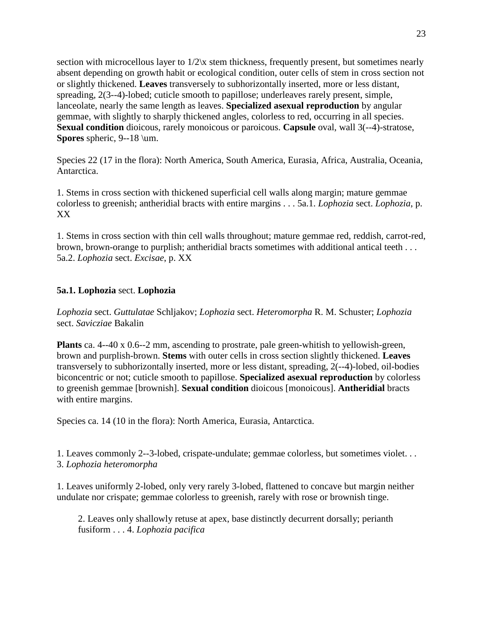section with microcellous layer to  $1/2x$  stem thickness, frequently present, but sometimes nearly absent depending on growth habit or ecological condition, outer cells of stem in cross section not or slightly thickened. **Leaves** transversely to subhorizontally inserted, more or less distant, spreading, 2(3--4)-lobed; cuticle smooth to papillose; underleaves rarely present, simple, lanceolate, nearly the same length as leaves. **Specialized asexual reproduction** by angular gemmae, with slightly to sharply thickened angles, colorless to red, occurring in all species. **Sexual condition** dioicous, rarely monoicous or paroicous. **Capsule** oval, wall 3(--4)-stratose, **Spores** spheric, 9--18 \um.

Species 22 (17 in the flora): North America, South America, Eurasia, Africa, Australia, Oceania, Antarctica.

1. Stems in cross section with thickened superficial cell walls along margin; mature gemmae colorless to greenish; antheridial bracts with entire margins . . . 5a.1. *Lophozia* sect. *Lophozia*, p. XX

1. Stems in cross section with thin cell walls throughout; mature gemmae red, reddish, carrot-red, brown, brown-orange to purplish; antheridial bracts sometimes with additional antical teeth . . . 5a.2. *Lophozia* sect. *Excisae*, p. XX

# **5a.1. Lophozia** sect. **Lophozia**

*Lophozia* sect. *Guttulatae* Schljakov; *Lophozia* sect. *Heteromorpha* R. M. Schuster; *Lophozia* sect. *Savicziae* Bakalin

**Plants** ca. 4--40 x 0.6--2 mm, ascending to prostrate, pale green-whitish to yellowish-green, brown and purplish-brown. **Stems** with outer cells in cross section slightly thickened. **Leaves** transversely to subhorizontally inserted, more or less distant, spreading, 2(--4)-lobed, oil-bodies biconcentric or not; cuticle smooth to papillose. **Specialized asexual reproduction** by colorless to greenish gemmae [brownish]. **Sexual condition** dioicous [monoicous]. **Antheridial** bracts with entire margins.

Species ca. 14 (10 in the flora): North America, Eurasia, Antarctica.

1. Leaves commonly 2--3-lobed, crispate-undulate; gemmae colorless, but sometimes violet. . . 3. *Lophozia heteromorpha*

1. Leaves uniformly 2-lobed, only very rarely 3-lobed, flattened to concave but margin neither undulate nor crispate; gemmae colorless to greenish, rarely with rose or brownish tinge.

2. Leaves only shallowly retuse at apex, base distinctly decurrent dorsally; perianth fusiform . . . 4. *Lophozia pacifica*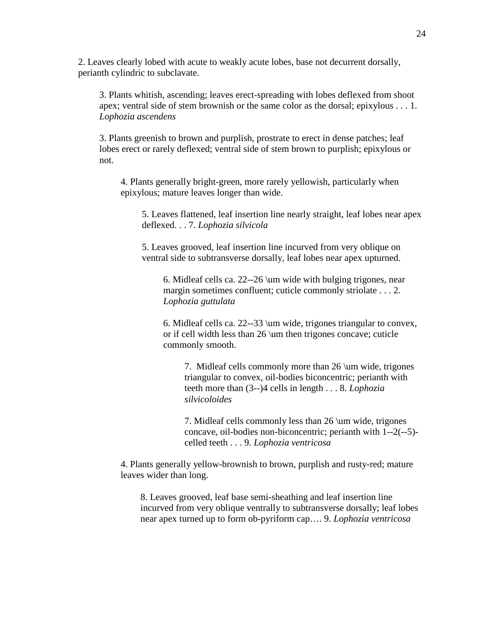2. Leaves clearly lobed with acute to weakly acute lobes, base not decurrent dorsally, perianth cylindric to subclavate.

3. Plants whitish, ascending; leaves erect-spreading with lobes deflexed from shoot apex; ventral side of stem brownish or the same color as the dorsal; epixylous . . . 1. *Lophozia ascendens*

3. Plants greenish to brown and purplish, prostrate to erect in dense patches; leaf lobes erect or rarely deflexed; ventral side of stem brown to purplish; epixylous or not.

4. Plants generally bright-green, more rarely yellowish, particularly when epixylous; mature leaves longer than wide.

5. Leaves flattened, leaf insertion line nearly straight, leaf lobes near apex deflexed. . . 7. *Lophozia silvicola*

5. Leaves grooved, leaf insertion line incurved from very oblique on ventral side to subtransverse dorsally, leaf lobes near apex upturned.

6. Midleaf cells ca. 22--26 \um wide with bulging trigones, near margin sometimes confluent; cuticle commonly striolate . . . 2. *Lophozia guttulata*

6. Midleaf cells ca. 22--33 \um wide, trigones triangular to convex, or if cell width less than 26 \um then trigones concave; cuticle commonly smooth.

7. Midleaf cells commonly more than 26 \um wide, trigones triangular to convex, oil-bodies biconcentric; perianth with teeth more than (3--)4 cells in length . . . 8. *Lophozia silvicoloides*

7. Midleaf cells commonly less than 26 \um wide, trigones concave, oil-bodies non-biconcentric; perianth with 1--2(--5) celled teeth . . . 9. *Lophozia ventricosa*

4. Plants generally yellow-brownish to brown, purplish and rusty-red; mature leaves wider than long.

8. Leaves grooved, leaf base semi-sheathing and leaf insertion line incurved from very oblique ventrally to subtransverse dorsally; leaf lobes near apex turned up to form ob-pyriform cap…. 9. *Lophozia ventricosa*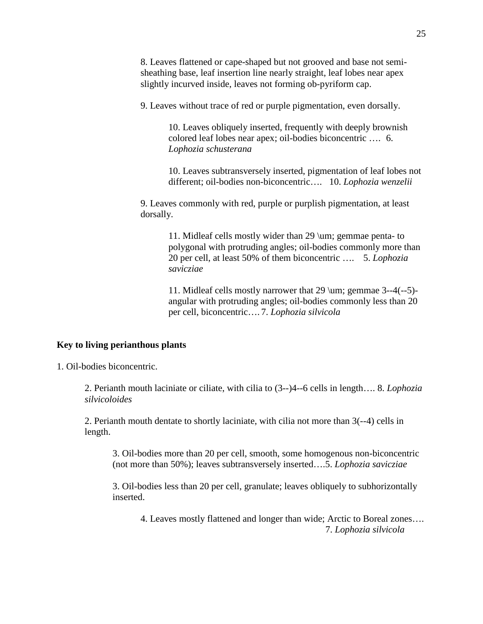8. Leaves flattened or cape-shaped but not grooved and base not semisheathing base, leaf insertion line nearly straight, leaf lobes near apex slightly incurved inside, leaves not forming ob-pyriform cap.

9. Leaves without trace of red or purple pigmentation, even dorsally.

10. Leaves obliquely inserted, frequently with deeply brownish colored leaf lobes near apex; oil-bodies biconcentric …. 6. *Lophozia schusterana*

10. Leaves subtransversely inserted, pigmentation of leaf lobes not different; oil-bodies non-biconcentric…. 10. *Lophozia wenzelii*

9. Leaves commonly with red, purple or purplish pigmentation, at least dorsally.

> 11. Midleaf cells mostly wider than 29 \um; gemmae penta- to polygonal with protruding angles; oil-bodies commonly more than 20 per cell, at least 50% of them biconcentric …. 5. *Lophozia savicziae*

11. Midleaf cells mostly narrower that 29 \um; gemmae 3--4(--5) angular with protruding angles; oil-bodies commonly less than 20 per cell, biconcentric…. 7. *Lophozia silvicola*

#### **Key to living perianthous plants**

1. Oil-bodies biconcentric.

2. Perianth mouth laciniate or ciliate, with cilia to (3--)4--6 cells in length…. 8. *Lophozia silvicoloides*

2. Perianth mouth dentate to shortly laciniate, with cilia not more than 3(--4) cells in length.

3. Oil-bodies more than 20 per cell, smooth, some homogenous non-biconcentric (not more than 50%); leaves subtransversely inserted….5. *Lophozia savicziae*

3. Oil-bodies less than 20 per cell, granulate; leaves obliquely to subhorizontally inserted.

4. Leaves mostly flattened and longer than wide; Arctic to Boreal zones…. 7. *Lophozia silvicola*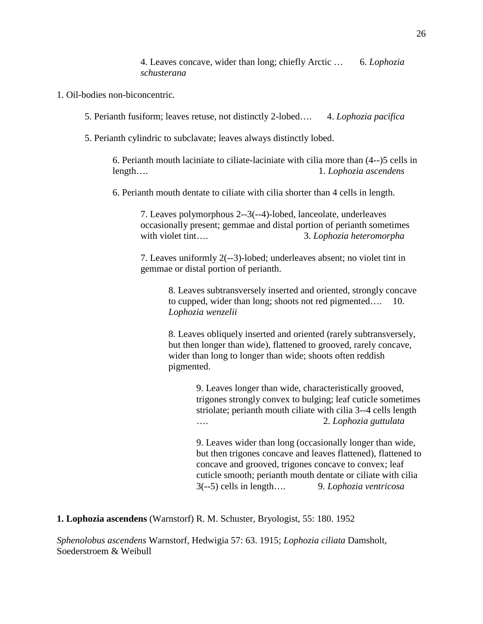4. Leaves concave, wider than long; chiefly Arctic … 6. *Lophozia schusterana*

- 1. Oil-bodies non-biconcentric.
	- 5. Perianth fusiform; leaves retuse, not distinctly 2-lobed…. 4. *Lophozia pacifica*
	- 5. Perianth cylindric to subclavate; leaves always distinctly lobed.

6. Perianth mouth laciniate to ciliate-laciniate with cilia more than (4--)5 cells in length…. 1. *Lophozia ascendens*

6. Perianth mouth dentate to ciliate with cilia shorter than 4 cells in length.

7. Leaves polymorphous 2--3(--4)-lobed, lanceolate, underleaves occasionally present; gemmae and distal portion of perianth sometimes with violet tint….<br>3. *Lophozia heteromorpha* 

7. Leaves uniformly 2(--3)-lobed; underleaves absent; no violet tint in gemmae or distal portion of perianth.

> 8. Leaves subtransversely inserted and oriented, strongly concave to cupped, wider than long; shoots not red pigmented…. 10. *Lophozia wenzelii*

> 8. Leaves obliquely inserted and oriented (rarely subtransversely, but then longer than wide), flattened to grooved, rarely concave, wider than long to longer than wide; shoots often reddish pigmented.

> > 9. Leaves longer than wide, characteristically grooved, trigones strongly convex to bulging; leaf cuticle sometimes striolate; perianth mouth ciliate with cilia 3--4 cells length …. 2. *Lophozia guttulata*

> > 9. Leaves wider than long (occasionally longer than wide, but then trigones concave and leaves flattened), flattened to concave and grooved, trigones concave to convex; leaf cuticle smooth; perianth mouth dentate or ciliate with cilia 3(--5) cells in length…. 9. *Lophozia ventricosa*

**1. Lophozia ascendens** (Warnstorf) R. M. Schuster, Bryologist, 55: 180. 1952

*Sphenolobus ascendens* Warnstorf, Hedwigia 57: 63. 1915; *Lophozia ciliata* Damsholt, Soederstroem & Weibull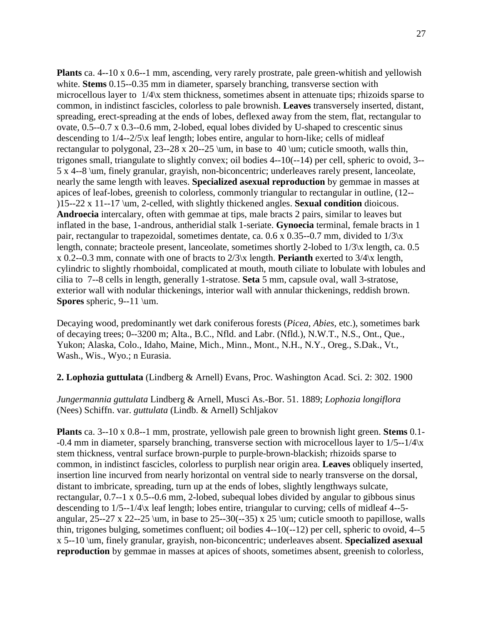**Plants** ca. 4--10 x 0.6--1 mm, ascending, very rarely prostrate, pale green-whitish and yellowish white. **Stems** 0.15--0.35 mm in diameter, sparsely branching, transverse section with microcellous layer to 1/4\x stem thickness, sometimes absent in attenuate tips; rhizoids sparse to common, in indistinct fascicles, colorless to pale brownish. **Leaves** transversely inserted, distant, spreading, erect-spreading at the ends of lobes, deflexed away from the stem, flat, rectangular to ovate, 0.5--0.7 x 0.3--0.6 mm, 2-lobed, equal lobes divided by U-shaped to crescentic sinus descending to 1/4--2/5\x leaf length; lobes entire, angular to horn-like; cells of midleaf rectangular to polygonal,  $23$ --28 x  $20$ --25 \um, in base to 40 \um; cuticle smooth, walls thin, trigones small, triangulate to slightly convex; oil bodies 4--10(--14) per cell, spheric to ovoid, 3-- 5 x 4--8 \um, finely granular, grayish, non-biconcentric; underleaves rarely present, lanceolate, nearly the same length with leaves. **Specialized asexual reproduction** by gemmae in masses at apices of leaf-lobes, greenish to colorless, commonly triangular to rectangular in outline, (12-- )15--22 x 11--17 \um, 2-celled, with slightly thickened angles. **Sexual condition** dioicous. **Androecia** intercalary, often with gemmae at tips, male bracts 2 pairs, similar to leaves but inflated in the base, 1-androus, antheridial stalk 1-seriate. **Gynoecia** terminal, female bracts in 1 pair, rectangular to trapezoidal, sometimes dentate, ca.  $0.6 \times 0.35$ --0.7 mm, divided to  $1/3 \times$ length, connate; bracteole present, lanceolate, sometimes shortly 2-lobed to 1/3\x length, ca. 0.5 x 0.2--0.3 mm, connate with one of bracts to 2/3\x length. **Perianth** exerted to 3/4\x length, cylindric to slightly rhomboidal, complicated at mouth, mouth ciliate to lobulate with lobules and cilia to 7--8 cells in length, generally 1-stratose. **Seta** 5 mm, capsule oval, wall 3-stratose, exterior wall with nodular thickenings, interior wall with annular thickenings, reddish brown. **Spores** spheric, 9--11 \um.

Decaying wood, predominantly wet dark coniferous forests (*Picea, Abies,* etc.), sometimes bark of decaying trees; 0--3200 m; Alta., B.C., Nfld. and Labr. (Nfld.), N.W.T., N.S., Ont., Que., Yukon; Alaska, Colo., Idaho, Maine, Mich., Minn., Mont., N.H., N.Y., Oreg., S.Dak., Vt., Wash., Wis., Wyo.; n Eurasia.

**2. Lophozia guttulata** (Lindberg & Arnell) Evans, Proc. Washington Acad. Sci. 2: 302. 1900

*Jungermannia guttulata* Lindberg & Arnell, Musci As.-Bor. 51. 1889; *Lophozia longiflora* (Nees) Schiffn. var. *guttulata* (Lindb. & Arnell) Schljakov

**Plants** ca. 3--10 x 0.8--1 mm, prostrate, yellowish pale green to brownish light green. **Stems** 0.1- -0.4 mm in diameter, sparsely branching, transverse section with microcellous layer to 1/5--1/4\x stem thickness, ventral surface brown-purple to purple-brown-blackish; rhizoids sparse to common, in indistinct fascicles, colorless to purplish near origin area. **Leaves** obliquely inserted, insertion line incurved from nearly horizontal on ventral side to nearly transverse on the dorsal, distant to imbricate, spreading, turn up at the ends of lobes, slightly lengthways sulcate, rectangular, 0.7--1 x 0.5--0.6 mm, 2-lobed, subequal lobes divided by angular to gibbous sinus descending to 1/5--1/4\x leaf length; lobes entire, triangular to curving; cells of midleaf 4--5 angular,  $25-27 \times 22-25 \text{ }$ , in base to  $25-30(-35) \times 25 \text{ }$ , cuticle smooth to papillose, walls thin, trigones bulging, sometimes confluent; oil bodies 4--10(--12) per cell, spheric to ovoid, 4--5 x 5--10 \um, finely granular, grayish, non-biconcentric; underleaves absent. **Specialized asexual reproduction** by gemmae in masses at apices of shoots, sometimes absent, greenish to colorless,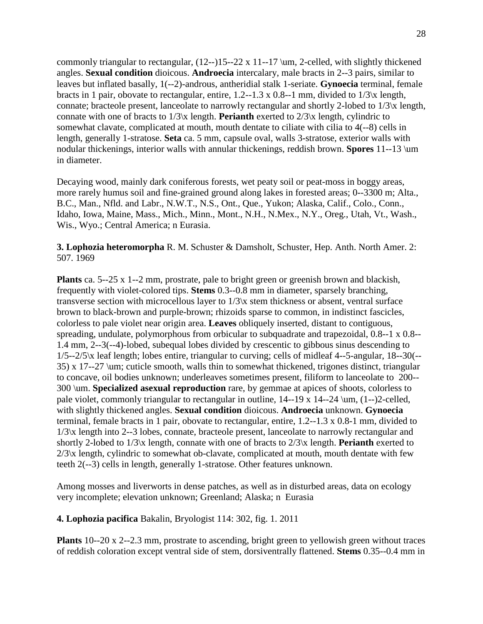commonly triangular to rectangular, (12--)15--22 x 11--17 \um, 2-celled, with slightly thickened angles. **Sexual condition** dioicous. **Androecia** intercalary, male bracts in 2--3 pairs, similar to leaves but inflated basally, 1(--2)-androus, antheridial stalk 1-seriate. **Gynoecia** terminal, female bracts in 1 pair, obovate to rectangular, entire, 1.2--1.3 x 0.8--1 mm, divided to 1/3\x length, connate; bracteole present, lanceolate to narrowly rectangular and shortly 2-lobed to 1/3\x length, connate with one of bracts to 1/3\x length. **Perianth** exerted to 2/3\x length, cylindric to somewhat clavate, complicated at mouth, mouth dentate to ciliate with cilia to 4(--8) cells in length, generally 1-stratose. **Seta** ca. 5 mm, capsule oval, walls 3-stratose, exterior walls with nodular thickenings, interior walls with annular thickenings, reddish brown. **Spores** 11--13 \um in diameter.

Decaying wood, mainly dark coniferous forests, wet peaty soil or peat-moss in boggy areas, more rarely humus soil and fine-grained ground along lakes in forested areas; 0--3300 m; Alta., B.C., Man., Nfld. and Labr., N.W.T., N.S., Ont., Que., Yukon; Alaska, Calif., Colo., Conn., Idaho, Iowa, Maine, Mass., Mich., Minn., Mont., N.H., N.Mex., N.Y., Oreg., Utah, Vt., Wash., Wis., Wyo.; Central America; n Eurasia.

**3. Lophozia heteromorpha** R. M. Schuster & Damsholt, Schuster, Hep. Anth. North Amer. 2: 507. 1969

**Plants** ca. 5--25 x 1--2 mm, prostrate, pale to bright green or greenish brown and blackish, frequently with violet-colored tips. **Stems** 0.3--0.8 mm in diameter, sparsely branching, transverse section with microcellous layer to 1/3\x stem thickness or absent, ventral surface brown to black-brown and purple-brown; rhizoids sparse to common, in indistinct fascicles, colorless to pale violet near origin area. **Leaves** obliquely inserted, distant to contiguous, spreading, undulate, polymorphous from orbicular to subquadrate and trapezoidal, 0.8--1 x 0.8-- 1.4 mm, 2--3(--4)-lobed, subequal lobes divided by crescentic to gibbous sinus descending to 1/5--2/5\x leaf length; lobes entire, triangular to curving; cells of midleaf 4--5-angular, 18--30(-- 35) x 17--27 \um; cuticle smooth, walls thin to somewhat thickened, trigones distinct, triangular to concave, oil bodies unknown; underleaves sometimes present, filiform to lanceolate to 200-- 300 \um. **Specialized asexual reproduction** rare, by gemmae at apices of shoots, colorless to pale violet, commonly triangular to rectangular in outline, 14--19 x 14--24 \um, (1--)2-celled, with slightly thickened angles. **Sexual condition** dioicous. **Androecia** unknown. **Gynoecia** terminal, female bracts in 1 pair, obovate to rectangular, entire, 1.2--1.3 x 0.8-1 mm, divided to 1/3\x length into 2--3 lobes, connate, bracteole present, lanceolate to narrowly rectangular and shortly 2-lobed to 1/3\x length, connate with one of bracts to 2/3\x length. **Perianth** exerted to 2/3\x length, cylindric to somewhat ob-clavate, complicated at mouth, mouth dentate with few teeth 2(--3) cells in length, generally 1-stratose. Other features unknown.

Among mosses and liverworts in dense patches, as well as in disturbed areas, data on ecology very incomplete; elevation unknown; Greenland; Alaska; n Eurasia

**4. Lophozia pacifica** Bakalin, Bryologist 114: 302, fig. 1. 2011

**Plants** 10--20 x 2--2.3 mm, prostrate to ascending, bright green to yellowish green without traces of reddish coloration except ventral side of stem, dorsiventrally flattened. **Stems** 0.35--0.4 mm in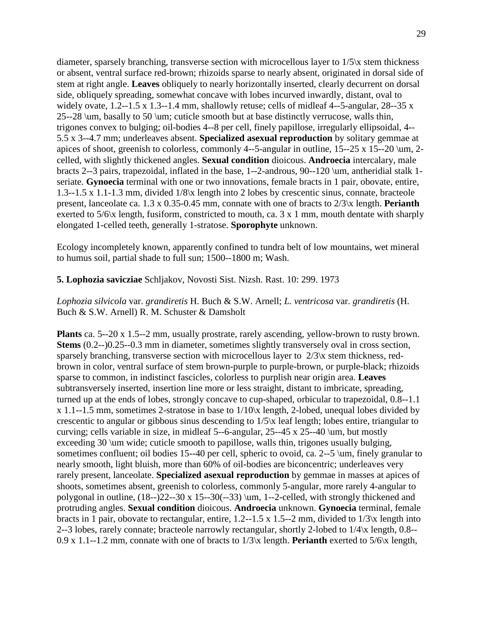diameter, sparsely branching, transverse section with microcellous layer to 1/5\x stem thickness or absent, ventral surface red-brown; rhizoids sparse to nearly absent, originated in dorsal side of stem at right angle. **Leaves** obliquely to nearly horizontally inserted, clearly decurrent on dorsal side, obliquely spreading, somewhat concave with lobes incurved inwardly, distant, oval to widely ovate, 1.2--1.5 x 1.3--1.4 mm, shallowly retuse; cells of midleaf 4--5-angular, 28--35 x 25--28 \um, basally to 50 \um; cuticle smooth but at base distinctly verrucose, walls thin, trigones convex to bulging; oil-bodies 4--8 per cell, finely papillose, irregularly ellipsoidal, 4-- 5.5 x 3--4.7 mm; underleaves absent. **Specialized asexual reproduction** by solitary gemmae at apices of shoot, greenish to colorless, commonly 4--5-angular in outline,  $15$ - $25 \times 15$ - $20 \ \mu$ m, 2celled, with slightly thickened angles. **Sexual condition** dioicous. **Androecia** intercalary, male bracts 2--3 pairs, trapezoidal, inflated in the base, 1--2-androus, 90--120 \um, antheridial stalk 1 seriate. **Gynoecia** terminal with one or two innovations, female bracts in 1 pair, obovate, entire, 1.3--1.5 x 1.1-1.3 mm, divided 1/8\x length into 2 lobes by crescentic sinus, connate, bracteole present, lanceolate ca. 1.3 x 0.35-0.45 mm, connate with one of bracts to 2/3\x length. **Perianth** exerted to 5/6\x length, fusiform, constricted to mouth, ca. 3 x 1 mm, mouth dentate with sharply elongated 1-celled teeth, generally 1-stratose. **Sporophyte** unknown.

Ecology incompletely known, apparently confined to tundra belt of low mountains, wet mineral to humus soil, partial shade to full sun; 1500--1800 m; Wash.

### **5. Lophozia savicziae** Schljakov, Novosti Sist. Nizsh. Rast. 10: 299. 1973

*Lophozia silvicola* var. *grandiretis* H. Buch & S.W. Arnell; *L. ventricosa* var. *grandiretis* (H. Buch & S.W. Arnell) R. M. Schuster & Damsholt

**Plants** ca. 5--20 x 1.5--2 mm, usually prostrate, rarely ascending, yellow-brown to rusty brown. **Stems** (0.2--)0.25--0.3 mm in diameter, sometimes slightly transversely oval in cross section, sparsely branching, transverse section with microcellous layer to  $2/3$  x stem thickness, redbrown in color, ventral surface of stem brown-purple to purple-brown, or purple-black; rhizoids sparse to common, in indistinct fascicles, colorless to purplish near origin area. **Leaves** subtransversely inserted, insertion line more or less straight, distant to imbricate, spreading, turned up at the ends of lobes, strongly concave to cup-shaped, orbicular to trapezoidal, 0.8--1.1 x 1.1--1.5 mm, sometimes 2-stratose in base to 1/10\x length, 2-lobed, unequal lobes divided by crescentic to angular or gibbous sinus descending to 1/5\x leaf length; lobes entire, triangular to curving; cells variable in size, in midleaf 5--6-angular, 25--45 x 25--40 \um, but mostly exceeding 30 \um wide; cuticle smooth to papillose, walls thin, trigones usually bulging, sometimes confluent; oil bodies 15--40 per cell, spheric to ovoid, ca. 2--5 \um, finely granular to nearly smooth, light bluish, more than 60% of oil-bodies are biconcentric; underleaves very rarely present, lanceolate. **Specialized asexual reproduction** by gemmae in masses at apices of shoots, sometimes absent, greenish to colorless, commonly 5-angular, more rarely 4-angular to polygonal in outline, (18--)22--30 x 15--30(--33) \um, 1--2-celled, with strongly thickened and protruding angles. **Sexual condition** dioicous. **Androecia** unknown. **Gynoecia** terminal, female bracts in 1 pair, obovate to rectangular, entire, 1.2--1.5 x 1.5--2 mm, divided to 1/3\x length into 2--3 lobes, rarely connate; bracteole narrowly rectangular, shortly 2-lobed to  $1/4\alpha$  length, 0.8--0.9 x 1.1--1.2 mm, connate with one of bracts to 1/3\x length. **Perianth** exerted to 5/6\x length,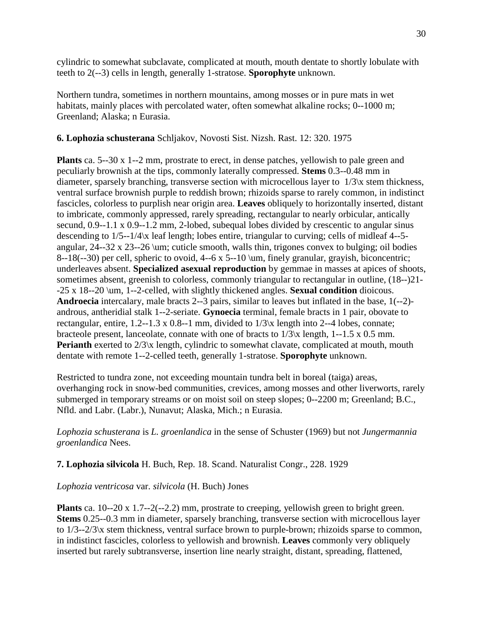cylindric to somewhat subclavate, complicated at mouth, mouth dentate to shortly lobulate with teeth to 2(--3) cells in length, generally 1-stratose. **Sporophyte** unknown.

Northern tundra, sometimes in northern mountains, among mosses or in pure mats in wet habitats, mainly places with percolated water, often somewhat alkaline rocks; 0--1000 m; Greenland; Alaska; n Eurasia.

# **6. Lophozia schusterana** Schljakov, Novosti Sist. Nizsh. Rast. 12: 320. 1975

**Plants** ca. 5--30 x 1--2 mm, prostrate to erect, in dense patches, yellowish to pale green and peculiarly brownish at the tips, commonly laterally compressed. **Stems** 0.3--0.48 mm in diameter, sparsely branching, transverse section with microcellous layer to 1/3\x stem thickness, ventral surface brownish purple to reddish brown; rhizoids sparse to rarely common, in indistinct fascicles, colorless to purplish near origin area. **Leaves** obliquely to horizontally inserted, distant to imbricate, commonly appressed, rarely spreading, rectangular to nearly orbicular, antically secund, 0.9--1.1 x 0.9--1.2 mm, 2-lobed, subequal lobes divided by crescentic to angular sinus descending to 1/5--1/4\x leaf length; lobes entire, triangular to curving; cells of midleaf 4--5 angular, 24--32 x 23--26 \um; cuticle smooth, walls thin, trigones convex to bulging; oil bodies 8--18(--30) per cell, spheric to ovoid, 4--6 x 5--10 \um, finely granular, grayish, biconcentric; underleaves absent. **Specialized asexual reproduction** by gemmae in masses at apices of shoots, sometimes absent, greenish to colorless, commonly triangular to rectangular in outline, (18--)21- -25 x 18--20 \um, 1--2-celled, with slightly thickened angles. **Sexual condition** dioicous. **Androecia** intercalary, male bracts 2--3 pairs, similar to leaves but inflated in the base, 1(--2) androus, antheridial stalk 1--2-seriate. **Gynoecia** terminal, female bracts in 1 pair, obovate to rectangular, entire,  $1.2$ --1.3 x 0.8--1 mm, divided to  $1/3$  k length into 2--4 lobes, connate; bracteole present, lanceolate, connate with one of bracts to 1/3\x length, 1--1.5 x 0.5 mm. **Perianth** exerted to  $2/3$ <sup>x</sup> length, cylindric to somewhat clavate, complicated at mouth, mouth dentate with remote 1--2-celled teeth, generally 1-stratose. **Sporophyte** unknown.

Restricted to tundra zone, not exceeding mountain tundra belt in boreal (taiga) areas, overhanging rock in snow-bed communities, crevices, among mosses and other liverworts, rarely submerged in temporary streams or on moist soil on steep slopes; 0--2200 m; Greenland; B.C., Nfld. and Labr. (Labr.), Nunavut; Alaska, Mich.; n Eurasia.

*Lophozia schusterana* is *L. groenlandica* in the sense of Schuster (1969) but not *Jungermannia groenlandica* Nees.

# **7. Lophozia silvicola** H. Buch, Rep. 18. Scand. Naturalist Congr., 228. 1929

# *Lophozia ventricosa* var. *silvicola* (H. Buch) Jones

**Plants** ca. 10--20 x 1.7--2(--2.2) mm, prostrate to creeping, yellowish green to bright green. **Stems** 0.25--0.3 mm in diameter, sparsely branching, transverse section with microcellous layer to 1/3--2/3\x stem thickness, ventral surface brown to purple-brown; rhizoids sparse to common, in indistinct fascicles, colorless to yellowish and brownish. **Leaves** commonly very obliquely inserted but rarely subtransverse, insertion line nearly straight, distant, spreading, flattened,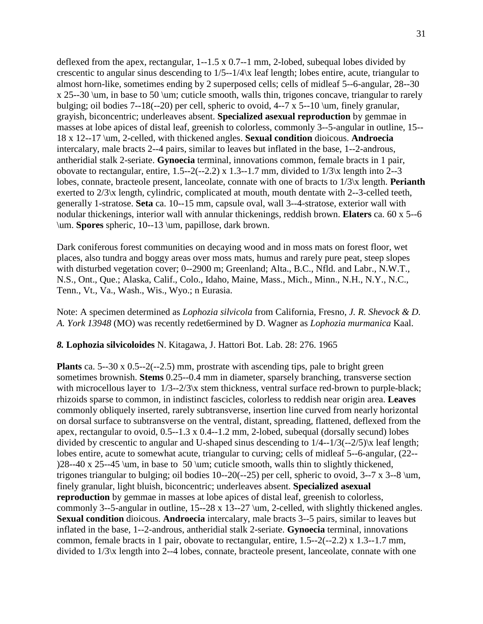deflexed from the apex, rectangular, 1--1.5 x 0.7--1 mm, 2-lobed, subequal lobes divided by crescentic to angular sinus descending to  $1/5-1/4\alpha$  leaf length; lobes entire, acute, triangular to almost horn-like, sometimes ending by 2 superposed cells; cells of midleaf 5--6-angular, 28--30 x 25--30 \um, in base to 50 \um; cuticle smooth, walls thin, trigones concave, triangular to rarely bulging; oil bodies 7--18(--20) per cell, spheric to ovoid, 4--7 x 5--10 \um, finely granular, grayish, biconcentric; underleaves absent. **Specialized asexual reproduction** by gemmae in masses at lobe apices of distal leaf, greenish to colorless, commonly 3--5-angular in outline, 15-- 18 x 12--17 \um, 2-celled, with thickened angles. **Sexual condition** dioicous. **Androecia** intercalary, male bracts 2--4 pairs, similar to leaves but inflated in the base, 1--2-androus, antheridial stalk 2-seriate. **Gynoecia** terminal, innovations common, female bracts in 1 pair, obovate to rectangular, entire,  $1.5-2(-2.2)$  x  $1.3-1.7$  mm, divided to  $1/3$  k length into 2--3 lobes, connate, bracteole present, lanceolate, connate with one of bracts to 1/3\x length. **Perianth** exerted to  $2/3$ <sup>x</sup> length, cylindric, complicated at mouth, mouth dentate with 2--3-celled teeth, generally 1-stratose. **Seta** ca. 10--15 mm, capsule oval, wall 3--4-stratose, exterior wall with nodular thickenings, interior wall with annular thickenings, reddish brown. **Elaters** ca. 60 x 5--6 \um. **Spores** spheric, 10--13 \um, papillose, dark brown.

Dark coniferous forest communities on decaying wood and in moss mats on forest floor, wet places, also tundra and boggy areas over moss mats, humus and rarely pure peat, steep slopes with disturbed vegetation cover; 0--2900 m; Greenland; Alta., B.C., Nfld. and Labr., N.W.T., N.S., Ont., Que.; Alaska, Calif., Colo., Idaho, Maine, Mass., Mich., Minn., N.H., N.Y., N.C., Tenn., Vt., Va., Wash., Wis., Wyo.; n Eurasia.

### Note: A specimen determined as *Lophozia silvicola* from California, Fresno, *J. R. Shevock & D. A. York 13948* (MO) was recently redet6ermined by D. Wagner as *Lophozia murmanica* Kaal.

#### *8.* **Lophozia silvicoloides** N. Kitagawa, J. Hattori Bot. Lab. 28: 276. 1965

**Plants** ca. 5--30 x 0.5--2(--2.5) mm, prostrate with ascending tips, pale to bright green sometimes brownish. **Stems** 0.25--0.4 mm in diameter, sparsely branching, transverse section with microcellous layer to  $1/3-2/3$  x stem thickness, ventral surface red-brown to purple-black; rhizoids sparse to common, in indistinct fascicles, colorless to reddish near origin area. **Leaves** commonly obliquely inserted, rarely subtransverse, insertion line curved from nearly horizontal on dorsal surface to subtransverse on the ventral, distant, spreading, flattened, deflexed from the apex, rectangular to ovoid, 0.5--1.3 x 0.4--1.2 mm, 2-lobed, subequal (dorsally secund) lobes divided by crescentic to angular and U-shaped sinus descending to 1/4--1/3(--2/5)\x leaf length; lobes entire, acute to somewhat acute, triangular to curving; cells of midleaf 5--6-angular, (22-- )28--40 x 25--45 \um, in base to 50 \um; cuticle smooth, walls thin to slightly thickened, trigones triangular to bulging; oil bodies 10--20(--25) per cell, spheric to ovoid, 3--7 x 3--8 \um, finely granular, light bluish, biconcentric; underleaves absent. **Specialized asexual reproduction** by gemmae in masses at lobe apices of distal leaf, greenish to colorless, commonly 3--5-angular in outline, 15--28 x 13--27 \um, 2-celled, with slightly thickened angles. **Sexual condition** dioicous. **Androecia** intercalary, male bracts 3--5 pairs, similar to leaves but inflated in the base, 1--2-androus, antheridial stalk 2-seriate. **Gynoecia** terminal, innovations common, female bracts in 1 pair, obovate to rectangular, entire, 1.5--2(--2.2) x 1.3--1.7 mm, divided to 1/3\x length into 2--4 lobes, connate, bracteole present, lanceolate, connate with one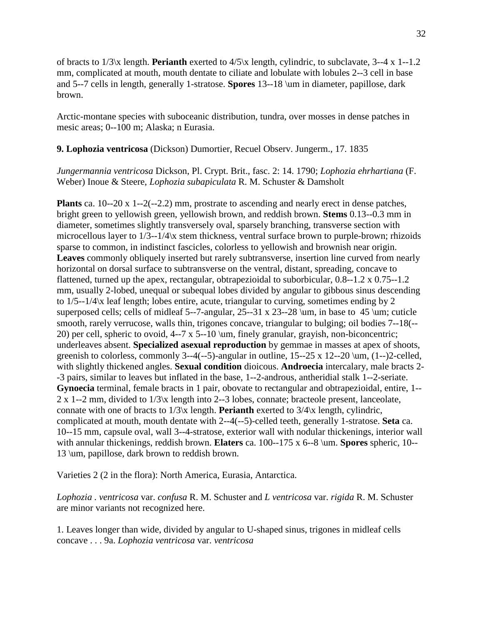of bracts to 1/3\x length. **Perianth** exerted to 4/5\x length, cylindric, to subclavate, 3--4 x 1--1.2 mm, complicated at mouth, mouth dentate to ciliate and lobulate with lobules 2--3 cell in base and 5--7 cells in length, generally 1-stratose. **Spores** 13--18 \um in diameter, papillose, dark brown.

Arctic-montane species with suboceanic distribution, tundra, over mosses in dense patches in mesic areas; 0--100 m; Alaska; n Eurasia.

**9. Lophozia ventricosa** (Dickson) Dumortier, Recuel Observ. Jungerm., 17. 1835

*Jungermannia ventricosa* Dickson, Pl. Crypt. Brit., fasc. 2: 14. 1790; *Lophozia ehrhartiana* (F. Weber) Inoue & Steere, *Lophozia subapiculata* R. M. Schuster & Damsholt

**Plants** ca. 10--20 x 1--2(--2.2) mm, prostrate to ascending and nearly erect in dense patches, bright green to yellowish green, yellowish brown, and reddish brown. **Stems** 0.13--0.3 mm in diameter, sometimes slightly transversely oval, sparsely branching, transverse section with microcellous layer to 1/3--1/4\x stem thickness, ventral surface brown to purple-brown; rhizoids sparse to common, in indistinct fascicles, colorless to yellowish and brownish near origin. **Leaves** commonly obliquely inserted but rarely subtransverse, insertion line curved from nearly horizontal on dorsal surface to subtransverse on the ventral, distant, spreading, concave to flattened, turned up the apex, rectangular, obtrapezioidal to suborbicular, 0.8--1.2 x 0.75--1.2 mm, usually 2-lobed, unequal or subequal lobes divided by angular to gibbous sinus descending to 1/5--1/4\x leaf length; lobes entire, acute, triangular to curving, sometimes ending by 2 superposed cells; cells of midleaf 5--7-angular,  $25$ --31 x  $23$ --28 \um, in base to 45 \um; cuticle smooth, rarely verrucose, walls thin, trigones concave, triangular to bulging; oil bodies 7--18(-- 20) per cell, spheric to ovoid, 4--7 x 5--10 \um, finely granular, grayish, non-biconcentric; underleaves absent. **Specialized asexual reproduction** by gemmae in masses at apex of shoots, greenish to colorless, commonly 3--4(--5)-angular in outline,  $15$ --25 x  $12$ --20  $\mu$ ,  $(1-)$ 2-celled, with slightly thickened angles. **Sexual condition** dioicous. **Androecia** intercalary, male bracts 2- -3 pairs, similar to leaves but inflated in the base, 1--2-androus, antheridial stalk 1--2-seriate. **Gynoecia** terminal, female bracts in 1 pair, obovate to rectangular and obtrapezioidal, entire, 1-- 2 x 1--2 mm, divided to 1/3\x length into 2--3 lobes, connate; bracteole present, lanceolate, connate with one of bracts to 1/3\x length. **Perianth** exerted to 3/4\x length, cylindric, complicated at mouth, mouth dentate with 2--4(--5)-celled teeth, generally 1-stratose. **Seta** ca. 10--15 mm, capsule oval, wall 3--4-stratose, exterior wall with nodular thickenings, interior wall with annular thickenings, reddish brown. **Elaters** ca. 100--175 x 6--8 \um. **Spores** spheric, 10-- 13 \um, papillose, dark brown to reddish brown.

Varieties 2 (2 in the flora): North America, Eurasia, Antarctica.

*Lophozia . ventricosa* var. *confusa* R. M. Schuster and *L ventricosa* var. *rigida* R. M. Schuster are minor variants not recognized here.

1. Leaves longer than wide, divided by angular to U-shaped sinus, trigones in midleaf cells concave . . . 9a. *Lophozia ventricosa* var. *ventricosa*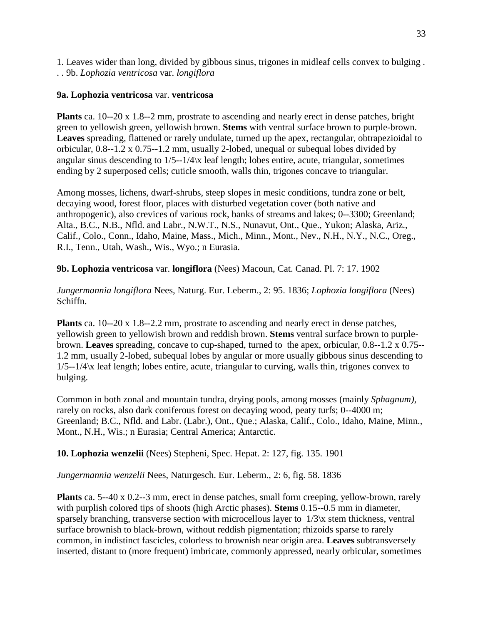1. Leaves wider than long, divided by gibbous sinus, trigones in midleaf cells convex to bulging . . . 9b. *Lophozia ventricosa* var. *longiflora*

# **9a. Lophozia ventricosa** var. **ventricosa**

**Plants** ca. 10--20 x 1.8--2 mm, prostrate to ascending and nearly erect in dense patches, bright green to yellowish green, yellowish brown. **Stems** with ventral surface brown to purple-brown. **Leaves** spreading, flattened or rarely undulate, turned up the apex, rectangular, obtrapezioidal to orbicular, 0.8--1.2 x 0.75--1.2 mm, usually 2-lobed, unequal or subequal lobes divided by angular sinus descending to 1/5--1/4\x leaf length; lobes entire, acute, triangular, sometimes ending by 2 superposed cells; cuticle smooth, walls thin, trigones concave to triangular.

Among mosses, lichens, dwarf-shrubs, steep slopes in mesic conditions, tundra zone or belt, decaying wood, forest floor, places with disturbed vegetation cover (both native and anthropogenic), also crevices of various rock, banks of streams and lakes; 0--3300; Greenland; Alta., B.C., N.B., Nfld. and Labr., N.W.T., N.S., Nunavut, Ont., Que., Yukon; Alaska, Ariz., Calif., Colo., Conn., Idaho, Maine, Mass., Mich., Minn., Mont., Nev., N.H., N.Y., N.C., Oreg., R.I., Tenn., Utah, Wash., Wis., Wyo.; n Eurasia.

**9b. Lophozia ventricosa** var. **longiflora** (Nees) Macoun, Cat. Canad. Pl. 7: 17. 1902

*Jungermannia longiflora* Nees, Naturg. Eur. Leberm., 2: 95. 1836; *Lophozia longiflora* (Nees) Schiffn.

**Plants** ca. 10--20 x 1.8--2.2 mm, prostrate to ascending and nearly erect in dense patches, yellowish green to yellowish brown and reddish brown. **Stems** ventral surface brown to purplebrown. **Leaves** spreading, concave to cup-shaped, turned to the apex, orbicular, 0.8--1.2 x 0.75-- 1.2 mm, usually 2-lobed, subequal lobes by angular or more usually gibbous sinus descending to 1/5--1/4\x leaf length; lobes entire, acute, triangular to curving, walls thin, trigones convex to bulging.

Common in both zonal and mountain tundra, drying pools, among mosses (mainly *Sphagnum),*  rarely on rocks, also dark coniferous forest on decaying wood, peaty turfs; 0--4000 m; Greenland; B.C., Nfld. and Labr. (Labr.), Ont., Que.; Alaska, Calif., Colo., Idaho, Maine, Minn., Mont., N.H., Wis.; n Eurasia; Central America; Antarctic.

**10. Lophozia wenzelii** (Nees) Stepheni, Spec. Hepat. 2: 127, fig. 135. 1901

*Jungermannia wenzelii* Nees, Naturgesch. Eur. Leberm., 2: 6, fig. 58. 1836

**Plants** ca. 5--40 x 0.2--3 mm, erect in dense patches, small form creeping, yellow-brown, rarely with purplish colored tips of shoots (high Arctic phases). **Stems** 0.15--0.5 mm in diameter, sparsely branching, transverse section with microcellous layer to  $1/3$ <sup>x</sup> stem thickness, ventral surface brownish to black-brown, without reddish pigmentation; rhizoids sparse to rarely common, in indistinct fascicles, colorless to brownish near origin area. **Leaves** subtransversely inserted, distant to (more frequent) imbricate, commonly appressed, nearly orbicular, sometimes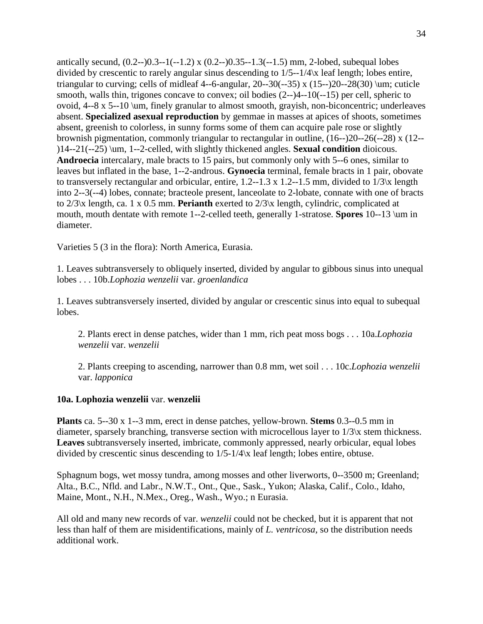antically secund,  $(0.2-0.3-1(-1.2) \times (0.2-0.35-1.3(-1.5) \text{ mm}, 2\text{-lobed}, \text{subequal lobes})$ divided by crescentic to rarely angular sinus descending to 1/5--1/4\x leaf length; lobes entire, triangular to curving; cells of midleaf 4--6-angular,  $20-30(-35)$  x  $(15-20-28(30)$  \um; cuticle smooth, walls thin, trigones concave to convex; oil bodies (2--)4--10(--15) per cell, spheric to ovoid, 4--8 x 5--10 \um, finely granular to almost smooth, grayish, non-biconcentric; underleaves absent. **Specialized asexual reproduction** by gemmae in masses at apices of shoots, sometimes absent, greenish to colorless, in sunny forms some of them can acquire pale rose or slightly brownish pigmentation, commonly triangular to rectangular in outline, (16--)20--26(--28) x (12-- )14--21(--25) \um, 1--2-celled, with slightly thickened angles. **Sexual condition** dioicous. **Androecia** intercalary, male bracts to 15 pairs, but commonly only with 5--6 ones, similar to leaves but inflated in the base, 1--2-androus. **Gynoecia** terminal, female bracts in 1 pair, obovate to transversely rectangular and orbicular, entire, 1.2--1.3 x 1.2--1.5 mm, divided to 1/3\x length into 2--3(--4) lobes, connate; bracteole present, lanceolate to 2-lobate, connate with one of bracts to 2/3\x length, ca. 1 x 0.5 mm. **Perianth** exerted to 2/3\x length, cylindric, complicated at mouth, mouth dentate with remote 1--2-celled teeth, generally 1-stratose. **Spores** 10--13 \um in diameter.

Varieties 5 (3 in the flora): North America, Eurasia.

1. Leaves subtransversely to obliquely inserted, divided by angular to gibbous sinus into unequal lobes . . . 10b.*Lophozia wenzelii* var. *groenlandica*

1. Leaves subtransversely inserted, divided by angular or crescentic sinus into equal to subequal lobes.

2. Plants erect in dense patches, wider than 1 mm, rich peat moss bogs . . . 10a.*Lophozia wenzelii* var. *wenzelii*

2. Plants creeping to ascending, narrower than 0.8 mm, wet soil . . . 10c.*Lophozia wenzelii* var. *lapponica*

#### **10a. Lophozia wenzelii** var. **wenzelii**

**Plants** ca. 5--30 x 1--3 mm, erect in dense patches, yellow-brown. **Stems** 0.3--0.5 mm in diameter, sparsely branching, transverse section with microcellous layer to 1/3\x stem thickness. **Leaves** subtransversely inserted, imbricate, commonly appressed, nearly orbicular, equal lobes divided by crescentic sinus descending to 1/5-1/4\x leaf length; lobes entire, obtuse.

Sphagnum bogs, wet mossy tundra, among mosses and other liverworts, 0--3500 m; Greenland; Alta., B.C., Nfld. and Labr., N.W.T., Ont., Que., Sask., Yukon; Alaska, Calif., Colo., Idaho, Maine, Mont., N.H., N.Mex., Oreg., Wash., Wyo.; n Eurasia.

All old and many new records of var. *wenzelii* could not be checked, but it is apparent that not less than half of them are misidentifications, mainly of *L. ventricosa,* so the distribution needs additional work.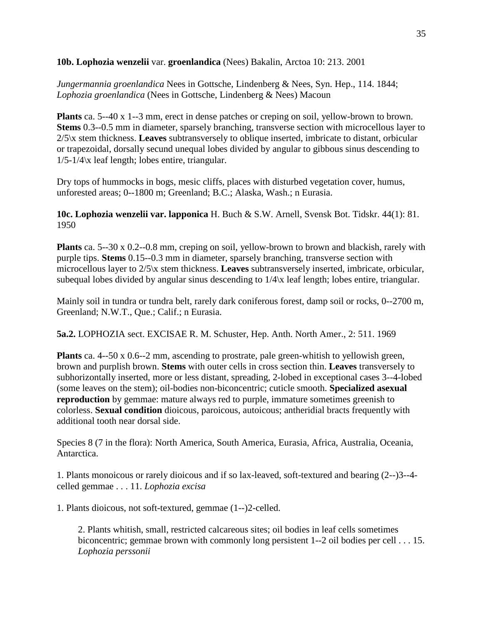**10b. Lophozia wenzelii** var. **groenlandica** (Nees) Bakalin, Arctoa 10: 213. 2001

*Jungermannia groenlandica* Nees in Gottsche, Lindenberg & Nees, Syn. Hep., 114. 1844; *Lophozia groenlandica* (Nees in Gottsche, Lindenberg & Nees) Macoun

**Plants** ca. 5--40 x 1--3 mm, erect in dense patches or creping on soil, yellow-brown to brown. **Stems** 0.3--0.5 mm in diameter, sparsely branching, transverse section with microcellous layer to 2/5\x stem thickness. **Leaves** subtransversely to oblique inserted, imbricate to distant, orbicular or trapezoidal, dorsally secund unequal lobes divided by angular to gibbous sinus descending to 1/5-1/4\x leaf length; lobes entire, triangular.

Dry tops of hummocks in bogs, mesic cliffs, places with disturbed vegetation cover, humus, unforested areas; 0--1800 m; Greenland; B.C.; Alaska, Wash.; n Eurasia.

**10c. Lophozia wenzelii var. lapponica** H. Buch & S.W. Arnell, Svensk Bot. Tidskr. 44(1): 81. 1950

**Plants** ca. 5--30 x 0.2--0.8 mm, creping on soil, yellow-brown to brown and blackish, rarely with purple tips. **Stems** 0.15--0.3 mm in diameter, sparsely branching, transverse section with microcellous layer to 2/5\x stem thickness. **Leaves** subtransversely inserted, imbricate, orbicular, subequal lobes divided by angular sinus descending to 1/4\x leaf length; lobes entire, triangular.

Mainly soil in tundra or tundra belt, rarely dark coniferous forest, damp soil or rocks, 0--2700 m, Greenland; N.W.T., Que.; Calif.; n Eurasia.

**5a.2.** LOPHOZIA sect. EXCISAE R. M. Schuster, Hep. Anth. North Amer., 2: 511. 1969

**Plants** ca. 4--50 x 0.6--2 mm, ascending to prostrate, pale green-whitish to yellowish green, brown and purplish brown. **Stems** with outer cells in cross section thin. **Leaves** transversely to subhorizontally inserted, more or less distant, spreading, 2-lobed in exceptional cases 3--4-lobed (some leaves on the stem); oil-bodies non-biconcentric; cuticle smooth. **Specialized asexual reproduction** by gemmae: mature always red to purple, immature sometimes greenish to colorless. **Sexual condition** dioicous, paroicous, autoicous; antheridial bracts frequently with additional tooth near dorsal side.

Species 8 (7 in the flora): North America, South America, Eurasia, Africa, Australia, Oceania, Antarctica.

1. Plants monoicous or rarely dioicous and if so lax-leaved, soft-textured and bearing (2--)3--4 celled gemmae . . . 11. *Lophozia excisa*

1. Plants dioicous, not soft-textured, gemmae (1--)2-celled.

2. Plants whitish, small, restricted calcareous sites; oil bodies in leaf cells sometimes biconcentric; gemmae brown with commonly long persistent 1--2 oil bodies per cell . . . 15. *Lophozia perssonii*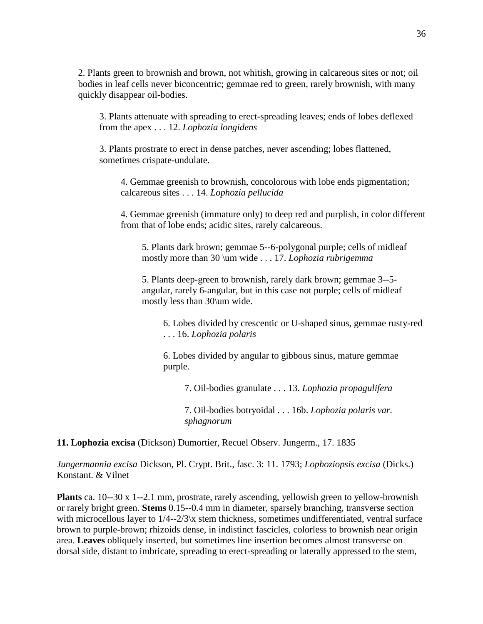2. Plants green to brownish and brown, not whitish, growing in calcareous sites or not; oil bodies in leaf cells never biconcentric; gemmae red to green, rarely brownish, with many quickly disappear oil-bodies.

3. Plants attenuate with spreading to erect-spreading leaves; ends of lobes deflexed from the apex . . . 12. *Lophozia longidens*

3. Plants prostrate to erect in dense patches, never ascending; lobes flattened, sometimes crispate-undulate.

4. Gemmae greenish to brownish, concolorous with lobe ends pigmentation; calcareous sites . . . 14. *Lophozia pellucida*

4. Gemmae greenish (immature only) to deep red and purplish, in color different from that of lobe ends; acidic sites, rarely calcareous.

5. Plants dark brown; gemmae 5--6-polygonal purple; cells of midleaf mostly more than 30 \um wide . . . 17. *Lophozia rubrigemma*

5. Plants deep-green to brownish, rarely dark brown; gemmae 3--5 angular, rarely 6-angular, but in this case not purple; cells of midleaf mostly less than 30\um wide.

6. Lobes divided by crescentic or U-shaped sinus, gemmae rusty-red . . . 16. *Lophozia polaris*

6. Lobes divided by angular to gibbous sinus, mature gemmae purple.

7. Oil-bodies granulate . . . 13. *Lophozia propagulifera*

7. Oil-bodies botryoidal . . . 16b. *Lophozia polaris var. sphagnorum*

**11. Lophozia excisa** (Dickson) Dumortier, Recuel Observ. Jungerm., 17. 1835

*Jungermannia excisa* Dickson, Pl. Crypt. Brit., fasc. 3: 11. 1793; *Lophoziopsis excisa* (Dicks.) Konstant. & Vilnet

**Plants** ca. 10--30 x 1--2.1 mm, prostrate, rarely ascending, yellowish green to yellow-brownish or rarely bright green. **Stems** 0.15--0.4 mm in diameter, sparsely branching, transverse section with microcellous layer to  $1/4 - 2/3$  x stem thickness, sometimes undifferentiated, ventral surface brown to purple-brown; rhizoids dense, in indistinct fascicles, colorless to brownish near origin area. **Leaves** obliquely inserted, but sometimes line insertion becomes almost transverse on dorsal side, distant to imbricate, spreading to erect-spreading or laterally appressed to the stem,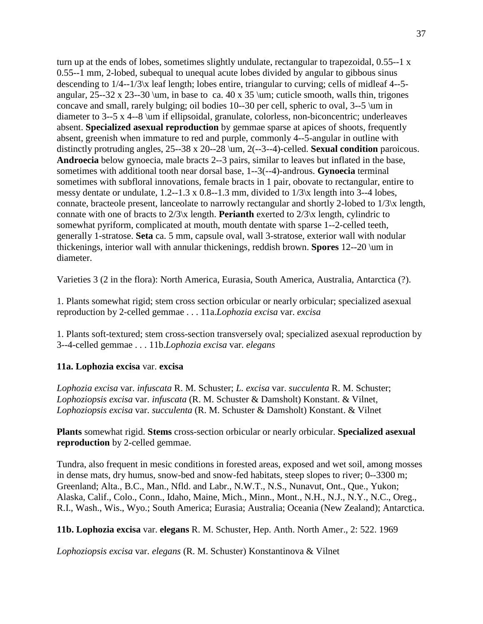turn up at the ends of lobes, sometimes slightly undulate, rectangular to trapezoidal, 0.55--1 x 0.55--1 mm, 2-lobed, subequal to unequal acute lobes divided by angular to gibbous sinus descending to 1/4--1/3\x leaf length; lobes entire, triangular to curving; cells of midleaf 4--5 angular,  $25-32 \times 23-30 \text{ km}$ , in base to ca.  $40 \times 35 \text{ km}$ ; cuticle smooth, walls thin, trigones concave and small, rarely bulging; oil bodies 10--30 per cell, spheric to oval, 3--5 \um in diameter to 3--5 x 4--8 \um if ellipsoidal, granulate, colorless, non-biconcentric; underleaves absent. **Specialized asexual reproduction** by gemmae sparse at apices of shoots, frequently absent, greenish when immature to red and purple, commonly 4--5-angular in outline with distinctly protruding angles, 25--38 x 20--28 \um, 2(--3--4)-celled. **Sexual condition** paroicous. **Androecia** below gynoecia, male bracts 2--3 pairs, similar to leaves but inflated in the base, sometimes with additional tooth near dorsal base, 1--3(--4)-androus. **Gynoecia** terminal sometimes with subfloral innovations, female bracts in 1 pair, obovate to rectangular, entire to messy dentate or undulate, 1.2--1.3 x 0.8--1.3 mm, divided to 1/3\x length into 3--4 lobes, connate, bracteole present, lanceolate to narrowly rectangular and shortly 2-lobed to 1/3\x length, connate with one of bracts to 2/3\x length. **Perianth** exerted to 2/3\x length, cylindric to somewhat pyriform, complicated at mouth, mouth dentate with sparse 1--2-celled teeth, generally 1-stratose. **Seta** ca. 5 mm, capsule oval, wall 3-stratose, exterior wall with nodular thickenings, interior wall with annular thickenings, reddish brown. **Spores** 12--20 \um in diameter.

Varieties 3 (2 in the flora): North America, Eurasia, South America, Australia, Antarctica (?).

1. Plants somewhat rigid; stem cross section orbicular or nearly orbicular; specialized asexual reproduction by 2-celled gemmae . . . 11a.*Lophozia excisa* var. *excisa*

1. Plants soft-textured; stem cross-section transversely oval; specialized asexual reproduction by 3--4-celled gemmae . . . 11b.*Lophozia excisa* var. *elegans*

# **11a. Lophozia excisa** var. **excisa**

*Lophozia excisa* var. *infuscata* R. M. Schuster; *L. excisa* var. *succulenta* R. M. Schuster; *Lophoziopsis excisa* var. *infuscata* (R. M. Schuster & Damsholt) Konstant. & Vilnet, *Lophoziopsis excisa* var. *succulenta* (R. M. Schuster & Damsholt) Konstant. & Vilnet

**Plants** somewhat rigid. **Stems** cross-section orbicular or nearly orbicular. **Specialized asexual reproduction** by 2-celled gemmae.

Tundra, also frequent in mesic conditions in forested areas, exposed and wet soil, among mosses in dense mats, dry humus, snow-bed and snow-fed habitats, steep slopes to river; 0--3300 m; Greenland; Alta., B.C., Man., Nfld. and Labr., N.W.T., N.S., Nunavut, Ont., Que., Yukon; Alaska, Calif., Colo., Conn., Idaho, Maine, Mich., Minn., Mont., N.H., N.J., N.Y., N.C., Oreg., R.I., Wash., Wis., Wyo.; South America; Eurasia; Australia; Oceania (New Zealand); Antarctica.

**11b. Lophozia excisa** var. **elegans** R. M. Schuster, Hep. Anth. North Amer., 2: 522. 1969

*Lophoziopsis excisa* var. *elegans* (R. M. Schuster) Konstantinova & Vilnet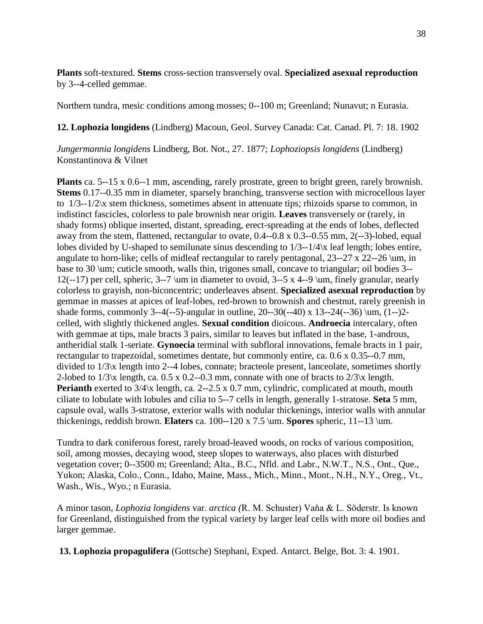**Plants** soft-textured. **Stems** cross-section transversely oval. **Specialized asexual reproduction** by 3--4-celled gemmae.

Northern tundra, mesic conditions among mosses; 0--100 m; Greenland; Nunavut; n Eurasia.

**12. Lophozia longidens** (Lindberg) Macoun, Geol. Survey Canada: Cat. Canad. Pl. 7: 18. 1902

*Jungermannia longidens* Lindberg, Bot. Not., 27. 1877; *Lophoziopsis longidens* (Lindberg) Konstantinova & Vilnet

**Plants** ca. 5--15 x 0.6--1 mm, ascending, rarely prostrate, green to bright green, rarely brownish. **Stems** 0.17--0.35 mm in diameter, sparsely branching, transverse section with microcellous layer to 1/3--1/2\x stem thickness, sometimes absent in attenuate tips; rhizoids sparse to common, in indistinct fascicles, colorless to pale brownish near origin. **Leaves** transversely or (rarely, in shady forms) oblique inserted, distant, spreading, erect-spreading at the ends of lobes, deflected away from the stem, flattened, rectangular to ovate, 0.4--0.8 x 0.3--0.55 mm, 2(--3)-lobed, equal lobes divided by U-shaped to semilunate sinus descending to 1/3--1/4\x leaf length; lobes entire, angulate to horn-like; cells of midleaf rectangular to rarely pentagonal, 23--27 x 22--26 \um, in base to 30 \um; cuticle smooth, walls thin, trigones small, concave to triangular; oil bodies 3-- 12(--17) per cell, spheric, 3--7 \um in diameter to ovoid, 3--5 x 4--9 \um, finely granular, nearly colorless to grayish, non-biconcentric; underleaves absent. **Specialized asexual reproduction** by gemmae in masses at apices of leaf-lobes, red-brown to brownish and chestnut, rarely greenish in shade forms, commonly 3--4(--5)-angular in outline, 20--30(--40) x 13--24(--36) \um,  $(1-)2$ celled, with slightly thickened angles. **Sexual condition** dioicous. **Androecia** intercalary, often with gemmae at tips, male bracts 3 pairs, similar to leaves but inflated in the base, 1-androus, antheridial stalk 1-seriate. **Gynoecia** terminal with subfloral innovations, female bracts in 1 pair, rectangular to trapezoidal, sometimes dentate, but commonly entire, ca. 0.6 x 0.35--0.7 mm, divided to 1/3\x length into 2--4 lobes, connate; bracteole present, lanceolate, sometimes shortly 2-lobed to  $1/3$ <sup>x</sup> length, ca. 0.5 x 0.2--0.3 mm, connate with one of bracts to  $2/3$ <sup>x</sup> length. **Perianth** exerted to  $3/4$ <sup>x</sup> length, ca. 2--2.5 x 0.7 mm, cylindric, complicated at mouth, mouth ciliate to lobulate with lobules and cilia to 5--7 cells in length, generally 1-stratose. **Seta** 5 mm, capsule oval, walls 3-stratose, exterior walls with nodular thickenings, interior walls with annular thickenings, reddish brown. **Elaters** ca. 100--120 x 7.5 \um. **Spores** spheric, 11--13 \um.

Tundra to dark coniferous forest, rarely broad-leaved woods, on rocks of various composition, soil, among mosses, decaying wood, steep slopes to waterways, also places with disturbed vegetation cover; 0--3500 m; Greenland; Alta., B.C., Nfld. and Labr., N.W.T., N.S., Ont., Que., Yukon; Alaska, Colo., Conn., Idaho, Maine, Mass., Mich., Minn., Mont., N.H., N.Y., Oreg., Vt., Wash., Wis., Wyo.; n Eurasia.

A minor tason, *Lophozia longidens* var. *arctica (*R. M. Schuster) Vaňa & L. Söderstr. Is known for Greenland, distinguished from the typical variety by larger leaf cells with more oil bodies and larger gemmae.

**13. Lophozia propagulifera** (Gottsche) Stephani, Exped. Antarct. Belge, Bot. 3: 4. 1901.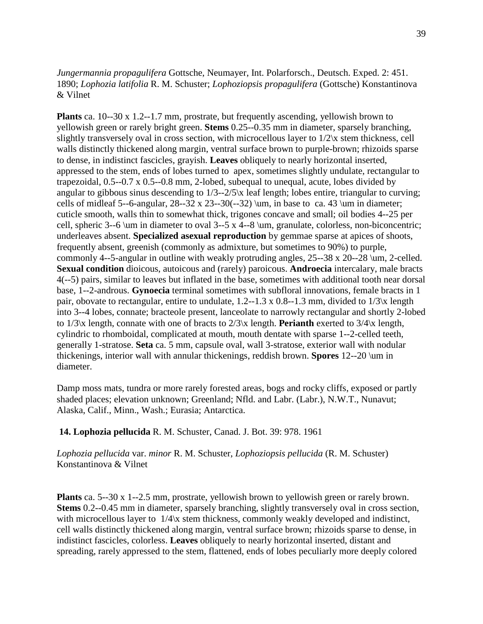## *Jungermannia propagulifera* Gottsche, Neumayer, Int. Polarforsch., Deutsch. Exped. 2: 451. 1890; *Lophozia latifolia* R. M. Schuster; *Lophoziopsis propagulifera* (Gottsche) Konstantinova & Vilnet

**Plants** ca. 10--30 x 1.2--1.7 mm, prostrate, but frequently ascending, yellowish brown to yellowish green or rarely bright green. **Stems** 0.25--0.35 mm in diameter, sparsely branching, slightly transversely oval in cross section, with microcellous layer to  $1/2$  x stem thickness, cell walls distinctly thickened along margin, ventral surface brown to purple-brown; rhizoids sparse to dense, in indistinct fascicles, grayish. **Leaves** obliquely to nearly horizontal inserted, appressed to the stem, ends of lobes turned to apex, sometimes slightly undulate, rectangular to trapezoidal, 0.5--0.7 x 0.5--0.8 mm, 2-lobed, subequal to unequal, acute, lobes divided by angular to gibbous sinus descending to 1/3--2/5\x leaf length; lobes entire, triangular to curving; cells of midleaf 5--6-angular,  $28$ --32 x  $23$ --30(--32) \um, in base to ca. 43 \um in diameter; cuticle smooth, walls thin to somewhat thick, trigones concave and small; oil bodies 4--25 per cell, spheric 3--6 \um in diameter to oval 3--5 x 4--8 \um, granulate, colorless, non-biconcentric; underleaves absent. **Specialized asexual reproduction** by gemmae sparse at apices of shoots, frequently absent, greenish (commonly as admixture, but sometimes to 90%) to purple, commonly 4--5-angular in outline with weakly protruding angles, 25--38 x 20--28 \um, 2-celled. **Sexual condition** dioicous, autoicous and (rarely) paroicous. **Androecia** intercalary, male bracts 4(--5) pairs, similar to leaves but inflated in the base, sometimes with additional tooth near dorsal base, 1--2-androus. **Gynoecia** terminal sometimes with subfloral innovations, female bracts in 1 pair, obovate to rectangular, entire to undulate, 1.2--1.3 x 0.8--1.3 mm, divided to 1/3\x length into 3--4 lobes, connate; bracteole present, lanceolate to narrowly rectangular and shortly 2-lobed to 1/3\x length, connate with one of bracts to 2/3\x length. **Perianth** exerted to 3/4\x length, cylindric to rhomboidal, complicated at mouth, mouth dentate with sparse 1--2-celled teeth, generally 1-stratose. **Seta** ca. 5 mm, capsule oval, wall 3-stratose, exterior wall with nodular thickenings, interior wall with annular thickenings, reddish brown. **Spores** 12--20 \um in diameter.

Damp moss mats, tundra or more rarely forested areas, bogs and rocky cliffs, exposed or partly shaded places; elevation unknown; Greenland; Nfld. and Labr. (Labr.), N.W.T., Nunavut; Alaska, Calif., Minn., Wash.; Eurasia; Antarctica.

#### **14. Lophozia pellucida** R. M. Schuster, Canad. J. Bot. 39: 978. 1961

*Lophozia pellucida* var. *minor* R. M. Schuster, *Lophoziopsis pellucida* (R. M. Schuster) Konstantinova & Vilnet

**Plants** ca. 5--30 x 1--2.5 mm, prostrate, yellowish brown to yellowish green or rarely brown. **Stems** 0.2--0.45 mm in diameter, sparsely branching, slightly transversely oval in cross section, with microcellous layer to  $1/4$ <sup>x</sup> stem thickness, commonly weakly developed and indistinct, cell walls distinctly thickened along margin, ventral surface brown; rhizoids sparse to dense, in indistinct fascicles, colorless. **Leaves** obliquely to nearly horizontal inserted, distant and spreading, rarely appressed to the stem, flattened, ends of lobes peculiarly more deeply colored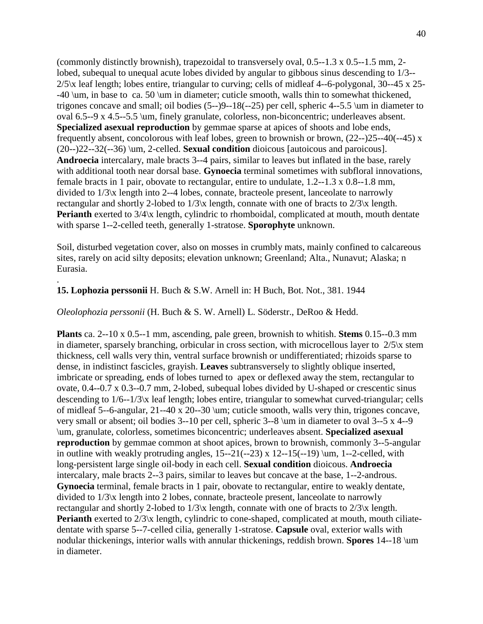(commonly distinctly brownish), trapezoidal to transversely oval, 0.5--1.3 x 0.5--1.5 mm, 2 lobed, subequal to unequal acute lobes divided by angular to gibbous sinus descending to 1/3-- 2/5\x leaf length; lobes entire, triangular to curving; cells of midleaf 4--6-polygonal, 30--45 x 25- -40 \um, in base to ca. 50 \um in diameter; cuticle smooth, walls thin to somewhat thickened, trigones concave and small; oil bodies (5--)9--18(--25) per cell, spheric 4--5.5 \um in diameter to oval 6.5--9 x 4.5--5.5 \um, finely granulate, colorless, non-biconcentric; underleaves absent. **Specialized asexual reproduction** by gemmae sparse at apices of shoots and lobe ends, frequently absent, concolorous with leaf lobes, green to brownish or brown, (22--)25--40(--45) x (20--)22--32(--36) \um, 2-celled. **Sexual condition** dioicous [autoicous and paroicous]. **Androecia** intercalary, male bracts 3--4 pairs, similar to leaves but inflated in the base, rarely with additional tooth near dorsal base. **Gynoecia** terminal sometimes with subfloral innovations, female bracts in 1 pair, obovate to rectangular, entire to undulate, 1.2--1.3 x 0.8--1.8 mm, divided to 1/3\x length into 2--4 lobes, connate, bracteole present, lanceolate to narrowly rectangular and shortly 2-lobed to 1/3\x length, connate with one of bracts to 2/3\x length. **Perianth** exerted to  $3/4$ <sup>x</sup> length, cylindric to rhomboidal, complicated at mouth, mouth dentate with sparse 1--2-celled teeth, generally 1-stratose. **Sporophyte** unknown.

Soil, disturbed vegetation cover, also on mosses in crumbly mats, mainly confined to calcareous sites, rarely on acid silty deposits; elevation unknown; Greenland; Alta., Nunavut; Alaska; n Eurasia.

#### **15. Lophozia perssonii** H. Buch & S.W. Arnell in: H Buch, Bot. Not., 381. 1944

.

#### *Oleolophozia perssonii* (H. Buch & S. W. Arnell) L. Söderstr., DeRoo & Hedd.

**Plants** ca. 2--10 x 0.5--1 mm, ascending, pale green, brownish to whitish. **Stems** 0.15--0.3 mm in diameter, sparsely branching, orbicular in cross section, with microcellous layer to  $2/5$  $x$  stem thickness, cell walls very thin, ventral surface brownish or undifferentiated; rhizoids sparse to dense, in indistinct fascicles, grayish. **Leaves** subtransversely to slightly oblique inserted, imbricate or spreading, ends of lobes turned to apex or deflexed away the stem, rectangular to ovate, 0.4--0.7 x 0.3--0.7 mm, 2-lobed, subequal lobes divided by U-shaped or crescentic sinus descending to 1/6--1/3\x leaf length; lobes entire, triangular to somewhat curved-triangular; cells of midleaf 5--6-angular, 21--40 x 20--30 \um; cuticle smooth, walls very thin, trigones concave, very small or absent; oil bodies 3--10 per cell, spheric 3--8 \um in diameter to oval 3--5 x 4--9 \um, granulate, colorless, sometimes biconcentric; underleaves absent. **Specialized asexual reproduction** by gemmae common at shoot apices, brown to brownish, commonly 3--5-angular in outline with weakly protruding angles,  $15-21(-23)$  x  $12-15(-19)$  \um, 1--2-celled, with long-persistent large single oil-body in each cell. **Sexual condition** dioicous. **Androecia** intercalary, male bracts 2--3 pairs, similar to leaves but concave at the base, 1--2-androus. **Gynoecia** terminal, female bracts in 1 pair, obovate to rectangular, entire to weakly dentate, divided to 1/3\x length into 2 lobes, connate, bracteole present, lanceolate to narrowly rectangular and shortly 2-lobed to 1/3\x length, connate with one of bracts to 2/3\x length. **Perianth** exerted to  $2/3$ <sup>x</sup> length, cylindric to cone-shaped, complicated at mouth, mouth ciliatedentate with sparse 5--7-celled cilia, generally 1-stratose. **Capsule** oval, exterior walls with nodular thickenings, interior walls with annular thickenings, reddish brown. **Spores** 14--18 \um in diameter.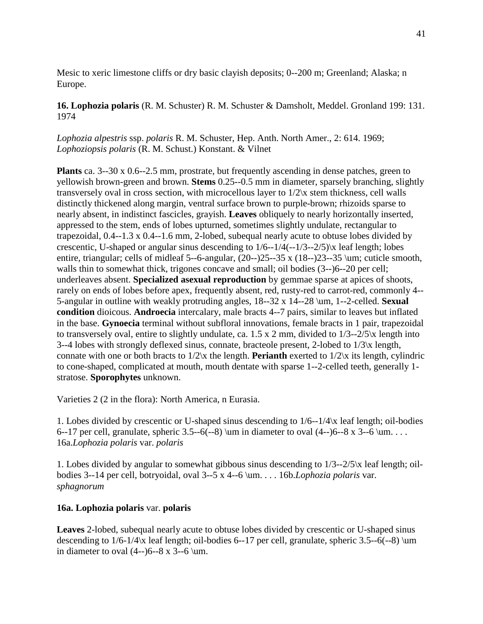Mesic to xeric limestone cliffs or dry basic clayish deposits; 0--200 m; Greenland; Alaska; n Europe.

**16. Lophozia polaris** (R. M. Schuster) R. M. Schuster & Damsholt, Meddel. Gronland 199: 131. 1974

*Lophozia alpestris* ssp. *polaris* R. M. Schuster, Hep. Anth. North Amer., 2: 614. 1969; *Lophoziopsis polaris* (R. M. Schust.) Konstant. & Vilnet

**Plants** ca. 3--30 x 0.6--2.5 mm, prostrate, but frequently ascending in dense patches, green to yellowish brown-green and brown. **Stems** 0.25--0.5 mm in diameter, sparsely branching, slightly transversely oval in cross section, with microcellous layer to 1/2\x stem thickness, cell walls distinctly thickened along margin, ventral surface brown to purple-brown; rhizoids sparse to nearly absent, in indistinct fascicles, grayish. **Leaves** obliquely to nearly horizontally inserted, appressed to the stem, ends of lobes upturned, sometimes slightly undulate, rectangular to trapezoidal, 0.4--1.3 x 0.4--1.6 mm, 2-lobed, subequal nearly acute to obtuse lobes divided by crescentic, U-shaped or angular sinus descending to 1/6--1/4(--1/3--2/5)\x leaf length; lobes entire, triangular; cells of midleaf 5--6-angular, (20--)25--35 x (18--)23--35 \um; cuticle smooth, walls thin to somewhat thick, trigones concave and small; oil bodies (3--)6--20 per cell; underleaves absent. **Specialized asexual reproduction** by gemmae sparse at apices of shoots, rarely on ends of lobes before apex, frequently absent, red, rusty-red to carrot-red, commonly 4-- 5-angular in outline with weakly protruding angles, 18--32 x 14--28 \um, 1--2-celled. **Sexual condition** dioicous. **Androecia** intercalary, male bracts 4--7 pairs, similar to leaves but inflated in the base. **Gynoecia** terminal without subfloral innovations, female bracts in 1 pair, trapezoidal to transversely oval, entire to slightly undulate, ca. 1.5 x 2 mm, divided to  $1/3-2/5$  k length into 3--4 lobes with strongly deflexed sinus, connate, bracteole present, 2-lobed to 1/3\x length, connate with one or both bracts to 1/2\x the length. **Perianth** exerted to 1/2\x its length, cylindric to cone-shaped, complicated at mouth, mouth dentate with sparse 1--2-celled teeth, generally 1 stratose. **Sporophytes** unknown.

Varieties 2 (2 in the flora): North America, n Eurasia.

1. Lobes divided by crescentic or U-shaped sinus descending to 1/6--1/4\x leaf length; oil-bodies 6--17 per cell, granulate, spheric 3.5--6(--8) \um in diameter to oval  $(4-)$ 6--8 x 3--6 \um. . . . 16a.*Lophozia polaris* var. *polaris*

1. Lobes divided by angular to somewhat gibbous sinus descending to 1/3--2/5\x leaf length; oilbodies 3--14 per cell, botryoidal, oval 3--5 x 4--6 \um. . . . 16b.*Lophozia polaris* var. *sphagnorum*

# **16a. Lophozia polaris** var. **polaris**

**Leaves** 2-lobed, subequal nearly acute to obtuse lobes divided by crescentic or U-shaped sinus descending to  $1/6-1/4$ <sup>x</sup> leaf length; oil-bodies 6--17 per cell, granulate, spheric 3.5--6(--8) \um in diameter to oval  $(4--)6--8 \times 3--6 \mu$ .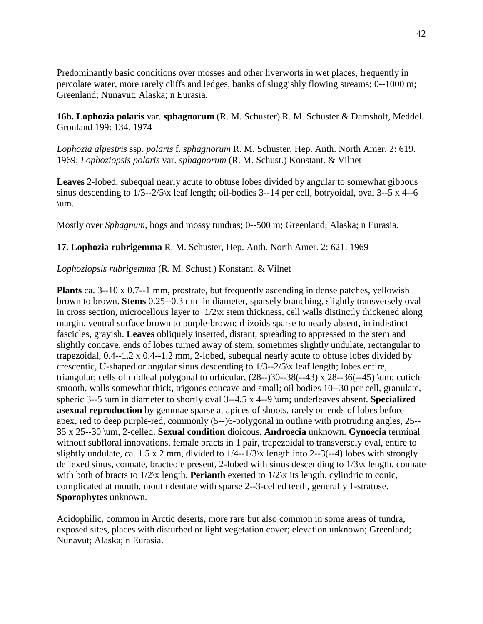Predominantly basic conditions over mosses and other liverworts in wet places, frequently in percolate water, more rarely cliffs and ledges, banks of sluggishly flowing streams; 0--1000 m; Greenland; Nunavut; Alaska; n Eurasia.

**16b. Lophozia polaris** var. **sphagnorum** (R. M. Schuster) R. M. Schuster & Damsholt, Meddel. Gronland 199: 134. 1974

*Lophozia alpestris* ssp. *polaris* f. *sphagnorum* R. M. Schuster, Hep. Anth. North Amer. 2: 619. 1969; *Lophoziopsis polaris* var. *sphagnorum* (R. M. Schust.) Konstant. & Vilnet

**Leaves** 2-lobed, subequal nearly acute to obtuse lobes divided by angular to somewhat gibbous sinus descending to  $1/3$ --2/5\x leaf length; oil-bodies 3--14 per cell, botryoidal, oval 3--5 x 4--6 \um.

Mostly over *Sphagnum,* bogs and mossy tundras; 0--500 m; Greenland; Alaska; n Eurasia.

**17. Lophozia rubrigemma** R. M. Schuster, Hep. Anth. North Amer. 2: 621. 1969

*Lophoziopsis rubrigemma* (R. M. Schust.) Konstant. & Vilnet

**Plants** ca. 3--10 x 0.7--1 mm, prostrate, but frequently ascending in dense patches, yellowish brown to brown. **Stems** 0.25--0.3 mm in diameter, sparsely branching, slightly transversely oval in cross section, microcellous layer to 1/2\x stem thickness, cell walls distinctly thickened along margin, ventral surface brown to purple-brown; rhizoids sparse to nearly absent, in indistinct fascicles, grayish. **Leaves** obliquely inserted, distant, spreading to appressed to the stem and slightly concave, ends of lobes turned away of stem, sometimes slightly undulate, rectangular to trapezoidal, 0.4--1.2 x 0.4--1.2 mm, 2-lobed, subequal nearly acute to obtuse lobes divided by crescentic, U-shaped or angular sinus descending to 1/3--2/5\x leaf length; lobes entire, triangular; cells of midleaf polygonal to orbicular,  $(28-30-38(-43) \times 28-36(-45) \mu)$ ; cuticle smooth, walls somewhat thick, trigones concave and small; oil bodies 10--30 per cell, granulate, spheric 3--5 \um in diameter to shortly oval 3--4.5 x 4--9 \um; underleaves absent. **Specialized asexual reproduction** by gemmae sparse at apices of shoots, rarely on ends of lobes before apex, red to deep purple-red, commonly (5--)6-polygonal in outline with protruding angles, 25-- 35 x 25--30 \um, 2-celled. **Sexual condition** dioicous. **Androecia** unknown. **Gynoecia** terminal without subfloral innovations, female bracts in 1 pair, trapezoidal to transversely oval, entire to slightly undulate, ca. 1.5 x 2 mm, divided to  $1/4-1/3$  k length into 2--3(--4) lobes with strongly deflexed sinus, connate, bracteole present, 2-lobed with sinus descending to 1/3\x length, connate with both of bracts to  $1/2x$  length. **Perianth** exerted to  $1/2x$  its length, cylindric to conic, complicated at mouth, mouth dentate with sparse 2--3-celled teeth, generally 1-stratose. **Sporophytes** unknown.

Acidophilic, common in Arctic deserts, more rare but also common in some areas of tundra, exposed sites, places with disturbed or light vegetation cover; elevation unknown; Greenland; Nunavut; Alaska; n Eurasia.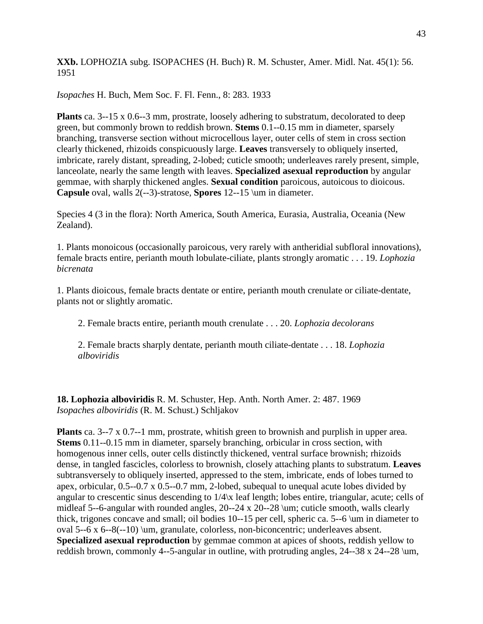**XXb.** LOPHOZIA subg. ISOPACHES (H. Buch) R. M. Schuster, Amer. Midl. Nat. 45(1): 56. 1951

*Isopaches* H. Buch, Mem Soc. F. Fl. Fenn., 8: 283. 1933

**Plants** ca. 3--15 x 0.6--3 mm, prostrate, loosely adhering to substratum, decolorated to deep green, but commonly brown to reddish brown. **Stems** 0.1--0.15 mm in diameter, sparsely branching, transverse section without microcellous layer, outer cells of stem in cross section clearly thickened, rhizoids conspicuously large. **Leaves** transversely to obliquely inserted, imbricate, rarely distant, spreading, 2-lobed; cuticle smooth; underleaves rarely present, simple, lanceolate, nearly the same length with leaves. **Specialized asexual reproduction** by angular gemmae, with sharply thickened angles. **Sexual condition** paroicous, autoicous to dioicous. **Capsule** oval, walls 2(--3)-stratose, **Spores** 12--15 \um in diameter.

Species 4 (3 in the flora): North America, South America, Eurasia, Australia, Oceania (New Zealand).

1. Plants monoicous (occasionally paroicous, very rarely with antheridial subfloral innovations), female bracts entire, perianth mouth lobulate-ciliate, plants strongly aromatic . . . 19. *Lophozia bicrenata*

1. Plants dioicous, female bracts dentate or entire, perianth mouth crenulate or ciliate-dentate, plants not or slightly aromatic.

2. Female bracts entire, perianth mouth crenulate . . . 20. *Lophozia decolorans*

2. Female bracts sharply dentate, perianth mouth ciliate-dentate . . . 18. *Lophozia alboviridis*

**18. Lophozia alboviridis** R. M. Schuster, Hep. Anth. North Amer. 2: 487. 1969 *Isopaches alboviridis* (R. M. Schust.) Schljakov

**Plants** ca. 3--7 x 0.7--1 mm, prostrate, whitish green to brownish and purplish in upper area. **Stems** 0.11--0.15 mm in diameter, sparsely branching, orbicular in cross section, with homogenous inner cells, outer cells distinctly thickened, ventral surface brownish; rhizoids dense, in tangled fascicles, colorless to brownish, closely attaching plants to substratum. **Leaves** subtransversely to obliquely inserted, appressed to the stem, imbricate, ends of lobes turned to apex, orbicular, 0.5--0.7 x 0.5--0.7 mm, 2-lobed, subequal to unequal acute lobes divided by angular to crescentic sinus descending to 1/4\x leaf length; lobes entire, triangular, acute; cells of midleaf 5--6-angular with rounded angles, 20--24 x 20--28 \um; cuticle smooth, walls clearly thick, trigones concave and small; oil bodies 10--15 per cell, spheric ca. 5--6 \um in diameter to oval 5--6 x 6--8(--10) \um, granulate, colorless, non-biconcentric; underleaves absent. **Specialized asexual reproduction** by gemmae common at apices of shoots, reddish yellow to reddish brown, commonly 4--5-angular in outline, with protruding angles, 24--38 x 24--28 \um,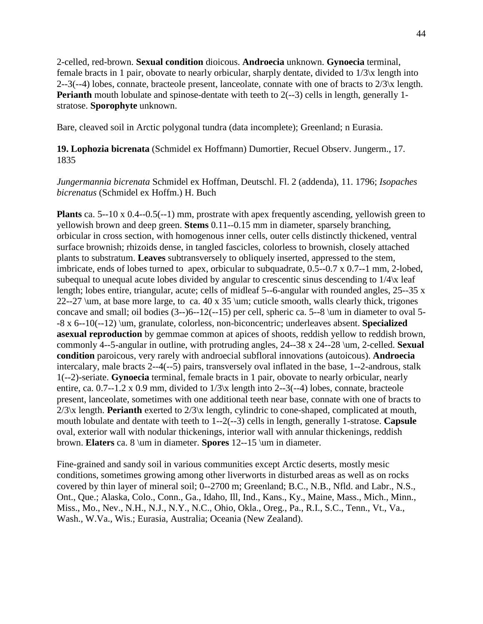2-celled, red-brown. **Sexual condition** dioicous. **Androecia** unknown. **Gynoecia** terminal, female bracts in 1 pair, obovate to nearly orbicular, sharply dentate, divided to  $1/3\chi$  length into 2--3(--4) lobes, connate, bracteole present, lanceolate, connate with one of bracts to  $2/3x$  length. **Perianth** mouth lobulate and spinose-dentate with teeth to 2(--3) cells in length, generally 1stratose. **Sporophyte** unknown.

Bare, cleaved soil in Arctic polygonal tundra (data incomplete); Greenland; n Eurasia.

**19. Lophozia bicrenata** (Schmidel ex Hoffmann) Dumortier, Recuel Observ. Jungerm., 17. 1835

*Jungermannia bicrenata* Schmidel ex Hoffman, Deutschl. Fl. 2 (addenda), 11. 1796; *Isopaches bicrenatus* (Schmidel ex Hoffm.) H. Buch

**Plants** ca. 5--10 x 0.4--0.5(--1) mm, prostrate with apex frequently ascending, yellowish green to yellowish brown and deep green. **Stems** 0.11--0.15 mm in diameter, sparsely branching, orbicular in cross section, with homogenous inner cells, outer cells distinctly thickened, ventral surface brownish; rhizoids dense, in tangled fascicles, colorless to brownish, closely attached plants to substratum. **Leaves** subtransversely to obliquely inserted, appressed to the stem, imbricate, ends of lobes turned to apex, orbicular to subquadrate, 0.5--0.7 x 0.7--1 mm, 2-lobed, subequal to unequal acute lobes divided by angular to crescentic sinus descending to 1/4\x leaf length; lobes entire, triangular, acute; cells of midleaf 5--6-angular with rounded angles, 25--35 x 22--27 \um, at base more large, to ca. 40 x 35 \um; cuticle smooth, walls clearly thick, trigones concave and small; oil bodies (3--)6--12(--15) per cell, spheric ca. 5--8 \um in diameter to oval 5- -8 x 6--10(--12) \um, granulate, colorless, non-biconcentric; underleaves absent. **Specialized asexual reproduction** by gemmae common at apices of shoots, reddish yellow to reddish brown, commonly 4--5-angular in outline, with protruding angles, 24--38 x 24--28 \um, 2-celled. **Sexual condition** paroicous, very rarely with androecial subfloral innovations (autoicous). **Androecia** intercalary, male bracts 2--4(--5) pairs, transversely oval inflated in the base, 1--2-androus, stalk 1(--2)-seriate. **Gynoecia** terminal, female bracts in 1 pair, obovate to nearly orbicular, nearly entire, ca.  $0.7-1.2 \times 0.9$  mm, divided to  $1/3\times$  length into 2--3(--4) lobes, connate, bracteole present, lanceolate, sometimes with one additional teeth near base, connate with one of bracts to 2/3\x length. **Perianth** exerted to 2/3\x length, cylindric to cone-shaped, complicated at mouth, mouth lobulate and dentate with teeth to 1--2(--3) cells in length, generally 1-stratose. **Capsule** oval, exterior wall with nodular thickenings, interior wall with annular thickenings, reddish brown. **Elaters** ca. 8 \um in diameter. **Spores** 12--15 \um in diameter.

Fine-grained and sandy soil in various communities except Arctic deserts, mostly mesic conditions, sometimes growing among other liverworts in disturbed areas as well as on rocks covered by thin layer of mineral soil; 0--2700 m; Greenland; B.C., N.B., Nfld. and Labr., N.S., Ont., Que.; Alaska, Colo., Conn., Ga., Idaho, Ill, Ind., Kans., Ky., Maine, Mass., Mich., Minn., Miss., Mo., Nev., N.H., N.J., N.Y., N.C., Ohio, Okla., Oreg., Pa., R.I., S.C., Tenn., Vt., Va., Wash., W.Va., Wis.; Eurasia, Australia; Oceania (New Zealand).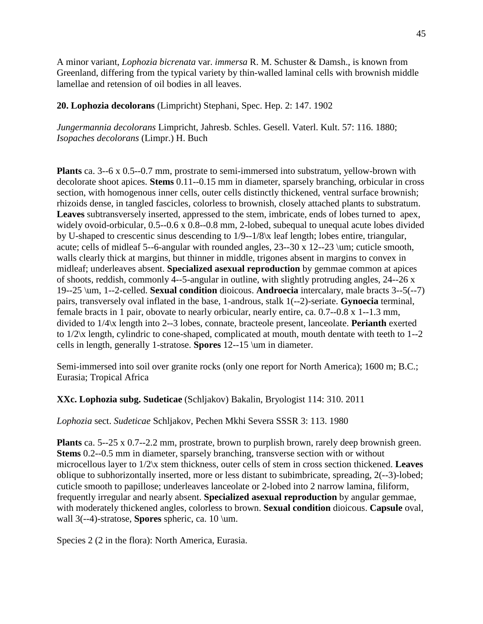A minor variant, *Lophozia bicrenata* var. *immersa* R. M. Schuster & Damsh., is known from Greenland, differing from the typical variety by thin-walled laminal cells with brownish middle lamellae and retension of oil bodies in all leaves.

**20. Lophozia decolorans** (Limpricht) Stephani, Spec. Hep. 2: 147. 1902

*Jungermannia decolorans* Limpricht, Jahresb. Schles. Gesell. Vaterl. Kult. 57: 116. 1880; *Isopaches decolorans* (Limpr.) H. Buch

**Plants** ca. 3--6 x 0.5--0.7 mm, prostrate to semi-immersed into substratum, yellow-brown with decolorate shoot apices. **Stems** 0.11--0.15 mm in diameter, sparsely branching, orbicular in cross section, with homogenous inner cells, outer cells distinctly thickened, ventral surface brownish; rhizoids dense, in tangled fascicles, colorless to brownish, closely attached plants to substratum. **Leaves** subtransversely inserted, appressed to the stem, imbricate, ends of lobes turned to apex, widely ovoid-orbicular, 0.5--0.6 x 0.8--0.8 mm, 2-lobed, subequal to unequal acute lobes divided by U-shaped to crescentic sinus descending to 1/9--1/8\x leaf length; lobes entire, triangular, acute; cells of midleaf 5--6-angular with rounded angles, 23--30 x 12--23 \um; cuticle smooth, walls clearly thick at margins, but thinner in middle, trigones absent in margins to convex in midleaf; underleaves absent. **Specialized asexual reproduction** by gemmae common at apices of shoots, reddish, commonly 4--5-angular in outline, with slightly protruding angles, 24--26 x 19--25 \um, 1--2-celled. **Sexual condition** dioicous. **Androecia** intercalary, male bracts 3--5(--7) pairs, transversely oval inflated in the base, 1-androus, stalk 1(--2)-seriate. **Gynoecia** terminal, female bracts in 1 pair, obovate to nearly orbicular, nearly entire, ca. 0.7--0.8 x 1--1.3 mm, divided to 1/4\x length into 2--3 lobes, connate, bracteole present, lanceolate. **Perianth** exerted to 1/2\x length, cylindric to cone-shaped, complicated at mouth, mouth dentate with teeth to 1--2 cells in length, generally 1-stratose. **Spores** 12--15 \um in diameter.

Semi-immersed into soil over granite rocks (only one report for North America); 1600 m; B.C.; Eurasia; Tropical Africa

**XXc. Lophozia subg. Sudeticae** (Schljakov) Bakalin, Bryologist 114: 310. 2011

*Lophozia* sect. *Sudeticae* Schljakov, Pechen Mkhi Severa SSSR 3: 113. 1980

**Plants** ca. 5--25 x 0.7--2.2 mm, prostrate, brown to purplish brown, rarely deep brownish green. **Stems** 0.2--0.5 mm in diameter, sparsely branching, transverse section with or without microcellous layer to 1/2\x stem thickness, outer cells of stem in cross section thickened. **Leaves** oblique to subhorizontally inserted, more or less distant to subimbricate, spreading, 2(--3)-lobed; cuticle smooth to papillose; underleaves lanceolate or 2-lobed into 2 narrow lamina, filiform, frequently irregular and nearly absent. **Specialized asexual reproduction** by angular gemmae, with moderately thickened angles, colorless to brown. **Sexual condition** dioicous. **Capsule** oval, wall 3(--4)-stratose, **Spores** spheric, ca. 10 \um.

Species 2 (2 in the flora): North America, Eurasia.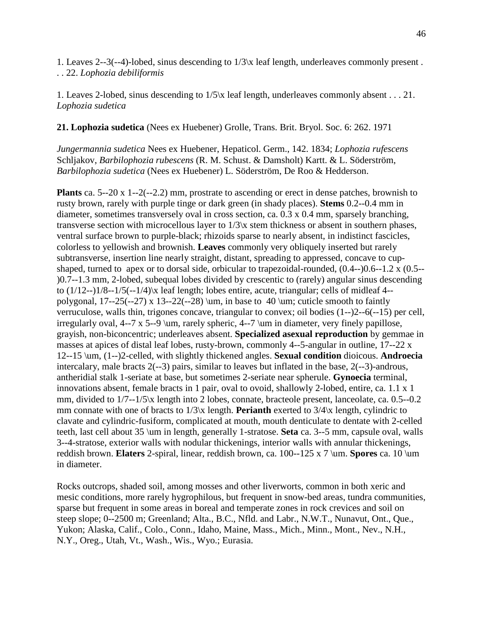1. Leaves 2--3(--4)-lobed, sinus descending to 1/3\x leaf length, underleaves commonly present . . . 22. *Lophozia debiliformis*

1. Leaves 2-lobed, sinus descending to 1/5\x leaf length, underleaves commonly absent . . . 21. *Lophozia sudetica*

**21. Lophozia sudetica** (Nees ex Huebener) Grolle, Trans. Brit. Bryol. Soc. 6: 262. 1971

*Jungermannia sudetica* Nees ex Huebener, Hepaticol. Germ., 142. 1834; *Lophozia rufescens* Schljakov, *Barbilophozia rubescens* (R. M. Schust. & Damsholt) Kartt. & L. Söderström, *Barbilophozia sudetica* (Nees ex Huebener) L. Söderström, De Roo & Hedderson.

**Plants** ca. 5--20 x 1--2(--2.2) mm, prostrate to ascending or erect in dense patches, brownish to rusty brown, rarely with purple tinge or dark green (in shady places). **Stems** 0.2--0.4 mm in diameter, sometimes transversely oval in cross section, ca. 0.3 x 0.4 mm, sparsely branching, transverse section with microcellous layer to 1/3\x stem thickness or absent in southern phases, ventral surface brown to purple-black; rhizoids sparse to nearly absent, in indistinct fascicles, colorless to yellowish and brownish. **Leaves** commonly very obliquely inserted but rarely subtransverse, insertion line nearly straight, distant, spreading to appressed, concave to cupshaped, turned to apex or to dorsal side, orbicular to trapezoidal-rounded, (0.4--)0.6--1.2 x (0.5-- )0.7--1.3 mm, 2-lobed, subequal lobes divided by crescentic to (rarely) angular sinus descending to  $(1/12-1)/8-1/5(-1/4)$  leaf length; lobes entire, acute, triangular; cells of midleaf 4-polygonal,  $17--25(-27)$  x  $13--22(-28)$  \um, in base to 40 \um; cuticle smooth to faintly verruculose, walls thin, trigones concave, triangular to convex; oil bodies (1--)2--6(--15) per cell, irregularly oval, 4--7 x 5--9 \um, rarely spheric, 4--7 \um in diameter, very finely papillose, grayish, non-biconcentric; underleaves absent. **Specialized asexual reproduction** by gemmae in masses at apices of distal leaf lobes, rusty-brown, commonly 4--5-angular in outline, 17--22 x 12--15 \um, (1--)2-celled, with slightly thickened angles. **Sexual condition** dioicous. **Androecia** intercalary, male bracts 2(--3) pairs, similar to leaves but inflated in the base, 2(--3)-androus, antheridial stalk 1-seriate at base, but sometimes 2-seriate near spherule. **Gynoecia** terminal, innovations absent, female bracts in 1 pair, oval to ovoid, shallowly 2-lobed, entire, ca. 1.1 x 1 mm, divided to 1/7--1/5\x length into 2 lobes, connate, bracteole present, lanceolate, ca. 0.5--0.2 mm connate with one of bracts to 1/3\x length. **Perianth** exerted to 3/4\x length, cylindric to clavate and cylindric-fusiform, complicated at mouth, mouth denticulate to dentate with 2-celled teeth, last cell about 35 \um in length, generally 1-stratose. **Seta** ca. 3--5 mm, capsule oval, walls 3--4-stratose, exterior walls with nodular thickenings, interior walls with annular thickenings, reddish brown. **Elaters** 2-spiral, linear, reddish brown, ca. 100--125 x 7 \um. **Spores** ca. 10 \um in diameter.

Rocks outcrops, shaded soil, among mosses and other liverworts, common in both xeric and mesic conditions, more rarely hygrophilous, but frequent in snow-bed areas, tundra communities, sparse but frequent in some areas in boreal and temperate zones in rock crevices and soil on steep slope; 0--2500 m; Greenland; Alta., B.C., Nfld. and Labr., N.W.T., Nunavut, Ont., Que., Yukon; Alaska, Calif., Colo., Conn., Idaho, Maine, Mass., Mich., Minn., Mont., Nev., N.H., N.Y., Oreg., Utah, Vt., Wash., Wis., Wyo.; Eurasia.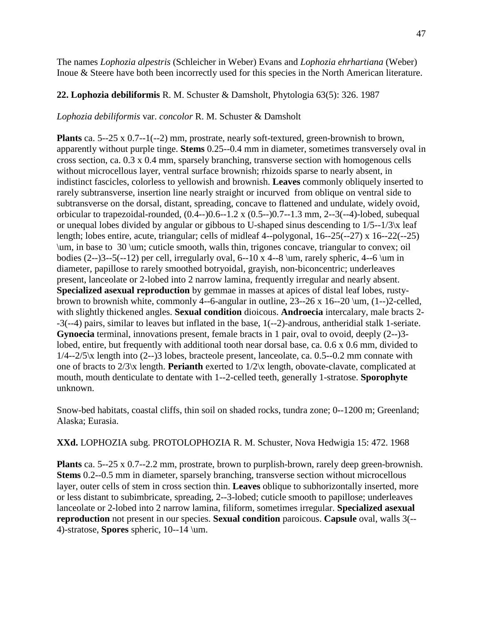47

The names *Lophozia alpestris* (Schleicher in Weber) Evans and *Lophozia ehrhartiana* (Weber) Inoue & Steere have both been incorrectly used for this species in the North American literature.

# **22. Lophozia debiliformis** R. M. Schuster & Damsholt, Phytologia 63(5): 326. 1987

*Lophozia debiliformis* var. *concolor* R. M. Schuster & Damsholt

**Plants** ca. 5--25 x 0.7--1(--2) mm, prostrate, nearly soft-textured, green-brownish to brown, apparently without purple tinge. **Stems** 0.25--0.4 mm in diameter, sometimes transversely oval in cross section, ca. 0.3 x 0.4 mm, sparsely branching, transverse section with homogenous cells without microcellous layer, ventral surface brownish; rhizoids sparse to nearly absent, in indistinct fascicles, colorless to yellowish and brownish. **Leaves** commonly obliquely inserted to rarely subtransverse, insertion line nearly straight or incurved from oblique on ventral side to subtransverse on the dorsal, distant, spreading, concave to flattened and undulate, widely ovoid, orbicular to trapezoidal-rounded, (0.4--)0.6--1.2 x (0.5--)0.7--1.3 mm, 2--3(--4)-lobed, subequal or unequal lobes divided by angular or gibbous to U-shaped sinus descending to 1/5--1/3\x leaf length; lobes entire, acute, triangular; cells of midleaf 4--polygonal, 16--25(--27) x 16--22(--25) \um, in base to 30 \um; cuticle smooth, walls thin, trigones concave, triangular to convex; oil bodies  $(2-3-5(-12)$  per cell, irregularly oval, 6--10 x 4--8 \um, rarely spheric, 4--6 \um in diameter, papillose to rarely smoothed botryoidal, grayish, non-biconcentric; underleaves present, lanceolate or 2-lobed into 2 narrow lamina, frequently irregular and nearly absent. **Specialized asexual reproduction** by gemmae in masses at apices of distal leaf lobes, rustybrown to brownish white, commonly 4--6-angular in outline,  $23$ --26 x 16--20  $\mu$ ,  $(1-)$ 2-celled, with slightly thickened angles. **Sexual condition** dioicous. **Androecia** intercalary, male bracts 2- -3(--4) pairs, similar to leaves but inflated in the base, 1(--2)-androus, antheridial stalk 1-seriate. **Gynoecia** terminal, innovations present, female bracts in 1 pair, oval to ovoid, deeply (2--)3 lobed, entire, but frequently with additional tooth near dorsal base, ca. 0.6 x 0.6 mm, divided to  $1/4 - 2/5$ <sub>\x</sub> length into  $(2-3)$  lobes, bracteole present, lanceolate, ca. 0.5--0.2 mm connate with one of bracts to 2/3\x length. **Perianth** exerted to 1/2\x length, obovate-clavate, complicated at mouth, mouth denticulate to dentate with 1--2-celled teeth, generally 1-stratose. **Sporophyte**  unknown.

Snow-bed habitats, coastal cliffs, thin soil on shaded rocks, tundra zone; 0--1200 m; Greenland; Alaska; Eurasia.

**XXd.** LOPHOZIA subg. PROTOLOPHOZIA R. M. Schuster, Nova Hedwigia 15: 472. 1968

**Plants** ca. 5--25 x 0.7--2.2 mm, prostrate, brown to purplish-brown, rarely deep green-brownish. **Stems** 0.2--0.5 mm in diameter, sparsely branching, transverse section without microcellous layer, outer cells of stem in cross section thin. **Leaves** oblique to subhorizontally inserted, more or less distant to subimbricate, spreading, 2--3-lobed; cuticle smooth to papillose; underleaves lanceolate or 2-lobed into 2 narrow lamina, filiform, sometimes irregular. **Specialized asexual reproduction** not present in our species. **Sexual condition** paroicous. **Capsule** oval, walls 3(-- 4)-stratose, **Spores** spheric, 10--14 \um.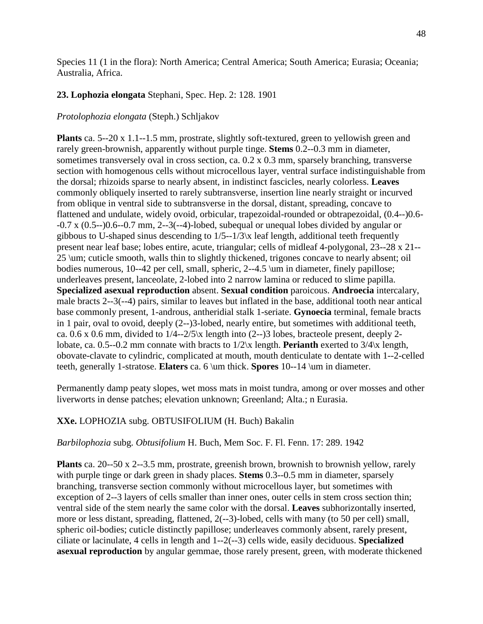Species 11 (1 in the flora): North America; Central America; South America; Eurasia; Oceania; Australia, Africa.

## **23. Lophozia elongata** Stephani, Spec. Hep. 2: 128. 1901

## *Protolophozia elongata* (Steph.) Schljakov

**Plants** ca. 5--20 x 1.1--1.5 mm, prostrate, slightly soft-textured, green to yellowish green and rarely green-brownish, apparently without purple tinge. **Stems** 0.2--0.3 mm in diameter, sometimes transversely oval in cross section, ca. 0.2 x 0.3 mm, sparsely branching, transverse section with homogenous cells without microcellous layer, ventral surface indistinguishable from the dorsal; rhizoids sparse to nearly absent, in indistinct fascicles, nearly colorless. **Leaves** commonly obliquely inserted to rarely subtransverse, insertion line nearly straight or incurved from oblique in ventral side to subtransverse in the dorsal, distant, spreading, concave to flattened and undulate, widely ovoid, orbicular, trapezoidal-rounded or obtrapezoidal, (0.4--)0.6-  $-0.7$  x  $(0.5-0.6-0.7$  mm,  $2-3(-4)$ -lobed, subequal or unequal lobes divided by angular or gibbous to U-shaped sinus descending to  $1/5-1/3$  k leaf length, additional teeth frequently present near leaf base; lobes entire, acute, triangular; cells of midleaf 4-polygonal, 23--28 x 21-- 25 \um; cuticle smooth, walls thin to slightly thickened, trigones concave to nearly absent; oil bodies numerous, 10--42 per cell, small, spheric, 2--4.5 \um in diameter, finely papillose; underleaves present, lanceolate, 2-lobed into 2 narrow lamina or reduced to slime papilla. **Specialized asexual reproduction** absent. **Sexual condition** paroicous. **Androecia** intercalary, male bracts 2--3(--4) pairs, similar to leaves but inflated in the base, additional tooth near antical base commonly present, 1-androus, antheridial stalk 1-seriate. **Gynoecia** terminal, female bracts in 1 pair, oval to ovoid, deeply (2--)3-lobed, nearly entire, but sometimes with additional teeth, ca. 0.6 x 0.6 mm, divided to  $1/4$ --2/5\x length into (2--)3 lobes, bracteole present, deeply 2lobate, ca. 0.5--0.2 mm connate with bracts to 1/2\x length. **Perianth** exerted to 3/4\x length, obovate-clavate to cylindric, complicated at mouth, mouth denticulate to dentate with 1--2-celled teeth, generally 1-stratose. **Elaters** ca. 6 \um thick. **Spores** 10--14 \um in diameter.

Permanently damp peaty slopes, wet moss mats in moist tundra, among or over mosses and other liverworts in dense patches; elevation unknown; Greenland; Alta.; n Eurasia.

# **XXe.** LOPHOZIA subg. OBTUSIFOLIUM (H. Buch) Bakalin

#### *Barbilophozia* subg. *Obtusifolium* H. Buch, Mem Soc. F. Fl. Fenn. 17: 289. 1942

**Plants** ca. 20--50 x 2--3.5 mm, prostrate, greenish brown, brownish to brownish yellow, rarely with purple tinge or dark green in shady places. **Stems** 0.3--0.5 mm in diameter, sparsely branching, transverse section commonly without microcellous layer, but sometimes with exception of 2--3 layers of cells smaller than inner ones, outer cells in stem cross section thin; ventral side of the stem nearly the same color with the dorsal. **Leaves** subhorizontally inserted, more or less distant, spreading, flattened, 2(--3)-lobed, cells with many (to 50 per cell) small, spheric oil-bodies; cuticle distinctly papillose; underleaves commonly absent, rarely present, ciliate or lacinulate, 4 cells in length and 1--2(--3) cells wide, easily deciduous. **Specialized asexual reproduction** by angular gemmae, those rarely present, green, with moderate thickened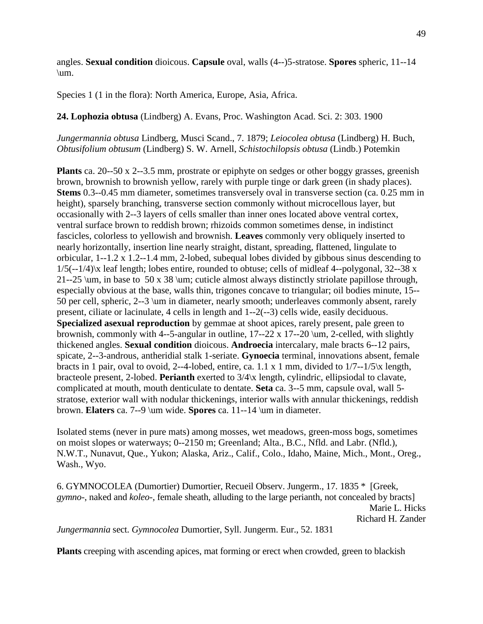angles. **Sexual condition** dioicous. **Capsule** oval, walls (4--)5-stratose. **Spores** spheric, 11--14 \um.

Species 1 (1 in the flora): North America, Europe, Asia, Africa.

**24. Lophozia obtusa** (Lindberg) A. Evans, Proc. Washington Acad. Sci. 2: 303. 1900

*Jungermannia obtusa* Lindberg, Musci Scand., 7. 1879; *Leiocolea obtusa* (Lindberg) H. Buch, *Obtusifolium obtusum* (Lindberg) S. W. Arnell, *Schistochilopsis obtusa* (Lindb.) Potemkin

**Plants** ca. 20--50 x 2--3.5 mm, prostrate or epiphyte on sedges or other boggy grasses, greenish brown, brownish to brownish yellow, rarely with purple tinge or dark green (in shady places). **Stems** 0.3--0.45 mm diameter, sometimes transversely oval in transverse section (ca. 0.25 mm in height), sparsely branching, transverse section commonly without microcellous layer, but occasionally with 2--3 layers of cells smaller than inner ones located above ventral cortex, ventral surface brown to reddish brown; rhizoids common sometimes dense, in indistinct fascicles, colorless to yellowish and brownish. **Leaves** commonly very obliquely inserted to nearly horizontally, insertion line nearly straight, distant, spreading, flattened, lingulate to orbicular, 1--1.2 x 1.2--1.4 mm, 2-lobed, subequal lobes divided by gibbous sinus descending to 1/5(--1/4)\x leaf length; lobes entire, rounded to obtuse; cells of midleaf 4--polygonal, 32--38 x 21--25 \um, in base to 50 x 38 \um; cuticle almost always distinctly striolate papillose through, especially obvious at the base, walls thin, trigones concave to triangular; oil bodies minute, 15-- 50 per cell, spheric, 2--3 \um in diameter, nearly smooth; underleaves commonly absent, rarely present, ciliate or lacinulate, 4 cells in length and 1--2(--3) cells wide, easily deciduous. **Specialized asexual reproduction** by gemmae at shoot apices, rarely present, pale green to brownish, commonly with 4--5-angular in outline,  $17-22 \times 17-20 \mu$ , 2-celled, with slightly thickened angles. **Sexual condition** dioicous. **Androecia** intercalary, male bracts 6--12 pairs, spicate, 2--3-androus, antheridial stalk 1-seriate. **Gynoecia** terminal, innovations absent, female bracts in 1 pair, oval to ovoid, 2--4-lobed, entire, ca. 1.1 x 1 mm, divided to 1/7--1/5\x length, bracteole present, 2-lobed. **Perianth** exerted to 3/4\x length, cylindric, ellipsiodal to clavate, complicated at mouth, mouth denticulate to dentate. **Seta** ca. 3--5 mm, capsule oval, wall 5 stratose, exterior wall with nodular thickenings, interior walls with annular thickenings, reddish brown. **Elaters** ca. 7--9 \um wide. **Spores** ca. 11--14 \um in diameter.

Isolated stems (never in pure mats) among mosses, wet meadows, green-moss bogs, sometimes on moist slopes or waterways; 0--2150 m; Greenland; Alta., B.C., Nfld. and Labr. (Nfld.), N.W.T., Nunavut, Que., Yukon; Alaska, Ariz., Calif., Colo., Idaho, Maine, Mich., Mont., Oreg., Wash., Wyo.

6. GYMNOCOLEA (Dumortier) Dumortier, Recueil Observ. Jungerm., 17. 1835 \* [Greek, *gymno*-, naked and *koleo*-, female sheath, alluding to the large perianth, not concealed by bracts] Marie L. Hicks Richard H. Zander *Jungermannia* sect. *Gymnocolea* Dumortier, Syll. Jungerm. Eur., 52. 1831

**Plants** creeping with ascending apices, mat forming or erect when crowded, green to blackish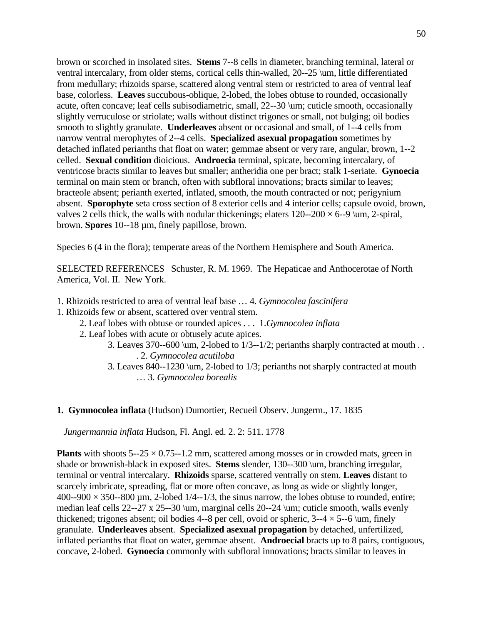brown or scorched in insolated sites. **Stems** 7--8 cells in diameter, branching terminal, lateral or ventral intercalary, from older stems, cortical cells thin-walled, 20--25 \um, little differentiated from medullary; rhizoids sparse, scattered along ventral stem or restricted to area of ventral leaf base, colorless. **Leaves** succubous-oblique, 2-lobed, the lobes obtuse to rounded, occasionally acute, often concave; leaf cells subisodiametric, small, 22--30 \um; cuticle smooth, occasionally slightly verruculose or striolate; walls without distinct trigones or small, not bulging; oil bodies smooth to slightly granulate. **Underleaves** absent or occasional and small, of 1--4 cells from narrow ventral merophytes of 2--4 cells. **Specialized asexual propagation** sometimes by detached inflated perianths that float on water; gemmae absent or very rare, angular, brown, 1--2 celled. **Sexual condition** dioicious. **Androecia** terminal, spicate, becoming intercalary, of ventricose bracts similar to leaves but smaller; antheridia one per bract; stalk 1-seriate. **Gynoecia** terminal on main stem or branch, often with subfloral innovations; bracts similar to leaves; bracteole absent; perianth exerted, inflated, smooth, the mouth contracted or not; perigynium absent. **Sporophyte** seta cross section of 8 exterior cells and 4 interior cells; capsule ovoid, brown, valves 2 cells thick, the walls with nodular thickenings; elaters  $120-200 \times 6-9$  \um, 2-spiral, brown. **Spores** 10--18 µm, finely papillose, brown.

Species 6 (4 in the flora); temperate areas of the Northern Hemisphere and South America.

SELECTED REFERENCES Schuster, R. M. 1969. The Hepaticae and Anthocerotae of North America, Vol. II. New York.

- 1. Rhizoids restricted to area of ventral leaf base … 4. *Gymnocolea fascinifera*
- 1. Rhizoids few or absent, scattered over ventral stem.
	- 2. Leaf lobes with obtuse or rounded apices . . . 1.*Gymnocolea inflata*
	- 2. Leaf lobes with acute or obtusely acute apices.
		- 3. Leaves 370--600 \um, 2-lobed to 1/3--1/2; perianths sharply contracted at mouth . . . 2. *Gymnocolea acutiloba*
		- 3. Leaves 840--1230 \um, 2-lobed to 1/3; perianths not sharply contracted at mouth … 3. *Gymnocolea borealis*

#### **1. Gymnocolea inflata** (Hudson) Dumortier, Recueil Observ. Jungerm., 17. 1835

*Jungermannia inflata* Hudson, Fl. Angl. ed. 2. 2: 511. 1778

**Plants** with shoots  $5-25 \times 0.75-1.2$  mm, scattered among mosses or in crowded mats, green in shade or brownish-black in exposed sites. **Stems** slender, 130--300 \um, branching irregular, terminal or ventral intercalary. **Rhizoids** sparse, scattered ventrally on stem. **Leaves** distant to scarcely imbricate, spreading, flat or more often concave, as long as wide or slightly longer,  $400-900 \times 350-800 \,\mu \text{m}$ , 2-lobed 1/4--1/3, the sinus narrow, the lobes obtuse to rounded, entire; median leaf cells 22--27 x 25--30 \um, marginal cells 20--24 \um; cuticle smooth, walls evenly thickened; trigones absent; oil bodies 4--8 per cell, ovoid or spheric,  $3-4 \times 5-6$  \um, finely granulate. **Underleaves** absent. **Specialized asexual propagation** by detached, unfertilized, inflated perianths that float on water, gemmae absent. **Androecial** bracts up to 8 pairs, contiguous, concave, 2-lobed. **Gynoecia** commonly with subfloral innovations; bracts similar to leaves in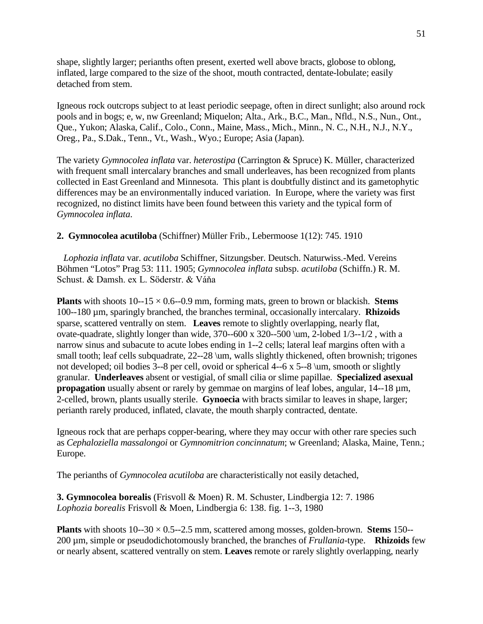shape, slightly larger; perianths often present, exerted well above bracts, globose to oblong, inflated, large compared to the size of the shoot, mouth contracted, dentate-lobulate; easily detached from stem.

Igneous rock outcrops subject to at least periodic seepage, often in direct sunlight; also around rock pools and in bogs; e, w, nw Greenland; Miquelon; Alta., Ark., B.C., Man., Nfld., N.S., Nun., Ont., Que., Yukon; Alaska, Calif., Colo., Conn., Maine, Mass., Mich., Minn., N. C., N.H., N.J., N.Y., Oreg., Pa., S.Dak., Tenn., Vt., Wash., Wyo.; Europe; Asia (Japan).

The variety *Gymnocolea inflata* var. *heterostipa* (Carrington & Spruce) K. Müller, characterized with frequent small intercalary branches and small underleaves, has been recognized from plants collected in East Greenland and Minnesota. This plant is doubtfully distinct and its gametophytic differences may be an environmentally induced variation. In Europe, where the variety was first recognized, no distinct limits have been found between this variety and the typical form of *Gymnocolea inflata*.

## **2. Gymnocolea acutiloba** (Schiffner) Müller Frib., Lebermoose 1(12): 745. 1910

 *Lophozia inflata* var. *acutiloba* Schiffner, Sitzungsber. Deutsch. Naturwiss.-Med. Vereins Böhmen "Lotos" Prag 53: 111. 1905; *Gymnocolea inflata* subsp. *acutiloba* (Schiffn.) R. M. Schust. & Damsh. ex L. Söderstr. & Váňa

**Plants** with shoots  $10-15 \times 0.6-0.9$  mm, forming mats, green to brown or blackish. **Stems** 100--180 µm, sparingly branched, the branches terminal, occasionally intercalary. **Rhizoids**  sparse, scattered ventrally on stem. **Leaves** remote to slightly overlapping, nearly flat, ovate-quadrate, slightly longer than wide,  $370-600 \times 320-500 \text{ mm}$ , 2-lobed  $1/3-1/2$ , with a narrow sinus and subacute to acute lobes ending in 1--2 cells; lateral leaf margins often with a small tooth; leaf cells subquadrate, 22--28 \um, walls slightly thickened, often brownish; trigones not developed; oil bodies 3--8 per cell, ovoid or spherical 4--6 x 5--8 \um, smooth or slightly granular. **Underleaves** absent or vestigial, of small cilia or slime papillae. **Specialized asexual propagation** usually absent or rarely by gemmae on margins of leaf lobes, angular, 14--18  $\mu$ m, 2-celled, brown, plants usually sterile. **Gynoecia** with bracts similar to leaves in shape, larger; perianth rarely produced, inflated, clavate, the mouth sharply contracted, dentate.

Igneous rock that are perhaps copper-bearing, where they may occur with other rare species such as *Cephaloziella massalongoi* or *Gymnomitrion concinnatum*; w Greenland; Alaska, Maine, Tenn.; Europe.

The perianths of *Gymnocolea acutiloba* are characteristically not easily detached,

**3. Gymnocolea borealis** (Frisvoll & Moen) R. M. Schuster, Lindbergia 12: 7. 1986 *Lophozia borealis* Frisvoll & Moen, Lindbergia 6: 138. fig. 1--3, 1980

**Plants** with shoots 10--30 × 0.5--2.5 mm, scattered among mosses, golden-brown. **Stems** 150-- 200 µm, simple or pseudodichotomously branched, the branches of *Frullania*-type. **Rhizoids** few or nearly absent, scattered ventrally on stem. **Leaves** remote or rarely slightly overlapping, nearly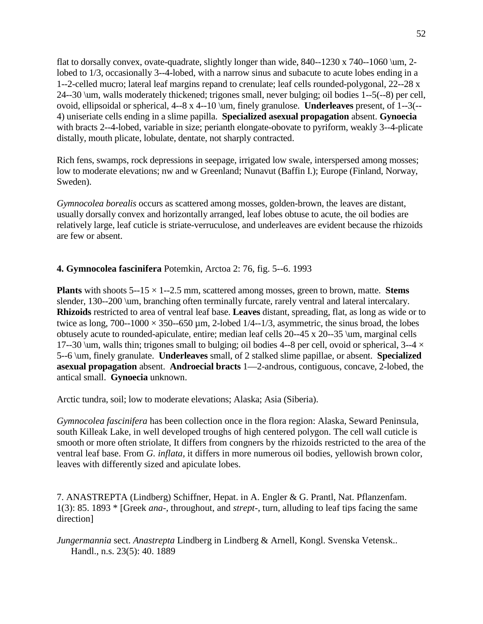flat to dorsally convex, ovate-quadrate, slightly longer than wide,  $840-1230 \times 740-1060 \ \mathrm{um}$ , 2lobed to 1/3, occasionally 3--4-lobed, with a narrow sinus and subacute to acute lobes ending in a 1--2-celled mucro; lateral leaf margins repand to crenulate; leaf cells rounded-polygonal, 22--28 x 24--30 \um, walls moderately thickened; trigones small, never bulging; oil bodies 1--5(--8) per cell, ovoid, ellipsoidal or spherical, 4--8 x 4--10 \um, finely granulose. **Underleaves** present, of 1--3(-- 4) uniseriate cells ending in a slime papilla. **Specialized asexual propagation** absent. **Gynoecia** with bracts 2--4-lobed, variable in size; perianth elongate-obovate to pyriform, weakly 3--4-plicate distally, mouth plicate, lobulate, dentate, not sharply contracted.

Rich fens, swamps, rock depressions in seepage, irrigated low swale, interspersed among mosses; low to moderate elevations; nw and w Greenland; Nunavut (Baffin I.); Europe (Finland, Norway, Sweden).

*Gymnocolea borealis* occurs as scattered among mosses, golden-brown, the leaves are distant, usually dorsally convex and horizontally arranged, leaf lobes obtuse to acute, the oil bodies are relatively large, leaf cuticle is striate-verruculose, and underleaves are evident because the rhizoids are few or absent.

# **4. Gymnocolea fascinifera** Potemkin, Arctoa 2: 76, fig. 5--6. 1993

**Plants** with shoots  $5-15 \times 1-2.5$  mm, scattered among mosses, green to brown, matte. **Stems** slender, 130--200 \um, branching often terminally furcate, rarely ventral and lateral intercalary. **Rhizoids** restricted to area of ventral leaf base. **Leaves** distant, spreading, flat, as long as wide or to twice as long,  $700-1000 \times 350-650 \mu m$ , 2-lobed  $1/4-1/3$ , asymmetric, the sinus broad, the lobes obtusely acute to rounded-apiculate, entire; median leaf cells 20--45 x 20--35 \um, marginal cells 17--30 \um, walls thin; trigones small to bulging; oil bodies 4--8 per cell, ovoid or spherical, 3--4  $\times$ 5--6 \um, finely granulate. **Underleaves** small, of 2 stalked slime papillae, or absent. **Specialized asexual propagation** absent. **Androecial bracts** 1—2-androus, contiguous, concave, 2-lobed, the antical small. **Gynoecia** unknown.

Arctic tundra, soil; low to moderate elevations; Alaska; Asia (Siberia).

*Gymnocolea fascinifera* has been collection once in the flora region: Alaska, Seward Peninsula, south Killeak Lake, in well developed troughs of high centered polygon. The cell wall cuticle is smooth or more often striolate, It differs from congners by the rhizoids restricted to the area of the ventral leaf base. From *G. inflata,* it differs in more numerous oil bodies, yellowish brown color, leaves with differently sized and apiculate lobes.

7. ANASTREPTA (Lindberg) Schiffner, Hepat. in A. Engler & G. Prantl, Nat. Pflanzenfam. 1(3): 85. 1893 \* [Greek *ana-,* throughout, and *strept*-, turn, alluding to leaf tips facing the same direction]

*Jungermannia* sect. *Anastrepta* Lindberg in Lindberg & Arnell, Kongl. Svenska Vetensk.. Handl., n.s. 23(5): 40. 1889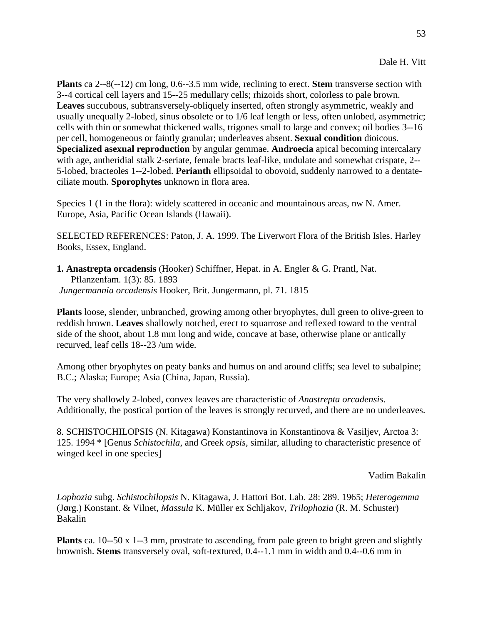53

**Plants** ca 2--8(--12) cm long, 0.6--3.5 mm wide, reclining to erect. **Stem** transverse section with 3--4 cortical cell layers and 15--25 medullary cells; rhizoids short, colorless to pale brown. **Leaves** succubous, subtransversely-obliquely inserted, often strongly asymmetric, weakly and usually unequally 2-lobed, sinus obsolete or to 1/6 leaf length or less, often unlobed, asymmetric; cells with thin or somewhat thickened walls, trigones small to large and convex; oil bodies 3--16 per cell, homogeneous or faintly granular; underleaves absent. **Sexual condition** dioicous. **Specialized asexual reproduction** by angular gemmae. **Androecia** apical becoming intercalary with age, antheridial stalk 2-seriate, female bracts leaf-like, undulate and somewhat crispate, 2-- 5-lobed, bracteoles 1--2-lobed. **Perianth** ellipsoidal to obovoid, suddenly narrowed to a dentateciliate mouth. **Sporophytes** unknown in flora area.

Species 1 (1 in the flora): widely scattered in oceanic and mountainous areas, nw N. Amer. Europe, Asia, Pacific Ocean Islands (Hawaii).

SELECTED REFERENCES: Paton, J. A. 1999. The Liverwort Flora of the British Isles. Harley Books, Essex, England.

**1. Anastrepta orcadensis** (Hooker) Schiffner, Hepat. in A. Engler & G. Prantl, Nat. Pflanzenfam. 1(3): 85. 1893 *Jungermannia orcadensis* Hooker, Brit. Jungermann, pl. 71. 1815

**Plants** loose, slender, unbranched, growing among other bryophytes, dull green to olive-green to reddish brown. **Leaves** shallowly notched, erect to squarrose and reflexed toward to the ventral side of the shoot, about 1.8 mm long and wide, concave at base, otherwise plane or antically recurved, leaf cells 18--23 /um wide.

Among other bryophytes on peaty banks and humus on and around cliffs; sea level to subalpine; B.C.; Alaska; Europe; Asia (China, Japan, Russia).

The very shallowly 2-lobed, convex leaves are characteristic of *Anastrepta orcadensis*. Additionally, the postical portion of the leaves is strongly recurved, and there are no underleaves.

8. SCHISTOCHILOPSIS (N. Kitagawa) Konstantinova in Konstantinova & Vasiljev, Arctoa 3: 125. 1994 \* [Genus *Schistochila*, and Greek *opsis,* similar, alluding to characteristic presence of winged keel in one species]

Vadim Bakalin

*Lophozia* subg. *Schistochilopsis* N. Kitagawa, J. Hattori Bot. Lab. 28: 289. 1965; *Heterogemma* (Jørg.) Konstant. & Vilnet, *Massula* K. Müller ex Schljakov, *Trilophozia* (R. M. Schuster) Bakalin

**Plants** ca. 10--50 x 1--3 mm, prostrate to ascending, from pale green to bright green and slightly brownish. **Stems** transversely oval, soft-textured, 0.4--1.1 mm in width and 0.4--0.6 mm in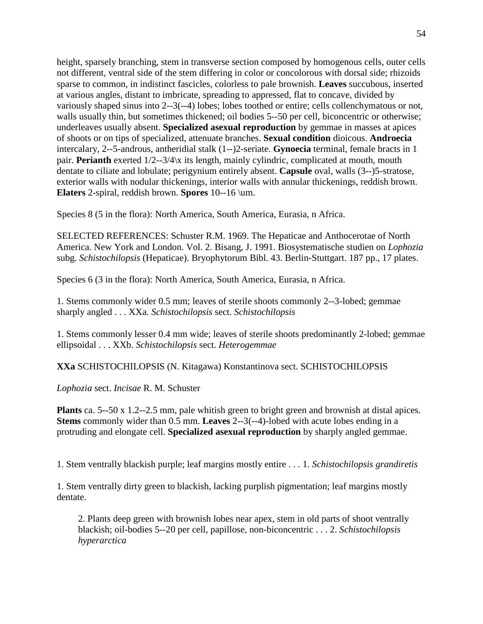height, sparsely branching, stem in transverse section composed by homogenous cells, outer cells not different, ventral side of the stem differing in color or concolorous with dorsal side; rhizoids sparse to common, in indistinct fascicles, colorless to pale brownish. **Leaves** succubous, inserted at various angles, distant to imbricate, spreading to appressed, flat to concave, divided by variously shaped sinus into 2--3(--4) lobes; lobes toothed or entire; cells collenchymatous or not, walls usually thin, but sometimes thickened; oil bodies 5--50 per cell, biconcentric or otherwise; underleaves usually absent. **Specialized asexual reproduction** by gemmae in masses at apices of shoots or on tips of specialized, attenuate branches. **Sexual condition** dioicous. **Androecia** intercalary, 2--5-androus, antheridial stalk (1--)2-seriate. **Gynoecia** terminal, female bracts in 1 pair. **Perianth** exerted  $1/2$ --3/4 $\chi$  its length, mainly cylindric, complicated at mouth, mouth dentate to ciliate and lobulate; perigynium entirely absent. **Capsule** oval, walls (3--)5-stratose, exterior walls with nodular thickenings, interior walls with annular thickenings, reddish brown. **Elaters** 2-spiral, reddish brown. **Spores** 10--16 \um.

Species 8 (5 in the flora): North America, South America, Eurasia, n Africa.

SELECTED REFERENCES: Schuster R.M. 1969. The Hepaticae and Anthocerotae of North America. New York and London. Vol. 2. Bisang, J. 1991. Biosystematische studien on *Lophozia*  subg. *Schistochilopsis* (Hepaticae). Bryophytorum Bibl. 43. Berlin-Stuttgart. 187 pp., 17 plates.

Species 6 (3 in the flora): North America, South America, Eurasia, n Africa.

1. Stems commonly wider 0.5 mm; leaves of sterile shoots commonly 2--3-lobed; gemmae sharply angled . . . XXa. *Schistochilopsis* sect. *Schistochilopsis*

1. Stems commonly lesser 0.4 mm wide; leaves of sterile shoots predominantly 2-lobed; gemmae ellipsoidal . . . XXb. *Schistochilopsis* sect. *Heterogemmae*

**XXa** SCHISTOCHILOPSIS (N. Kitagawa) Konstantinova sect. SCHISTOCHILOPSIS

*Lophozia* sect. *Incisae* R. M. Schuster

**Plants** ca. 5--50 x 1.2--2.5 mm, pale whitish green to bright green and brownish at distal apices. **Stems** commonly wider than 0.5 mm. **Leaves** 2--3(--4)-lobed with acute lobes ending in a protruding and elongate cell. **Specialized asexual reproduction** by sharply angled gemmae.

1. Stem ventrally blackish purple; leaf margins mostly entire . . . 1. *Schistochilopsis grandiretis*

1. Stem ventrally dirty green to blackish, lacking purplish pigmentation; leaf margins mostly dentate.

2. Plants deep green with brownish lobes near apex, stem in old parts of shoot ventrally blackish; oil-bodies 5--20 per cell, papillose, non-biconcentric . . . 2. *Schistochilopsis hyperarctica*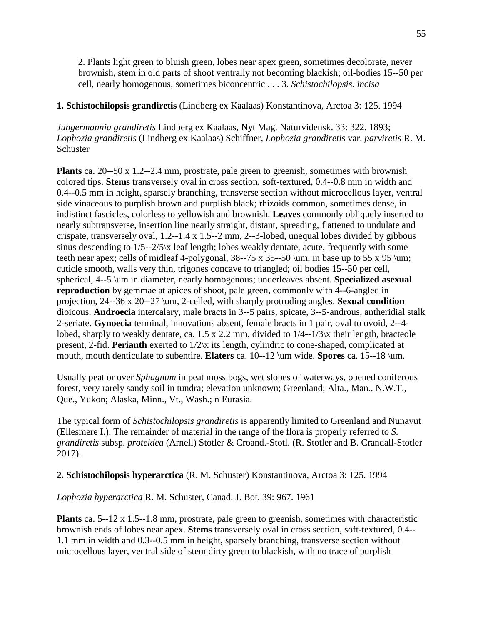2. Plants light green to bluish green, lobes near apex green, sometimes decolorate, never brownish, stem in old parts of shoot ventrally not becoming blackish; oil-bodies 15--50 per cell, nearly homogenous, sometimes biconcentric . . . 3. *Schistochilopsis. incisa*

# **1. Schistochilopsis grandiretis** (Lindberg ex Kaalaas) Konstantinova, Arctoa 3: 125. 1994

*Jungermannia grandiretis* Lindberg ex Kaalaas, Nyt Mag. Naturvidensk. 33: 322. 1893; *Lophozia grandiretis* (Lindberg ex Kaalaas) Schiffner, *Lophozia grandiretis* var. *parviretis* R. M. Schuster

**Plants** ca. 20--50 x 1.2--2.4 mm, prostrate, pale green to greenish, sometimes with brownish colored tips. **Stems** transversely oval in cross section, soft-textured, 0.4--0.8 mm in width and 0.4--0.5 mm in height, sparsely branching, transverse section without microcellous layer, ventral side vinaceous to purplish brown and purplish black; rhizoids common, sometimes dense, in indistinct fascicles, colorless to yellowish and brownish. **Leaves** commonly obliquely inserted to nearly subtransverse, insertion line nearly straight, distant, spreading, flattened to undulate and crispate, transversely oval, 1.2--1.4 x 1.5--2 mm, 2--3-lobed, unequal lobes divided by gibbous sinus descending to 1/5--2/5\x leaf length; lobes weakly dentate, acute, frequently with some teeth near apex; cells of midleaf 4-polygonal,  $38$ --75 x  $35$ --50 \um, in base up to 55 x 95 \um; cuticle smooth, walls very thin, trigones concave to triangled; oil bodies 15--50 per cell, spherical, 4--5 \um in diameter, nearly homogenous; underleaves absent. **Specialized asexual reproduction** by gemmae at apices of shoot, pale green, commonly with 4--6-angled in projection, 24--36 x 20--27 \um, 2-celled, with sharply protruding angles. **Sexual condition** dioicous. **Androecia** intercalary, male bracts in 3--5 pairs, spicate, 3--5-androus, antheridial stalk 2-seriate. **Gynoecia** terminal, innovations absent, female bracts in 1 pair, oval to ovoid, 2--4 lobed, sharply to weakly dentate, ca. 1.5 x 2.2 mm, divided to 1/4--1/3\x their length, bracteole present, 2-fid. **Perianth** exerted to 1/2\x its length, cylindric to cone-shaped, complicated at mouth, mouth denticulate to subentire. **Elaters** ca. 10--12 \um wide. **Spores** ca. 15--18 \um.

Usually peat or over *Sphagnum* in peat moss bogs, wet slopes of waterways, opened coniferous forest, very rarely sandy soil in tundra; elevation unknown; Greenland; Alta., Man., N.W.T., Que., Yukon; Alaska, Minn., Vt., Wash.; n Eurasia.

The typical form of *Schistochilopsis grandiretis* is apparently limited to Greenland and Nunavut (Ellesmere I.). The remainder of material in the range of the flora is properly referred to *S. grandiretis* subsp. *proteidea* (Arnell) Stotler & Croand.-Stotl. (R. Stotler and B. Crandall-Stotler 2017).

# **2. Schistochilopsis hyperarctica** (R. M. Schuster) Konstantinova, Arctoa 3: 125. 1994

*Lophozia hyperarctica* R. M. Schuster, Canad. J. Bot. 39: 967. 1961

**Plants** ca. 5--12 x 1.5--1.8 mm, prostrate, pale green to greenish, sometimes with characteristic brownish ends of lobes near apex. **Stems** transversely oval in cross section, soft-textured, 0.4-- 1.1 mm in width and 0.3--0.5 mm in height, sparsely branching, transverse section without microcellous layer, ventral side of stem dirty green to blackish, with no trace of purplish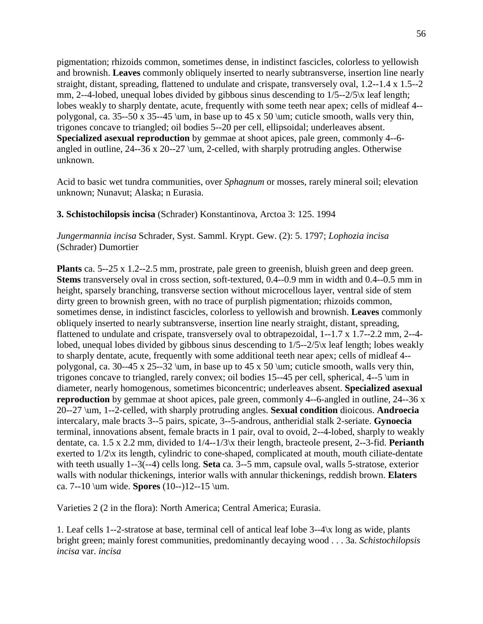pigmentation; rhizoids common, sometimes dense, in indistinct fascicles, colorless to yellowish and brownish. **Leaves** commonly obliquely inserted to nearly subtransverse, insertion line nearly straight, distant, spreading, flattened to undulate and crispate, transversely oval, 1.2--1.4 x 1.5--2 mm, 2--4-lobed, unequal lobes divided by gibbous sinus descending to  $1/5-2/5$  k leaf length; lobes weakly to sharply dentate, acute, frequently with some teeth near apex; cells of midleaf 4- polygonal, ca. 35--50 x 35--45 \um, in base up to 45 x 50 \um; cuticle smooth, walls very thin, trigones concave to triangled; oil bodies 5--20 per cell, ellipsoidal; underleaves absent. **Specialized asexual reproduction** by gemmae at shoot apices, pale green, commonly 4--6 angled in outline,  $24-36 \times 20-27 \mu$ , 2-celled, with sharply protruding angles. Otherwise unknown.

Acid to basic wet tundra communities, over *Sphagnum* or mosses, rarely mineral soil; elevation unknown; Nunavut; Alaska; n Eurasia.

**3. Schistochilopsis incisa** (Schrader) Konstantinova, Arctoa 3: 125. 1994

*Jungermannia incisa* Schrader, Syst. Samml. Krypt. Gew. (2): 5. 1797; *Lophozia incisa* (Schrader) Dumortier

**Plants** ca. 5--25 x 1.2--2.5 mm, prostrate, pale green to greenish, bluish green and deep green. **Stems** transversely oval in cross section, soft-textured, 0.4--0.9 mm in width and 0.4--0.5 mm in height, sparsely branching, transverse section without microcellous layer, ventral side of stem dirty green to brownish green, with no trace of purplish pigmentation; rhizoids common, sometimes dense, in indistinct fascicles, colorless to yellowish and brownish. **Leaves** commonly obliquely inserted to nearly subtransverse, insertion line nearly straight, distant, spreading, flattened to undulate and crispate, transversely oval to obtrapezoidal, 1--1.7 x 1.7--2.2 mm, 2--4 lobed, unequal lobes divided by gibbous sinus descending to 1/5--2/5\x leaf length; lobes weakly to sharply dentate, acute, frequently with some additional teeth near apex; cells of midleaf 4- polygonal, ca. 30--45 x 25--32 \um, in base up to 45 x 50 \um; cuticle smooth, walls very thin, trigones concave to triangled, rarely convex; oil bodies 15--45 per cell, spherical, 4--5 \um in diameter, nearly homogenous, sometimes biconcentric; underleaves absent. **Specialized asexual reproduction** by gemmae at shoot apices, pale green, commonly 4--6-angled in outline, 24--36 x 20--27 \um, 1--2-celled, with sharply protruding angles. **Sexual condition** dioicous. **Androecia** intercalary, male bracts 3--5 pairs, spicate, 3--5-androus, antheridial stalk 2-seriate. **Gynoecia** terminal, innovations absent, female bracts in 1 pair, oval to ovoid, 2--4-lobed, sharply to weakly dentate, ca. 1.5 x 2.2 mm, divided to 1/4--1/3\x their length, bracteole present, 2--3-fid. **Perianth** exerted to 1/2\x its length, cylindric to cone-shaped, complicated at mouth, mouth ciliate-dentate with teeth usually 1--3(--4) cells long. **Seta** ca. 3--5 mm, capsule oval, walls 5-stratose, exterior walls with nodular thickenings, interior walls with annular thickenings, reddish brown. **Elaters** ca. 7--10 \um wide. **Spores** (10--)12--15 \um.

Varieties 2 (2 in the flora): North America; Central America; Eurasia.

1. Leaf cells 1--2-stratose at base, terminal cell of antical leaf lobe 3--4\x long as wide, plants bright green; mainly forest communities, predominantly decaying wood . . . 3a. *Schistochilopsis incisa* var. *incisa*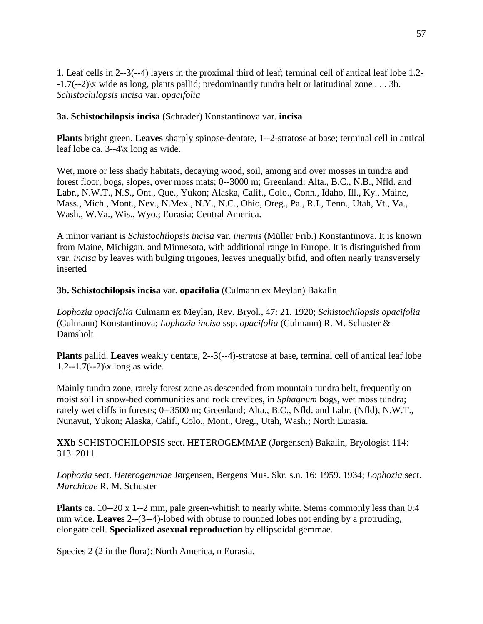1. Leaf cells in 2--3(--4) layers in the proximal third of leaf; terminal cell of antical leaf lobe 1.2- -1.7(--2)\x wide as long, plants pallid; predominantly tundra belt or latitudinal zone . . . 3b. *Schistochilopsis incisa* var. *opacifolia*

## **3a. Schistochilopsis incisa** (Schrader) Konstantinova var. **incisa**

**Plants** bright green. **Leaves** sharply spinose-dentate, 1--2-stratose at base; terminal cell in antical leaf lobe ca. 3--4\x long as wide.

Wet, more or less shady habitats, decaying wood, soil, among and over mosses in tundra and forest floor, bogs, slopes, over moss mats; 0--3000 m; Greenland; Alta., B.C., N.B., Nfld. and Labr., N.W.T., N.S., Ont., Que., Yukon; Alaska, Calif., Colo., Conn., Idaho, Ill., Ky., Maine, Mass., Mich., Mont., Nev., N.Mex., N.Y., N.C., Ohio, Oreg., Pa., R.I., Tenn., Utah, Vt., Va., Wash., W.Va., Wis., Wyo.; Eurasia; Central America.

A minor variant is *Schistochilopsis incisa* var. *inermis* (Müller Frib.) Konstantinova. It is known from Maine, Michigan, and Minnesota, with additional range in Europe. It is distinguished from var. *incisa* by leaves with bulging trigones, leaves unequally bifid, and often nearly transversely inserted

**3b. Schistochilopsis incisa** var. **opacifolia** (Culmann ex Meylan) Bakalin

*Lophozia opacifolia* Culmann ex Meylan, Rev. Bryol., 47: 21. 1920; *Schistochilopsis opacifolia* (Culmann) Konstantinova; *Lophozia incisa* ssp. *opacifolia* (Culmann) R. M. Schuster & Damsholt

**Plants** pallid. **Leaves** weakly dentate, 2--3(--4)-stratose at base, terminal cell of antical leaf lobe 1.2--1.7(--2) $\x$  long as wide.

Mainly tundra zone, rarely forest zone as descended from mountain tundra belt, frequently on moist soil in snow-bed communities and rock crevices, in *Sphagnum* bogs, wet moss tundra; rarely wet cliffs in forests; 0--3500 m; Greenland; Alta., B.C., Nfld. and Labr. (Nfld), N.W.T., Nunavut, Yukon; Alaska, Calif., Colo., Mont., Oreg., Utah, Wash.; North Eurasia.

**XXb** SCHISTOCHILOPSIS sect. HETEROGEMMAE (Jørgensen) Bakalin, Bryologist 114: 313. 2011

*Lophozia* sect. *Heterogemmae* Jørgensen, Bergens Mus. Skr. s.n. 16: 1959. 1934; *Lophozia* sect. *Marchicae* R. M. Schuster

**Plants** ca. 10--20 x 1--2 mm, pale green-whitish to nearly white. Stems commonly less than 0.4 mm wide. **Leaves** 2--(3--4)-lobed with obtuse to rounded lobes not ending by a protruding, elongate cell. **Specialized asexual reproduction** by ellipsoidal gemmae.

Species 2 (2 in the flora): North America, n Eurasia.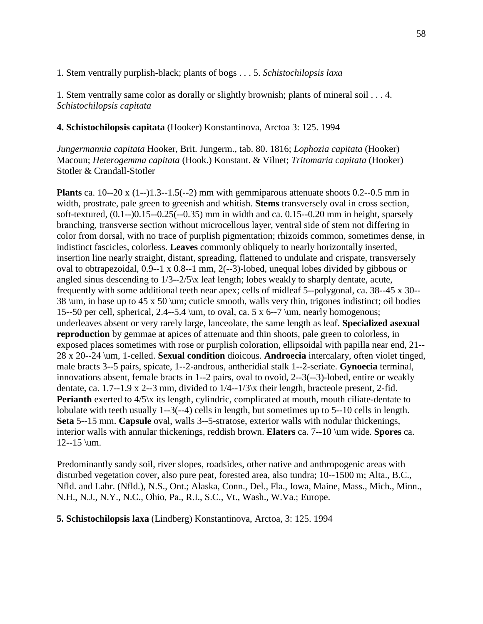## 1. Stem ventrally purplish-black; plants of bogs . . . 5. *Schistochilopsis laxa*

1. Stem ventrally same color as dorally or slightly brownish; plants of mineral soil . . . 4. *Schistochilopsis capitata*

**4. Schistochilopsis capitata** (Hooker) Konstantinova, Arctoa 3: 125. 1994

*Jungermannia capitata* Hooker, Brit. Jungerm., tab. 80. 1816; *Lophozia capitata* (Hooker) Macoun; *Heterogemma capitata* (Hook.) Konstant. & Vilnet; *Tritomaria capitata* (Hooker) Stotler & Crandall-Stotler

**Plants** ca. 10--20 x (1--)1.3--1.5(--2) mm with gemmiparous attenuate shoots 0.2--0.5 mm in width, prostrate, pale green to greenish and whitish. **Stems** transversely oval in cross section, soft-textured, (0.1--)0.15--0.25(--0.35) mm in width and ca. 0.15--0.20 mm in height, sparsely branching, transverse section without microcellous layer, ventral side of stem not differing in color from dorsal, with no trace of purplish pigmentation; rhizoids common, sometimes dense, in indistinct fascicles, colorless. **Leaves** commonly obliquely to nearly horizontally inserted, insertion line nearly straight, distant, spreading, flattened to undulate and crispate, transversely oval to obtrapezoidal, 0.9--1 x 0.8--1 mm, 2(--3)-lobed, unequal lobes divided by gibbous or angled sinus descending to 1/3--2/5\x leaf length; lobes weakly to sharply dentate, acute, frequently with some additional teeth near apex; cells of midleaf 5--polygonal, ca. 38--45 x 30-- 38 \um, in base up to 45 x 50 \um; cuticle smooth, walls very thin, trigones indistinct; oil bodies 15--50 per cell, spherical, 2.4--5.4 \um, to oval, ca. 5 x 6--7 \um, nearly homogenous; underleaves absent or very rarely large, lanceolate, the same length as leaf. **Specialized asexual reproduction** by gemmae at apices of attenuate and thin shoots, pale green to colorless, in exposed places sometimes with rose or purplish coloration, ellipsoidal with papilla near end, 21-- 28 x 20--24 \um, 1-celled. **Sexual condition** dioicous. **Androecia** intercalary, often violet tinged, male bracts 3--5 pairs, spicate, 1--2-androus, antheridial stalk 1--2-seriate. **Gynoecia** terminal, innovations absent, female bracts in 1--2 pairs, oval to ovoid, 2--3(--3)-lobed, entire or weakly dentate, ca. 1.7--1.9 x 2--3 mm, divided to 1/4--1/3\x their length, bracteole present, 2-fid. **Perianth** exerted to  $4/5$ <sup>x</sup> its length, cylindric, complicated at mouth, mouth ciliate-dentate to lobulate with teeth usually 1--3(--4) cells in length, but sometimes up to 5--10 cells in length. **Seta** 5--15 mm. **Capsule** oval, walls 3--5-stratose, exterior walls with nodular thickenings, interior walls with annular thickenings, reddish brown. **Elaters** ca. 7--10 \um wide. **Spores** ca. 12--15 \um.

Predominantly sandy soil, river slopes, roadsides, other native and anthropogenic areas with disturbed vegetation cover, also pure peat*,* forested area, also tundra; 10--1500 m; Alta., B.C., Nfld. and Labr. (Nfld.), N.S., Ont.; Alaska, Conn., Del., Fla., Iowa, Maine, Mass., Mich., Minn., N.H., N.J., N.Y., N.C., Ohio, Pa., R.I., S.C., Vt., Wash., W.Va.; Europe.

**5. Schistochilopsis laxa** (Lindberg) Konstantinova, Arctoa, 3: 125. 1994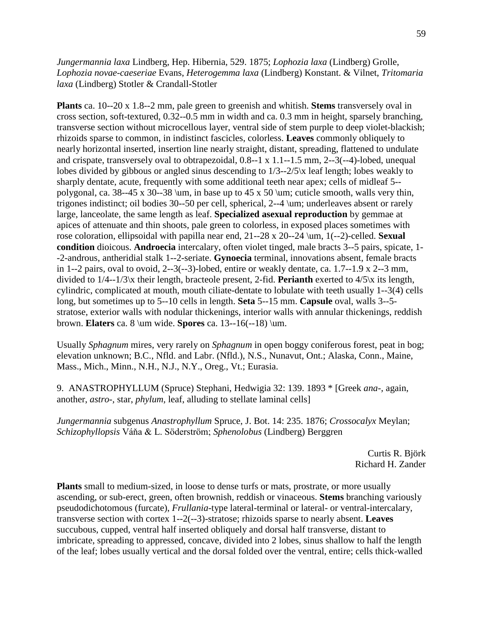*Jungermannia laxa* Lindberg, Hep. Hibernia, 529. 1875; *Lophozia laxa* (Lindberg) Grolle, *Lophozia novae-caeseriae* Evans, *Heterogemma laxa* (Lindberg) Konstant. & Vilnet, *Tritomaria laxa* (Lindberg) Stotler & Crandall-Stotler

**Plants** ca. 10--20 x 1.8--2 mm, pale green to greenish and whitish. **Stems** transversely oval in cross section, soft-textured, 0.32--0.5 mm in width and ca. 0.3 mm in height, sparsely branching, transverse section without microcellous layer, ventral side of stem purple to deep violet-blackish; rhizoids sparse to common, in indistinct fascicles, colorless. **Leaves** commonly obliquely to nearly horizontal inserted, insertion line nearly straight, distant, spreading, flattened to undulate and crispate, transversely oval to obtrapezoidal, 0.8--1 x 1.1--1.5 mm, 2--3(--4)-lobed, unequal lobes divided by gibbous or angled sinus descending to 1/3--2/5\x leaf length; lobes weakly to sharply dentate, acute, frequently with some additional teeth near apex; cells of midleaf 5- polygonal, ca. 38--45 x 30--38 \um, in base up to 45 x 50 \um; cuticle smooth, walls very thin, trigones indistinct; oil bodies 30--50 per cell, spherical, 2--4 \um; underleaves absent or rarely large, lanceolate, the same length as leaf. **Specialized asexual reproduction** by gemmae at apices of attenuate and thin shoots, pale green to colorless, in exposed places sometimes with rose coloration, ellipsoidal with papilla near end, 21--28 x 20--24 \um, 1(--2)-celled. **Sexual condition** dioicous. **Androecia** intercalary, often violet tinged, male bracts 3--5 pairs, spicate, 1- -2-androus, antheridial stalk 1--2-seriate. **Gynoecia** terminal, innovations absent, female bracts in 1--2 pairs, oval to ovoid, 2--3(--3)-lobed, entire or weakly dentate, ca. 1.7--1.9 x 2--3 mm, divided to 1/4--1/3\x their length, bracteole present, 2-fid. **Perianth** exerted to 4/5\x its length, cylindric, complicated at mouth, mouth ciliate-dentate to lobulate with teeth usually 1--3(4) cells long, but sometimes up to 5--10 cells in length. **Seta** 5--15 mm. **Capsule** oval, walls 3--5 stratose, exterior walls with nodular thickenings, interior walls with annular thickenings, reddish brown. **Elaters** ca. 8 \um wide. **Spores** ca. 13--16(--18) \um.

Usually *Sphagnum* mires, very rarely on *Sphagnum* in open boggy coniferous forest, peat in bog; elevation unknown; B.C., Nfld. and Labr. (Nfld.), N.S., Nunavut, Ont.; Alaska, Conn., Maine, Mass., Mich., Minn., N.H., N.J., N.Y., Oreg., Vt.; Eurasia.

9. ANASTROPHYLLUM (Spruce) Stephani, Hedwigia 32: 139. 1893 \* [Greek *ana-,* again, another, *astro-,* star, *phylum,* leaf, alluding to stellate laminal cells]

*Jungermannia* subgenus *Anastrophyllum* Spruce, J. Bot. 14: 235. 1876; *Crossocalyx* Meylan; *Schizophyllopsis* Váňa & L. Söderström; *Sphenolobus* (Lindberg) Berggren

> Curtis R. Björk Richard H. Zander

**Plants** small to medium-sized, in loose to dense turfs or mats, prostrate, or more usually ascending, or sub-erect, green, often brownish, reddish or vinaceous. **Stems** branching variously pseudodichotomous (furcate), *Frullania*-type lateral-terminal or lateral- or ventral-intercalary, transverse section with cortex 1--2(--3)-stratose; rhizoids sparse to nearly absent. **Leaves** succubous, cupped, ventral half inserted obliquely and dorsal half transverse, distant to imbricate, spreading to appressed, concave, divided into 2 lobes, sinus shallow to half the length of the leaf; lobes usually vertical and the dorsal folded over the ventral, entire; cells thick-walled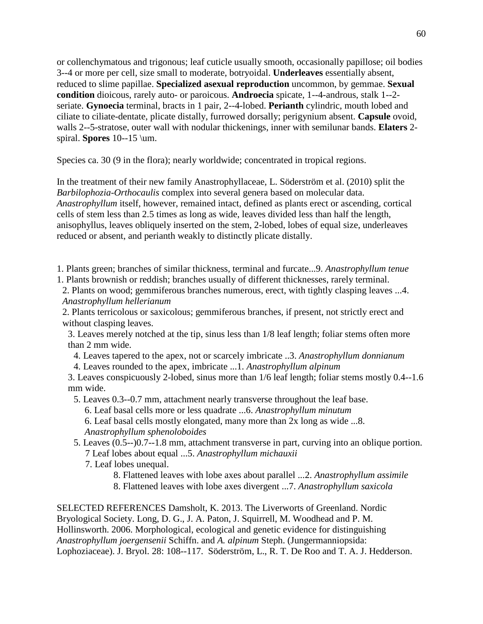or collenchymatous and trigonous; leaf cuticle usually smooth, occasionally papillose; oil bodies 3--4 or more per cell, size small to moderate, botryoidal. **Underleaves** essentially absent, reduced to slime papillae. **Specialized asexual reproduction** uncommon, by gemmae. **Sexual condition** dioicous, rarely auto- or paroicous. **Androecia** spicate, 1--4-androus, stalk 1--2 seriate. **Gynoecia** terminal, bracts in 1 pair, 2--4-lobed. **Perianth** cylindric, mouth lobed and ciliate to ciliate-dentate, plicate distally, furrowed dorsally; perigynium absent. **Capsule** ovoid, walls 2--5-stratose, outer wall with nodular thickenings, inner with semilunar bands. **Elaters** 2 spiral. **Spores** 10--15 \um.

Species ca. 30 (9 in the flora); nearly worldwide; concentrated in tropical regions.

In the treatment of their new family Anastrophyllaceae, L. Söderström et al. (2010) split the *Barbilophozia-Orthocaulis* complex into several genera based on molecular data. *Anastrophyllum* itself, however, remained intact, defined as plants erect or ascending, cortical cells of stem less than 2.5 times as long as wide, leaves divided less than half the length, anisophyllus, leaves obliquely inserted on the stem, 2-lobed, lobes of equal size, underleaves reduced or absent, and perianth weakly to distinctly plicate distally.

1. Plants green; branches of similar thickness, terminal and furcate...9. *Anastrophyllum tenue* 1. Plants brownish or reddish; branches usually of different thicknesses, rarely terminal.

2. Plants on wood; gemmiferous branches numerous, erect, with tightly clasping leaves ...4. *Anastrophyllum hellerianum*

2. Plants terricolous or saxicolous; gemmiferous branches, if present, not strictly erect and without clasping leaves.

3. Leaves merely notched at the tip, sinus less than 1/8 leaf length; foliar stems often more than 2 mm wide.

4. Leaves tapered to the apex, not or scarcely imbricate ..3. *Anastrophyllum donnianum*

4. Leaves rounded to the apex, imbricate ...1. *Anastrophyllum alpinum*

3. Leaves conspicuously 2-lobed, sinus more than 1/6 leaf length; foliar stems mostly 0.4--1.6 mm wide.

5. Leaves 0.3--0.7 mm, attachment nearly transverse throughout the leaf base.

6. Leaf basal cells more or less quadrate ...6. *Anastrophyllum minutum* 

6. Leaf basal cells mostly elongated, many more than 2x long as wide ...8. *Anastrophyllum sphenoloboides*

5. Leaves (0.5--)0.7--1.8 mm, attachment transverse in part, curving into an oblique portion. 7 Leaf lobes about equal ...5. *Anastrophyllum michauxii*

- 7. Leaf lobes unequal.
	- 8. Flattened leaves with lobe axes about parallel ...2. *Anastrophyllum assimile*
	- 8. Flattened leaves with lobe axes divergent ...7. *Anastrophyllum saxicola*

SELECTED REFERENCES Damsholt, K. 2013. The Liverworts of Greenland. Nordic Bryological Society. Long, D. G., J. A. Paton, J. Squirrell, M. Woodhead and P. M. Hollinsworth. 2006. Morphological, ecological and genetic evidence for distinguishing *Anastrophyllum joergensenii* Schiffn. and *A. alpinum* Steph. (Jungermanniopsida: Lophoziaceae). J. Bryol. 28: 108--117. Söderström, L., R. T. De Roo and T. A. J. Hedderson.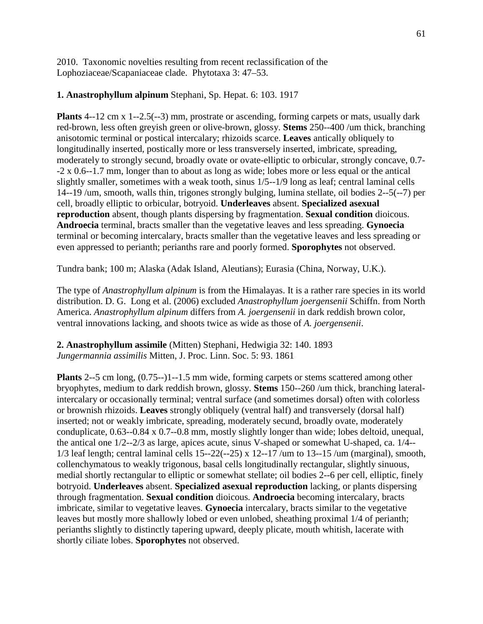2010. Taxonomic novelties resulting from recent reclassification of the Lophoziaceae/Scapaniaceae clade. Phytotaxa 3: 47–53.

## **1. Anastrophyllum alpinum** Stephani, Sp. Hepat. 6: 103. 1917

**Plants** 4--12 cm x 1--2.5(--3) mm, prostrate or ascending, forming carpets or mats, usually dark red-brown, less often greyish green or olive-brown, glossy. **Stems** 250--400 /um thick, branching anisotomic terminal or postical intercalary; rhizoids scarce. **Leaves** antically obliquely to longitudinally inserted, postically more or less transversely inserted, imbricate, spreading, moderately to strongly secund, broadly ovate or ovate-elliptic to orbicular, strongly concave, 0.7- -2 x 0.6--1.7 mm, longer than to about as long as wide; lobes more or less equal or the antical slightly smaller, sometimes with a weak tooth, sinus 1/5--1/9 long as leaf; central laminal cells 14--19 /um, smooth, walls thin, trigones strongly bulging, lumina stellate, oil bodies 2--5(--7) per cell, broadly elliptic to orbicular, botryoid. **Underleaves** absent. **Specialized asexual reproduction** absent, though plants dispersing by fragmentation. **Sexual condition** dioicous. **Androecia** terminal, bracts smaller than the vegetative leaves and less spreading. **Gynoecia** terminal or becoming intercalary, bracts smaller than the vegetative leaves and less spreading or even appressed to perianth; perianths rare and poorly formed. **Sporophytes** not observed.

Tundra bank; 100 m; Alaska (Adak Island, Aleutians); Eurasia (China, Norway, U.K.).

The type of *Anastrophyllum alpinum* is from the Himalayas. It is a rather rare species in its world distribution. D. G. Long et al. (2006) excluded *Anastrophyllum joergensenii* Schiffn. from North America. *Anastrophyllum alpinum* differs from *A. joergensenii* in dark reddish brown color, ventral innovations lacking, and shoots twice as wide as those of *A. joergensenii*.

**2. Anastrophyllum assimile** (Mitten) Stephani, Hedwigia 32: 140. 1893 *Jungermannia assimilis* Mitten, J. Proc. Linn. Soc. 5: 93. 1861

**Plants** 2--5 cm long, (0.75--)1--1.5 mm wide, forming carpets or stems scattered among other bryophytes, medium to dark reddish brown, glossy. **Stems** 150--260 /um thick, branching lateralintercalary or occasionally terminal; ventral surface (and sometimes dorsal) often with colorless or brownish rhizoids. **Leaves** strongly obliquely (ventral half) and transversely (dorsal half) inserted; not or weakly imbricate, spreading, moderately secund, broadly ovate, moderately conduplicate, 0.63--0.84 x 0.7--0.8 mm, mostly slightly longer than wide; lobes deltoid, unequal, the antical one 1/2--2/3 as large, apices acute, sinus V-shaped or somewhat U-shaped, ca. 1/4-- 1/3 leaf length; central laminal cells 15--22(--25) x 12--17 /um to 13--15 /um (marginal), smooth, collenchymatous to weakly trigonous, basal cells longitudinally rectangular, slightly sinuous, medial shortly rectangular to elliptic or somewhat stellate; oil bodies 2--6 per cell, elliptic, finely botryoid. **Underleaves** absent. **Specialized asexual reproduction** lacking, or plants dispersing through fragmentation. **Sexual condition** dioicous. **Androecia** becoming intercalary, bracts imbricate, similar to vegetative leaves. **Gynoecia** intercalary, bracts similar to the vegetative leaves but mostly more shallowly lobed or even unlobed, sheathing proximal 1/4 of perianth; perianths slightly to distinctly tapering upward, deeply plicate, mouth whitish, lacerate with shortly ciliate lobes. **Sporophytes** not observed.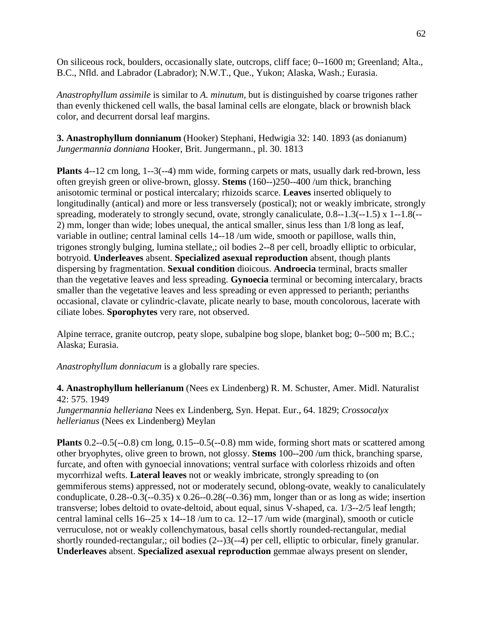On siliceous rock, boulders, occasionally slate, outcrops, cliff face; 0--1600 m; Greenland; Alta., B.C., Nfld. and Labrador (Labrador); N.W.T., Que., Yukon; Alaska, Wash.; Eurasia.

*Anastrophyllum assimile* is similar to *A. minutum,* but is distinguished by coarse trigones rather than evenly thickened cell walls, the basal laminal cells are elongate, black or brownish black color, and decurrent dorsal leaf margins.

**3. Anastrophyllum donnianum** (Hooker) Stephani, Hedwigia 32: 140. 1893 (as donianum) *Jungermannia donniana* Hooker, Brit. Jungermann., pl. 30. 1813

**Plants** 4--12 cm long, 1--3(--4) mm wide, forming carpets or mats, usually dark red-brown, less often greyish green or olive-brown, glossy. **Stems** (160--)250--400 /um thick, branching anisotomic terminal or postical intercalary; rhizoids scarce. **Leaves** inserted obliquely to longitudinally (antical) and more or less transversely (postical); not or weakly imbricate, strongly spreading, moderately to strongly secund, ovate, strongly canaliculate, 0.8--1.3(--1.5) x 1--1.8(--2) mm, longer than wide; lobes unequal, the antical smaller, sinus less than 1/8 long as leaf, variable in outline; central laminal cells 14--18 /um wide, smooth or papillose, walls thin, trigones strongly bulging, lumina stellate,; oil bodies 2--8 per cell, broadly elliptic to orbicular, botryoid. **Underleaves** absent. **Specialized asexual reproduction** absent, though plants dispersing by fragmentation. **Sexual condition** dioicous. **Androecia** terminal, bracts smaller than the vegetative leaves and less spreading. **Gynoecia** terminal or becoming intercalary, bracts smaller than the vegetative leaves and less spreading or even appressed to perianth; perianths occasional, clavate or cylindric-clavate, plicate nearly to base, mouth concolorous, lacerate with ciliate lobes. **Sporophytes** very rare, not observed.

Alpine terrace, granite outcrop, peaty slope, subalpine bog slope, blanket bog; 0--500 m; B.C.; Alaska; Eurasia.

*Anastrophyllum donniacum* is a globally rare species.

**4. Anastrophyllum hellerianum** (Nees ex Lindenberg) R. M. Schuster, Amer. Midl. Naturalist 42: 575. 1949

*Jungermannia helleriana* Nees ex Lindenberg, Syn. Hepat. Eur., 64. 1829; *Crossocalyx hellerianus* (Nees ex Lindenberg) Meylan

**Plants** 0.2--0.5(--0.8) cm long, 0.15--0.5(--0.8) mm wide, forming short mats or scattered among other bryophytes, olive green to brown, not glossy. **Stems** 100--200 /um thick, branching sparse, furcate, and often with gynoecial innovations; ventral surface with colorless rhizoids and often mycorrhizal wefts. **Lateral leaves** not or weakly imbricate, strongly spreading to (on gemmiferous stems) appressed, not or moderately secund, oblong-ovate, weakly to canaliculately conduplicate,  $0.28$ - $-0.3(-0.35)$  x  $0.26$ - $-0.28(-0.36)$  mm, longer than or as long as wide; insertion transverse; lobes deltoid to ovate-deltoid, about equal, sinus V-shaped, ca. 1/3--2/5 leaf length; central laminal cells 16--25 x 14--18 /um to ca. 12--17 /um wide (marginal), smooth or cuticle verruculose, not or weakly collenchymatous, basal cells shortly rounded-rectangular, medial shortly rounded-rectangular,; oil bodies (2--)3(--4) per cell, elliptic to orbicular, finely granular. **Underleaves** absent. **Specialized asexual reproduction** gemmae always present on slender,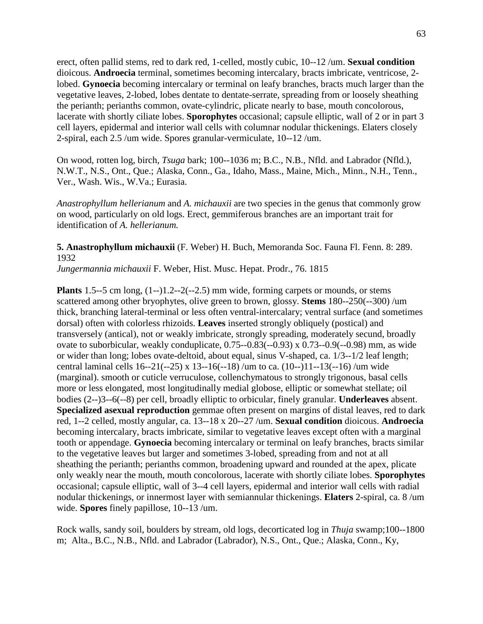erect, often pallid stems, red to dark red, 1-celled, mostly cubic, 10--12 /um. **Sexual condition** dioicous. **Androecia** terminal, sometimes becoming intercalary, bracts imbricate, ventricose, 2 lobed. **Gynoecia** becoming intercalary or terminal on leafy branches, bracts much larger than the vegetative leaves, 2-lobed, lobes dentate to dentate-serrate, spreading from or loosely sheathing the perianth; perianths common, ovate-cylindric, plicate nearly to base, mouth concolorous, lacerate with shortly ciliate lobes. **Sporophytes** occasional; capsule elliptic, wall of 2 or in part 3 cell layers, epidermal and interior wall cells with columnar nodular thickenings. Elaters closely 2-spiral, each 2.5 /um wide. Spores granular-vermiculate, 10--12 /um.

On wood, rotten log, birch, *Tsuga* bark; 100--1036 m; B.C., N.B., Nfld. and Labrador (Nfld.), N.W.T., N.S., Ont., Que.; Alaska, Conn., Ga., Idaho, Mass., Maine, Mich., Minn., N.H., Tenn., Ver., Wash. Wis., W.Va.; Eurasia.

*Anastrophyllum hellerianum* and *A. michauxii* are two species in the genus that commonly grow on wood, particularly on old logs. Erect, gemmiferous branches are an important trait for identification of *A. hellerianum.*

**5. Anastrophyllum michauxii** (F. Weber) H. Buch, Memoranda Soc. Fauna Fl. Fenn. 8: 289. 1932

*Jungermannia michauxii* F. Weber, Hist. Musc. Hepat. Prodr., 76. 1815

**Plants** 1.5--5 cm long,  $(1-)$ 1.2--2 $(-2.5)$  mm wide, forming carpets or mounds, or stems scattered among other bryophytes, olive green to brown, glossy. **Stems** 180--250(--300) /um thick, branching lateral-terminal or less often ventral-intercalary; ventral surface (and sometimes dorsal) often with colorless rhizoids. **Leaves** inserted strongly obliquely (postical) and transversely (antical), not or weakly imbricate, strongly spreading, moderately secund, broadly ovate to suborbicular, weakly conduplicate, 0.75--0.83(--0.93) x 0.73--0.9(--0.98) mm, as wide or wider than long; lobes ovate-deltoid, about equal, sinus V-shaped, ca. 1/3--1/2 leaf length; central laminal cells 16--21(--25) x 13--16(--18) /um to ca. (10--)11--13(--16) /um wide (marginal). smooth or cuticle verruculose, collenchymatous to strongly trigonous, basal cells more or less elongated, most longitudinally medial globose, elliptic or somewhat stellate; oil bodies (2--)3--6(--8) per cell, broadly elliptic to orbicular, finely granular. **Underleaves** absent. **Specialized asexual reproduction** gemmae often present on margins of distal leaves, red to dark red, 1--2 celled, mostly angular, ca. 13--18 x 20--27 /um. **Sexual condition** dioicous. **Androecia**  becoming intercalary, bracts imbricate, similar to vegetative leaves except often with a marginal tooth or appendage. **Gynoecia** becoming intercalary or terminal on leafy branches, bracts similar to the vegetative leaves but larger and sometimes 3-lobed, spreading from and not at all sheathing the perianth; perianths common, broadening upward and rounded at the apex, plicate only weakly near the mouth, mouth concolorous, lacerate with shortly ciliate lobes. **Sporophytes** occasional; capsule elliptic, wall of 3--4 cell layers, epidermal and interior wall cells with radial nodular thickenings, or innermost layer with semiannular thickenings. **Elaters** 2-spiral, ca. 8 /um wide. **Spores** finely papillose, 10--13 /um.

Rock walls, sandy soil, boulders by stream, old logs, decorticated log in *Thuja* swamp;100--1800 m; Alta., B.C., N.B., Nfld. and Labrador (Labrador), N.S., Ont., Que.; Alaska, Conn., Ky,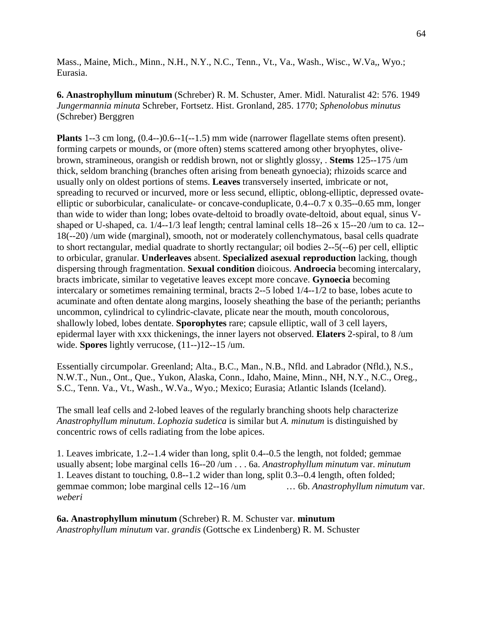Mass., Maine, Mich., Minn., N.H., N.Y., N.C., Tenn., Vt., Va., Wash., Wisc., W.Va,, Wyo.; Eurasia.

## **6. Anastrophyllum minutum** (Schreber) R. M. Schuster, Amer. Midl. Naturalist 42: 576. 1949 *Jungermannia minuta* Schreber, Fortsetz. Hist. Gronland, 285. 1770; *Sphenolobus minutus*  (Schreber) Berggren

**Plants** 1--3 cm long, (0.4--)0.6--1(--1.5) mm wide (narrower flagellate stems often present). forming carpets or mounds, or (more often) stems scattered among other bryophytes, olivebrown, stramineous, orangish or reddish brown, not or slightly glossy, . **Stems** 125--175 /um thick, seldom branching (branches often arising from beneath gynoecia); rhizoids scarce and usually only on oldest portions of stems. **Leaves** transversely inserted, imbricate or not, spreading to recurved or incurved, more or less secund, elliptic, oblong-elliptic, depressed ovateelliptic or suborbicular, canaliculate- or concave-conduplicate, 0.4--0.7 x 0.35--0.65 mm, longer than wide to wider than long; lobes ovate-deltoid to broadly ovate-deltoid, about equal, sinus Vshaped or U-shaped, ca. 1/4--1/3 leaf length; central laminal cells 18--26 x 15--20 /um to ca. 12-- 18(--20) /um wide (marginal), smooth, not or moderately collenchymatous, basal cells quadrate to short rectangular, medial quadrate to shortly rectangular; oil bodies 2--5(--6) per cell, elliptic to orbicular, granular. **Underleaves** absent. **Specialized asexual reproduction** lacking, though dispersing through fragmentation. **Sexual condition** dioicous. **Androecia** becoming intercalary, bracts imbricate, similar to vegetative leaves except more concave. **Gynoecia** becoming intercalary or sometimes remaining terminal, bracts 2--5 lobed 1/4--1/2 to base, lobes acute to acuminate and often dentate along margins, loosely sheathing the base of the perianth; perianths uncommon, cylindrical to cylindric-clavate, plicate near the mouth, mouth concolorous, shallowly lobed, lobes dentate. **Sporophytes** rare; capsule elliptic, wall of 3 cell layers, epidermal layer with xxx thickenings, the inner layers not observed. **Elaters** 2-spiral, to 8 /um wide. **Spores** lightly verrucose, (11--)12--15 /um.

Essentially circumpolar. Greenland; Alta., B.C., Man., N.B., Nfld. and Labrador (Nfld.), N.S., N.W.T., Nun., Ont., Que., Yukon, Alaska, Conn., Idaho, Maine, Minn., NH, N.Y., N.C., Oreg., S.C., Tenn. Va., Vt., Wash., W.Va., Wyo.; Mexico; Eurasia; Atlantic Islands (Iceland).

The small leaf cells and 2-lobed leaves of the regularly branching shoots help characterize *Anastrophyllum minutum*. *Lophozia sudetica* is similar but *A. minutum* is distinguished by concentric rows of cells radiating from the lobe apices.

1. Leaves imbricate, 1.2--1.4 wider than long, split 0.4--0.5 the length, not folded; gemmae usually absent; lobe marginal cells 16--20 /um . . . 6a. *Anastrophyllum minutum* var. *minutum* 1. Leaves distant to touching, 0.8--1.2 wider than long, split 0.3--0.4 length, often folded; gemmae common; lobe marginal cells 12--16 /um … 6b. *Anastrophyllum nimutum* var. *weberi*

**6a. Anastrophyllum minutum** (Schreber) R. M. Schuster var. **minutum** *Anastrophyllum minutum* var. *grandis* (Gottsche ex Lindenberg) R. M. Schuster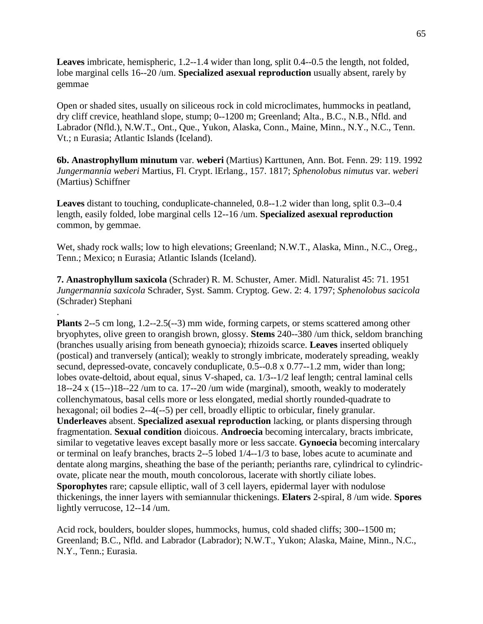**Leaves** imbricate, hemispheric, 1.2--1.4 wider than long, split 0.4--0.5 the length, not folded, lobe marginal cells 16--20 /um. **Specialized asexual reproduction** usually absent, rarely by gemmae

Open or shaded sites, usually on siliceous rock in cold microclimates, hummocks in peatland, dry cliff crevice, heathland slope, stump; 0--1200 m; Greenland; Alta., B.C., N.B., Nfld. and Labrador (Nfld.), N.W.T., Ont., Que., Yukon, Alaska, Conn., Maine, Minn., N.Y., N.C., Tenn. Vt.; n Eurasia; Atlantic Islands (Iceland).

**6b. Anastrophyllum minutum** var. **weberi** (Martius) Karttunen, Ann. Bot. Fenn. 29: 119. 1992 *Jungermannia weberi* Martius, Fl. Crypt. lErlang., 157. 1817; *Sphenolobus nimutus* var. *weberi*  (Martius) Schiffner

**Leaves** distant to touching, conduplicate-channeled, 0.8--1.2 wider than long, split 0.3--0.4 length, easily folded, lobe marginal cells 12--16 /um. **Specialized asexual reproduction** common, by gemmae.

Wet, shady rock walls; low to high elevations; Greenland; N.W.T., Alaska, Minn., N.C., Oreg., Tenn.; Mexico; n Eurasia; Atlantic Islands (Iceland).

**7. Anastrophyllum saxicola** (Schrader) R. M. Schuster, Amer. Midl. Naturalist 45: 71. 1951 *Jungermannia saxicola* Schrader, Syst. Samm. Cryptog. Gew. 2: 4. 1797; *Sphenolobus sacicola*  (Schrader) Stephani

. **Plants** 2--5 cm long, 1.2--2.5(--3) mm wide, forming carpets, or stems scattered among other bryophytes, olive green to orangish brown, glossy. **Stems** 240--380 /um thick, seldom branching (branches usually arising from beneath gynoecia); rhizoids scarce. **Leaves** inserted obliquely (postical) and tranversely (antical); weakly to strongly imbricate, moderately spreading, weakly secund, depressed-ovate, concavely conduplicate, 0.5--0.8 x 0.77--1.2 mm, wider than long; lobes ovate-deltoid, about equal, sinus V-shaped, ca. 1/3--1/2 leaf length; central laminal cells 18--24 x (15--)18--22 /um to ca. 17--20 /um wide (marginal), smooth, weakly to moderately collenchymatous, basal cells more or less elongated, medial shortly rounded-quadrate to hexagonal; oil bodies 2--4(--5) per cell, broadly elliptic to orbicular, finely granular. **Underleaves** absent. **Specialized asexual reproduction** lacking, or plants dispersing through fragmentation. **Sexual condition** dioicous. **Androecia** becoming intercalary, bracts imbricate, similar to vegetative leaves except basally more or less saccate. **Gynoecia** becoming intercalary or terminal on leafy branches, bracts 2--5 lobed 1/4--1/3 to base, lobes acute to acuminate and dentate along margins, sheathing the base of the perianth; perianths rare, cylindrical to cylindricovate, plicate near the mouth, mouth concolorous, lacerate with shortly ciliate lobes. **Sporophytes** rare; capsule elliptic, wall of 3 cell layers, epidermal layer with nodulose thickenings, the inner layers with semiannular thickenings. **Elaters** 2-spiral, 8 /um wide. **Spores**  lightly verrucose, 12--14 /um.

Acid rock, boulders, boulder slopes, hummocks, humus, cold shaded cliffs; 300--1500 m; Greenland; B.C., Nfld. and Labrador (Labrador); N.W.T., Yukon; Alaska, Maine, Minn., N.C., N.Y., Tenn.; Eurasia.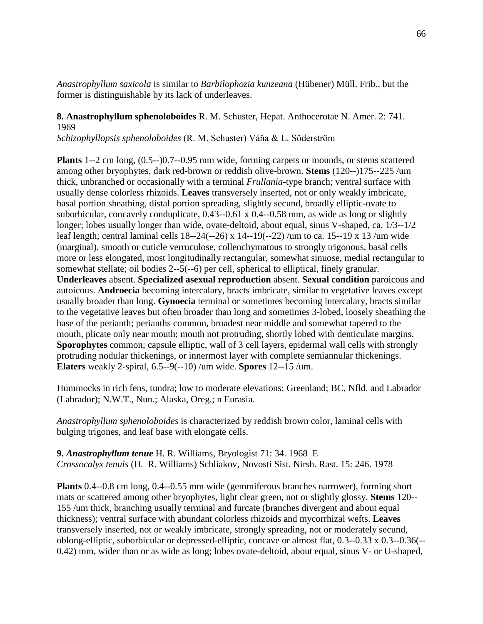*Anastrophyllum saxicola* is similar to *Barbilophozia kunzeana* (Hübener) Müll. Frib., but the former is distinguishable by its lack of underleaves.

**8. Anastrophyllum sphenoloboides** R. M. Schuster, Hepat. Anthocerotae N. Amer. 2: 741. 1969

*Schizophyllopsis sphenoloboides* (R. M. Schuster) Váňa & L. Söderström

**Plants** 1--2 cm long, (0.5--)0.7--0.95 mm wide, forming carpets or mounds, or stems scattered among other bryophytes, dark red-brown or reddish olive-brown. **Stems** (120--)175--225 /um thick, unbranched or occasionally with a terminal *Frullania*-type branch; ventral surface with usually dense colorless rhizoids. **Leaves** transversely inserted, not or only weakly imbricate, basal portion sheathing, distal portion spreading, slightly secund, broadly elliptic-ovate to suborbicular, concavely conduplicate, 0.43--0.61 x 0.4--0.58 mm, as wide as long or slightly longer; lobes usually longer than wide, ovate-deltoid, about equal, sinus V-shaped, ca. 1/3--1/2 leaf length; central laminal cells 18--24(--26) x 14--19(--22) /um to ca. 15--19 x 13 /um wide (marginal), smooth or cuticle verruculose, collenchymatous to strongly trigonous, basal cells more or less elongated, most longitudinally rectangular, somewhat sinuose, medial rectangular to somewhat stellate; oil bodies 2--5(--6) per cell, spherical to elliptical, finely granular. **Underleaves** absent. **Specialized asexual reproduction** absent. **Sexual condition** paroicous and autoicous. **Androecia** becoming intercalary, bracts imbricate, similar to vegetative leaves except usually broader than long. **Gynoecia** terminal or sometimes becoming intercalary, bracts similar to the vegetative leaves but often broader than long and sometimes 3-lobed, loosely sheathing the base of the perianth; perianths common, broadest near middle and somewhat tapered to the mouth, plicate only near mouth; mouth not protruding, shortly lobed with denticulate margins. **Sporophytes** common; capsule elliptic, wall of 3 cell layers, epidermal wall cells with strongly protruding nodular thickenings, or innermost layer with complete semiannular thickenings. **Elaters** weakly 2-spiral, 6.5--9(--10) /um wide. **Spores** 12--15 /um.

Hummocks in rich fens, tundra; low to moderate elevations; Greenland; BC, Nfld. and Labrador (Labrador); N.W.T., Nun.; Alaska, Oreg.; n Eurasia.

*Anastrophyllum sphenoloboides* is characterized by reddish brown color, laminal cells with bulging trigones, and leaf base with elongate cells.

**9.** *Anastrophyllum tenue* H. R. Williams, Bryologist 71: 34. 1968 E *Crossocalyx tenuis* (H. R. Williams) Schliakov, Novosti Sist. Nirsh. Rast. 15: 246. 1978

**Plants** 0.4--0.8 cm long, 0.4--0.55 mm wide (gemmiferous branches narrower), forming short mats or scattered among other bryophytes, light clear green, not or slightly glossy. **Stems** 120-- 155 /um thick, branching usually terminal and furcate (branches divergent and about equal thickness); ventral surface with abundant colorless rhizoids and mycorrhizal wefts. **Leaves**  transversely inserted, not or weakly imbricate, strongly spreading, not or moderately secund, oblong-elliptic, suborbicular or depressed-elliptic, concave or almost flat, 0.3--0.33 x 0.3--0.36(-- 0.42) mm, wider than or as wide as long; lobes ovate-deltoid, about equal, sinus V- or U-shaped,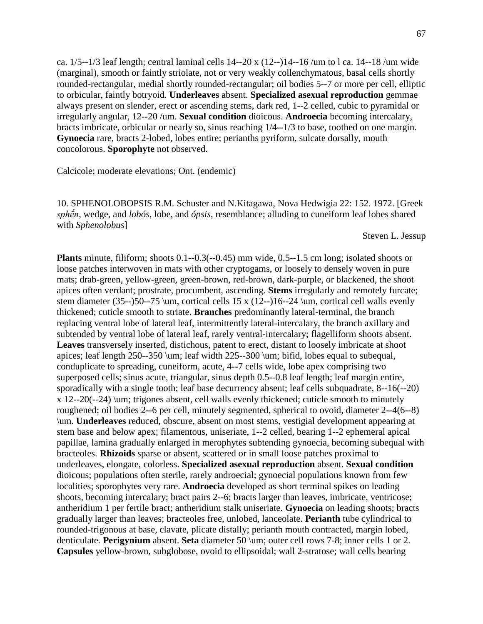ca.  $1/5$ --1/3 leaf length; central laminal cells  $14$ --20 x  $(12$ -- $)14$ --16/ $\mu$ m to l ca.  $14$ --18/ $\mu$ m wide (marginal), smooth or faintly striolate, not or very weakly collenchymatous, basal cells shortly rounded-rectangular, medial shortly rounded-rectangular; oil bodies 5--7 or more per cell, elliptic to orbicular, faintly botryoid. **Underleaves** absent. **Specialized asexual reproduction** gemmae always present on slender, erect or ascending stems, dark red, 1--2 celled, cubic to pyramidal or irregularly angular, 12--20 /um. **Sexual condition** dioicous. **Androecia** becoming intercalary, bracts imbricate, orbicular or nearly so, sinus reaching 1/4--1/3 to base, toothed on one margin. **Gynoecia** rare, bracts 2-lobed, lobes entire; perianths pyriform, sulcate dorsally, mouth concolorous. **Sporophyte** not observed.

Calcicole; moderate elevations; Ont. (endemic)

10. SPHENOLOBOPSIS R.M. Schuster and N.Kitagawa, Nova Hedwigia 22: 152. 1972. [Greek *sphḗn*, wedge, and *lobós*, lobe, and *ópsis*, resemblance; alluding to cuneiform leaf lobes shared with *Sphenolobus*]

Steven L. Jessup

**Plants** minute, filiform; shoots 0.1--0.3(--0.45) mm wide, 0.5--1.5 cm long; isolated shoots or loose patches interwoven in mats with other cryptogams, or loosely to densely woven in pure mats; drab-green, yellow-green, green-brown, red-brown, dark-purple, or blackened, the shoot apices often verdant; prostrate, procumbent, ascending. **Stems** irregularly and remotely furcate; stem diameter (35--)50--75 \um, cortical cells 15 x (12--)16--24 \um, cortical cell walls evenly thickened; cuticle smooth to striate. **Branches** predominantly lateral-terminal, the branch replacing ventral lobe of lateral leaf, intermittently lateral-intercalary, the branch axillary and subtended by ventral lobe of lateral leaf, rarely ventral-intercalary; flagelliform shoots absent. **Leaves** transversely inserted, distichous, patent to erect, distant to loosely imbricate at shoot apices; leaf length 250--350 \um; leaf width 225--300 \um; bifid, lobes equal to subequal, conduplicate to spreading, cuneiform, acute, 4--7 cells wide, lobe apex comprising two superposed cells; sinus acute, triangular, sinus depth 0.5--0.8 leaf length; leaf margin entire, sporadically with a single tooth; leaf base decurrency absent; leaf cells subquadrate, 8--16(--20) x 12--20(--24) \um; trigones absent, cell walls evenly thickened; cuticle smooth to minutely roughened; oil bodies 2--6 per cell, minutely segmented, spherical to ovoid, diameter 2--4(6--8) \um. **Underleaves** reduced, obscure, absent on most stems, vestigial development appearing at stem base and below apex; filamentous, uniseriate, 1--2 celled, bearing 1--2 ephemeral apical papillae, lamina gradually enlarged in merophytes subtending gynoecia, becoming subequal with bracteoles. **Rhizoids** sparse or absent, scattered or in small loose patches proximal to underleaves, elongate, colorless. **Specialized asexual reproduction** absent. **Sexual condition** dioicous; populations often sterile, rarely androecial; gynoecial populations known from few localities; sporophytes very rare. **Androecia** developed as short terminal spikes on leading shoots, becoming intercalary; bract pairs 2--6; bracts larger than leaves, imbricate, ventricose; antheridium 1 per fertile bract; antheridium stalk uniseriate. **Gynoecia** on leading shoots; bracts gradually larger than leaves; bracteoles free, unlobed, lanceolate. **Perianth** tube cylindrical to rounded-trigonous at base, clavate, plicate distally; perianth mouth contracted, margin lobed, denticulate. **Perigynium** absent. **Seta** diameter 50 \um; outer cell rows 7-8; inner cells 1 or 2. **Capsules** yellow-brown, subglobose, ovoid to ellipsoidal; wall 2-stratose; wall cells bearing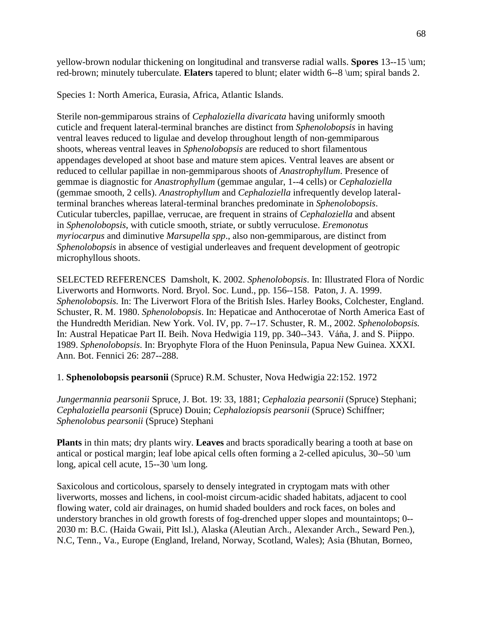yellow-brown nodular thickening on longitudinal and transverse radial walls. **Spores** 13--15 \um; red-brown; minutely tuberculate. **Elaters** tapered to blunt; elater width 6--8 \um; spiral bands 2.

Species 1: North America, Eurasia, Africa, Atlantic Islands.

Sterile non-gemmiparous strains of *Cephaloziella divaricata* having uniformly smooth cuticle and frequent lateral-terminal branches are distinct from *Sphenolobopsis* in having ventral leaves reduced to ligulae and develop throughout length of non-gemmiparous shoots, whereas ventral leaves in *Sphenolobopsis* are reduced to short filamentous appendages developed at shoot base and mature stem apices. Ventral leaves are absent or reduced to cellular papillae in non-gemmiparous shoots of *Anastrophyllum*. Presence of gemmae is diagnostic for *Anastrophyllum* (gemmae angular, 1--4 cells) or *Cephaloziella* (gemmae smooth, 2 cells). *Anastrophyllum* and *Cephaloziella* infrequently develop lateralterminal branches whereas lateral-terminal branches predominate in *Sphenolobopsis*. Cuticular tubercles, papillae, verrucae, are frequent in strains of *Cephaloziella* and absent in *Sphenolobopsis*, with cuticle smooth, striate, or subtly verruculose. *Eremonotus myriocarpus* and diminutive *Marsupella spp*., also non-gemmiparous, are distinct from *Sphenolobopsis* in absence of vestigial underleaves and frequent development of geotropic microphyllous shoots.

SELECTED REFERENCES Damsholt, K. 2002. *Sphenolobopsis*. In: Illustrated Flora of Nordic Liverworts and Hornworts. Nord. Bryol. Soc. Lund., pp. 156--158. Paton, J. A. 1999. *Sphenolobopsis.* In: The Liverwort Flora of the British Isles. Harley Books, Colchester, England. Schuster, R. M. 1980. *Sphenolobopsis*. In: Hepaticae and Anthocerotae of North America East of the Hundredth Meridian. New York. Vol. IV, pp. 7--17. Schuster, R. M., 2002. *Sphenolobopsis.*  In: Austral Hepaticae Part II. Beih. Nova Hedwigia 119, pp. 340--343. Váňa, J. and S. Piippo. 1989. *Sphenolobopsis*. In: Bryophyte Flora of the Huon Peninsula, Papua New Guinea. XXXI. Ann. Bot. Fennici 26: 287--288.

1. **Sphenolobopsis pearsonii** (Spruce) R.M. Schuster, Nova Hedwigia 22:152. 1972

*Jungermannia pearsonii* Spruce*,* J. Bot. 19: 33, 1881; *Cephalozia pearsonii* (Spruce) Stephani; *Cephaloziella pearsonii* (Spruce) Douin; *Cephaloziopsis pearsonii* (Spruce) Schiffner; *Sphenolobus pearsonii* (Spruce) Stephani

**Plants** in thin mats; dry plants wiry. **Leaves** and bracts sporadically bearing a tooth at base on antical or postical margin; leaf lobe apical cells often forming a 2-celled apiculus, 30--50 \um long, apical cell acute, 15--30 \um long.

Saxicolous and corticolous, sparsely to densely integrated in cryptogam mats with other liverworts, mosses and lichens, in cool-moist circum-acidic shaded habitats, adjacent to cool flowing water, cold air drainages, on humid shaded boulders and rock faces, on boles and understory branches in old growth forests of fog-drenched upper slopes and mountaintops; 0-- 2030 m: B.C. (Haida Gwaii, Pitt Isl.), Alaska (Aleutian Arch., Alexander Arch., Seward Pen.), N.C, Tenn., Va., Europe (England, Ireland, Norway, Scotland, Wales); Asia (Bhutan, Borneo,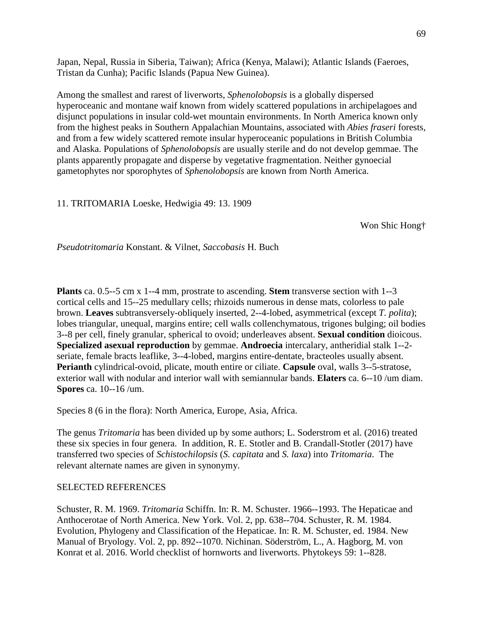Japan, Nepal, Russia in Siberia, Taiwan); Africa (Kenya, Malawi); Atlantic Islands (Faeroes, Tristan da Cunha); Pacific Islands (Papua New Guinea).

Among the smallest and rarest of liverworts, *Sphenolobopsis* is a globally dispersed hyperoceanic and montane waif known from widely scattered populations in archipelagoes and disjunct populations in insular cold-wet mountain environments. In North America known only from the highest peaks in Southern Appalachian Mountains, associated with *Abies fraseri* forests, and from a few widely scattered remote insular hyperoceanic populations in British Columbia and Alaska. Populations of *Sphenolobopsis* are usually sterile and do not develop gemmae. The plants apparently propagate and disperse by vegetative fragmentation. Neither gynoecial gametophytes nor sporophytes of *Sphenolobopsis* are known from North America.

11. TRITOMARIA Loeske, Hedwigia 49: 13. 1909

Won Shic Hong†

*Pseudotritomaria* Konstant. & Vilnet, *Saccobasis* H. Buch

**Plants** ca. 0.5--5 cm x 1--4 mm, prostrate to ascending. **Stem** transverse section with 1--3 cortical cells and 15--25 medullary cells; rhizoids numerous in dense mats, colorless to pale brown. **Leaves** subtransversely-obliquely inserted, 2--4-lobed, asymmetrical (except *T. polita*); lobes triangular, unequal, margins entire; cell walls collenchymatous, trigones bulging; oil bodies 3--8 per cell, finely granular, spherical to ovoid; underleaves absent. **Sexual condition** dioicous. **Specialized asexual reproduction** by gemmae. **Androecia** intercalary, antheridial stalk 1--2 seriate, female bracts leaflike, 3--4-lobed, margins entire-dentate, bracteoles usually absent. **Perianth** cylindrical-ovoid, plicate, mouth entire or ciliate. **Capsule** oval, walls 3--5-stratose, exterior wall with nodular and interior wall with semiannular bands. **Elaters** ca. 6--10 /um diam. **Spores** ca. 10--16 /um.

Species 8 (6 in the flora): North America, Europe, Asia, Africa.

The genus *Tritomaria* has been divided up by some authors; L. Soderstrom et al. (2016) treated these six species in four genera. In addition, R. E. Stotler and B. Crandall-Stotler (2017) have transferred two species of *Schistochilopsis* (*S. capitata* and *S. laxa*) into *Tritomaria*. The relevant alternate names are given in synonymy.

#### SELECTED REFERENCES

Schuster, R. M. 1969. *Tritomaria* Schiffn. In: R. M. Schuster. 1966--1993. The Hepaticae and Anthocerotae of North America. New York. Vol. 2, pp. 638--704. Schuster, R. M. 1984. Evolution, Phylogeny and Classification of the Hepaticae. In: R. M. Schuster, ed. 1984. New Manual of Bryology. Vol. 2, pp. 892--1070. Nichinan. Söderström, L., A. Hagborg, M. von Konrat et al. 2016. World checklist of hornworts and liverworts. Phytokeys 59: 1--828.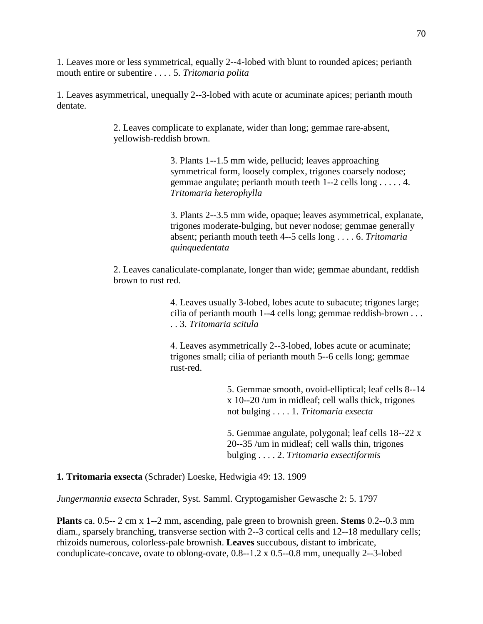1. Leaves more or less symmetrical, equally 2--4-lobed with blunt to rounded apices; perianth mouth entire or subentire . . . . 5. *Tritomaria polita*

1. Leaves asymmetrical, unequally 2--3-lobed with acute or acuminate apices; perianth mouth dentate.

> 2. Leaves complicate to explanate, wider than long; gemmae rare-absent, yellowish-reddish brown.

> > 3. Plants 1--1.5 mm wide, pellucid; leaves approaching symmetrical form, loosely complex, trigones coarsely nodose; gemmae angulate; perianth mouth teeth 1--2 cells long . . . . . 4. *Tritomaria heterophylla*

3. Plants 2--3.5 mm wide, opaque; leaves asymmetrical, explanate, trigones moderate-bulging, but never nodose; gemmae generally absent; perianth mouth teeth 4--5 cells long . . . . 6. *Tritomaria quinquedentata*

2. Leaves canaliculate-complanate, longer than wide; gemmae abundant, reddish brown to rust red.

> 4. Leaves usually 3-lobed, lobes acute to subacute; trigones large; cilia of perianth mouth 1--4 cells long; gemmae reddish-brown . . . . . 3. *Tritomaria scitula*

4. Leaves asymmetrically 2--3-lobed, lobes acute or acuminate; trigones small; cilia of perianth mouth 5--6 cells long; gemmae rust-red.

> 5. Gemmae smooth, ovoid-elliptical; leaf cells 8--14 x 10--20 /um in midleaf; cell walls thick, trigones not bulging . . . . 1. *Tritomaria exsecta*

5. Gemmae angulate, polygonal; leaf cells 18--22 x 20--35 /um in midleaf; cell walls thin, trigones bulging . . . . 2. *Tritomaria exsectiformis*

**1. Tritomaria exsecta** (Schrader) Loeske, Hedwigia 49: 13. 1909

*Jungermannia exsecta* Schrader, Syst. Samml. Cryptogamisher Gewasche 2: 5. 1797

**Plants** ca. 0.5-- 2 cm x 1--2 mm, ascending, pale green to brownish green. **Stems** 0.2--0.3 mm diam., sparsely branching, transverse section with 2--3 cortical cells and 12--18 medullary cells; rhizoids numerous, colorless-pale brownish. **Leaves** succubous, distant to imbricate, conduplicate-concave, ovate to oblong-ovate, 0.8--1.2 x 0.5--0.8 mm, unequally 2--3-lobed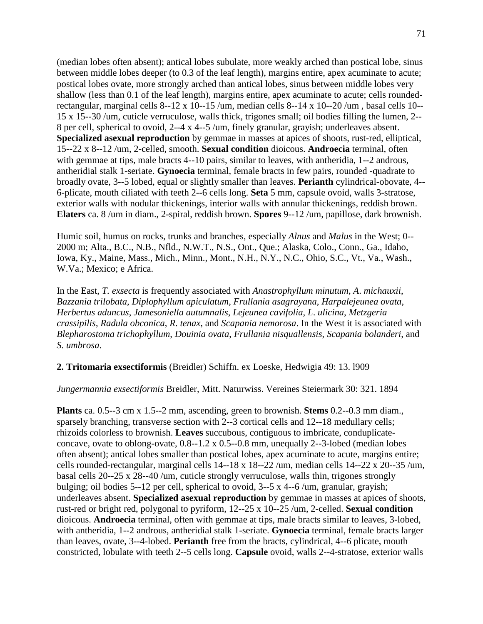(median lobes often absent); antical lobes subulate, more weakly arched than postical lobe, sinus between middle lobes deeper (to 0.3 of the leaf length), margins entire, apex acuminate to acute; postical lobes ovate, more strongly arched than antical lobes, sinus between middle lobes very shallow (less than 0.1 of the leaf length), margins entire, apex acuminate to acute; cells roundedrectangular, marginal cells 8--12 x 10--15 /um, median cells 8--14 x 10--20 /um , basal cells 10-- 15 x 15--30 /um, cuticle verruculose, walls thick, trigones small; oil bodies filling the lumen, 2-- 8 per cell, spherical to ovoid, 2--4 x 4--5 /um, finely granular, grayish; underleaves absent. **Specialized asexual reproduction** by gemmae in masses at apices of shoots, rust-red, elliptical, 15--22 x 8--12 /um, 2-celled, smooth. **Sexual condition** dioicous. **Androecia** terminal, often with gemmae at tips, male bracts 4--10 pairs, similar to leaves, with antheridia, 1--2 androus, antheridial stalk 1-seriate. **Gynoecia** terminal, female bracts in few pairs, rounded -quadrate to broadly ovate, 3--5 lobed, equal or slightly smaller than leaves. **Perianth** cylindrical-obovate, 4-- 6-plicate, mouth ciliated with teeth 2--6 cells long. **Seta** 5 mm, capsule ovoid, walls 3-stratose, exterior walls with nodular thickenings, interior walls with annular thickenings, reddish brown. **Elaters** ca. 8 /um in diam., 2-spiral, reddish brown. **Spores** 9--12 /um, papillose, dark brownish.

Humic soil, humus on rocks, trunks and branches, especially *Alnus* and *Malus* in the West; 0-- 2000 m; Alta., B.C., N.B., Nfld., N.W.T., N.S., Ont., Que.; Alaska, Colo., Conn., Ga., Idaho, Iowa, Ky., Maine, Mass., Mich., Minn., Mont., N.H., N.Y., N.C., Ohio, S.C., Vt., Va., Wash., W.Va.; Mexico; e Africa.

In the East, *T. exsecta* is frequently associated with *Anastrophyllum minutum*, *A*. *michauxii*, *Bazzania trilobata*, *Diplophyllum apiculatum*, *Frullania asagrayana*, *Harpalejeunea ovata*, *Herbertus aduncus*, *Jamesoniella autumnalis*, *Lejeunea cavifolia*, *L*. *ulicina*, *Metzgeria crassipilis*, *Radula obconica*, *R*. *tenax*, and *Scapania nemorosa*. In the West it is associated with *Blepharostoma trichophyllum*, *Douinia ovata*, *Frullania nisquallensis*, *Scapania bolanderi*, and *S*. *umbrosa*.

#### **2. Tritomaria exsectiformis** (Breidler) Schiffn. ex Loeske, Hedwigia 49: 13. l909

*Jungermannia exsectiformis* Breidler, Mitt. Naturwiss. Vereines Steiermark 30: 321. 1894

**Plants** ca. 0.5--3 cm x 1.5--2 mm, ascending, green to brownish. **Stems** 0.2--0.3 mm diam., sparsely branching, transverse section with 2--3 cortical cells and 12--18 medullary cells; rhizoids colorless to brownish. **Leaves** succubous, contiguous to imbricate, conduplicateconcave, ovate to oblong-ovate, 0.8--1.2 x 0.5--0.8 mm, unequally 2--3-lobed (median lobes often absent); antical lobes smaller than postical lobes, apex acuminate to acute, margins entire; cells rounded-rectangular, marginal cells 14--18 x 18--22 /um, median cells 14--22 x 20--35 /um, basal cells 20--25 x 28--40 /um, cuticle strongly verruculose, walls thin, trigones strongly bulging; oil bodies 5--12 per cell, spherical to ovoid, 3--5 x 4--6 /um, granular, grayish; underleaves absent. **Specialized asexual reproduction** by gemmae in masses at apices of shoots, rust-red or bright red, polygonal to pyriform, 12--25 x 10--25 /um, 2-celled. **Sexual condition**  dioicous. **Androecia** terminal, often with gemmae at tips, male bracts similar to leaves, 3-lobed, with antheridia, 1--2 androus, antheridial stalk 1-seriate. **Gynoecia** terminal, female bracts larger than leaves, ovate, 3--4-lobed. **Perianth** free from the bracts, cylindrical, 4--6 plicate, mouth constricted, lobulate with teeth 2--5 cells long. **Capsule** ovoid, walls 2--4-stratose, exterior walls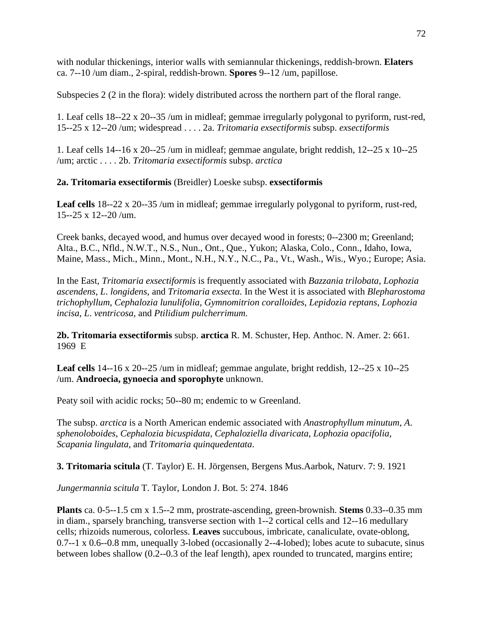with nodular thickenings, interior walls with semiannular thickenings, reddish-brown. **Elaters**  ca. 7--10 /um diam., 2-spiral, reddish-brown. **Spores** 9--12 /um, papillose.

Subspecies 2 (2 in the flora): widely distributed across the northern part of the floral range.

1. Leaf cells 18--22 x 20--35 /um in midleaf; gemmae irregularly polygonal to pyriform, rust-red, 15--25 x 12--20 /um; widespread . . . . 2a. *Tritomaria exsectiformis* subsp. *exsectiformis*

1. Leaf cells 14--16 x 20--25 /um in midleaf; gemmae angulate, bright reddish, 12--25 x 10--25 /um; arctic . . . . 2b. *Tritomaria exsectiformis* subsp. *arctica*

**2a. Tritomaria exsectiformis** (Breidler) Loeske subsp. **exsectiformis**

**Leaf cells** 18--22 x 20--35 /um in midleaf; gemmae irregularly polygonal to pyriform, rust-red, 15--25 x 12--20 /um.

Creek banks, decayed wood, and humus over decayed wood in forests; 0--2300 m; Greenland; Alta., B.C., Nfld., N.W.T., N.S., Nun., Ont., Que., Yukon; Alaska, Colo., Conn., Idaho, Iowa, Maine, Mass., Mich., Minn., Mont., N.H., N.Y., N.C., Pa., Vt., Wash., Wis., Wyo.; Europe; Asia.

In the East, *Tritomaria exsectiformis* is frequently associated with *Bazzania trilobata*, *Lophozia ascendens*, *L*. *longidens*, and *Tritomaria exsecta*. In the West it is associated with *Blepharostoma trichophyllum*, *Cephalozia lunulifolia*, *Gymnomitrion coralloides*, *Lepidozia reptans*, *Lophozia incisa*, *L*. *ventricosa*, and *Ptilidium pulcherrimum.*

**2b. Tritomaria exsectiformis** subsp. **arctica** R. M. Schuster, Hep. Anthoc. N. Amer. 2: 661. 1969 E

**Leaf cells** 14--16 x 20--25 /um in midleaf; gemmae angulate, bright reddish, 12--25 x 10--25 /um. **Androecia, gynoecia and sporophyte** unknown.

Peaty soil with acidic rocks; 50--80 m; endemic to w Greenland.

The subsp. *arctica* is a North American endemic associated with *Anastrophyllum minutum*, *A*. *sphenoloboides*, *Cephalozia bicuspidata*, *Cephaloziella divaricata*, *Lophozia opacifolia*, *Scapania lingulata*, and *Tritomaria quinquedentata*.

**3. Tritomaria scitula** (T. Taylor) E. H. Jörgensen, Bergens Mus.Aarbok, Naturv. 7: 9. 1921

*Jungermannia scitula* T. Taylor, London J. Bot. 5: 274. 1846

**Plants** ca. 0-5--1.5 cm x 1.5--2 mm, prostrate-ascending, green-brownish. **Stems** 0.33--0.35 mm in diam., sparsely branching, transverse section with 1--2 cortical cells and 12--16 medullary cells; rhizoids numerous, colorless. **Leaves** succubous, imbricate, canaliculate, ovate-oblong, 0.7--1 x 0.6--0.8 mm, unequally 3-lobed (occasionally 2--4-lobed); lobes acute to subacute, sinus between lobes shallow (0.2--0.3 of the leaf length), apex rounded to truncated, margins entire;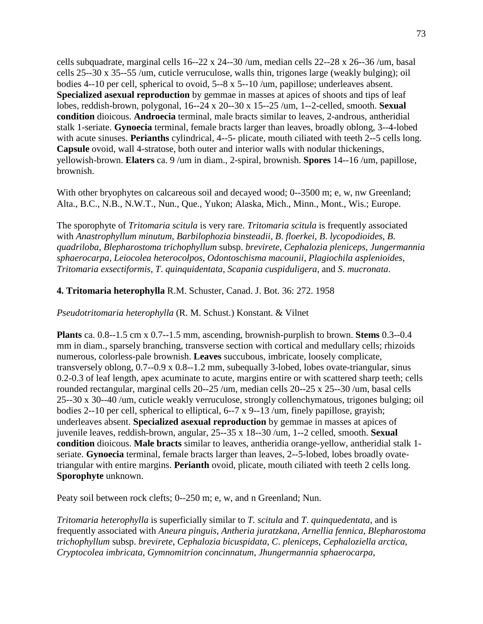cells subquadrate, marginal cells 16--22 x 24--30 /um, median cells 22--28 x 26--36 /um, basal cells 25--30 x 35--55 /um, cuticle verruculose, walls thin, trigones large (weakly bulging); oil bodies 4--10 per cell, spherical to ovoid, 5--8 x 5--10 /um, papillose; underleaves absent. **Specialized asexual reproduction** by gemmae in masses at apices of shoots and tips of leaf lobes, reddish-brown, polygonal, 16--24 x 20--30 x 15--25 /um, 1--2-celled, smooth. **Sexual condition** dioicous. **Androecia** terminal, male bracts similar to leaves, 2-androus, antheridial stalk 1-seriate. **Gynoecia** terminal, female bracts larger than leaves, broadly oblong, 3--4-lobed with acute sinuses. **Perianths** cylindrical, 4--5- plicate, mouth ciliated with teeth 2--5 cells long. **Capsule** ovoid, wall 4-stratose, both outer and interior walls with nodular thickenings, yellowish-brown. **Elaters** ca. 9 /um in diam., 2-spiral, brownish. **Spores** 14--16 /um, papillose, brownish.

With other bryophytes on calcareous soil and decayed wood; 0--3500 m; e, w, nw Greenland; Alta., B.C., N.B., N.W.T., Nun., Que., Yukon; Alaska, Mich., Minn., Mont., Wis.; Europe.

The sporophyte of *Tritomaria scitula* is very rare. *Tritomaria scitula* is frequently associated with *Anastrophyllum minutum*, *Barbilophozia binsteadii*, *B*. *floerkei*, *B*. *lycopodioides*, *B*. *quadriloba*, *Blepharostoma trichophyllum* subsp. *brevirete*, *Cephalozia pleniceps*, *Jungermannia sphaerocarpa*, *Leiocolea heterocolpos*, *Odontoschisma macounii*, *Plagiochila asplenioides*, *Tritomaria exsectiformis*, *T*. *quinquidentata*, *Scapania cuspiduligera*, and *S*. *mucronata*.

#### **4. Tritomaria heterophylla** R.M. Schuster, Canad. J. Bot. 36: 272. 1958

*Pseudotritomaria heterophylla* (R. M. Schust.) Konstant. & Vilnet

**Plants** ca. 0.8--1.5 cm x 0.7--1.5 mm, ascending, brownish-purplish to brown. **Stems** 0.3--0.4 mm in diam., sparsely branching, transverse section with cortical and medullary cells; rhizoids numerous, colorless-pale brownish. **Leaves** succubous, imbricate, loosely complicate, transversely oblong, 0.7--0.9 x 0.8--1.2 mm, subequally 3-lobed, lobes ovate-triangular, sinus 0.2-0.3 of leaf length, apex acuminate to acute, margins entire or with scattered sharp teeth; cells rounded rectangular, marginal cells 20--25 /um, median cells 20--25 x 25--30 /um, basal cells 25--30 x 30--40 /um, cuticle weakly verruculose, strongly collenchymatous, trigones bulging; oil bodies 2--10 per cell, spherical to elliptical, 6--7 x 9--13 /um, finely papillose, grayish; underleaves absent. **Specialized asexual reproduction** by gemmae in masses at apices of juvenile leaves, reddish-brown, angular, 25--35 x 18--30 /um, 1--2 celled, smooth. **Sexual condition** dioicous. **Male bracts** similar to leaves, antheridia orange-yellow, antheridial stalk 1 seriate. **Gynoecia** terminal, female bracts larger than leaves, 2--5-lobed, lobes broadly ovatetriangular with entire margins. **Perianth** ovoid, plicate, mouth ciliated with teeth 2 cells long. **Sporophyte** unknown.

Peaty soil between rock clefts; 0--250 m; e, w, and n Greenland; Nun.

*Tritomaria heterophylla* is superficially similar to *T. scitula* and *T*. *quinquedentata,* and is frequently associated with *Aneura pinguis*, *Antheria juratzkana*, *Arnellia fennica*, *Blepharostoma trichophyllum* subsp. *brevirete*, *Cephalozia bicuspidata*, *C*. *pleniceps*, *Cephaloziella arctica*, *Cryptocolea imbricata*, *Gymnomitrion concinnatum, Jhungermannia sphaerocarpa*,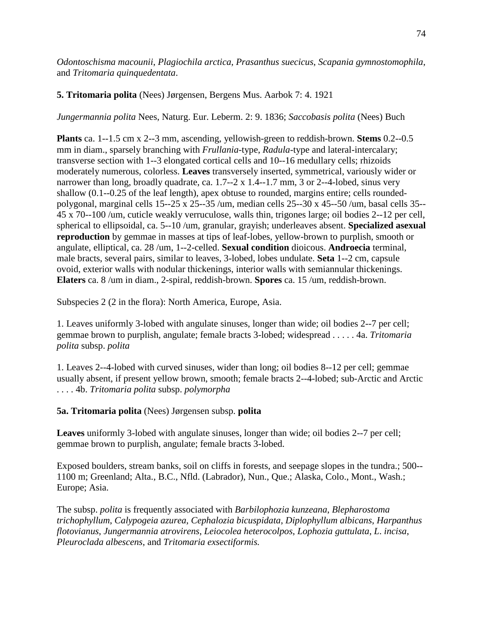*Odontoschisma macounii*, *Plagiochila arctica*, *Prasanthus suecicus*, *Scapania gymnostomophila*, and *Tritomaria quinquedentata*.

## **5. Tritomaria polita** (Nees) Jørgensen, Bergens Mus. Aarbok 7: 4. 1921

*Jungermannia polita* Nees, Naturg. Eur. Leberm. 2: 9. 1836; *Saccobasis polita* (Nees) Buch

**Plants** ca. 1--1.5 cm x 2--3 mm, ascending, yellowish-green to reddish-brown. **Stems** 0.2--0.5 mm in diam., sparsely branching with *Frullania*-type, *Radula-*type and lateral-intercalary; transverse section with 1--3 elongated cortical cells and 10--16 medullary cells; rhizoids moderately numerous, colorless. **Leaves** transversely inserted, symmetrical, variously wider or narrower than long, broadly quadrate, ca. 1.7--2 x 1.4--1.7 mm, 3 or 2--4-lobed, sinus very shallow (0.1--0.25 of the leaf length), apex obtuse to rounded, margins entire; cells roundedpolygonal, marginal cells 15--25 x 25--35 /um, median cells 25--30 x 45--50 /um, basal cells 35-- 45 x 70--100 /um, cuticle weakly verruculose, walls thin, trigones large; oil bodies 2--12 per cell, spherical to ellipsoidal, ca. 5--10 /um, granular, grayish; underleaves absent. **Specialized asexual reproduction** by gemmae in masses at tips of leaf-lobes, yellow-brown to purplish, smooth or angulate, elliptical, ca. 28 /um, 1--2-celled. **Sexual condition** dioicous. **Androecia** terminal, male bracts, several pairs, similar to leaves, 3-lobed, lobes undulate. **Seta** 1--2 cm, capsule ovoid, exterior walls with nodular thickenings, interior walls with semiannular thickenings. **Elaters** ca. 8 /um in diam., 2-spiral, reddish-brown. **Spores** ca. 15 /um, reddish-brown.

Subspecies 2 (2 in the flora): North America, Europe, Asia.

1. Leaves uniformly 3-lobed with angulate sinuses, longer than wide; oil bodies 2--7 per cell; gemmae brown to purplish, angulate; female bracts 3-lobed; widespread . . . . . 4a. *Tritomaria polita* subsp. *polita*

1. Leaves 2--4-lobed with curved sinuses, wider than long; oil bodies 8--12 per cell; gemmae usually absent, if present yellow brown, smooth; female bracts 2--4-lobed; sub-Arctic and Arctic . . . . 4b. *Tritomaria polita* subsp. *polymorpha*

# **5a. Tritomaria polita** (Nees) Jørgensen subsp. **polita**

**Leaves** uniformly 3-lobed with angulate sinuses, longer than wide; oil bodies 2--7 per cell; gemmae brown to purplish, angulate; female bracts 3-lobed.

Exposed boulders, stream banks, soil on cliffs in forests, and seepage slopes in the tundra.; 500-- 1100 m; Greenland; Alta., B.C., Nfld. (Labrador), Nun., Que.; Alaska, Colo., Mont., Wash.; Europe; Asia.

The subsp. *polita* is frequently associated with *Barbilophozia kunzeana*, *Blepharostoma trichophyllum*, *Calypogeia azurea*, *Cephalozia bicuspidata*, *Diplophyllum albicans*, *Harpanthus flotovianus*, *Jungermannia atrovirens*, *Leiocolea heterocolpos*, *Lophozia guttulata*, *L*. *incisa*, *Pleuroclada albescens*, and *Tritomaria exsectiformis.*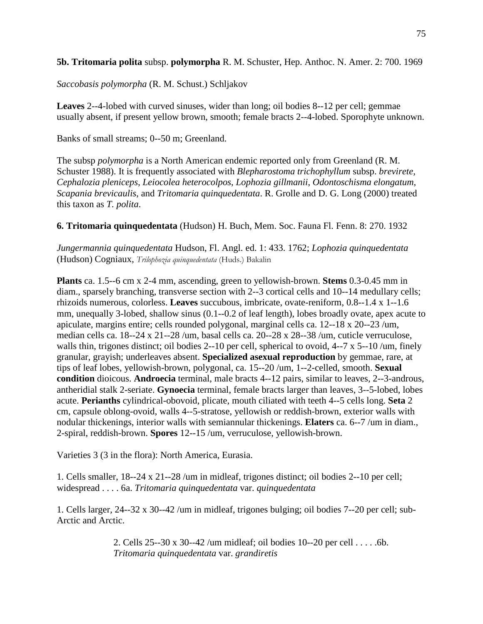### **5b. Tritomaria polita** subsp. **polymorpha** R. M. Schuster, Hep. Anthoc. N. Amer. 2: 700. 1969

*Saccobasis polymorpha* (R. M. Schust.) Schljakov

**Leaves** 2--4-lobed with curved sinuses, wider than long; oil bodies 8--12 per cell; gemmae usually absent, if present yellow brown, smooth; female bracts 2--4-lobed. Sporophyte unknown.

Banks of small streams; 0--50 m; Greenland.

The subsp *polymorpha* is a North American endemic reported only from Greenland (R. M. Schuster 1988). It is frequently associated with *Blepharostoma trichophyllum* subsp. *brevirete*, *Cephalozia pleniceps*, *Leiocolea heterocolpos*, *Lophozia gillmanii*, *Odontoschisma elongatum*, *Scapania brevicaulis*, and *Tritomaria quinquedentata*. R. Grolle and D. G. Long (2000) treated this taxon as *T. polita*.

**6. Tritomaria quinquedentata** (Hudson) H. Buch, Mem. Soc. Fauna Fl. Fenn. 8: 270. 1932

*Jungermannia quinquedentata* Hudson, Fl. Angl. ed. 1: 433. 1762; *Lophozia quinquedentata* (Hudson) Cogniaux, *Trilophozia quinquedentata* (Huds.) Bakalin

**Plants** ca. 1.5--6 cm x 2-4 mm, ascending, green to yellowish-brown. **Stems** 0.3-0.45 mm in diam., sparsely branching, transverse section with 2--3 cortical cells and 10--14 medullary cells; rhizoids numerous, colorless. **Leaves** succubous, imbricate, ovate-reniform, 0.8--1.4 x 1--1.6 mm, unequally 3-lobed, shallow sinus (0.1--0.2 of leaf length), lobes broadly ovate, apex acute to apiculate, margins entire; cells rounded polygonal, marginal cells ca. 12--18 x 20--23 /um, median cells ca. 18--24 x 21--28 /um, basal cells ca. 20--28 x 28--38 /um, cuticle verruculose, walls thin, trigones distinct; oil bodies 2--10 per cell, spherical to ovoid, 4--7 x 5--10 /um, finely granular, grayish; underleaves absent. **Specialized asexual reproduction** by gemmae, rare, at tips of leaf lobes, yellowish-brown, polygonal, ca. 15--20 /um, 1--2-celled, smooth. **Sexual condition** dioicous. **Androecia** terminal, male bracts 4--12 pairs, similar to leaves, 2--3-androus, antheridial stalk 2-seriate. **Gynoecia** terminal, female bracts larger than leaves, 3--5-lobed, lobes acute. **Perianths** cylindrical-obovoid, plicate, mouth ciliated with teeth 4--5 cells long. **Seta** 2 cm, capsule oblong-ovoid, walls 4--5-stratose, yellowish or reddish-brown, exterior walls with nodular thickenings, interior walls with semiannular thickenings. **Elaters** ca. 6--7 /um in diam., 2-spiral, reddish-brown. **Spores** 12--15 /um, verruculose, yellowish-brown.

Varieties 3 (3 in the flora): North America, Eurasia.

1. Cells smaller, 18--24 x 21--28 /um in midleaf, trigones distinct; oil bodies 2--10 per cell; widespread . . . . 6a. *Tritomaria quinquedentata* var. *quinquedentata*

1. Cells larger, 24--32 x 30--42 /um in midleaf, trigones bulging; oil bodies 7--20 per cell; sub-Arctic and Arctic.

> 2. Cells 25--30 x 30--42 /um midleaf; oil bodies 10--20 per cell . . . . .6b. *Tritomaria quinquedentata* var. *grandiretis*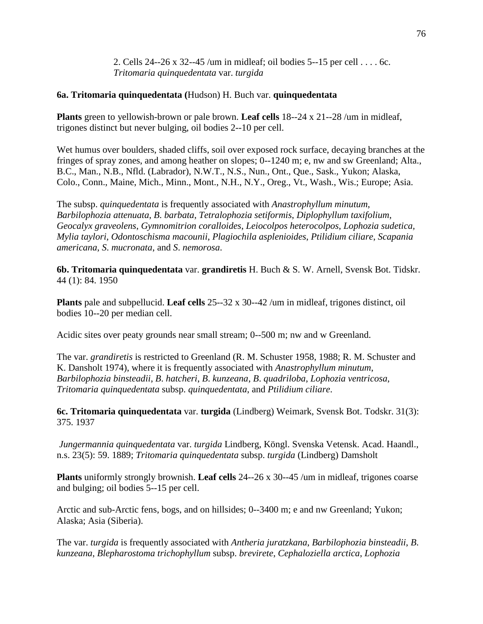2. Cells 24--26 x 32--45 /um in midleaf; oil bodies 5--15 per cell . . . . 6c. *Tritomaria quinquedentata* var. *turgida*

### **6a. Tritomaria quinquedentata (**Hudson) H. Buch var. **quinquedentata**

**Plants** green to yellowish-brown or pale brown. **Leaf cells** 18--24 x 21--28 /um in midleaf, trigones distinct but never bulging, oil bodies 2--10 per cell.

Wet humus over boulders, shaded cliffs, soil over exposed rock surface, decaying branches at the fringes of spray zones, and among heather on slopes; 0--1240 m; e, nw and sw Greenland; Alta., B.C., Man., N.B., Nfld. (Labrador), N.W.T., N.S., Nun., Ont., Que., Sask., Yukon; Alaska, Colo., Conn., Maine, Mich., Minn., Mont., N.H., N.Y., Oreg., Vt., Wash., Wis.; Europe; Asia.

The subsp. *quinquedentata* is frequently associated with *Anastrophyllum minutum*, *Barbilophozia attenuata*, *B*. *barbata*, *Tetralophozia setiformis*, *Diplophyllum taxifolium*, *Geocalyx graveolens*, *Gymnomitrion coralloides*, *Leiocolpos heterocolpos*, *Lophozia sudetica, Mylia taylori*, *Odontoschisma macounii*, *Plagiochila asplenioides*, *Ptilidium ciliare*, *Scapania americana*, *S*. *mucronata*, and *S*. *nemorosa*.

**6b. Tritomaria quinquedentata** var. **grandiretis** H. Buch & S. W. Arnell, Svensk Bot. Tidskr. 44 (1): 84. 1950

**Plants** pale and subpellucid. **Leaf cells** 25--32 x 30--42 /um in midleaf, trigones distinct, oil bodies 10--20 per median cell.

Acidic sites over peaty grounds near small stream; 0--500 m; nw and w Greenland.

The var. *grandiretis* is restricted to Greenland (R. M. Schuster 1958, 1988; R. M. Schuster and K. Dansholt 1974), where it is frequently associated with *Anastrophyllum minutum*, *Barbilophozia binsteadii*, *B*. *hatcheri*, *B*. *kunzeana*, *B*. *quadriloba*, *Lophozia ventricosa*, *Tritomaria quinquedentata* subsp. *quinquedentata*, and *Ptilidium ciliare*.

**6c. Tritomaria quinquedentata** var. **turgida** (Lindberg) Weimark, Svensk Bot. Todskr. 31(3): 375. 1937

*Jungermannia quinquedentata* var. *turgida* Lindberg, Köngl. Svenska Vetensk. Acad. Haandl., n.s. 23(5): 59. 1889; *Tritomaria quinquedentata* subsp. *turgida* (Lindberg) Damsholt

**Plants** uniformly strongly brownish. **Leaf cells** 24--26 x 30--45 /um in midleaf, trigones coarse and bulging; oil bodies 5--15 per cell.

Arctic and sub-Arctic fens, bogs, and on hillsides; 0--3400 m; e and nw Greenland; Yukon; Alaska; Asia (Siberia).

The var. *turgida* is frequently associated with *Antheria juratzkana*, *Barbilophozia binsteadii*, *B*. *kunzeana*, *Blepharostoma trichophyllum* subsp. *brevirete*, *Cephaloziella arctica*, *Lophozia*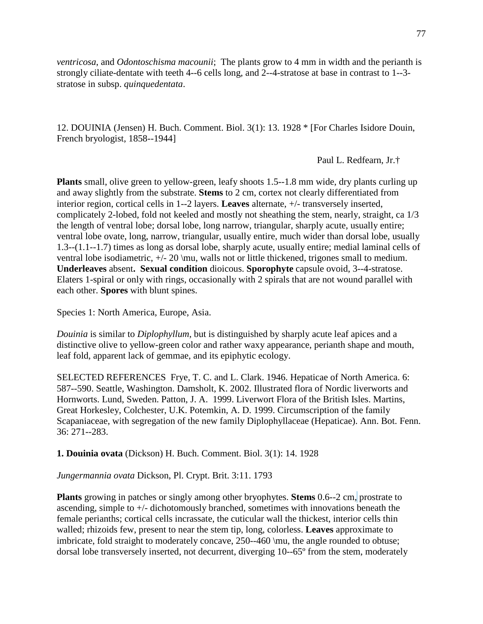*ventricosa*, and *Odontoschisma macounii*; The plants grow to 4 mm in width and the perianth is strongly ciliate-dentate with teeth 4--6 cells long, and 2--4-stratose at base in contrast to 1--3 stratose in subsp. *quinquedentata*.

12. DOUINIA (Jensen) H. Buch. Comment. Biol. 3(1): 13. 1928 \* [For Charles Isidore Douin, French bryologist, 1858--1944]

Paul L. Redfearn, Jr.†

**Plants** small, olive green to yellow-green, leafy shoots 1.5--1.8 mm wide, dry plants curling up and away slightly from the substrate. **Stems** to 2 cm, cortex not clearly differentiated from interior region, cortical cells in 1--2 layers. **Leaves** alternate, +/- transversely inserted, complicately 2-lobed, fold not keeled and mostly not sheathing the stem, nearly, straight, ca 1/3 the length of ventral lobe; dorsal lobe, long narrow, triangular, sharply acute, usually entire; ventral lobe ovate, long, narrow, triangular, usually entire, much wider than dorsal lobe, usually 1.3--(1.1--1.7) times as long as dorsal lobe, sharply acute, usually entire; medial laminal cells of ventral lobe isodiametric, +/- 20 \mu, walls not or little thickened, trigones small to medium. **Underleaves** absent**. Sexual condition** dioicous. **Sporophyte** capsule ovoid, 3--4-stratose. Elaters 1-spiral or only with rings, occasionally with 2 spirals that are not wound parallel with each other. **Spores** with blunt spines.

Species 1: North America, Europe, Asia.

*Douinia* is similar to *Diplophyllum*, but is distinguished by sharply acute leaf apices and a distinctive olive to yellow-green color and rather waxy appearance, perianth shape and mouth, leaf fold, apparent lack of gemmae, and its epiphytic ecology.

SELECTED REFERENCES Frye, T. C. and L. Clark. 1946. Hepaticae of North America. 6: 587--590. Seattle, Washington. Damsholt, K. 2002. Illustrated flora of Nordic liverworts and Hornworts. Lund, Sweden. Patton, J. A. 1999. Liverwort Flora of the British Isles. Martins, Great Horkesley, Colchester, U.K. Potemkin, A. D. 1999. Circumscription of the family Scapaniaceae, with segregation of the new family Diplophyllaceae (Hepaticae). Ann. Bot. Fenn. 36: 271--283.

**1. Douinia ovata** (Dickson) H. Buch. Comment. Biol. 3(1): 14. 1928

*Jungermannia ovata* Dickson, Pl. Crypt. Brit. 3:11. 1793

**Plants** growing in patches or singly among other bryophytes. **Stems** 0.6--2 cm, prostrate to ascending, simple to +/- dichotomously branched, sometimes with innovations beneath the female perianths; cortical cells incrassate, the cuticular wall the thickest, interior cells thin walled; rhizoids few, present to near the stem tip, long, colorless. **Leaves** approximate to imbricate, fold straight to moderately concave, 250--460 \mu, the angle rounded to obtuse; dorsal lobe transversely inserted, not decurrent, diverging 10--65° from the stem, moderately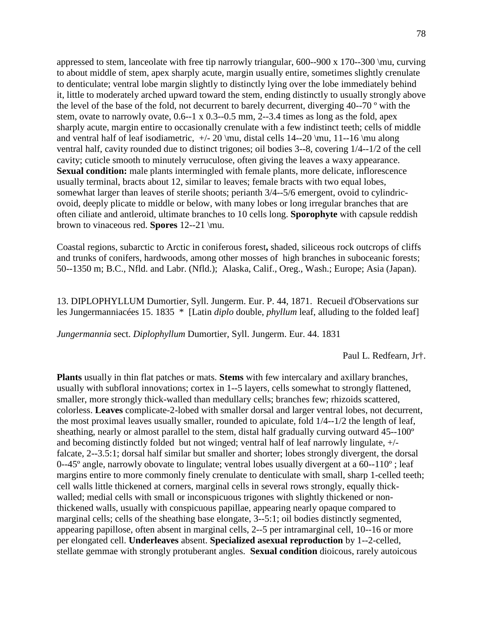appressed to stem, lanceolate with free tip narrowly triangular,  $600-900 \times 170-300 \mu$ , curving to about middle of stem, apex sharply acute, margin usually entire, sometimes slightly crenulate to denticulate; ventral lobe margin slightly to distinctly lying over the lobe immediately behind it, little to moderately arched upward toward the stem, ending distinctly to usually strongly above the level of the base of the fold, not decurrent to barely decurrent, diverging 40--70 º with the stem, ovate to narrowly ovate, 0.6--1 x 0.3--0.5 mm, 2--3.4 times as long as the fold, apex sharply acute, margin entire to occasionally crenulate with a few indistinct teeth; cells of middle and ventral half of leaf isodiametric,  $+/- 20 \mu$ , distal cells 14--20 \mu, 11--16 \mu along ventral half, cavity rounded due to distinct trigones; oil bodies 3--8, covering 1/4--1/2 of the cell cavity; cuticle smooth to minutely verruculose, often giving the leaves a waxy appearance. **Sexual condition:** male plants intermingled with female plants, more delicate, inflorescence usually terminal, bracts about 12, similar to leaves; female bracts with two equal lobes, somewhat larger than leaves of sterile shoots; perianth 3/4--5/6 emergent, ovoid to cylindricovoid, deeply plicate to middle or below, with many lobes or long irregular branches that are often ciliate and antleroid, ultimate branches to 10 cells long. **Sporophyte** with capsule reddish brown to vinaceous red. **Spores** 12--21 \mu.

Coastal regions, subarctic to Arctic in coniferous forest**,** shaded, siliceous rock outcrops of cliffs and trunks of conifers, hardwoods, among other mosses of high branches in suboceanic forests; 50--1350 m; B.C., Nfld. and Labr. (Nfld.); Alaska, Calif., Oreg., Wash.; Europe; Asia (Japan).

13. DIPLOPHYLLUM Dumortier, Syll. Jungerm. Eur. P. 44, 1871. Recueil d'Observations sur les Jungermanniacées 15. 1835 \* [Latin *diplo* double, *phyllum* leaf, alluding to the folded leaf]

*Jungermannia* sect. *Diplophyllum* Dumortier, Syll. Jungerm. Eur. 44. 1831

Paul L. Redfearn, Jr†.

**Plants** usually in thin flat patches or mats. **Stems** with few intercalary and axillary branches, usually with subfloral innovations; cortex in 1--5 layers, cells somewhat to strongly flattened, smaller, more strongly thick-walled than medullary cells; branches few; rhizoids scattered, colorless. **Leaves** complicate-2-lobed with smaller dorsal and larger ventral lobes, not decurrent, the most proximal leaves usually smaller, rounded to apiculate, fold 1/4--1/2 the length of leaf, sheathing, nearly or almost parallel to the stem, distal half gradually curving outward 45--100º and becoming distinctly folded but not winged; ventral half of leaf narrowly lingulate, +/ falcate, 2--3.5:1; dorsal half similar but smaller and shorter; lobes strongly divergent, the dorsal 0--45 $^{\circ}$  angle, narrowly obovate to lingulate; ventral lobes usually divergent at a 60--110 $^{\circ}$ ; leaf margins entire to more commonly finely crenulate to denticulate with small, sharp 1-celled teeth; cell walls little thickened at corners, marginal cells in several rows strongly, equally thickwalled; medial cells with small or inconspicuous trigones with slightly thickened or nonthickened walls, usually with conspicuous papillae, appearing nearly opaque compared to marginal cells; cells of the sheathing base elongate, 3--5:1; oil bodies distinctly segmented, appearing papillose, often absent in marginal cells, 2--5 per intramarginal cell, 10--16 or more per elongated cell. **Underleaves** absent. **Specialized asexual reproduction** by 1--2-celled, stellate gemmae with strongly protuberant angles. **Sexual condition** dioicous, rarely autoicous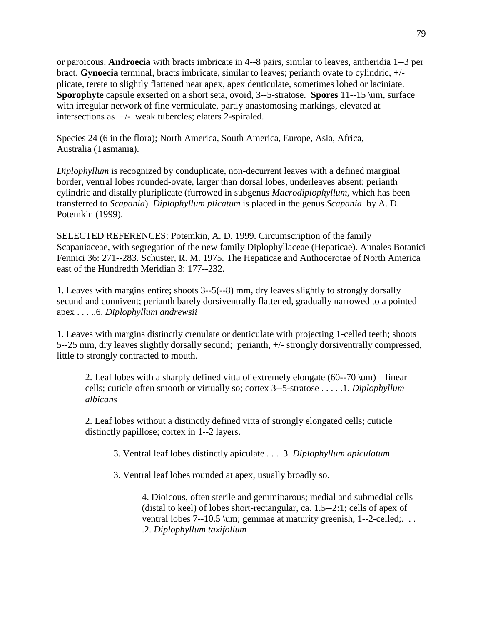or paroicous. **Androecia** with bracts imbricate in 4--8 pairs, similar to leaves, antheridia 1--3 per bract. **Gynoecia** terminal, bracts imbricate, similar to leaves; perianth ovate to cylindric, +/ plicate, terete to slightly flattened near apex, apex denticulate, sometimes lobed or laciniate. **Sporophyte** capsule exserted on a short seta, ovoid, 3--5-stratose. **Spores** 11--15 \um, surface with irregular network of fine vermiculate, partly anastomosing markings, elevated at intersections as +/- weak tubercles; elaters 2-spiraled.

Species 24 (6 in the flora); North America, South America, Europe, Asia, Africa, Australia (Tasmania).

*Diplophyllum* is recognized by conduplicate, non-decurrent leaves with a defined marginal border, ventral lobes rounded-ovate, larger than dorsal lobes, underleaves absent; perianth cylindric and distally pluriplicate (furrowed in subgenus *Macrodiplophyllum,* which has been transferred to *Scapania*). *Diplophyllum plicatum* is placed in the genus *Scapania* by A. D. Potemkin (1999).

SELECTED REFERENCES: Potemkin, A. D. 1999. Circumscription of the family Scapaniaceae, with segregation of the new family Diplophyllaceae (Hepaticae). Annales Botanici Fennici 36: 271--283. Schuster, R. M. 1975. The Hepaticae and Anthocerotae of North America east of the Hundredth Meridian 3: 177--232.

1. Leaves with margins entire; shoots 3--5(--8) mm, dry leaves slightly to strongly dorsally secund and connivent; perianth barely dorsiventrally flattened, gradually narrowed to a pointed apex . . . ..6. *Diplophyllum andrewsii*

1. Leaves with margins distinctly crenulate or denticulate with projecting 1-celled teeth; shoots 5--25 mm, dry leaves slightly dorsally secund; perianth, +/- strongly dorsiventrally compressed, little to strongly contracted to mouth.

2. Leaf lobes with a sharply defined vitta of extremely elongate  $(60-70 \mu m)$  linear cells; cuticle often smooth or virtually so; cortex 3--5-stratose . . . . .1. *Diplophyllum albicans*

2. Leaf lobes without a distinctly defined vitta of strongly elongated cells; cuticle distinctly papillose; cortex in 1--2 layers.

3. Ventral leaf lobes distinctly apiculate . . . 3. *Diplophyllum apiculatum*

3. Ventral leaf lobes rounded at apex, usually broadly so.

4. Dioicous, often sterile and gemmiparous; medial and submedial cells (distal to keel) of lobes short-rectangular, ca. 1.5--2:1; cells of apex of ventral lobes 7--10.5 \um; gemmae at maturity greenish, 1--2-celled;... .2. *Diplophyllum taxifolium*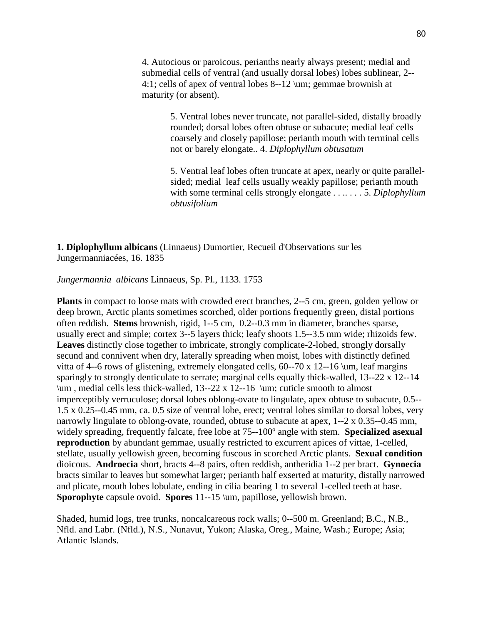4. Autocious or paroicous, perianths nearly always present; medial and submedial cells of ventral (and usually dorsal lobes) lobes sublinear, 2-- 4:1; cells of apex of ventral lobes 8--12 \um; gemmae brownish at maturity (or absent).

> 5. Ventral lobes never truncate, not parallel-sided, distally broadly rounded; dorsal lobes often obtuse or subacute; medial leaf cells coarsely and closely papillose; perianth mouth with terminal cells not or barely elongate.. 4. *Diplophyllum obtusatum*

5. Ventral leaf lobes often truncate at apex, nearly or quite parallelsided; medial leaf cells usually weakly papillose; perianth mouth with some terminal cells strongly elongate . . .. . . . 5. *Diplophyllum obtusifolium*

**1. Diplophyllum albicans** (Linnaeus) Dumortier, Recueil d'Observations sur les Jungermanniacées, 16. 1835

*Jungermannia albicans* Linnaeus, Sp. Pl., 1133. 1753

**Plants** in compact to loose mats with crowded erect branches, 2--5 cm, green, golden yellow or deep brown, Arctic plants sometimes scorched, older portions frequently green, distal portions often reddish. **Stems** brownish, rigid, 1--5 cm, 0.2--0.3 mm in diameter, branches sparse, usually erect and simple; cortex 3--5 layers thick; leafy shoots 1.5--3.5 mm wide; rhizoids few. **Leaves** distinctly close together to imbricate, strongly complicate-2-lobed, strongly dorsally secund and connivent when dry, laterally spreading when moist, lobes with distinctly defined vitta of 4--6 rows of glistening, extremely elongated cells,  $60-70 \times 12-16 \mu$ , leaf margins sparingly to strongly denticulate to serrate; marginal cells equally thick-walled, 13--22 x 12--14 \um , medial cells less thick-walled, 13--22 x 12--16 \um; cuticle smooth to almost imperceptibly verruculose; dorsal lobes oblong-ovate to lingulate, apex obtuse to subacute, 0.5-- 1.5 x 0.25--0.45 mm, ca. 0.5 size of ventral lobe, erect; ventral lobes similar to dorsal lobes, very narrowly lingulate to oblong-ovate, rounded, obtuse to subacute at apex, 1--2 x 0.35--0.45 mm, widely spreading, frequently falcate, free lobe at 75--100º angle with stem. **Specialized asexual reproduction** by abundant gemmae, usually restricted to excurrent apices of vittae, 1-celled, stellate, usually yellowish green, becoming fuscous in scorched Arctic plants. **Sexual condition** dioicous. **Androecia** short, bracts 4--8 pairs, often reddish, antheridia 1--2 per bract. **Gynoecia**  bracts similar to leaves but somewhat larger; perianth half exserted at maturity, distally narrowed and plicate, mouth lobes lobulate, ending in cilia bearing 1 to several 1-celled teeth at base. **Sporophyte** capsule ovoid. **Spores** 11--15 \um, papillose, yellowish brown.

Shaded, humid logs, tree trunks, noncalcareous rock walls; 0--500 m. Greenland; B.C., N.B., Nfld. and Labr. (Nfld.), N.S., Nunavut, Yukon; Alaska, Oreg., Maine, Wash.; Europe; Asia; Atlantic Islands.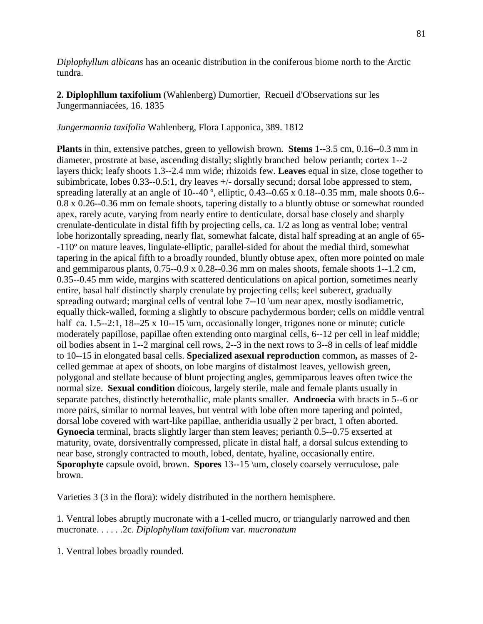*Diplophyllum albicans* has an oceanic distribution in the coniferous biome north to the Arctic tundra.

**2. Diplophllum taxifolium** (Wahlenberg) Dumortier, Recueil d'Observations sur les Jungermanniacées, 16. 1835

*Jungermannia taxifolia* Wahlenberg, Flora Lapponica, 389. 1812

**Plants** in thin, extensive patches, green to yellowish brown. **Stems** 1--3.5 cm, 0.16--0.3 mm in diameter, prostrate at base, ascending distally; slightly branched below perianth; cortex 1--2 layers thick; leafy shoots 1.3--2.4 mm wide; rhizoids few. **Leaves** equal in size, close together to subimbricate, lobes 0.33--0.5:1, dry leaves +/- dorsally secund; dorsal lobe appressed to stem, spreading laterally at an angle of 10--40<sup>°</sup>, elliptic, 0.43--0.65 x 0.18--0.35 mm, male shoots 0.6--0.8 x 0.26--0.36 mm on female shoots, tapering distally to a bluntly obtuse or somewhat rounded apex, rarely acute, varying from nearly entire to denticulate, dorsal base closely and sharply crenulate-denticulate in distal fifth by projecting cells, ca. 1/2 as long as ventral lobe; ventral lobe horizontally spreading, nearly flat, somewhat falcate, distal half spreading at an angle of 65- -110º on mature leaves, lingulate-elliptic, parallel-sided for about the medial third, somewhat tapering in the apical fifth to a broadly rounded, bluntly obtuse apex, often more pointed on male and gemmiparous plants, 0.75--0.9 x 0.28--0.36 mm on males shoots, female shoots 1--1.2 cm, 0.35--0.45 mm wide, margins with scattered denticulations on apical portion, sometimes nearly entire, basal half distinctly sharply crenulate by projecting cells; keel suberect, gradually spreading outward; marginal cells of ventral lobe 7--10 \um near apex, mostly isodiametric, equally thick-walled, forming a slightly to obscure pachydermous border; cells on middle ventral half ca. 1.5--2:1, 18--25 x 10--15 \um, occasionally longer, trigones none or minute; cuticle moderately papillose, papillae often extending onto marginal cells, 6--12 per cell in leaf middle; oil bodies absent in 1--2 marginal cell rows, 2--3 in the next rows to 3--8 in cells of leaf middle to 10--15 in elongated basal cells. **Specialized asexual reproduction** common**,** as masses of 2 celled gemmae at apex of shoots, on lobe margins of distalmost leaves, yellowish green, polygonal and stellate because of blunt projecting angles, gemmiparous leaves often twice the normal size. **Sexual condition** dioicous, largely sterile, male and female plants usually in separate patches, distinctly heterothallic, male plants smaller. **Androecia** with bracts in 5--6 or more pairs, similar to normal leaves, but ventral with lobe often more tapering and pointed, dorsal lobe covered with wart-like papillae, antheridia usually 2 per bract, 1 often aborted. **Gynoecia** terminal, bracts slightly larger than stem leaves; perianth 0.5--0.75 exserted at maturity, ovate, dorsiventrally compressed, plicate in distal half, a dorsal sulcus extending to near base, strongly contracted to mouth, lobed, dentate, hyaline, occasionally entire. **Sporophyte** capsule ovoid, brown. **Spores** 13--15 \um, closely coarsely verruculose, pale brown.

Varieties 3 (3 in the flora): widely distributed in the northern hemisphere.

1. Ventral lobes abruptly mucronate with a 1-celled mucro, or triangularly narrowed and then mucronate. . . . . .2c. *Diplophyllum taxifolium* var. *mucronatum*

1. Ventral lobes broadly rounded.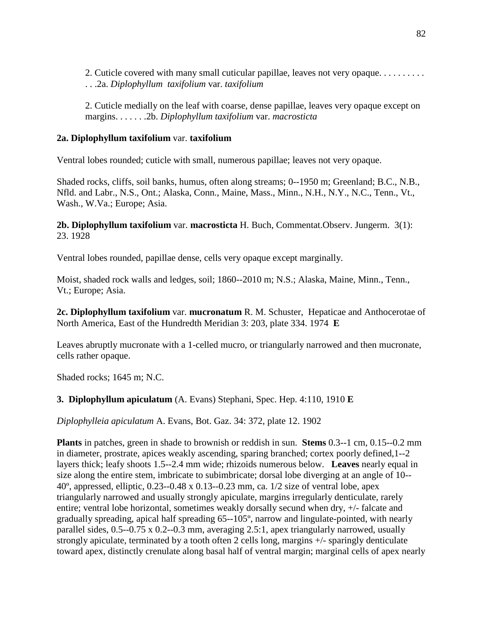2. Cuticle covered with many small cuticular papillae, leaves not very opaque. . . . . . . . . . . . .2a. *Diplophyllum taxifolium* var. *taxifolium*

2. Cuticle medially on the leaf with coarse, dense papillae, leaves very opaque except on margins. . . . . . .2b. *Diplophyllum taxifolium* var. *macrosticta*

### **2a. Diplophyllum taxifolium** var. **taxifolium**

Ventral lobes rounded; cuticle with small, numerous papillae; leaves not very opaque.

Shaded rocks, cliffs, soil banks, humus, often along streams; 0--1950 m; Greenland; B.C., N.B., Nfld. and Labr., N.S., Ont.; Alaska, Conn., Maine, Mass., Minn., N.H., N.Y., N.C., Tenn., Vt., Wash., W.Va.; Europe; Asia.

**2b. Diplophyllum taxifolium** var. **macrosticta** H. Buch, Commentat.Observ. Jungerm. 3(1): 23. 1928

Ventral lobes rounded, papillae dense, cells very opaque except marginally.

Moist, shaded rock walls and ledges, soil; 1860--2010 m; N.S.; Alaska, Maine, Minn., Tenn., Vt.; Europe; Asia.

**2c. Diplophyllum taxifolium** var. **mucronatum** R. M. Schuster, Hepaticae and Anthocerotae of North America, East of the Hundredth Meridian 3: 203, plate 334. 1974 **E**

Leaves abruptly mucronate with a 1-celled mucro, or triangularly narrowed and then mucronate, cells rather opaque.

Shaded rocks; 1645 m; N.C.

## **3. Diplophyllum apiculatum** (A. Evans) Stephani, Spec. Hep. 4:110, 1910 **E**

*Diplophylleia apiculatum* A. Evans, Bot. Gaz. 34: 372, plate 12. 1902

**Plants** in patches, green in shade to brownish or reddish in sun. **Stems** 0.3--1 cm, 0.15--0.2 mm in diameter, prostrate, apices weakly ascending, sparing branched; cortex poorly defined,1--2 layers thick; leafy shoots 1.5--2.4 mm wide; rhizoids numerous below. **Leaves** nearly equal in size along the entire stem, imbricate to subimbricate; dorsal lobe diverging at an angle of 10-- 40º, appressed, elliptic, 0.23--0.48 x 0.13--0.23 mm, ca. 1/2 size of ventral lobe, apex triangularly narrowed and usually strongly apiculate, margins irregularly denticulate, rarely entire; ventral lobe horizontal, sometimes weakly dorsally secund when dry, +/- falcate and gradually spreading, apical half spreading 65--105º, narrow and lingulate-pointed, with nearly parallel sides, 0.5--0.75 x 0.2--0.3 mm, averaging 2.5:1, apex triangularly narrowed, usually strongly apiculate, terminated by a tooth often 2 cells long, margins +/- sparingly denticulate toward apex, distinctly crenulate along basal half of ventral margin; marginal cells of apex nearly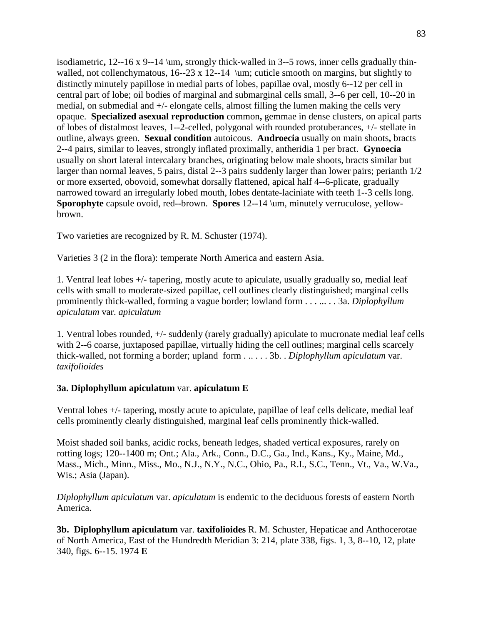isodiametric**,** 12--16 x 9--14 \um**,** strongly thick-walled in 3--5 rows, inner cells gradually thinwalled, not collenchymatous,  $16-23 \times 12-14$  \um; cuticle smooth on margins, but slightly to distinctly minutely papillose in medial parts of lobes, papillae oval, mostly 6--12 per cell in central part of lobe; oil bodies of marginal and submarginal cells small, 3--6 per cell, 10--20 in medial, on submedial and +/- elongate cells, almost filling the lumen making the cells very opaque. **Specialized asexual reproduction** common**,** gemmae in dense clusters, on apical parts of lobes of distalmost leaves, 1--2-celled, polygonal with rounded protuberances, +/- stellate in outline, always green. **Sexual condition** autoicous. **Androecia** usually on main shoots**,** bracts 2--4 pairs, similar to leaves, strongly inflated proximally, antheridia 1 per bract. **Gynoecia** usually on short lateral intercalary branches, originating below male shoots, bracts similar but larger than normal leaves, 5 pairs, distal 2--3 pairs suddenly larger than lower pairs; perianth 1/2 or more exserted, obovoid, somewhat dorsally flattened, apical half 4--6-plicate, gradually narrowed toward an irregularly lobed mouth, lobes dentate-laciniate with teeth 1--3 cells long. **Sporophyte** capsule ovoid, red--brown. **Spores** 12--14 \um, minutely verruculose, yellowbrown.

Two varieties are recognized by R. M. Schuster (1974).

Varieties 3 (2 in the flora): temperate North America and eastern Asia.

1. Ventral leaf lobes +/- tapering, mostly acute to apiculate, usually gradually so, medial leaf cells with small to moderate-sized papillae, cell outlines clearly distinguished; marginal cells prominently thick-walled, forming a vague border; lowland form . . . ... . . 3a. *Diplophyllum apiculatum* var. *apiculatum*

1. Ventral lobes rounded, +/- suddenly (rarely gradually) apiculate to mucronate medial leaf cells with 2--6 coarse, juxtaposed papillae, virtually hiding the cell outlines; marginal cells scarcely thick-walled, not forming a border; upland form . .. . . . 3b. . *Diplophyllum apiculatum* var. *taxifolioides*

## **3a. Diplophyllum apiculatum** var. **apiculatum E**

Ventral lobes +/- tapering, mostly acute to apiculate, papillae of leaf cells delicate, medial leaf cells prominently clearly distinguished, marginal leaf cells prominently thick-walled.

Moist shaded soil banks, acidic rocks, beneath ledges, shaded vertical exposures, rarely on rotting logs; 120--1400 m; Ont.; Ala., Ark., Conn., D.C., Ga., Ind., Kans., Ky., Maine, Md., Mass., Mich., Minn., Miss., Mo., N.J., N.Y., N.C., Ohio, Pa., R.I., S.C., Tenn., Vt., Va., W.Va., Wis.; Asia (Japan).

*Diplophyllum apiculatum* var. *apiculatum* is endemic to the deciduous forests of eastern North America.

**3b. Diplophyllum apiculatum** var. **taxifolioides** R. M. Schuster, Hepaticae and Anthocerotae of North America, East of the Hundredth Meridian 3: 214, plate 338, figs. 1, 3, 8--10, 12, plate 340, figs. 6--15. 1974 **E**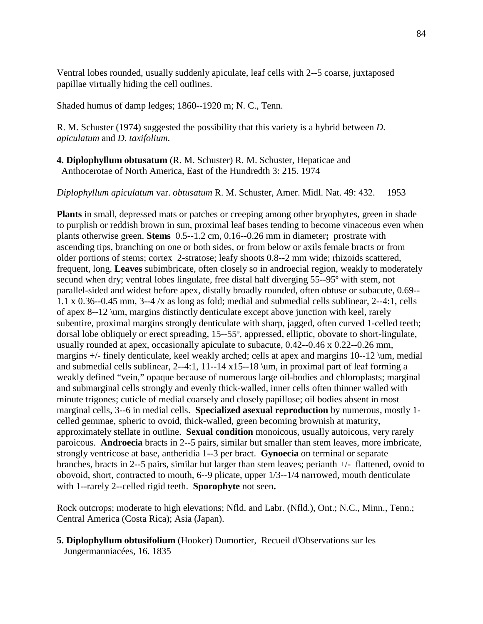Ventral lobes rounded, usually suddenly apiculate, leaf cells with 2--5 coarse, juxtaposed papillae virtually hiding the cell outlines.

Shaded humus of damp ledges; 1860--1920 m; N. C., Tenn.

R. M. Schuster (1974) suggested the possibility that this variety is a hybrid between *D*. *apiculatum* and *D*. *taxifolium*.

**4. Diplophyllum obtusatum** (R. M. Schuster) R. M. Schuster, Hepaticae and Anthocerotae of North America, East of the Hundredth 3: 215. 1974

*Diplophyllum apiculatum* var. *obtusatum* R. M. Schuster, Amer. Midl. Nat. 49: 432. 1953

**Plants** in small, depressed mats or patches or creeping among other bryophytes, green in shade to purplish or reddish brown in sun, proximal leaf bases tending to become vinaceous even when plants otherwise green. **Stems** 0.5--1.2 cm, 0.16--0.26 mm in diameter**;** prostrate with ascending tips, branching on one or both sides, or from below or axils female bracts or from older portions of stems; cortex 2-stratose; leafy shoots 0.8--2 mm wide; rhizoids scattered, frequent, long. **Leaves** subimbricate, often closely so in androecial region, weakly to moderately secund when dry; ventral lobes lingulate, free distal half diverging 55--95º with stem, not parallel-sided and widest before apex, distally broadly rounded, often obtuse or subacute, 0.69-- 1.1 x 0.36--0.45 mm, 3--4 /x as long as fold; medial and submedial cells sublinear, 2--4:1, cells of apex 8--12 \um, margins distinctly denticulate except above junction with keel, rarely subentire, proximal margins strongly denticulate with sharp, jagged, often curved 1-celled teeth; dorsal lobe obliquely or erect spreading, 15--55º, appressed, elliptic, obovate to short-lingulate, usually rounded at apex, occasionally apiculate to subacute, 0.42--0.46 x 0.22--0.26 mm, margins +/- finely denticulate, keel weakly arched; cells at apex and margins 10--12 \um, medial and submedial cells sublinear, 2--4:1, 11--14 x15--18 \um, in proximal part of leaf forming a weakly defined "vein," opaque because of numerous large oil-bodies and chloroplasts; marginal and submarginal cells strongly and evenly thick-walled, inner cells often thinner walled with minute trigones; cuticle of medial coarsely and closely papillose; oil bodies absent in most marginal cells, 3--6 in medial cells. **Specialized asexual reproduction** by numerous, mostly 1 celled gemmae, spheric to ovoid, thick-walled, green becoming brownish at maturity, approximately stellate in outline. **Sexual condition** monoicous, usually autoicous, very rarely paroicous. **Androecia** bracts in 2--5 pairs, similar but smaller than stem leaves, more imbricate, strongly ventricose at base, antheridia 1--3 per bract. **Gynoecia** on terminal or separate branches, bracts in 2--5 pairs, similar but larger than stem leaves; perianth +/- flattened, ovoid to obovoid, short, contracted to mouth, 6--9 plicate, upper 1/3--1/4 narrowed, mouth denticulate with 1--rarely 2--celled rigid teeth. **Sporophyte** not seen**.**

Rock outcrops; moderate to high elevations; Nfld. and Labr. (Nfld.), Ont.; N.C., Minn., Tenn.; Central America (Costa Rica); Asia (Japan).

**5. Diplophyllum obtusifolium** (Hooker) Dumortier, Recueil d'Observations sur les Jungermanniacées, 16. 1835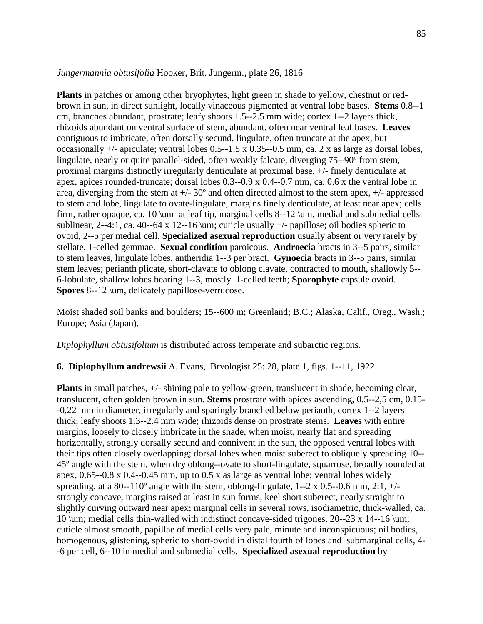#### *Jungermannia obtusifolia* Hooker, Brit. Jungerm., plate 26, 1816

**Plants** in patches or among other bryophytes, light green in shade to yellow, chestnut or redbrown in sun, in direct sunlight, locally vinaceous pigmented at ventral lobe bases. **Stems** 0.8--1 cm, branches abundant, prostrate; leafy shoots 1.5--2.5 mm wide; cortex 1--2 layers thick, rhizoids abundant on ventral surface of stem, abundant, often near ventral leaf bases. **Leaves** contiguous to imbricate, often dorsally secund, lingulate, often truncate at the apex, but occasionally +/- apiculate; ventral lobes 0.5--1.5 x 0.35--0.5 mm, ca. 2 x as large as dorsal lobes, lingulate, nearly or quite parallel-sided, often weakly falcate, diverging 75--90º from stem, proximal margins distinctly irregularly denticulate at proximal base, +/- finely denticulate at apex, apices rounded-truncate; dorsal lobes 0.3--0.9 x 0.4--0.7 mm, ca. 0.6 x the ventral lobe in area, diverging from the stem at +/- 30º and often directed almost to the stem apex, +/- appressed to stem and lobe, lingulate to ovate-lingulate, margins finely denticulate, at least near apex; cells firm, rather opaque, ca. 10 \um at leaf tip, marginal cells  $8-12 \mu$ , medial and submedial cells sublinear, 2--4:1, ca. 40--64 x 12--16 \um; cuticle usually  $+/-$  papillose; oil bodies spheric to ovoid, 2--5 per medial cell. **Specialized asexual reproduction** usually absent or very rarely by stellate, 1**-**celled gemmae. **Sexual condition** paroicous. **Androecia** bracts in 3--5 pairs, similar to stem leaves, lingulate lobes, antheridia 1--3 per bract. **Gynoecia** bracts in 3--5 pairs, similar stem leaves; perianth plicate, short-clavate to oblong clavate, contracted to mouth, shallowly 5-- 6-lobulate, shallow lobes bearing 1--3, mostly 1-celled teeth; **Sporophyte** capsule ovoid. **Spores** 8--12 \um, delicately papillose-verrucose.

Moist shaded soil banks and boulders; 15--600 m; Greenland; B.C.; Alaska, Calif., Oreg., Wash.; Europe; Asia (Japan).

*Diplophyllum obtusifolium* is distributed across temperate and subarctic regions.

#### **6. Diplophyllum andrewsii** A. Evans, Bryologist 25: 28, plate 1, figs. 1--11, 1922

**Plants** in small patches, +/- shining pale to yellow-green, translucent in shade, becoming clear, translucent, often golden brown in sun. **Stems** prostrate with apices ascending, 0.5--2,5 cm, 0.15- -0.22 mm in diameter, irregularly and sparingly branched below perianth, cortex 1--2 layers thick; leafy shoots 1.3--2.4 mm wide; rhizoids dense on prostrate stems. **Leaves** with entire margins, loosely to closely imbricate in the shade, when moist, nearly flat and spreading horizontally, strongly dorsally secund and connivent in the sun, the opposed ventral lobes with their tips often closely overlapping; dorsal lobes when moist suberect to obliquely spreading 10-- 45º angle with the stem, when dry oblong--ovate to short-lingulate, squarrose, broadly rounded at apex, 0.65--0.8 x 0.4--0.45 mm, up to 0.5 x as large as ventral lobe; ventral lobes widely spreading, at a 80--110<sup>°</sup> angle with the stem, oblong-lingulate,  $1-2 \times 0.5-0.6$  mm,  $2:1, +/$ strongly concave, margins raised at least in sun forms, keel short suberect, nearly straight to slightly curving outward near apex; marginal cells in several rows, isodiametric, thick-walled, ca. 10 \um; medial cells thin-walled with indistinct concave-sided trigones, 20--23 x 14--16 \um; cuticle almost smooth, papillae of medial cells very pale, minute and inconspicuous; oil bodies, homogenous, glistening, spheric to short-ovoid in distal fourth of lobes and submarginal cells, 4- -6 per cell, 6--10 in medial and submedial cells. **Specialized asexual reproduction** by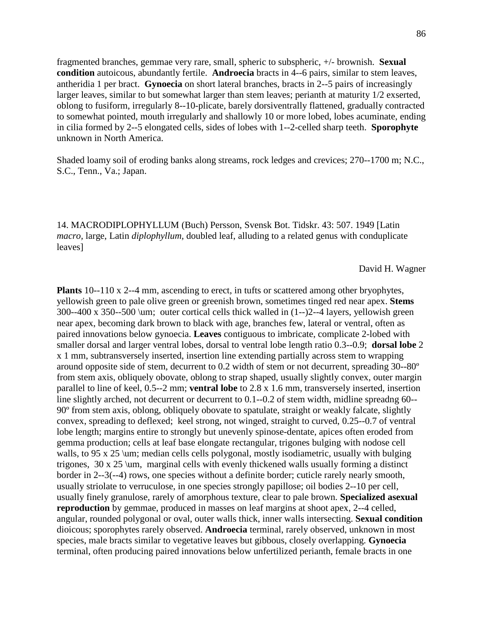fragmented branches, gemmae very rare, small, spheric to subspheric, +/- brownish. **Sexual condition** autoicous, abundantly fertile. **Androecia** bracts in 4--6 pairs, similar to stem leaves, antheridia 1 per bract. **Gynoecia** on short lateral branches, bracts in 2--5 pairs of increasingly larger leaves, similar to but somewhat larger than stem leaves; perianth at maturity 1/2 exserted, oblong to fusiform, irregularly 8--10-plicate, barely dorsiventrally flattened, gradually contracted to somewhat pointed, mouth irregularly and shallowly 10 or more lobed, lobes acuminate, ending in cilia formed by 2--5 elongated cells, sides of lobes with 1--2-celled sharp teeth. **Sporophyte** unknown in North America.

Shaded loamy soil of eroding banks along streams, rock ledges and crevices; 270--1700 m; N.C., S.C., Tenn., Va.; Japan.

14. MACRODIPLOPHYLLUM (Buch) Persson, Svensk Bot. Tidskr. 43: 507. 1949 [Latin *macro,* large, Latin *diplophyllum,* doubled leaf, alluding to a related genus with conduplicate leaves]

David H. Wagner

**Plants** 10--110 x 2--4 mm, ascending to erect, in tufts or scattered among other bryophytes, yellowish green to pale olive green or greenish brown, sometimes tinged red near apex. **Stems** 300--400 x 350--500 \um; outer cortical cells thick walled in (1--)2--4 layers, yellowish green near apex, becoming dark brown to black with age, branches few, lateral or ventral, often as paired innovations below gynoecia. **Leaves** contiguous to imbricate, complicate 2-lobed with smaller dorsal and larger ventral lobes, dorsal to ventral lobe length ratio 0.3--0.9; **dorsal lobe** 2 x 1 mm, subtransversely inserted, insertion line extending partially across stem to wrapping around opposite side of stem, decurrent to 0.2 width of stem or not decurrent, spreading 30--80º from stem axis, obliquely obovate, oblong to strap shaped, usually slightly convex, outer margin parallel to line of keel, 0.5--2 mm; **ventral lobe** to 2.8 x 1.6 mm, transversely inserted, insertion line slightly arched, not decurrent or decurrent to 0.1--0.2 of stem width, midline spreadng 60-- 90º from stem axis, oblong, obliquely obovate to spatulate, straight or weakly falcate, slightly convex, spreading to deflexed; keel strong, not winged, straight to curved, 0.25--0.7 of ventral lobe length; margins entire to strongly but unevenly spinose-dentate, apices often eroded from gemma production; cells at leaf base elongate rectangular, trigones bulging with nodose cell walls, to 95 x 25 \um; median cells cells polygonal, mostly isodiametric, usually with bulging trigones,  $30 \times 25 \mu$ , marginal cells with evenly thickened walls usually forming a distinct border in 2--3(--4) rows, one species without a definite border; cuticle rarely nearly smooth, usually striolate to verruculose, in one species strongly papillose; oil bodies 2--10 per cell, usually finely granulose, rarely of amorphous texture, clear to pale brown. **Specialized asexual reproduction** by gemmae, produced in masses on leaf margins at shoot apex, 2--4 celled, angular, rounded polygonal or oval, outer walls thick, inner walls intersecting. **Sexual condition** dioicous; sporophytes rarely observed. **Androecia** terminal, rarely observed, unknown in most species, male bracts similar to vegetative leaves but gibbous, closely overlapping. **Gynoecia** terminal, often producing paired innovations below unfertilized perianth, female bracts in one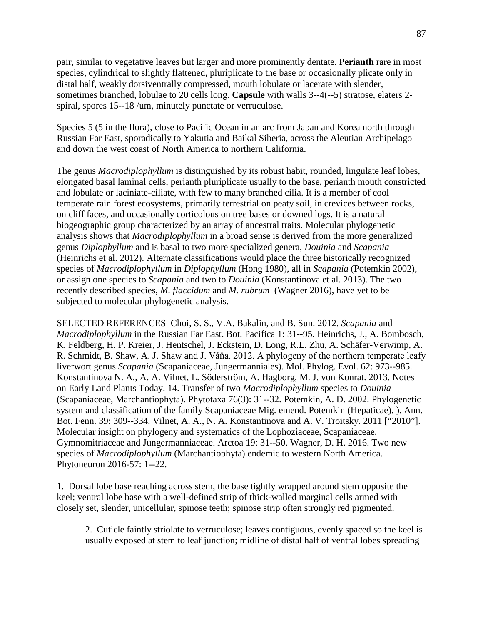pair, similar to vegetative leaves but larger and more prominently dentate. P**erianth** rare in most species, cylindrical to slightly flattened, pluriplicate to the base or occasionally plicate only in distal half, weakly dorsiventrally compressed, mouth lobulate or lacerate with slender, sometimes branched, lobulae to 20 cells long. **Capsule** with walls 3--4(--5) stratose, elaters 2 spiral, spores 15--18 /um, minutely punctate or verruculose.

Species 5 (5 in the flora), close to Pacific Ocean in an arc from Japan and Korea north through Russian Far East, sporadically to Yakutia and Baikal Siberia, across the Aleutian Archipelago and down the west coast of North America to northern California.

The genus *Macrodiplophyllum* is distinguished by its robust habit, rounded, lingulate leaf lobes, elongated basal laminal cells, perianth pluriplicate usually to the base, perianth mouth constricted and lobulate or laciniate-ciliate, with few to many branched cilia. It is a member of cool temperate rain forest ecosystems, primarily terrestrial on peaty soil, in crevices between rocks, on cliff faces, and occasionally corticolous on tree bases or downed logs. It is a natural biogeographic group characterized by an array of ancestral traits. Molecular phylogenetic analysis shows that *Macrodiplophyllum* in a broad sense is derived from the more generalized genus *Diplophyllum* and is basal to two more specialized genera, *Douinia* and *Scapania* (Heinrichs et al. 2012). Alternate classifications would place the three historically recognized species of *Macrodiplophyllum* in *Diplophyllum* (Hong 1980), all in *Scapania* (Potemkin 2002), or assign one species to *Scapania* and two to *Douinia* (Konstantinova et al. 2013). The two recently described species, *M. flaccidum* and *M. rubrum* (Wagner 2016), have yet to be subjected to molecular phylogenetic analysis.

SELECTED REFERENCES Choi, S. S., V.A. Bakalin, and B. Sun. 2012. *Scapania* and *Macrodiplophyllum* in the Russian Far East. Bot. Pacifica 1: 31--95. Heinrichs, J., A. Bombosch, K. Feldberg, H. P. Kreier, J. Hentschel, J. Eckstein, D. Long, R.L. Zhu, A. Schäfer-Verwimp, A. R. Schmidt, B. Shaw, A. J. Shaw and J. Váňa. 2012. A phylogeny of the northern temperate leafy liverwort genus *Scapania* (Scapaniaceae, Jungermanniales). Mol. Phylog. Evol. 62: 973--985. Konstantinova N. A., A. A. Vilnet, L. Söderström, A. Hagborg, M. J. von Konrat. 2013. Notes on Early Land Plants Today. 14. Transfer of two *Macrodiplophyllum* species to *Douinia* (Scapaniaceae, Marchantiophyta). Phytotaxa 76(3): 31--32. Potemkin, A. D. 2002. Phylogenetic system and classification of the family Scapaniaceae Mig. emend. Potemkin (Hepaticae). ). Ann. Bot. Fenn. 39: 309--334. Vilnet, A. A., N. A. Konstantinova and A. V. Troitsky. 2011 ["2010"]. Molecular insight on phylogeny and systematics of the Lophoziaceae, Scapaniaceae, Gymnomitriaceae and Jungermanniaceae. Arctoa 19: 31--50. Wagner, D. H. 2016. Two new species of *Macrodiplophyllum* (Marchantiophyta) endemic to western North America. Phytoneuron 2016-57: 1--22.

1. Dorsal lobe base reaching across stem, the base tightly wrapped around stem opposite the keel; ventral lobe base with a well-defined strip of thick-walled marginal cells armed with closely set, slender, unicellular, spinose teeth; spinose strip often strongly red pigmented.

2. Cuticle faintly striolate to verruculose; leaves contiguous, evenly spaced so the keel is usually exposed at stem to leaf junction; midline of distal half of ventral lobes spreading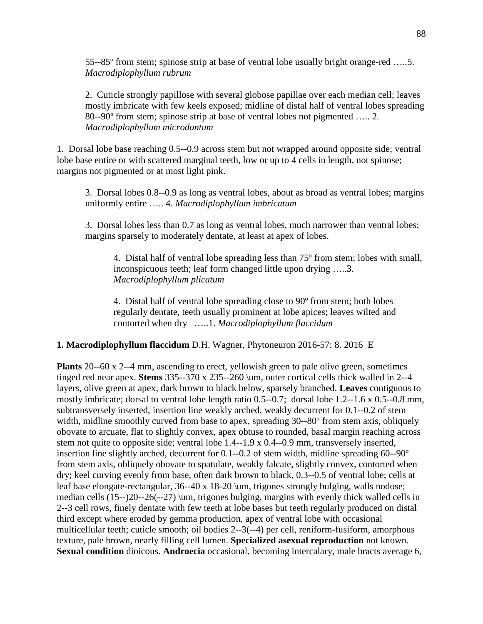55--85º from stem; spinose strip at base of ventral lobe usually bright orange-red …..5. *Macrodiplophyllum rubrum*

2. Cuticle strongly papillose with several globose papillae over each median cell; leaves mostly imbricate with few keels exposed; midline of distal half of ventral lobes spreading 80--90º from stem; spinose strip at base of ventral lobes not pigmented ….. 2. *Macrodiplophyllum microdontum*

1. Dorsal lobe base reaching 0.5--0.9 across stem but not wrapped around opposite side; ventral lobe base entire or with scattered marginal teeth, low or up to 4 cells in length, not spinose; margins not pigmented or at most light pink.

3. Dorsal lobes 0.8--0.9 as long as ventral lobes, about as broad as ventral lobes; margins uniformly entire ….. 4. *Macrodiplophyllum imbricatum*

3. Dorsal lobes less than 0.7 as long as ventral lobes, much narrower than ventral lobes; margins sparsely to moderately dentate, at least at apex of lobes.

4. Distal half of ventral lobe spreading less than 75º from stem; lobes with small, inconspicuous teeth; leaf form changed little upon drying …..3. *Macrodiplophyllum plicatum*

4. Distal half of ventral lobe spreading close to 90º from stem; both lobes regularly dentate, teeth usually prominent at lobe apices; leaves wilted and contorted when dry …..1. *Macrodiplophyllum flaccidum*

**1. Macrodiplophyllum flaccidum** D.H. Wagner, Phytoneuron 2016-57: 8. 2016 E

**Plants** 20--60 x 2--4 mm, ascending to erect, yellowish green to pale olive green, sometimes tinged red near apex. **Stems** 335--370 x 235--260 \um, outer cortical cells thick walled in 2--4 layers, olive green at apex, dark brown to black below, sparsely branched. **Leaves** contiguous to mostly imbricate; dorsal to ventral lobe length ratio 0.5--0.7; dorsal lobe 1.2--1.6 x 0.5--0.8 mm, subtransversely inserted, insertion line weakly arched, weakly decurrent for 0.1--0.2 of stem width, midline smoothly curved from base to apex, spreading 30--80<sup>o</sup> from stem axis, obliquely obovate to arcuate, flat to slightly convex, apex obtuse to rounded, basal margin reaching across stem not quite to opposite side; ventral lobe 1.4--1.9 x 0.4--0.9 mm, transversely inserted, insertion line slightly arched, decurrent for 0.1--0.2 of stem width, midline spreading 60--90º from stem axis, obliquely obovate to spatulate, weakly falcate, slightly convex, contorted when dry; keel curving evenly from base, often dark brown to black, 0.3--0.5 of ventral lobe; cells at leaf base elongate-rectangular, 36--40 x 18-20 \um, trigones strongly bulging, walls nodose; median cells (15--)20--26(--27) \um, trigones bulging, margins with evenly thick walled cells in 2--3 cell rows, finely dentate with few teeth at lobe bases but teeth regularly produced on distal third except where eroded by gemma production, apex of ventral lobe with occasional multicellular teeth; cuticle smooth; oil bodies 2--3(--4) per cell, reniform-fusiform, amorphous texture, pale brown, nearly filling cell lumen. **Specialized asexual reproduction** not known. **Sexual condition** dioicous. **Androecia** occasional, becoming intercalary, male bracts average 6,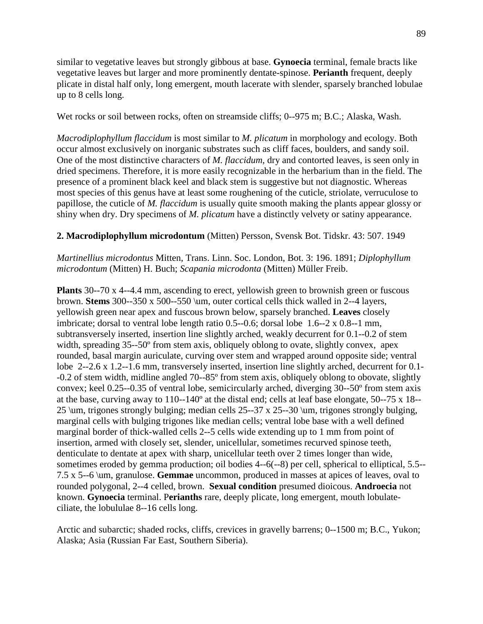similar to vegetative leaves but strongly gibbous at base. **Gynoecia** terminal, female bracts like vegetative leaves but larger and more prominently dentate-spinose. **Perianth** frequent, deeply plicate in distal half only, long emergent, mouth lacerate with slender, sparsely branched lobulae up to 8 cells long.

Wet rocks or soil between rocks, often on streamside cliffs; 0--975 m; B.C.; Alaska, Wash.

*Macrodiplophyllum flaccidum* is most similar to *M. plicatum* in morphology and ecology. Both occur almost exclusively on inorganic substrates such as cliff faces, boulders, and sandy soil. One of the most distinctive characters of *M. flaccidum*, dry and contorted leaves, is seen only in dried specimens. Therefore, it is more easily recognizable in the herbarium than in the field. The presence of a prominent black keel and black stem is suggestive but not diagnostic. Whereas most species of this genus have at least some roughening of the cuticle, striolate, verruculose to papillose, the cuticle of *M. flaccidum* is usually quite smooth making the plants appear glossy or shiny when dry. Dry specimens of *M. plicatum* have a distinctly velvety or satiny appearance.

## **2. Macrodiplophyllum microdontum** (Mitten) Persson, Svensk Bot. Tidskr. 43: 507. 1949

*Martinellius microdontus* Mitten, Trans. Linn. Soc. London, Bot. 3: 196. 1891; *Diplophyllum microdontum* (Mitten) H. Buch; *Scapania microdonta* (Mitten) Müller Freib.

**Plants** 30--70 x 4--4.4 mm, ascending to erect, yellowish green to brownish green or fuscous brown. **Stems** 300--350 x 500--550 \um, outer cortical cells thick walled in 2--4 layers, yellowish green near apex and fuscous brown below, sparsely branched. **Leaves** closely imbricate; dorsal to ventral lobe length ratio 0.5--0.6; dorsal lobe 1.6--2 x 0.8--1 mm, subtransversely inserted, insertion line slightly arched, weakly decurrent for 0.1--0.2 of stem width, spreading 35--50<sup>°</sup> from stem axis, obliquely oblong to ovate, slightly convex, apex rounded, basal margin auriculate, curving over stem and wrapped around opposite side; ventral lobe 2--2.6 x 1.2--1.6 mm, transversely inserted, insertion line slightly arched, decurrent for 0.1- -0.2 of stem width, midline angled 70--85º from stem axis, obliquely oblong to obovate, slightly convex; keel 0.25--0.35 of ventral lobe, semicircularly arched, diverging 30--50º from stem axis at the base, curving away to 110--140º at the distal end; cells at leaf base elongate, 50--75 x 18-- 25 \um, trigones strongly bulging; median cells 25--37 x 25--30 \um, trigones strongly bulging, marginal cells with bulging trigones like median cells; ventral lobe base with a well defined marginal border of thick-walled cells 2--5 cells wide extending up to 1 mm from point of insertion, armed with closely set, slender, unicellular, sometimes recurved spinose teeth, denticulate to dentate at apex with sharp, unicellular teeth over 2 times longer than wide, sometimes eroded by gemma production; oil bodies 4--6(--8) per cell, spherical to elliptical, 5.5-- 7.5 x 5--6 \um, granulose. **Gemmae** uncommon, produced in masses at apices of leaves, oval to rounded polygonal, 2--4 celled, brown. **Sexual condition** presumed dioicous. **Androecia** not known. **Gynoecia** terminal. P**erianths** rare, deeply plicate, long emergent, mouth lobulateciliate, the lobululae 8--16 cells long.

Arctic and subarctic; shaded rocks, cliffs, crevices in gravelly barrens; 0--1500 m; B.C., Yukon; Alaska; Asia (Russian Far East, Southern Siberia).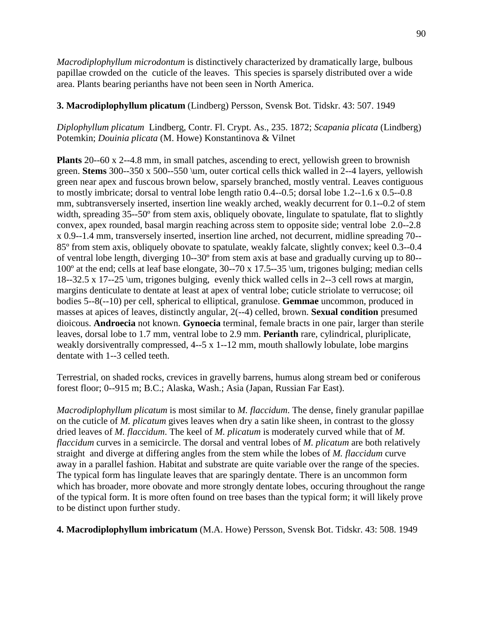*Macrodiplophyllum microdontum* is distinctively characterized by dramatically large, bulbous papillae crowded on the cuticle of the leaves. This species is sparsely distributed over a wide area. Plants bearing perianths have not been seen in North America.

# **3. Macrodiplophyllum plicatum** (Lindberg) Persson, Svensk Bot. Tidskr. 43: 507. 1949

*Diplophyllum plicatum* Lindberg, Contr. Fl. Crypt. As., 235. 1872; *Scapania plicata* (Lindberg) Potemkin; *Douinia plicata* (M. Howe) Konstantinova & Vilnet

**Plants** 20--60 x 2--4.8 mm, in small patches, ascending to erect, yellowish green to brownish green. **Stems** 300--350 x 500--550 \um, outer cortical cells thick walled in 2--4 layers, yellowish green near apex and fuscous brown below, sparsely branched, mostly ventral. Leaves contiguous to mostly imbricate; dorsal to ventral lobe length ratio 0.4--0.5; dorsal lobe 1.2--1.6 x 0.5--0.8 mm, subtransversely inserted, insertion line weakly arched, weakly decurrent for 0.1--0.2 of stem width, spreading 35--50<sup>°</sup> from stem axis, obliquely obovate, lingulate to spatulate, flat to slightly convex, apex rounded, basal margin reaching across stem to opposite side; ventral lobe 2.0--2.8 x 0.9--1.4 mm, transversely inserted, insertion line arched, not decurrent, midline spreading 70-- 85º from stem axis, obliquely obovate to spatulate, weakly falcate, slightly convex; keel 0.3--0.4 of ventral lobe length, diverging 10--30º from stem axis at base and gradually curving up to 80-- 100º at the end; cells at leaf base elongate, 30--70 x 17.5--35 \um, trigones bulging; median cells 18--32.5 x 17--25 \um, trigones bulging, evenly thick walled cells in 2--3 cell rows at margin, margins denticulate to dentate at least at apex of ventral lobe; cuticle striolate to verrucose; oil bodies 5--8(--10) per cell, spherical to elliptical, granulose. **Gemmae** uncommon, produced in masses at apices of leaves, distinctly angular, 2(--4) celled, brown. **Sexual condition** presumed dioicous. **Androecia** not known. **Gynoecia** terminal, female bracts in one pair, larger than sterile leaves, dorsal lobe to 1.7 mm, ventral lobe to 2.9 mm. **Perianth** rare, cylindrical, pluriplicate, weakly dorsiventrally compressed, 4--5 x 1--12 mm, mouth shallowly lobulate, lobe margins dentate with 1--3 celled teeth.

Terrestrial, on shaded rocks, crevices in gravelly barrens, humus along stream bed or coniferous forest floor; 0--915 m; B.C.; Alaska, Wash.; Asia (Japan, Russian Far East).

*Macrodiplophyllum plicatum* is most similar to *M. flaccidum*. The dense, finely granular papillae on the cuticle of *M. plicatum* gives leaves when dry a satin like sheen, in contrast to the glossy dried leaves of *M. flaccidum*. The keel of *M. plicatum* is moderately curved while that of *M. flaccidum* curves in a semicircle. The dorsal and ventral lobes of *M. plicatum* are both relatively straight and diverge at differing angles from the stem while the lobes of *M. flaccidum* curve away in a parallel fashion. Habitat and substrate are quite variable over the range of the species. The typical form has lingulate leaves that are sparingly dentate. There is an uncommon form which has broader, more obovate and more strongly dentate lobes, occuring throughout the range of the typical form. It is more often found on tree bases than the typical form; it will likely prove to be distinct upon further study.

**4. Macrodiplophyllum imbricatum** (M.A. Howe) Persson, Svensk Bot. Tidskr. 43: 508. 1949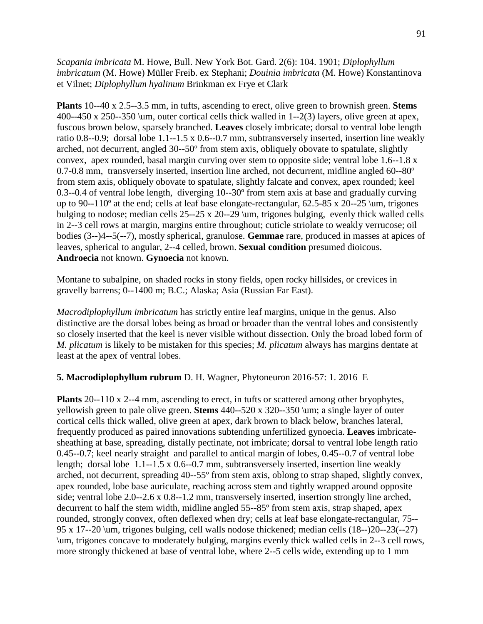*Scapania imbricata* M. Howe, Bull. New York Bot. Gard. 2(6): 104. 1901; *Diplophyllum imbricatum* (M. Howe) Müller Freib. ex Stephani; *Douinia imbricata* (M. Howe) Konstantinova et Vilnet; *Diplophyllum hyalinum* Brinkman ex Frye et Clark

**Plants** 10--40 x 2.5--3.5 mm, in tufts, ascending to erect, olive green to brownish green. **Stems** 400--450 x 250--350 \um, outer cortical cells thick walled in 1--2(3) layers, olive green at apex, fuscous brown below, sparsely branched. **Leaves** closely imbricate; dorsal to ventral lobe length ratio 0.8--0.9; dorsal lobe 1.1--1.5 x 0.6--0.7 mm, subtransversely inserted, insertion line weakly arched, not decurrent, angled 30--50º from stem axis, obliquely obovate to spatulate, slightly convex, apex rounded, basal margin curving over stem to opposite side; ventral lobe 1.6--1.8 x 0.7-0.8 mm, transversely inserted, insertion line arched, not decurrent, midline angled 60--80º from stem axis, obliquely obovate to spatulate, slightly falcate and convex, apex rounded; keel 0.3--0.4 of ventral lobe length, diverging 10--30º from stem axis at base and gradually curving up to 90--110º at the end; cells at leaf base elongate-rectangular, 62.5-85 x 20--25 \um, trigones bulging to nodose; median cells 25--25 x 20--29 \um, trigones bulging, evenly thick walled cells in 2--3 cell rows at margin, margins entire throughout; cuticle striolate to weakly verrucose; oil bodies (3--)4--5(--7), mostly spherical, granulose. **Gemmae** rare, produced in masses at apices of leaves, spherical to angular, 2--4 celled, brown. **Sexual condition** presumed dioicous. **Androecia** not known. **Gynoecia** not known.

Montane to subalpine, on shaded rocks in stony fields, open rocky hillsides, or crevices in gravelly barrens; 0--1400 m; B.C.; Alaska; Asia (Russian Far East).

*Macrodiplophyllum imbricatum* has strictly entire leaf margins, unique in the genus. Also distinctive are the dorsal lobes being as broad or broader than the ventral lobes and consistently so closely inserted that the keel is never visible without dissection. Only the broad lobed form of *M. plicatum* is likely to be mistaken for this species; *M. plicatum* always has margins dentate at least at the apex of ventral lobes.

## **5. Macrodiplophyllum rubrum** D. H. Wagner, Phytoneuron 2016-57: 1. 2016 E

**Plants** 20--110 x 2--4 mm, ascending to erect, in tufts or scattered among other bryophytes, yellowish green to pale olive green. **Stems** 440--520 x 320--350 \um; a single layer of outer cortical cells thick walled, olive green at apex, dark brown to black below, branches lateral, frequently produced as paired innovations subtending unfertilized gynoecia. **Leaves** imbricatesheathing at base, spreading, distally pectinate, not imbricate; dorsal to ventral lobe length ratio 0.45--0.7; keel nearly straight and parallel to antical margin of lobes, 0.45--0.7 of ventral lobe length; dorsal lobe 1.1--1.5 x 0.6--0.7 mm, subtransversely inserted, insertion line weakly arched, not decurrent, spreading 40--55º from stem axis, oblong to strap shaped, slightly convex, apex rounded, lobe base auriculate, reaching across stem and tightly wrapped around opposite side; ventral lobe 2.0--2.6 x 0.8--1.2 mm, transversely inserted, insertion strongly line arched, decurrent to half the stem width, midline angled 55--85<sup>°</sup> from stem axis, strap shaped, apex rounded, strongly convex, often deflexed when dry; cells at leaf base elongate-rectangular, 75-- 95 x 17--20 \um, trigones bulging, cell walls nodose thickened; median cells (18--)20--23(--27) \um, trigones concave to moderately bulging, margins evenly thick walled cells in 2--3 cell rows, more strongly thickened at base of ventral lobe, where 2--5 cells wide, extending up to 1 mm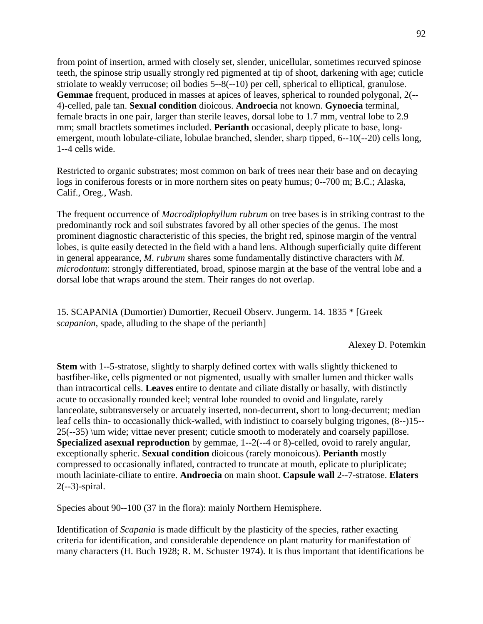from point of insertion, armed with closely set, slender, unicellular, sometimes recurved spinose teeth, the spinose strip usually strongly red pigmented at tip of shoot, darkening with age; cuticle striolate to weakly verrucose; oil bodies 5--8(--10) per cell, spherical to elliptical, granulose. **Gemmae** frequent, produced in masses at apices of leaves, spherical to rounded polygonal, 2(-- 4)-celled, pale tan. **Sexual condition** dioicous. **Androecia** not known. **Gynoecia** terminal, female bracts in one pair, larger than sterile leaves, dorsal lobe to 1.7 mm, ventral lobe to 2.9 mm; small bractlets sometimes included. **Perianth** occasional, deeply plicate to base, longemergent, mouth lobulate-ciliate, lobulae branched, slender, sharp tipped, 6--10(--20) cells long, 1--4 cells wide.

Restricted to organic substrates; most common on bark of trees near their base and on decaying logs in coniferous forests or in more northern sites on peaty humus; 0--700 m; B.C.; Alaska, Calif., Oreg., Wash.

The frequent occurrence of *Macrodiplophyllum rubrum* on tree bases is in striking contrast to the predominantly rock and soil substrates favored by all other species of the genus. The most prominent diagnostic characteristic of this species, the bright red, spinose margin of the ventral lobes, is quite easily detected in the field with a hand lens. Although superficially quite different in general appearance, *M. rubrum* shares some fundamentally distinctive characters with *M. microdontum*: strongly differentiated, broad, spinose margin at the base of the ventral lobe and a dorsal lobe that wraps around the stem. Their ranges do not overlap.

15. SCAPANIA (Dumortier) Dumortier, Recueil Observ. Jungerm. 14. 1835 \* [Greek *scapanion*, spade, alluding to the shape of the perianth]

Alexey D. Potemkin

**Stem** with 1--5-stratose, slightly to sharply defined cortex with walls slightly thickened to bastfiber-like, cells pigmented or not pigmented, usually with smaller lumen and thicker walls than intracortical cells. **Leaves** entire to dentate and ciliate distally or basally, with distinctly acute to occasionally rounded keel; ventral lobe rounded to ovoid and lingulate, rarely lanceolate, subtransversely or arcuately inserted, non-decurrent, short to long-decurrent; median leaf cells thin- to occasionally thick-walled, with indistinct to coarsely bulging trigones, (8--)15-- 25(--35) \um wide; vittae never present; cuticle smooth to moderately and coarsely papillose. **Specialized asexual reproduction** by gemmae, 1--2(--4 or 8)-celled, ovoid to rarely angular, exceptionally spheric. **Sexual condition** dioicous (rarely monoicous). **Perianth** mostly compressed to occasionally inflated, contracted to truncate at mouth, eplicate to pluriplicate; mouth laciniate-ciliate to entire. **Androecia** on main shoot. **Capsule wall** 2--7-stratose. **Elaters** 2(--3)-spiral.

Species about 90--100 (37 in the flora): mainly Northern Hemisphere.

Identification of *Scapania* is made difficult by the plasticity of the species, rather exacting criteria for identification, and considerable dependence on plant maturity for manifestation of many characters (H. Buch 1928; R. M. Schuster 1974). It is thus important that identifications be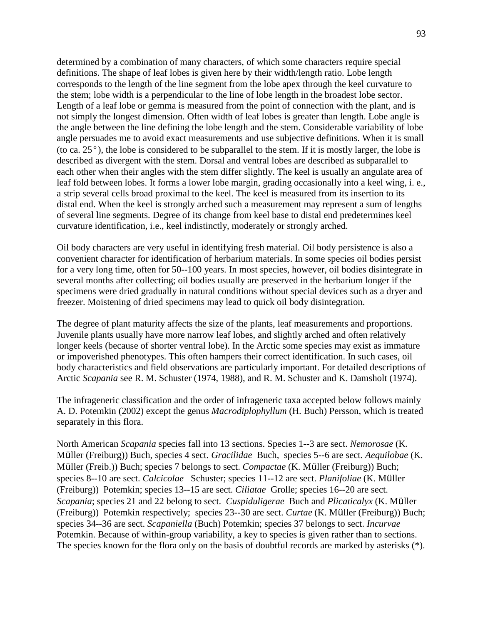determined by a combination of many characters, of which some characters require special definitions. The shape of leaf lobes is given here by their width/length ratio. Lobe length corresponds to the length of the line segment from the lobe apex through the keel curvature to the stem; lobe width is a perpendicular to the line of lobe length in the broadest lobe sector. Length of a leaf lobe or gemma is measured from the point of connection with the plant, and is not simply the longest dimension. Often width of leaf lobes is greater than length. Lobe angle is the angle between the line defining the lobe length and the stem. Considerable variability of lobe angle persuades me to avoid exact measurements and use subjective definitions. When it is small (to ca. 25°), the lobe is considered to be subparallel to the stem. If it is mostly larger, the lobe is described as divergent with the stem. Dorsal and ventral lobes are described as subparallel to each other when their angles with the stem differ slightly. The keel is usually an angulate area of leaf fold between lobes. It forms a lower lobe margin, grading occasionally into a keel wing, i. e., a strip several cells broad proximal to the keel. The keel is measured from its insertion to its distal end. When the keel is strongly arched such a measurement may represent a sum of lengths of several line segments. Degree of its change from keel base to distal end predetermines keel curvature identification, i.e., keel indistinctly, moderately or strongly arched.

Oil body characters are very useful in identifying fresh material. Oil body persistence is also a convenient character for identification of herbarium materials. In some species oil bodies persist for a very long time, often for 50--100 years. In most species, however, oil bodies disintegrate in several months after collecting; oil bodies usually are preserved in the herbarium longer if the specimens were dried gradually in natural conditions without special devices such as a dryer and freezer. Moistening of dried specimens may lead to quick oil body disintegration.

The degree of plant maturity affects the size of the plants, leaf measurements and proportions. Juvenile plants usually have more narrow leaf lobes, and slightly arched and often relatively longer keels (because of shorter ventral lobe). In the Arctic some species may exist as immature or impoverished phenotypes. This often hampers their correct identification. In such cases, oil body characteristics and field observations are particularly important. For detailed descriptions of Arctic *Scapania* see R. M. Schuster (1974, 1988), and R. M. Schuster and K. Damsholt (1974).

The infrageneric classification and the order of infrageneric taxa accepted below follows mainly A. D. Potemkin (2002) except the genus *Macrodiplophyllum* (H. Buch) Persson, which is treated separately in this flora.

North American *Scapania* species fall into 13 sections. Species 1--3 are sect. *Nemorosae* (K. Müller (Freiburg)) Buch, species 4 sect. *Gracilidae* Buch, species 5--6 are sect. *Aequilobae* (K. Müller (Freib.)) Buch; species 7 belongs to sect. *Compactae* (K. Müller (Freiburg)) Buch; species 8--10 are sect. *Calcicolae* Schuster; species 11--12 are sect. *Planifoliae* (K. Müller (Freiburg)) Potemkin; species 13--15 are sect. *Ciliatae* Grolle; species 16--20 are sect. *Scapania*; species 21 and 22 belong to sect. *Cuspiduligerae* Buch and *Plicaticalyx* (K. Müller (Freiburg)) Potemkin respectively; species 23--30 are sect. *Curtae* (K. Müller (Freiburg)) Buch; species 34--36 are sect. *Scapaniella* (Buch) Potemkin; species 37 belongs to sect. *Incurvae* Potemkin. Because of within-group variability, a key to species is given rather than to sections. The species known for the flora only on the basis of doubtful records are marked by asterisks (\*).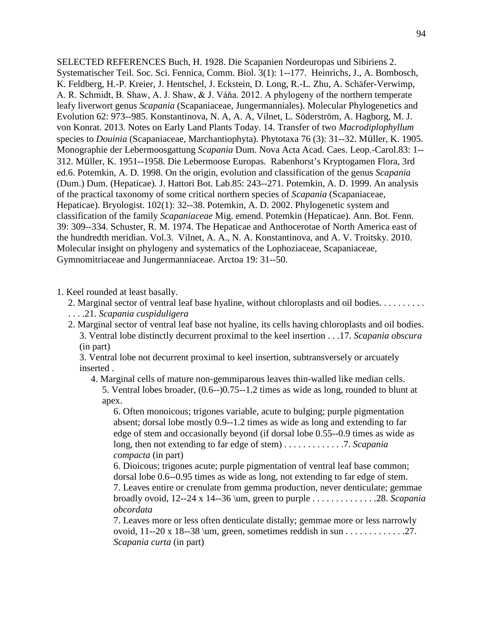SELECTED REFERENCES Buch, H. 1928. Die Scapanien Nordeuropas und Sibiriens 2. Systematischer Teil. Soc. Sci. Fennica, Comm. Biol. 3(1): 1--177. Heinrichs, J., A. Bombosch, K. Feldberg, H.-P. Kreier, J. Hentschel, J. Eckstein, D. Long, R.-L. Zhu, A. Schäfer-Verwimp, A. R. Schmidt, B. Shaw, A. J. Shaw, & J. Váňa. 2012. A phylogeny of the northern temperate leafy liverwort genus *Scapania* (Scapaniaceae, Jungermanniales). Molecular Phylogenetics and Evolution 62: 973--985. Konstantinova, N. A, A. A, Vilnet, L. Söderström, A. Hagborg, M. J. von Konrat. 2013. Notes on Early Land Plants Today. 14. Transfer of two *Macrodiplophyllum* species to *Douinia* (Scapaniaceae, Marchantiophyta). Phytotaxa 76 (3): 31--32. Müller, K. 1905. Monographie der Lebermoosgattung *Scapania* Dum. Nova Acta Acad. Caes. Leop.-Carol.83: 1-- 312. Müller, K. 1951--1958. Die Lebermoose Europas. Rabenhorst's Kryptogamen Flora, 3rd ed.6. Potemkin, A. D. 1998. On the origin, evolution and classification of the genus *Scapania* (Dum.) Dum. (Hepaticae). J. Hattori Bot. Lab.85: 243--271. Potemkin, A. D. 1999. An analysis of the practical taxonomy of some critical northern species of *Scapania* (Scapaniaceae, Hepaticae). Bryologist. 102(1): 32--38. Potemkin, A. D. 2002. Phylogenetic system and classification of the family *Scapaniaceae* Mig. emend. Potemkin (Hepaticae). Ann. Bot. Fenn. 39: 309--334. Schuster, R. M. 1974. The Hepaticae and Anthocerotae of North America east of the hundredth meridian. Vol.3. Vilnet, A. A., N. A. Konstantinova, and A. V. Troitsky. 2010. Molecular insight on phylogeny and systematics of the Lophoziaceae, Scapaniaceae, Gymnomitriaceae and Jungermanniaceae. Arctoa 19: 31--50.

#### 1. Keel rounded at least basally.

- 2. Marginal sector of ventral leaf base hyaline, without chloroplasts and oil bodies. . . . . . . . . . . . . .21. *Scapania cuspiduligera*
- 2. Marginal sector of ventral leaf base not hyaline, its cells having chloroplasts and oil bodies. 3. Ventral lobe distinctly decurrent proximal to the keel insertion . . .17. *Scapania obscura* 
	- (in part)

3. Ventral lobe not decurrent proximal to keel insertion, subtransversely or arcuately inserted .

4. Marginal cells of mature non-gemmiparous leaves thin-walled like median cells. 5. Ventral lobes broader, (0.6--)0.75--1.2 times as wide as long, rounded to blunt at apex.

6. Often monoicous; trigones variable, acute to bulging; purple pigmentation absent; dorsal lobe mostly 0.9--1.2 times as wide as long and extending to far edge of stem and occasionally beyond (if dorsal lobe 0.55--0.9 times as wide as long, then not extending to far edge of stem) . . . . . . . . . . . . .7. *Scapania compacta* (in part)

6. Dioicous; trigones acute; purple pigmentation of ventral leaf base common; dorsal lobe 0.6--0.95 times as wide as long, not extending to far edge of stem. 7. Leaves entire or crenulate from gemma production, never denticulate; gemmae broadly ovoid, 12--24 x 14--36 \um, green to purple . . . . . . . . . . . . . .28. *Scapania obcordata*

7. Leaves more or less often denticulate distally; gemmae more or less narrowly ovoid, 11--20 x 18--38 \um, green, sometimes reddish in sun . . . . . . . . . . . . .27. *Scapania curta* (in part)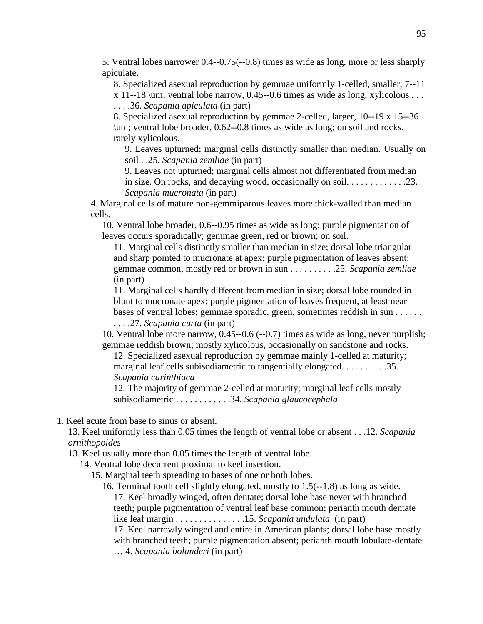5. Ventral lobes narrower 0.4--0.75(--0.8) times as wide as long, more or less sharply apiculate.

8. Specialized asexual reproduction by gemmae uniformly 1-celled, smaller, 7--11

 $x$  11--18 \um; ventral lobe narrow, 0.45--0.6 times as wide as long; xylicolous . . . . . . .36. *Scapania apiculata* (in part)

8. Specialized asexual reproduction by gemmae 2-celled, larger, 10--19 x 15--36 \um; ventral lobe broader, 0.62--0.8 times as wide as long; on soil and rocks, rarely xylicolous.

9. Leaves upturned; marginal cells distinctly smaller than median. Usually on soil . .25. *Scapania zemliae* (in part)

9. Leaves not upturned; marginal cells almost not differentiated from median in size. On rocks, and decaying wood, occasionally on soil. . . . . . . . . . . . .23. *Scapania mucronata* (in part)

4. Marginal cells of mature non-gemmiparous leaves more thick-walled than median cells.

10. Ventral lobe broader, 0.6--0.95 times as wide as long; purple pigmentation of leaves occurs sporadically; gemmae green, red or brown; on soil.

11. Marginal cells distinctly smaller than median in size; dorsal lobe triangular and sharp pointed to mucronate at apex; purple pigmentation of leaves absent; gemmae common, mostly red or brown in sun . . . . . . . . . .25. *Scapania zemliae*  (in part)

11. Marginal cells hardly different from median in size; dorsal lobe rounded in blunt to mucronate apex; purple pigmentation of leaves frequent, at least near bases of ventral lobes; gemmae sporadic, green, sometimes reddish in sun . . . . . .

. . . .27. *Scapania curta* (in part)

10. Ventral lobe more narrow, 0.45--0.6 (--0.7) times as wide as long, never purplish; gemmae reddish brown; mostly xylicolous, occasionally on sandstone and rocks.

12. Specialized asexual reproduction by gemmae mainly 1-celled at maturity; marginal leaf cells subisodiametric to tangentially elongated. . . . . . . . . . . . . . 35. *Scapania carinthiaca*

12. The majority of gemmae 2-celled at maturity; marginal leaf cells mostly subisodiametric . . . . . . . . . . . .34. *Scapania glaucocephala*

1. Keel acute from base to sinus or absent.

13. Keel uniformly less than 0.05 times the length of ventral lobe or absent . . .12. *Scapania ornithopoides*

13. Keel usually more than 0.05 times the length of ventral lobe.

14. Ventral lobe decurrent proximal to keel insertion.

15. Marginal teeth spreading to bases of one or both lobes.

16. Terminal tooth cell slightly elongated, mostly to 1.5(--1.8) as long as wide. 17. Keel broadly winged, often dentate; dorsal lobe base never with branched teeth; purple pigmentation of ventral leaf base common; perianth mouth dentate like leaf margin . . . . . . . . . . . . . . .15. *Scapania undulata* (in part)

17. Keel narrowly winged and entire in American plants; dorsal lobe base mostly with branched teeth; purple pigmentation absent; perianth mouth lobulate-dentate … 4. *Scapania bolanderi* (in part)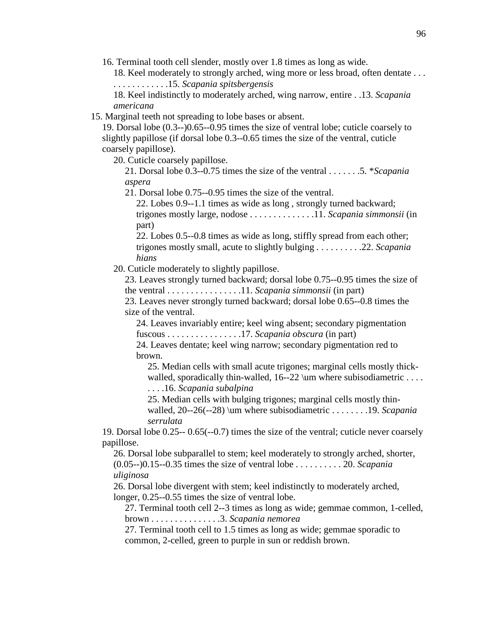16. Terminal tooth cell slender, mostly over 1.8 times as long as wide.

18. Keel moderately to strongly arched, wing more or less broad, often dentate . . . . . . . . . . . . . . .15. *Scapania spitsbergensis*

18. Keel indistinctly to moderately arched, wing narrow, entire . .13. *Scapania americana*

15. Marginal teeth not spreading to lobe bases or absent.

19. Dorsal lobe (0.3--)0.65--0.95 times the size of ventral lobe; cuticle coarsely to slightly papillose (if dorsal lobe 0.3--0.65 times the size of the ventral, cuticle coarsely papillose).

20. Cuticle coarsely papillose.

21. Dorsal lobe 0.3--0.75 times the size of the ventral . . . . . . .5. \**Scapania aspera*

21. Dorsal lobe 0.75--0.95 times the size of the ventral.

22. Lobes 0.9--1.1 times as wide as long , strongly turned backward; trigones mostly large, nodose . . . . . . . . . . . . . .11. *Scapania simmonsii* (in part)

22. Lobes 0.5--0.8 times as wide as long, stiffly spread from each other; trigones mostly small, acute to slightly bulging . . . . . . . . . .22. *Scapania hians*

20. Cuticle moderately to slightly papillose.

23. Leaves strongly turned backward; dorsal lobe 0.75--0.95 times the size of the ventral . . . . . . . . . . . . . . . .11. *Scapania simmonsii* (in part)

23. Leaves never strongly turned backward; dorsal lobe 0.65--0.8 times the size of the ventral.

24. Leaves invariably entire; keel wing absent; secondary pigmentation fuscous . . . . . . . . . . . . . . . .17. *Scapania obscura* (in part)

24. Leaves dentate; keel wing narrow; secondary pigmentation red to brown.

25. Median cells with small acute trigones; marginal cells mostly thickwalled, sporadically thin-walled,  $16-22 \mu$  where subisodiametric ....

. . . .16. *Scapania subalpina*

25. Median cells with bulging trigones; marginal cells mostly thinwalled, 20--26(--28) \um where subisodiametric . . . . . . . .19. *Scapania serrulata*

19. Dorsal lobe 0.25-- 0.65(--0.7) times the size of the ventral; cuticle never coarsely papillose.

26. Dorsal lobe subparallel to stem; keel moderately to strongly arched, shorter, (0.05--)0.15--0.35 times the size of ventral lobe . . . . . . . . . . 20. *Scapania uliginosa*

26. Dorsal lobe divergent with stem; keel indistinctly to moderately arched, longer, 0.25--0.55 times the size of ventral lobe.

27. Terminal tooth cell 2--3 times as long as wide; gemmae common, 1-celled, brown . . . . . . . . . . . . . . .3. *Scapania nemorea*

27. Terminal tooth cell to 1.5 times as long as wide; gemmae sporadic to common, 2-celled, green to purple in sun or reddish brown.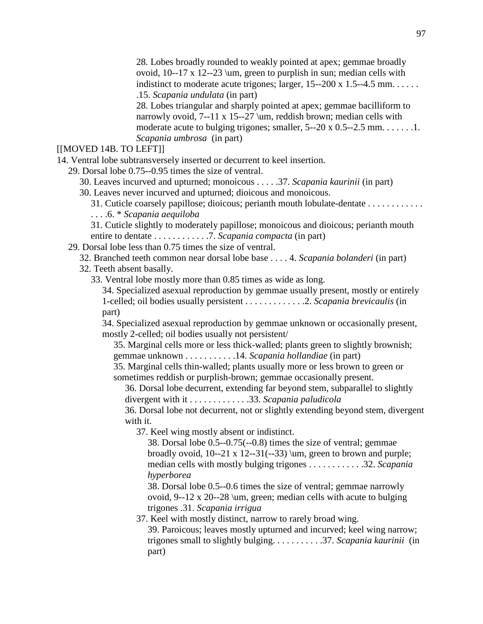28. Lobes broadly rounded to weakly pointed at apex; gemmae broadly ovoid, 10--17 x 12--23 \um, green to purplish in sun; median cells with indistinct to moderate acute trigones; larger,  $15-200 \times 1.5-4.5 \text{ mm}$ ..... .15. *Scapania undulata* (in part)

28. Lobes triangular and sharply pointed at apex; gemmae bacilliform to narrowly ovoid, 7--11 x 15--27 \um, reddish brown; median cells with moderate acute to bulging trigones; smaller,  $5-20 \times 0.5-2.5 \text{ mm}$ ........ *Scapania umbrosa* (in part)

[[MOVED 14B. TO LEFT]]

14. Ventral lobe subtransversely inserted or decurrent to keel insertion.

29. Dorsal lobe 0.75--0.95 times the size of ventral.

30. Leaves incurved and upturned; monoicous . . . . .37. *Scapania kaurinii* (in part)

30. Leaves never incurved and upturned; dioicous and monoicous.

31. Cuticle coarsely papillose; dioicous; perianth mouth lobulate-dentate . . . . . . . . . . . . . . . .6. \* *Scapania aequiloba*

31. Cuticle slightly to moderately papillose; monoicous and dioicous; perianth mouth entire to dentate . . . . . . . . . . . .7. *Scapania compacta* (in part)

29. Dorsal lobe less than 0.75 times the size of ventral.

32. Branched teeth common near dorsal lobe base . . . . 4. *Scapania bolanderi* (in part)

32. Teeth absent basally.

33. Ventral lobe mostly more than 0.85 times as wide as long.

34. Specialized asexual reproduction by gemmae usually present, mostly or entirely 1-celled; oil bodies usually persistent . . . . . . . . . . . . .2. *Scapania brevicaulis* (in part)

34. Specialized asexual reproduction by gemmae unknown or occasionally present, mostly 2-celled; oil bodies usually not persistent/

35. Marginal cells more or less thick-walled; plants green to slightly brownish; gemmae unknown . . . . . . . . . . .14. *Scapania hollandiae* (in part)

35. Marginal cells thin-walled; plants usually more or less brown to green or sometimes reddish or purplish-brown; gemmae occasionally present.

36. Dorsal lobe decurrent, extending far beyond stem, subparallel to slightly divergent with it . . . . . . . . . . . . .33. *Scapania paludicola*

36. Dorsal lobe not decurrent, not or slightly extending beyond stem, divergent with it.

37. Keel wing mostly absent or indistinct.

38. Dorsal lobe 0.5--0.75(--0.8) times the size of ventral; gemmae broadly ovoid,  $10-21 \times 12-31(-33)$  \um, green to brown and purple; median cells with mostly bulging trigones . . . . . . . . . . . .32. *Scapania hyperborea*

38. Dorsal lobe 0.5--0.6 times the size of ventral; gemmae narrowly ovoid, 9--12 x 20--28 \um, green; median cells with acute to bulging trigones .31. *Scapania irrigua*

37. Keel with mostly distinct, narrow to rarely broad wing.

39. Paroicous; leaves mostly upturned and incurved; keel wing narrow; trigones small to slightly bulging. . . . . . . . . . .37. *Scapania kaurinii* (in part)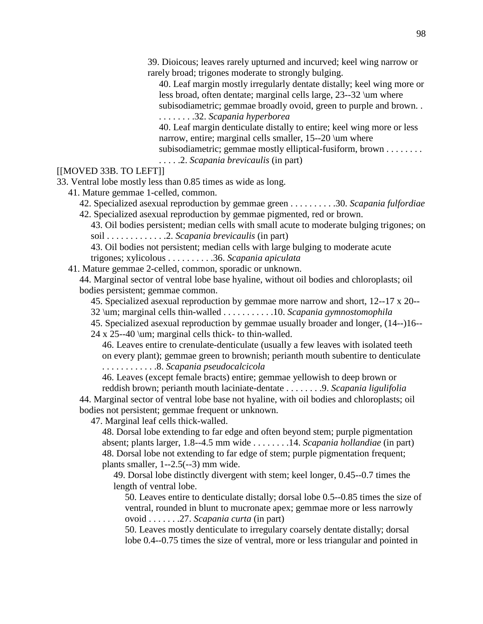39. Dioicous; leaves rarely upturned and incurved; keel wing narrow or rarely broad; trigones moderate to strongly bulging.

40. Leaf margin mostly irregularly dentate distally; keel wing more or less broad, often dentate; marginal cells large, 23--32 \um where subisodiametric; gemmae broadly ovoid, green to purple and brown. . . . . . . . . .32. *Scapania hyperborea*

40. Leaf margin denticulate distally to entire; keel wing more or less

narrow, entire; marginal cells smaller, 15--20 \um where

subisodiametric; gemmae mostly elliptical-fusiform, brown . . . . . . . . .

. . . . .2. *Scapania brevicaulis* (in part)

### [[MOVED 33B. TO LEFT]]

33. Ventral lobe mostly less than 0.85 times as wide as long.

41. Mature gemmae 1-celled, common.

42. Specialized asexual reproduction by gemmae green . . . . . . . . . .30. *Scapania fulfordiae* 42. Specialized asexual reproduction by gemmae pigmented, red or brown.

43. Oil bodies persistent; median cells with small acute to moderate bulging trigones; on soil . . . . . . . . . . . . .2. *Scapania brevicaulis* (in part)

43. Oil bodies not persistent; median cells with large bulging to moderate acute trigones; xylicolous . . . . . . . . . .36. *Scapania apiculata*

41. Mature gemmae 2-celled, common, sporadic or unknown.

44. Marginal sector of ventral lobe base hyaline, without oil bodies and chloroplasts; oil bodies persistent; gemmae common.

45. Specialized asexual reproduction by gemmae more narrow and short, 12--17 x 20--

32 \um; marginal cells thin-walled . . . . . . . . . . .10. *Scapania gymnostomophila* 

45. Specialized asexual reproduction by gemmae usually broader and longer, (14--)16--

24 x 25--40 \um; marginal cells thick- to thin-walled.

46. Leaves entire to crenulate-denticulate (usually a few leaves with isolated teeth on every plant); gemmae green to brownish; perianth mouth subentire to denticulate

. . . . . . . . . . . .8. *Scapania pseudocalcicola*

46. Leaves (except female bracts) entire; gemmae yellowish to deep brown or

reddish brown; perianth mouth laciniate-dentate . . . . . . . .9. *Scapania ligulifolia* 44. Marginal sector of ventral lobe base not hyaline, with oil bodies and chloroplasts; oil bodies not persistent; gemmae frequent or unknown.

47. Marginal leaf cells thick-walled.

48. Dorsal lobe extending to far edge and often beyond stem; purple pigmentation absent; plants larger, 1.8--4.5 mm wide . . . . . . . .14. *Scapania hollandiae* (in part) 48. Dorsal lobe not extending to far edge of stem; purple pigmentation frequent; plants smaller,  $1-2.5(-3)$  mm wide.

49. Dorsal lobe distinctly divergent with stem; keel longer, 0.45--0.7 times the length of ventral lobe.

50. Leaves entire to denticulate distally; dorsal lobe 0.5--0.85 times the size of ventral, rounded in blunt to mucronate apex; gemmae more or less narrowly ovoid . . . . . . .27. *Scapania curta* (in part)

50. Leaves mostly denticulate to irregulary coarsely dentate distally; dorsal lobe 0.4--0.75 times the size of ventral, more or less triangular and pointed in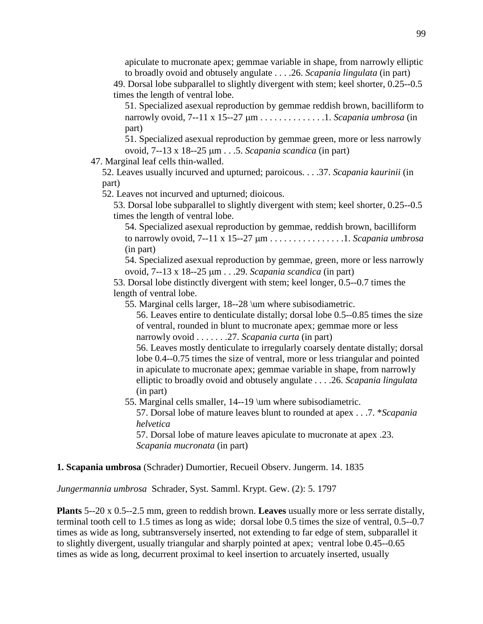apiculate to mucronate apex; gemmae variable in shape, from narrowly elliptic to broadly ovoid and obtusely angulate . . . .26. *Scapania lingulata* (in part)

49. Dorsal lobe subparallel to slightly divergent with stem; keel shorter, 0.25--0.5 times the length of ventral lobe.

51. Specialized asexual reproduction by gemmae reddish brown, bacilliform to narrowly ovoid, 7--11 x 15--27 µm . . . . . . . . . . . . . .1. *Scapania umbrosa* (in part)

51. Specialized asexual reproduction by gemmae green, more or less narrowly ovoid, 7--13 x 18--25 µm . . .5. *Scapania scandica* (in part)

47. Marginal leaf cells thin-walled.

52. Leaves usually incurved and upturned; paroicous. . . .37. *Scapania kaurinii* (in part)

52. Leaves not incurved and upturned; dioicous.

53. Dorsal lobe subparallel to slightly divergent with stem; keel shorter, 0.25--0.5 times the length of ventral lobe.

54. Specialized asexual reproduction by gemmae, reddish brown, bacilliform to narrowly ovoid, 7--11 x 15--27 µm . . . . . . . . . . . . . . . .1. *Scapania umbrosa*  (in part)

54. Specialized asexual reproduction by gemmae, green, more or less narrowly ovoid, 7--13 x 18--25 µm . . .29. *Scapania scandica* (in part)

53. Dorsal lobe distinctly divergent with stem; keel longer, 0.5--0.7 times the length of ventral lobe.

55. Marginal cells larger, 18--28 \um where subisodiametric.

56. Leaves entire to denticulate distally; dorsal lobe 0.5--0.85 times the size of ventral, rounded in blunt to mucronate apex; gemmae more or less narrowly ovoid . . . . . . .27. *Scapania curta* (in part)

56. Leaves mostly denticulate to irregularly coarsely dentate distally; dorsal lobe 0.4--0.75 times the size of ventral, more or less triangular and pointed in apiculate to mucronate apex; gemmae variable in shape, from narrowly elliptic to broadly ovoid and obtusely angulate . . . .26. *Scapania lingulata*  (in part)

55. Marginal cells smaller, 14--19 \um where subisodiametric.

57. Dorsal lobe of mature leaves blunt to rounded at apex . . .7. \**Scapania helvetica*

57. Dorsal lobe of mature leaves apiculate to mucronate at apex .23. *Scapania mucronata* (in part)

#### **1. Scapania umbrosa** (Schrader) Dumortier, Recueil Observ. Jungerm. 14. 1835

*Jungermannia umbrosa* Schrader, Syst. Samml. Krypt. Gew. (2): 5. 1797

**Plants** 5--20 x 0.5--2.5 mm, green to reddish brown. **Leaves** usually more or less serrate distally, terminal tooth cell to 1.5 times as long as wide; dorsal lobe 0.5 times the size of ventral, 0.5--0.7 times as wide as long, subtransversely inserted, not extending to far edge of stem, subparallel it to slightly divergent, usually triangular and sharply pointed at apex; ventral lobe 0.45--0.65 times as wide as long, decurrent proximal to keel insertion to arcuately inserted, usually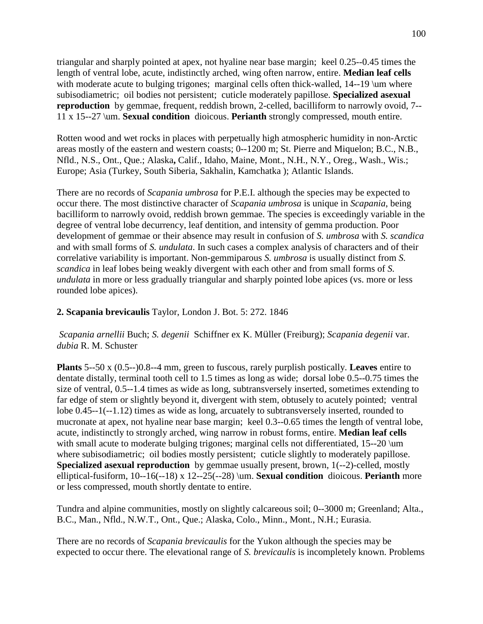triangular and sharply pointed at apex, not hyaline near base margin; keel 0.25--0.45 times the length of ventral lobe, acute, indistinctly arched, wing often narrow, entire. **Median leaf cells** with moderate acute to bulging trigones; marginal cells often thick-walled, 14--19 \um where subisodiametric; oil bodies not persistent; cuticle moderately papillose. **Specialized asexual reproduction** by gemmae, frequent, reddish brown, 2-celled, bacilliform to narrowly ovoid, 7--11 x 15--27 \um. **Sexual condition** dioicous. **Perianth** strongly compressed, mouth entire.

Rotten wood and wet rocks in places with perpetually high atmospheric humidity in non-Arctic areas mostly of the eastern and western coasts; 0--1200 m; St. Pierre and Miquelon; B.C., N.B., Nfld., N.S., Ont., Que.; Alaska**,** Calif., Idaho, Maine, Mont., N.H., N.Y., Oreg., Wash., Wis.; Europe; Asia (Turkey, South Siberia, Sakhalin, Kamchatka ); Atlantic Islands.

There are no records of *Scapania umbrosa* for P.E.I. although the species may be expected to occur there. The most distinctive character of *Scapania umbrosa* is unique in *Scapania*, being bacilliform to narrowly ovoid, reddish brown gemmae. The species is exceedingly variable in the degree of ventral lobe decurrency, leaf dentition, and intensity of gemma production. Poor development of gemmae or their absence may result in confusion of *S. umbrosa* with *S. scandica* and with small forms of *S. undulata*. In such cases a complex analysis of characters and of their correlative variability is important. Non-gemmiparous *S. umbrosa* is usually distinct from *S. scandica* in leaf lobes being weakly divergent with each other and from small forms of *S. undulata* in more or less gradually triangular and sharply pointed lobe apices (vs. more or less rounded lobe apices).

### **2. Scapania brevicaulis** Taylor, London J. Bot. 5: 272. 1846

*Scapania arnellii* Buch; *S. degenii* Schiffner ex K. Müller (Freiburg); *Scapania degenii* var. *dubia* R. M. Schuster

**Plants** 5--50 x (0.5--)0.8--4 mm, green to fuscous, rarely purplish postically. **Leaves** entire to dentate distally, terminal tooth cell to 1.5 times as long as wide; dorsal lobe 0.5--0.75 times the size of ventral, 0.5--1.4 times as wide as long, subtransversely inserted, sometimes extending to far edge of stem or slightly beyond it, divergent with stem, obtusely to acutely pointed; ventral lobe 0.45--1(--1.12) times as wide as long, arcuately to subtransversely inserted, rounded to mucronate at apex, not hyaline near base margin; keel 0.3--0.65 times the length of ventral lobe, acute, indistinctly to strongly arched, wing narrow in robust forms, entire. **Median leaf cells** with small acute to moderate bulging trigones; marginal cells not differentiated, 15--20 \um where subisodiametric; oil bodies mostly persistent; cuticle slightly to moderately papillose. **Specialized asexual reproduction** by gemmae usually present, brown, 1(--2)-celled, mostly elliptical-fusiform, 10--16(--18) x 12--25(--28) \um. **Sexual condition** dioicous. **Perianth** more or less compressed, mouth shortly dentate to entire.

Tundra and alpine communities, mostly on slightly calcareous soil; 0--3000 m; Greenland; Alta., B.C., Man., Nfld., N.W.T., Ont., Que.; Alaska, Colo., Minn., Mont., N.H.; Eurasia.

There are no records of *Scapania brevicaulis* for the Yukon although the species may be expected to occur there. The elevational range of *S. brevicaulis* is incompletely known. Problems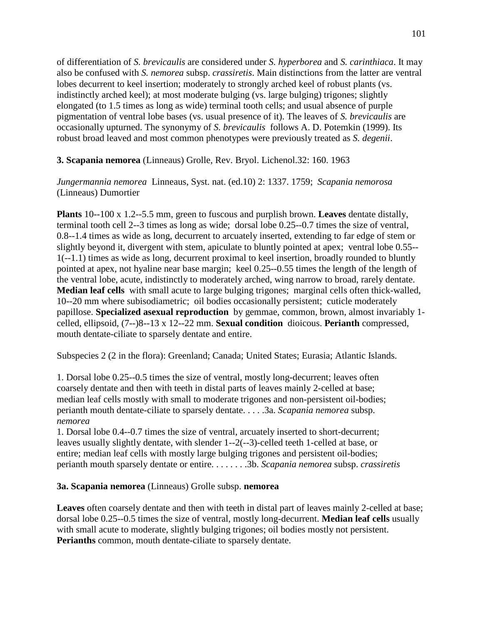of differentiation of *S. brevicaulis* are considered under *S. hyperborea* and *S. carinthiaca*. It may also be confused with *S. nemorea* subsp. *crassiretis*. Main distinctions from the latter are ventral lobes decurrent to keel insertion; moderately to strongly arched keel of robust plants (vs. indistinctly arched keel); at most moderate bulging (vs. large bulging) trigones; slightly elongated (to 1.5 times as long as wide) terminal tooth cells; and usual absence of purple pigmentation of ventral lobe bases (vs. usual presence of it). The leaves of *S. brevicaulis* are occasionally upturned. The synonymy of *S. brevicaulis* follows A. D. Potemkin (1999). Its robust broad leaved and most common phenotypes were previously treated as *S. degenii*.

## **3. Scapania nemorea** (Linneaus) Grolle, Rev. Bryol. Lichenol.32: 160. 1963

*Jungermannia nemorea* Linneaus, Syst. nat. (ed.10) 2: 1337. 1759; *Scapania nemorosa* (Linneaus) Dumortier

**Plants** 10--100 x 1.2--5.5 mm, green to fuscous and purplish brown. **Leaves** dentate distally, terminal tooth cell 2--3 times as long as wide; dorsal lobe 0.25--0.7 times the size of ventral, 0.8--1.4 times as wide as long, decurrent to arcuately inserted, extending to far edge of stem or slightly beyond it, divergent with stem, apiculate to bluntly pointed at apex; ventral lobe 0.55-- 1(--1.1) times as wide as long, decurrent proximal to keel insertion, broadly rounded to bluntly pointed at apex, not hyaline near base margin; keel 0.25--0.55 times the length of the length of the ventral lobe, acute, indistinctly to moderately arched, wing narrow to broad, rarely dentate. **Median leaf cells** with small acute to large bulging trigones; marginal cells often thick-walled, 10--20 mm where subisodiametric; oil bodies occasionally persistent; cuticle moderately papillose. **Specialized asexual reproduction** by gemmae, common, brown, almost invariably 1 celled, ellipsoid, (7--)8--13 x 12--22 mm. **Sexual condition** dioicous. **Perianth** compressed, mouth dentate-ciliate to sparsely dentate and entire.

Subspecies 2 (2 in the flora): Greenland; Canada; United States; Eurasia; Atlantic Islands.

1. Dorsal lobe 0.25--0.5 times the size of ventral, mostly long-decurrent; leaves often coarsely dentate and then with teeth in distal parts of leaves mainly 2-celled at base; median leaf cells mostly with small to moderate trigones and non-persistent oil-bodies; perianth mouth dentate-ciliate to sparsely dentate. . . . .3a. *Scapania nemorea* subsp. *nemorea* 

1. Dorsal lobe 0.4--0.7 times the size of ventral, arcuately inserted to short-decurrent; leaves usually slightly dentate, with slender 1--2(--3)-celled teeth 1-celled at base, or entire; median leaf cells with mostly large bulging trigones and persistent oil-bodies; perianth mouth sparsely dentate or entire. . . . . . . .3b. *Scapania nemorea* subsp. *crassiretis*

#### **3a. Scapania nemorea** (Linneaus) Grolle subsp. **nemorea**

**Leaves** often coarsely dentate and then with teeth in distal part of leaves mainly 2-celled at base; dorsal lobe 0.25--0.5 times the size of ventral, mostly long-decurrent. **Median leaf cells** usually with small acute to moderate, slightly bulging trigones; oil bodies mostly not persistent. **Perianths** common, mouth dentate-ciliate to sparsely dentate.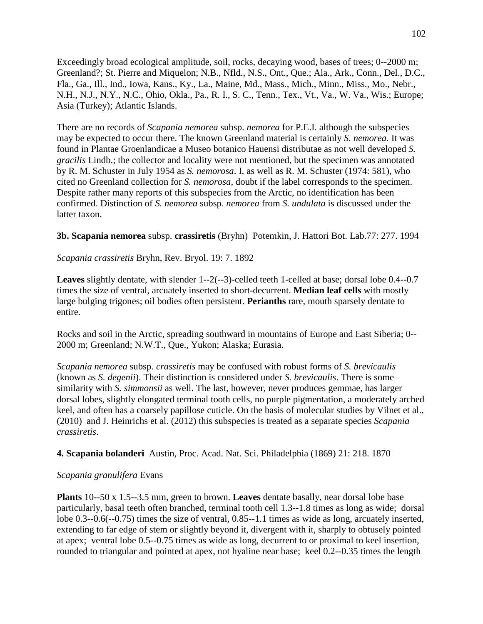Exceedingly broad ecological amplitude, soil, rocks, decaying wood, bases of trees; 0--2000 m; Greenland?; St. Pierre and Miquelon; N.B., Nfld., N.S., Ont., Que.; Ala., Ark., Conn., Del., D.C., Fla., Ga., Ill., Ind., Iowa, Kans., Ky., La., Maine, Md., Mass., Mich., Minn., Miss., Mo., Nebr., N.H., N.J., N.Y., N.C., Ohio, Okla., Pa., R. I., S. C., Tenn., Tex., Vt., Va., W. Va., Wis.; Europe; Asia (Turkey); Atlantic Islands.

There are no records of *Scapania nemorea* subsp. *nemorea* for P.E.I. although the subspecies may be expected to occur there. The known Greenland material is certainly *S. nemorea.* It was found in Plantae Groenlandicae a Museo botanico Hauensi distributae as not well developed *S. gracilis* Lindb.; the collector and locality were not mentioned, but the specimen was annotated by R. M. Schuster in July 1954 as *S. nemorosa*. I, as well as R. M. Schuster (1974: 581), who cited no Greenland collection for *S. nemorosa*, doubt if the label corresponds to the specimen. Despite rather many reports of this subspecies from the Arctic, no identification has been confirmed. Distinction of *S. nemorea* subsp. *nemorea* from *S. undulata* is discussed under the latter taxon.

### **3b. Scapania nemorea** subsp. **crassiretis** (Bryhn) Potemkin, J. Hattori Bot. Lab.77: 277. 1994

*Scapania crassiretis* Bryhn, Rev. Bryol. 19: 7. 1892

**Leaves** slightly dentate, with slender 1--2(--3)-celled teeth 1-celled at base; dorsal lobe 0.4--0.7 times the size of ventral, arcuately inserted to short-decurrent. **Median leaf cells** with mostly large bulging trigones; oil bodies often persistent. **Perianths** rare, mouth sparsely dentate to entire.

Rocks and soil in the Arctic, spreading southward in mountains of Europe and East Siberia; 0-- 2000 m; Greenland; N.W.T., Que., Yukon; Alaska; Eurasia.

*Scapania nemorea* subsp. *crassiretis* may be confused with robust forms of *S. brevicaulis* (known as *S. degenii*). Their distinction is considered under *S. brevicaulis*. There is some similarity with *S. simmonsii* as well. The last, however, never produces gemmae, has larger dorsal lobes, slightly elongated terminal tooth cells, no purple pigmentation, a moderately arched keel, and often has a coarsely papillose cuticle. On the basis of molecular studies by Vilnet et al., (2010) and J. Heinrichs et al. (2012) this subspecies is treated as a separate species *Scapania crassiretis*.

#### **4. Scapania bolanderi** Austin, Proc. Acad. Nat. Sci. Philadelphia (1869) 21: 218. 1870

#### *Scapania granulifera* Evans

**Plants** 10--50 x 1.5--3.5 mm, green to brown. **Leaves** dentate basally, near dorsal lobe base particularly, basal teeth often branched, terminal tooth cell 1.3--1.8 times as long as wide; dorsal lobe 0.3--0.6(--0.75) times the size of ventral, 0.85--1.1 times as wide as long, arcuately inserted, extending to far edge of stem or slightly beyond it, divergent with it, sharply to obtusely pointed at apex; ventral lobe 0.5--0.75 times as wide as long, decurrent to or proximal to keel insertion, rounded to triangular and pointed at apex, not hyaline near base; keel 0.2--0.35 times the length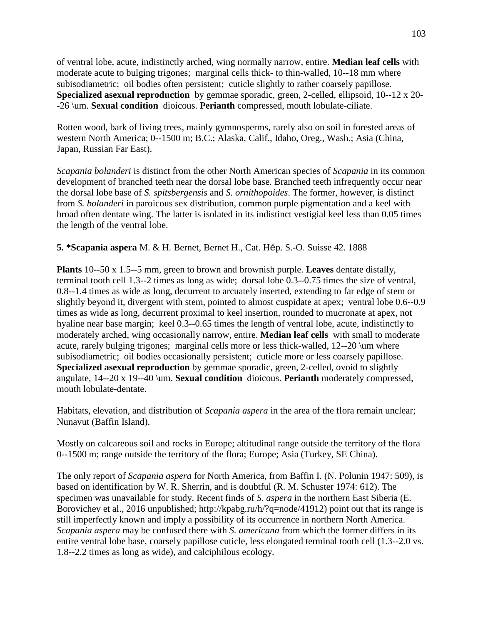of ventral lobe, acute, indistinctly arched, wing normally narrow, entire. **Median leaf cells** with moderate acute to bulging trigones; marginal cells thick- to thin-walled, 10--18 mm where subisodiametric; oil bodies often persistent; cuticle slightly to rather coarsely papillose. **Specialized asexual reproduction** by gemmae sporadic, green, 2-celled, ellipsoid, 10--12 x 20- -26 \um. **Sexual condition** dioicous. **Perianth** compressed, mouth lobulate-ciliate.

Rotten wood, bark of living trees, mainly gymnosperms, rarely also on soil in forested areas of western North America; 0--1500 m; B.C.; Alaska, Calif., Idaho, Oreg., Wash.; Asia (China, Japan, Russian Far East).

*Scapania bolanderi* is distinct from the other North American species of *Scapania* in its common development of branched teeth near the dorsal lobe base. Branched teeth infrequently occur near the dorsal lobe base of *S. spitsbergensis* and *S. ornithopoides*. The former, however, is distinct from *S. bolanderi* in paroicous sex distribution, common purple pigmentation and a keel with broad often dentate wing. The latter is isolated in its indistinct vestigial keel less than 0.05 times the length of the ventral lobe.

## **5. \*Scapania aspera** M. & H. Bernet, Bernet H., Cat. Hép. S.-O. Suisse 42. 1888

**Plants** 10--50 x 1.5--5 mm, green to brown and brownish purple. **Leaves** dentate distally, terminal tooth cell 1.3--2 times as long as wide; dorsal lobe 0.3--0.75 times the size of ventral, 0.8--1.4 times as wide as long, decurrent to arcuately inserted, extending to far edge of stem or slightly beyond it, divergent with stem, pointed to almost cuspidate at apex; ventral lobe 0.6--0.9 times as wide as long, decurrent proximal to keel insertion, rounded to mucronate at apex, not hyaline near base margin; keel 0.3--0.65 times the length of ventral lobe, acute, indistinctly to moderately arched, wing occasionally narrow, entire. **Median leaf cells** with small to moderate acute, rarely bulging trigones; marginal cells more or less thick-walled, 12--20 \um where subisodiametric; oil bodies occasionally persistent; cuticle more or less coarsely papillose. **Specialized asexual reproduction** by gemmae sporadic, green, 2-celled, ovoid to slightly angulate, 14--20 x 19--40 \um. **Sexual condition** dioicous. **Perianth** moderately compressed, mouth lobulate-dentate.

Habitats, elevation, and distribution of *Scapania aspera* in the area of the flora remain unclear; Nunavut (Baffin Island).

Mostly on calcareous soil and rocks in Europe; altitudinal range outside the territory of the flora 0--1500 m; range outside the territory of the flora; Europe; Asia (Turkey, SE China).

The only report of *Scapania aspera* for North America, from Baffin I. (N. Polunin 1947: 509), is based on identification by W. R. Sherrin, and is doubtful (R. M. Schuster 1974: 612). The specimen was unavailable for study. Recent finds of *S. aspera* in the northern East Siberia (E. Borovichev et al., 2016 unpublished; http://kpabg.ru/h/?q=node/41912) point out that its range is still imperfectly known and imply a possibility of its occurrence in northern North America. *Scapania aspera* may be confused there with *S. americana* from which the former differs in its entire ventral lobe base, coarsely papillose cuticle, less elongated terminal tooth cell (1.3--2.0 vs. 1.8--2.2 times as long as wide), and calciphilous ecology.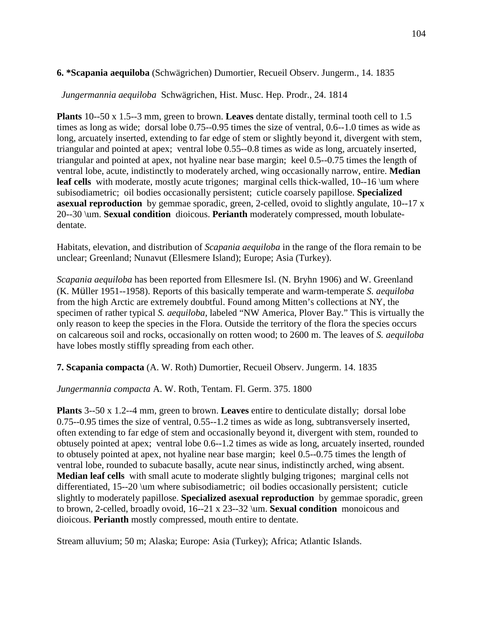### **6. \*Scapania aequiloba** (Schwägrichen) Dumortier, Recueil Observ. Jungerm., 14. 1835

*Jungermannia aequiloba* Schwägrichen, Hist. Musc. Hep. Prodr., 24. 1814

**Plants** 10--50 x 1.5--3 mm, green to brown. **Leaves** dentate distally, terminal tooth cell to 1.5 times as long as wide; dorsal lobe 0.75--0.95 times the size of ventral, 0.6--1.0 times as wide as long, arcuately inserted, extending to far edge of stem or slightly beyond it, divergent with stem, triangular and pointed at apex; ventral lobe 0.55--0.8 times as wide as long, arcuately inserted, triangular and pointed at apex, not hyaline near base margin; keel 0.5--0.75 times the length of ventral lobe, acute, indistinctly to moderately arched, wing occasionally narrow, entire. **Median leaf cells** with moderate, mostly acute trigones; marginal cells thick-walled, 10--16 \um where subisodiametric; oil bodies occasionally persistent; cuticle coarsely papillose. **Specialized asexual reproduction** by gemmae sporadic, green, 2-celled, ovoid to slightly angulate, 10--17 x 20--30 \um. **Sexual condition** dioicous. **Perianth** moderately compressed, mouth lobulatedentate.

Habitats, elevation, and distribution of *Scapania aequiloba* in the range of the flora remain to be unclear; Greenland; Nunavut (Ellesmere Island); Europe; Asia (Turkey).

*Scapania aequiloba* has been reported from Ellesmere Isl. (N. Bryhn 1906) and W. Greenland (K. Müller 1951--1958). Reports of this basically temperate and warm-temperate *S. aequiloba* from the high Arctic are extremely doubtful. Found among Mitten's collections at NY, the specimen of rather typical *S. aequiloba*, labeled "NW America, Plover Bay." This is virtually the only reason to keep the species in the Flora. Outside the territory of the flora the species occurs on calcareous soil and rocks, occasionally on rotten wood; to 2600 m. The leaves of *S. aequiloba*  have lobes mostly stiffly spreading from each other.

**7. Scapania compacta** (A. W. Roth) Dumortier, Recueil Observ. Jungerm. 14. 1835

*Jungermannia compacta* A. W. Roth, Tentam. Fl. Germ. 375. 1800

**Plants** 3--50 x 1.2--4 mm, green to brown. **Leaves** entire to denticulate distally; dorsal lobe 0.75--0.95 times the size of ventral, 0.55--1.2 times as wide as long, subtransversely inserted, often extending to far edge of stem and occasionally beyond it, divergent with stem, rounded to obtusely pointed at apex; ventral lobe 0.6--1.2 times as wide as long, arcuately inserted, rounded to obtusely pointed at apex, not hyaline near base margin; keel 0.5--0.75 times the length of ventral lobe, rounded to subacute basally, acute near sinus, indistinctly arched, wing absent. **Median leaf cells** with small acute to moderate slightly bulging trigones; marginal cells not differentiated, 15--20 \um where subisodiametric; oil bodies occasionally persistent; cuticle slightly to moderately papillose. **Specialized asexual reproduction** by gemmae sporadic, green to brown, 2-celled, broadly ovoid, 16--21 x 23--32 \um. **Sexual condition** monoicous and dioicous. **Perianth** mostly compressed, mouth entire to dentate.

Stream alluvium; 50 m; Alaska; Europe: Asia (Turkey); Africa; Atlantic Islands.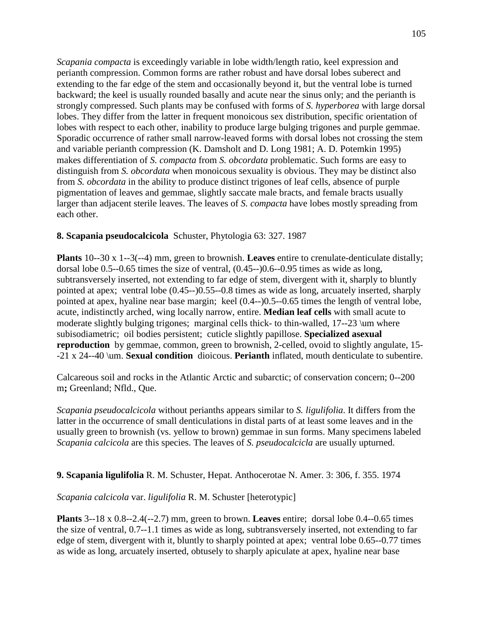*Scapania compacta* is exceedingly variable in lobe width/length ratio, keel expression and perianth compression. Common forms are rather robust and have dorsal lobes suberect and extending to the far edge of the stem and occasionally beyond it, but the ventral lobe is turned backward; the keel is usually rounded basally and acute near the sinus only; and the perianth is strongly compressed. Such plants may be confused with forms of *S. hyperborea* with large dorsal lobes. They differ from the latter in frequent monoicous sex distribution, specific orientation of lobes with respect to each other, inability to produce large bulging trigones and purple gemmae. Sporadic occurrence of rather small narrow-leaved forms with dorsal lobes not crossing the stem and variable perianth compression (K. Damsholt and D. Long 1981; A. D. Potemkin 1995) makes differentiation of *S. compacta* from *S. obcordata* problematic. Such forms are easy to distinguish from *S. obcordata* when monoicous sexuality is obvious. They may be distinct also from *S. obcordata* in the ability to produce distinct trigones of leaf cells, absence of purple pigmentation of leaves and gemmae, slightly saccate male bracts, and female bracts usually larger than adjacent sterile leaves. The leaves of *S. compacta* have lobes mostly spreading from each other.

#### **8. Scapania pseudocalcicola** Schuster, Phytologia 63: 327. 1987

**Plants** 10--30 x 1--3(--4) mm, green to brownish. **Leaves** entire to crenulate-denticulate distally; dorsal lobe 0.5--0.65 times the size of ventral, (0.45--)0.6--0.95 times as wide as long, subtransversely inserted, not extending to far edge of stem, divergent with it, sharply to bluntly pointed at apex; ventral lobe (0.45--)0.55--0.8 times as wide as long, arcuately inserted, sharply pointed at apex, hyaline near base margin; keel (0.4--)0.5--0.65 times the length of ventral lobe, acute, indistinctly arched, wing locally narrow, entire. **Median leaf cells** with small acute to moderate slightly bulging trigones; marginal cells thick- to thin-walled, 17--23 \um where subisodiametric; oil bodies persistent; cuticle slightly papillose. **Specialized asexual reproduction** by gemmae, common, green to brownish, 2-celled, ovoid to slightly angulate, 15- -21 x 24--40 \um. **Sexual condition** dioicous. **Perianth** inflated, mouth denticulate to subentire.

Calcareous soil and rocks in the Atlantic Arctic and subarctic; of conservation concern; 0--200 m**;** Greenland; Nfld., Que.

*Scapania pseudocalcicola* without perianths appears similar to *S. ligulifolia*. It differs from the latter in the occurrence of small denticulations in distal parts of at least some leaves and in the usually green to brownish (vs. yellow to brown) gemmae in sun forms. Many specimens labeled *Scapania calcicola* are this species. The leaves of *S. pseudocalcicla* are usually upturned.

#### **9. Scapania ligulifolia** R. M. Schuster, Hepat. Anthocerotae N. Amer. 3: 306, f. 355. 1974

#### *Scapania calcicola* var. *ligulifolia* R. M. Schuster [heterotypic]

**Plants** 3--18 x 0.8--2.4(--2.7) mm, green to brown. **Leaves** entire; dorsal lobe 0.4--0.65 times the size of ventral, 0.7--1.1 times as wide as long, subtransversely inserted, not extending to far edge of stem, divergent with it, bluntly to sharply pointed at apex; ventral lobe 0.65--0.77 times as wide as long, arcuately inserted, obtusely to sharply apiculate at apex, hyaline near base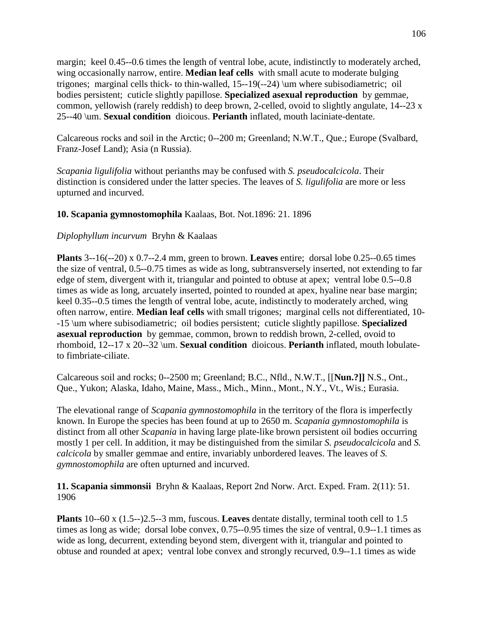margin; keel 0.45--0.6 times the length of ventral lobe, acute, indistinctly to moderately arched, wing occasionally narrow, entire. **Median leaf cells** with small acute to moderate bulging trigones; marginal cells thick- to thin-walled, 15--19(--24) \um where subisodiametric; oil bodies persistent; cuticle slightly papillose. **Specialized asexual reproduction** by gemmae, common, yellowish (rarely reddish) to deep brown, 2-celled, ovoid to slightly angulate, 14--23 x 25--40 \um. **Sexual condition** dioicous. **Perianth** inflated, mouth laciniate-dentate.

Calcareous rocks and soil in the Arctic; 0--200 m; Greenland; N.W.T., Que.; Europe (Svalbard, Franz-Josef Land); Asia (n Russia).

*Scapania ligulifolia* without perianths may be confused with *S. pseudocalcicola*. Their distinction is considered under the latter species. The leaves of *S. ligulifolia* are more or less upturned and incurved.

#### **10. Scapania gymnostomophila** Kaalaas, Bot. Not.1896: 21. 1896

### *Diplophyllum incurvum* Bryhn & Kaalaas

**Plants** 3--16(--20) x 0.7--2.4 mm, green to brown. **Leaves** entire; dorsal lobe 0.25--0.65 times the size of ventral, 0.5--0.75 times as wide as long, subtransversely inserted, not extending to far edge of stem, divergent with it, triangular and pointed to obtuse at apex; ventral lobe 0.5--0.8 times as wide as long, arcuately inserted, pointed to rounded at apex, hyaline near base margin; keel 0.35--0.5 times the length of ventral lobe, acute, indistinctly to moderately arched, wing often narrow, entire. **Median leaf cells** with small trigones; marginal cells not differentiated, 10- -15 \um where subisodiametric; oil bodies persistent; cuticle slightly papillose. **Specialized asexual reproduction** by gemmae, common, brown to reddish brown, 2-celled, ovoid to rhomboid, 12--17 x 20--32 \um. **Sexual condition** dioicous. **Perianth** inflated, mouth lobulateto fimbriate-ciliate.

Calcareous soil and rocks; 0--2500 m; Greenland; B.C., Nfld., N.W.T., [[**Nun.?]]** N.S., Ont., Que., Yukon; Alaska, Idaho, Maine, Mass., Mich., Minn., Mont., N.Y., Vt., Wis.; Eurasia.

The elevational range of *Scapania gymnostomophila* in the territory of the flora is imperfectly known. In Europe the species has been found at up to 2650 m. *Scapania gymnostomophila* is distinct from all other *Scapania* in having large plate-like brown persistent oil bodies occurring mostly 1 per cell. In addition, it may be distinguished from the similar *S. pseudocalcicola* and *S. calcicola* by smaller gemmae and entire, invariably unbordered leaves. The leaves of *S. gymnostomophila* are often upturned and incurved.

**11. Scapania simmonsii** Bryhn & Kaalaas, Report 2nd Norw. Arct. Exped. Fram. 2(11): 51. 1906

**Plants** 10--60 x (1.5--)2.5--3 mm, fuscous. **Leaves** dentate distally, terminal tooth cell to 1.5 times as long as wide; dorsal lobe convex, 0.75--0.95 times the size of ventral, 0.9--1.1 times as wide as long, decurrent, extending beyond stem, divergent with it, triangular and pointed to obtuse and rounded at apex; ventral lobe convex and strongly recurved, 0.9--1.1 times as wide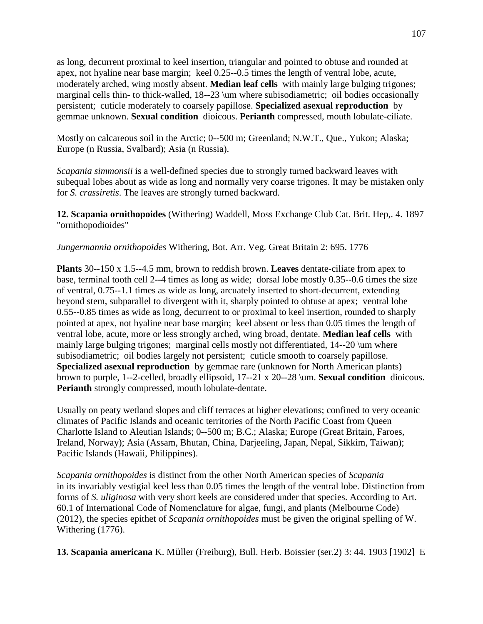as long, decurrent proximal to keel insertion, triangular and pointed to obtuse and rounded at apex, not hyaline near base margin; keel 0.25--0.5 times the length of ventral lobe, acute, moderately arched, wing mostly absent. **Median leaf cells** with mainly large bulging trigones; marginal cells thin- to thick-walled, 18--23 \um where subisodiametric; oil bodies occasionally persistent; cuticle moderately to coarsely papillose. **Specialized asexual reproduction** by gemmae unknown. **Sexual condition** dioicous. **Perianth** compressed, mouth lobulate-ciliate.

Mostly on calcareous soil in the Arctic; 0--500 m; Greenland; N.W.T., Que., Yukon; Alaska; Europe (n Russia, Svalbard); Asia (n Russia).

*Scapania simmonsii* is a well-defined species due to strongly turned backward leaves with subequal lobes about as wide as long and normally very coarse trigones. It may be mistaken only for *S. crassiretis*. The leaves are strongly turned backward.

**12. Scapania ornithopoides** (Withering) Waddell, Moss Exchange Club Cat. Brit. Hep,. 4. 1897 "ornithopodioides"

*Jungermannia ornithopoides* Withering, Bot. Arr. Veg. Great Britain 2: 695. 1776

**Plants** 30--150 x 1.5--4.5 mm, brown to reddish brown. **Leaves** dentate-ciliate from apex to base, terminal tooth cell 2--4 times as long as wide; dorsal lobe mostly 0.35--0.6 times the size of ventral, 0.75--1.1 times as wide as long, arcuately inserted to short-decurrent, extending beyond stem, subparallel to divergent with it, sharply pointed to obtuse at apex; ventral lobe 0.55--0.85 times as wide as long, decurrent to or proximal to keel insertion, rounded to sharply pointed at apex, not hyaline near base margin; keel absent or less than 0.05 times the length of ventral lobe, acute, more or less strongly arched, wing broad, dentate. **Median leaf cells** with mainly large bulging trigones; marginal cells mostly not differentiated, 14--20 \um where subisodiametric; oil bodies largely not persistent; cuticle smooth to coarsely papillose. **Specialized asexual reproduction** by gemmae rare (unknown for North American plants) brown to purple, 1--2-celled, broadly ellipsoid, 17--21 x 20--28 \um. **Sexual condition** dioicous. **Perianth** strongly compressed, mouth lobulate-dentate.

Usually on peaty wetland slopes and cliff terraces at higher elevations; confined to very oceanic climates of Pacific Islands and oceanic territories of the North Pacific Coast from Queen Charlotte Island to Aleutian Islands; 0--500 m; B.C.; Alaska; Europe (Great Britain, Faroes, Ireland, Norway); Asia (Assam, Bhutan, China, Darjeeling, Japan, Nepal, Sikkim, Taiwan); Pacific Islands (Hawaii, Philippines).

*Scapania ornithopoides* is distinct from the other North American species of *Scapania* in its invariably vestigial keel less than 0.05 times the length of the ventral lobe. Distinction from forms of *S. uliginosa* with very short keels are considered under that species. According to Art. 60.1 of International Code of Nomenclature for algae, fungi, and plants (Melbourne Code) (2012), the species epithet of *Scapania ornithopoides* must be given the original spelling of W. Withering (1776).

**13. Scapania americana** K. Müller (Freiburg), Bull. Herb. Boissier (ser.2) 3: 44. 1903 [1902] E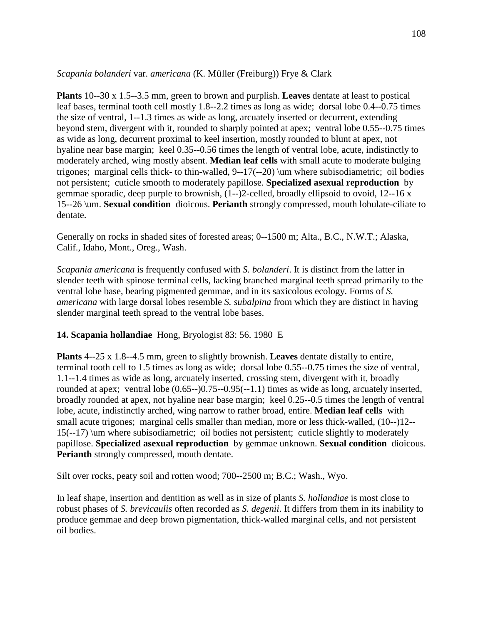*Scapania bolanderi* var. *americana* (K. Müller (Freiburg)) Frye & Clark

**Plants** 10--30 x 1.5--3.5 mm, green to brown and purplish. **Leaves** dentate at least to postical leaf bases, terminal tooth cell mostly 1.8--2.2 times as long as wide; dorsal lobe 0.4--0.75 times the size of ventral, 1--1.3 times as wide as long, arcuately inserted or decurrent, extending beyond stem, divergent with it, rounded to sharply pointed at apex; ventral lobe 0.55--0.75 times as wide as long, decurrent proximal to keel insertion, mostly rounded to blunt at apex, not hyaline near base margin; keel 0.35--0.56 times the length of ventral lobe, acute, indistinctly to moderately arched, wing mostly absent. **Median leaf cells** with small acute to moderate bulging trigones; marginal cells thick- to thin-walled, 9--17(--20) \um where subisodiametric; oil bodies not persistent; cuticle smooth to moderately papillose. **Specialized asexual reproduction** by gemmae sporadic, deep purple to brownish, (1--)2-celled, broadly ellipsoid to ovoid, 12--16 x 15--26 \um. **Sexual condition** dioicous. **Perianth** strongly compressed, mouth lobulate-ciliate to dentate.

Generally on rocks in shaded sites of forested areas; 0--1500 m; Alta., B.C., N.W.T.; Alaska, Calif., Idaho, Mont., Oreg., Wash.

*Scapania americana* is frequently confused with *S. bolanderi*. It is distinct from the latter in slender teeth with spinose terminal cells, lacking branched marginal teeth spread primarily to the ventral lobe base, bearing pigmented gemmae, and in its saxicolous ecology. Forms of *S. americana* with large dorsal lobes resemble *S. subalpina* from which they are distinct in having slender marginal teeth spread to the ventral lobe bases.

## **14. Scapania hollandiae** Hong, Bryologist 83: 56. 1980 E

**Plants** 4--25 x 1.8--4.5 mm, green to slightly brownish. **Leaves** dentate distally to entire, terminal tooth cell to 1.5 times as long as wide; dorsal lobe 0.55--0.75 times the size of ventral, 1.1--1.4 times as wide as long, arcuately inserted, crossing stem, divergent with it, broadly rounded at apex; ventral lobe (0.65--)0.75--0.95(--1.1) times as wide as long, arcuately inserted, broadly rounded at apex, not hyaline near base margin; keel 0.25--0.5 times the length of ventral lobe, acute, indistinctly arched, wing narrow to rather broad, entire. **Median leaf cells** with small acute trigones; marginal cells smaller than median, more or less thick-walled, (10--)12-- 15(--17) \um where subisodiametric; oil bodies not persistent; cuticle slightly to moderately papillose. **Specialized asexual reproduction** by gemmae unknown. **Sexual condition** dioicous. **Perianth** strongly compressed, mouth dentate.

Silt over rocks, peaty soil and rotten wood; 700--2500 m; B.C.; Wash., Wyo.

In leaf shape, insertion and dentition as well as in size of plants *S. hollandiae* is most close to robust phases of *S. brevicaulis* often recorded as *S. degenii*. It differs from them in its inability to produce gemmae and deep brown pigmentation, thick-walled marginal cells, and not persistent oil bodies.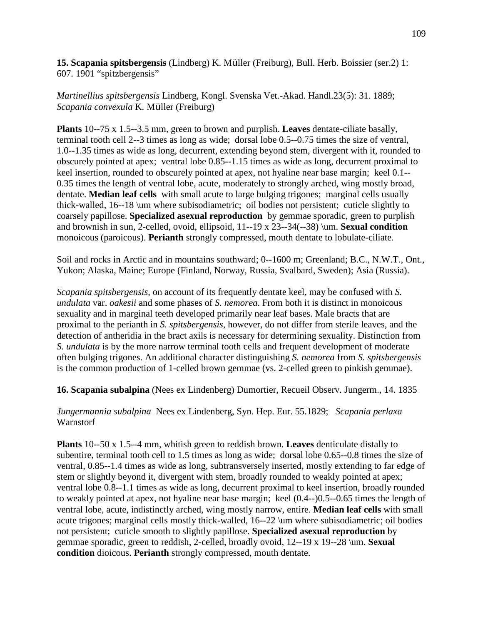**15. Scapania spitsbergensis** (Lindberg) K. Müller (Freiburg), Bull. Herb. Boissier (ser.2) 1: 607. 1901 "spitzbergensis"

*Martinellius spitsbergensis* Lindberg, Kongl. Svenska Vet.-Akad. Handl.23(5): 31. 1889; *Scapania convexula* K. Müller (Freiburg)

**Plants** 10--75 x 1.5--3.5 mm, green to brown and purplish. **Leaves** dentate-ciliate basally, terminal tooth cell 2--3 times as long as wide; dorsal lobe 0.5--0.75 times the size of ventral, 1.0--1.35 times as wide as long, decurrent, extending beyond stem, divergent with it, rounded to obscurely pointed at apex; ventral lobe 0.85--1.15 times as wide as long, decurrent proximal to keel insertion, rounded to obscurely pointed at apex, not hyaline near base margin; keel 0.1-- 0.35 times the length of ventral lobe, acute, moderately to strongly arched, wing mostly broad, dentate. **Median leaf cells** with small acute to large bulging trigones; marginal cells usually thick-walled, 16--18 \um where subisodiametric; oil bodies not persistent; cuticle slightly to coarsely papillose. **Specialized asexual reproduction** by gemmae sporadic, green to purplish and brownish in sun, 2-celled, ovoid, ellipsoid, 11--19 x 23--34(--38) \um. **Sexual condition** monoicous (paroicous). **Perianth** strongly compressed, mouth dentate to lobulate-ciliate.

Soil and rocks in Arctic and in mountains southward; 0--1600 m; Greenland; B.C., N.W.T., Ont., Yukon; Alaska, Maine; Europe (Finland, Norway, Russia, Svalbard, Sweden); Asia (Russia).

*Scapania spitsbergensis,* on account of its frequently dentate keel, may be confused with *S. undulata* var. *oakesii* and some phases of *S. nemorea*. From both it is distinct in monoicous sexuality and in marginal teeth developed primarily near leaf bases. Male bracts that are proximal to the perianth in *S. spitsbergensis*, however, do not differ from sterile leaves, and the detection of antheridia in the bract axils is necessary for determining sexuality. Distinction from *S. undulata* is by the more narrow terminal tooth cells and frequent development of moderate often bulging trigones. An additional character distinguishing *S. nemorea* from *S. spitsbergensis* is the common production of 1-celled brown gemmae (vs. 2-celled green to pinkish gemmae).

**16. Scapania subalpina** (Nees ex Lindenberg) Dumortier, Recueil Observ. Jungerm., 14. 1835

*Jungermannia subalpina* Nees ex Lindenberg, Syn. Hep. Eur. 55.1829; *Scapania perlaxa* Warnstorf

**Plants** 10--50 x 1.5--4 mm, whitish green to reddish brown. **Leaves** denticulate distally to subentire, terminal tooth cell to 1.5 times as long as wide; dorsal lobe 0.65--0.8 times the size of ventral, 0.85--1.4 times as wide as long, subtransversely inserted, mostly extending to far edge of stem or slightly beyond it, divergent with stem, broadly rounded to weakly pointed at apex; ventral lobe 0.8--1.1 times as wide as long, decurrent proximal to keel insertion, broadly rounded to weakly pointed at apex, not hyaline near base margin; keel (0.4--)0.5--0.65 times the length of ventral lobe, acute, indistinctly arched, wing mostly narrow, entire. **Median leaf cells** with small acute trigones; marginal cells mostly thick-walled, 16--22 \um where subisodiametric; oil bodies not persistent; cuticle smooth to slightly papillose. **Specialized asexual reproduction** by gemmae sporadic, green to reddish, 2-celled, broadly ovoid, 12--19 x 19--28 \um. **Sexual condition** dioicous. **Perianth** strongly compressed, mouth dentate.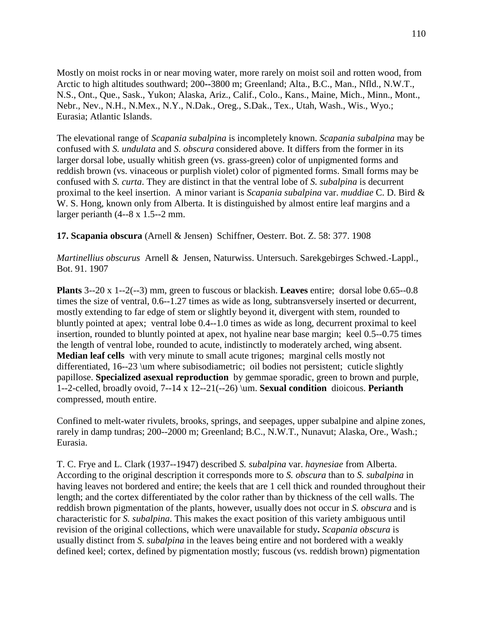Mostly on moist rocks in or near moving water, more rarely on moist soil and rotten wood, from Arctic to high altitudes southward; 200**--**3800 m; Greenland; Alta., B.C., Man., Nfld., N.W.T., N.S., Ont., Que., Sask., Yukon; Alaska, Ariz., Calif., Colo., Kans., Maine, Mich., Minn., Mont., Nebr., Nev., N.H., N.Mex., N.Y., N.Dak., Oreg., S.Dak., Tex., Utah, Wash., Wis., Wyo.; Eurasia; Atlantic Islands.

The elevational range of *Scapania subalpina* is incompletely known. *Scapania subalpina* may be confused with *S. undulata* and *S. obscura* considered above. It differs from the former in its larger dorsal lobe, usually whitish green (vs. grass-green) color of unpigmented forms and reddish brown (vs. vinaceous or purplish violet) color of pigmented forms. Small forms may be confused with *S. curta*. They are distinct in that the ventral lobe of *S. subalpina* is decurrent proximal to the keel insertion. A minor variant is *Scapania subalpina* var. *muddiae* C. D. Bird & W. S. Hong, known only from Alberta. It is distinguished by almost entire leaf margins and a larger perianth (4--8 x 1.5--2 mm.

**17. Scapania obscura** (Arnell & Jensen) Schiffner, Oesterr. Bot. Z. 58: 377. 1908

*Martinellius obscurus* Arnell & Jensen, Naturwiss. Untersuch. Sarekgebirges Schwed.-Lappl., Bot. 91. 1907

**Plants** 3--20 x 1--2(--3) mm, green to fuscous or blackish. **Leaves** entire; dorsal lobe 0.65--0.8 times the size of ventral, 0.6--1.27 times as wide as long, subtransversely inserted or decurrent, mostly extending to far edge of stem or slightly beyond it, divergent with stem, rounded to bluntly pointed at apex; ventral lobe 0.4--1.0 times as wide as long, decurrent proximal to keel insertion, rounded to bluntly pointed at apex, not hyaline near base margin; keel 0.5--0.75 times the length of ventral lobe, rounded to acute, indistinctly to moderately arched, wing absent. **Median leaf cells** with very minute to small acute trigones; marginal cells mostly not differentiated, 16--23 \um where subisodiametric; oil bodies not persistent; cuticle slightly papillose. **Specialized asexual reproduction** by gemmae sporadic, green to brown and purple, 1--2-celled, broadly ovoid, 7--14 x 12--21(--26) \um. **Sexual condition** dioicous. **Perianth** compressed, mouth entire.

Confined to melt-water rivulets, brooks, springs, and seepages, upper subalpine and alpine zones, rarely in damp tundras; 200--2000 m; Greenland; B.C., N.W.T., Nunavut; Alaska, Ore., Wash.; Eurasia.

T. C. Frye and L. Clark (1937--1947) described *S. subalpina* var. *haynesiae* from Alberta. According to the original description it corresponds more to *S. obscura* than to *S. subalpina* in having leaves not bordered and entire; the keels that are 1 cell thick and rounded throughout their length; and the cortex differentiated by the color rather than by thickness of the cell walls. The reddish brown pigmentation of the plants, however, usually does not occur in *S. obscura* and is characteristic for *S. subalpina*. This makes the exact position of this variety ambiguous until revision of the original collections, which were unavailable for study**.** *Scapania obscura* is usually distinct from *S. subalpina* in the leaves being entire and not bordered with a weakly defined keel; cortex, defined by pigmentation mostly; fuscous (vs. reddish brown) pigmentation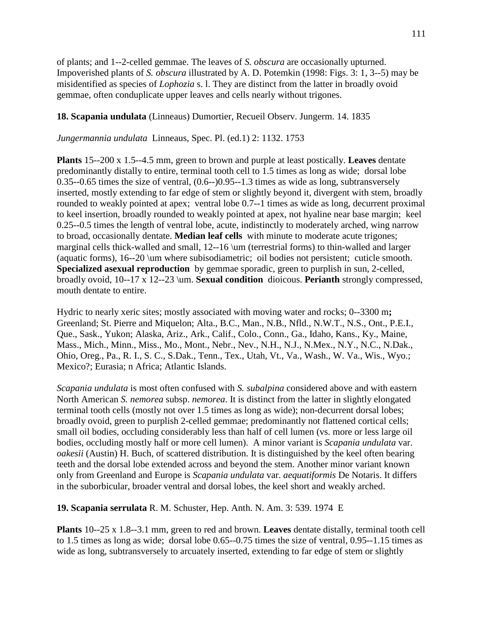of plants; and 1--2-celled gemmae. The leaves of *S. obscura* are occasionally upturned. Impoverished plants of *S. obscura* illustrated by A. D. Potemkin (1998: Figs. 3: 1, 3--5) may be misidentified as species of *Lophozia* s. l. They are distinct from the latter in broadly ovoid gemmae, often conduplicate upper leaves and cells nearly without trigones.

### **18. Scapania undulata** (Linneaus) Dumortier, Recueil Observ. Jungerm. 14. 1835

*Jungermannia undulata* Linneaus, Spec. Pl. (ed.1) 2: 1132. 1753

**Plants** 15--200 x 1.5--4.5 mm, green to brown and purple at least postically. **Leaves** dentate predominantly distally to entire, terminal tooth cell to 1.5 times as long as wide; dorsal lobe 0.35--0.65 times the size of ventral, (0.6--)0.95--1.3 times as wide as long, subtransversely inserted, mostly extending to far edge of stem or slightly beyond it, divergent with stem, broadly rounded to weakly pointed at apex; ventral lobe 0.7--1 times as wide as long, decurrent proximal to keel insertion, broadly rounded to weakly pointed at apex, not hyaline near base margin; keel 0.25--0.5 times the length of ventral lobe, acute, indistinctly to moderately arched, wing narrow to broad, occasionally dentate. **Median leaf cells** with minute to moderate acute trigones; marginal cells thick-walled and small, 12--16 \um (terrestrial forms) to thin-walled and larger (aquatic forms), 16--20 \um where subisodiametric; oil bodies not persistent; cuticle smooth. **Specialized asexual reproduction** by gemmae sporadic, green to purplish in sun, 2-celled, broadly ovoid, 10--17 x 12--23 \um. **Sexual condition** dioicous. **Perianth** strongly compressed, mouth dentate to entire.

Hydric to nearly xeric sites; mostly associated with moving water and rocks; 0--3300 m**;** Greenland; St. Pierre and Miquelon; Alta., B.C., Man., N.B., Nfld., N.W.T., N.S., Ont., P.E.I., Que., Sask., Yukon; Alaska, Ariz., Ark., Calif., Colo., Conn., Ga., Idaho, Kans., Ky., Maine, Mass., Mich., Minn., Miss., Mo., Mont., Nebr., Nev., N.H., N.J., N.Mex., N.Y., N.C., N.Dak., Ohio, Oreg., Pa., R. I., S. C., S.Dak., Tenn., Tex., Utah, Vt., Va., Wash., W. Va., Wis., Wyo.; Mexico?; Eurasia; n Africa; Atlantic Islands.

*Scapania undulata* is most often confused with *S. subalpina* considered above and with eastern North American *S. nemorea* subsp. *nemorea*. It is distinct from the latter in slightly elongated terminal tooth cells (mostly not over 1.5 times as long as wide); non-decurrent dorsal lobes; broadly ovoid, green to purplish 2-celled gemmae; predominantly not flattened cortical cells; small oil bodies, occluding considerably less than half of cell lumen (vs. more or less large oil bodies, occluding mostly half or more cell lumen). A minor variant is *Scapania undulata* var. *oakesii* (Austin) H. Buch, of scattered distribution. It is distinguished by the keel often bearing teeth and the dorsal lobe extended across and beyond the stem. Another minor variant known only from Greenland and Europe is *Scapania undulata* var. *aequatiformis* De Notaris. It differs in the suborbicular, broader ventral and dorsal lobes, the keel short and weakly arched.

**19. Scapania serrulata** R. M. Schuster, Hep. Anth. N. Am. 3: 539. 1974 E

**Plants** 10--25 x 1.8--3.1 mm, green to red and brown. **Leaves** dentate distally, terminal tooth cell to 1.5 times as long as wide; dorsal lobe 0.65--0.75 times the size of ventral, 0.95--1.15 times as wide as long, subtransversely to arcuately inserted, extending to far edge of stem or slightly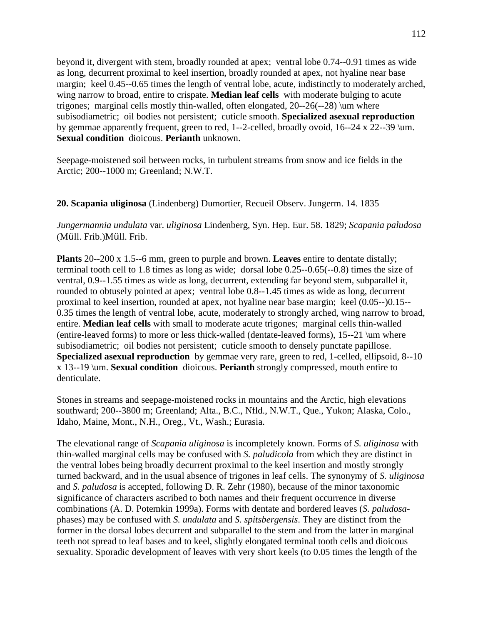beyond it, divergent with stem, broadly rounded at apex; ventral lobe 0.74--0.91 times as wide as long, decurrent proximal to keel insertion, broadly rounded at apex, not hyaline near base margin; keel 0.45--0.65 times the length of ventral lobe, acute, indistinctly to moderately arched, wing narrow to broad, entire to crispate. **Median leaf cells** with moderate bulging to acute trigones; marginal cells mostly thin-walled, often elongated, 20--26(--28) \um where subisodiametric; oil bodies not persistent; cuticle smooth. **Specialized asexual reproduction** by gemmae apparently frequent, green to red, 1--2-celled, broadly ovoid, 16--24 x 22--39 \um. **Sexual condition** dioicous. **Perianth** unknown.

Seepage-moistened soil between rocks, in turbulent streams from snow and ice fields in the Arctic; 200--1000 m; Greenland; N.W.T.

### **20. Scapania uliginosa** (Lindenberg) Dumortier, Recueil Observ. Jungerm. 14. 1835

*Jungermannia undulata* var. *uliginosa* Lindenberg, Syn. Hep. Eur. 58. 1829; *Scapania paludosa* (Müll. Frib.)Müll. Frib.

**Plants** 20--200 x 1.5--6 mm, green to purple and brown. **Leaves** entire to dentate distally; terminal tooth cell to 1.8 times as long as wide; dorsal lobe 0.25--0.65(--0.8) times the size of ventral, 0.9--1.55 times as wide as long, decurrent, extending far beyond stem, subparallel it, rounded to obtusely pointed at apex; ventral lobe 0.8--1.45 times as wide as long, decurrent proximal to keel insertion, rounded at apex, not hyaline near base margin; keel (0.05--)0.15-- 0.35 times the length of ventral lobe, acute, moderately to strongly arched, wing narrow to broad, entire. **Median leaf cells** with small to moderate acute trigones; marginal cells thin-walled (entire-leaved forms) to more or less thick-walled (dentate-leaved forms), 15--21 \um where subisodiametric; oil bodies not persistent; cuticle smooth to densely punctate papillose. **Specialized asexual reproduction** by gemmae very rare, green to red, 1-celled, ellipsoid, 8--10 x 13--19 \um. **Sexual condition** dioicous. **Perianth** strongly compressed, mouth entire to denticulate.

Stones in streams and seepage-moistened rocks in mountains and the Arctic, high elevations southward; 200--3800 m; Greenland; Alta., B.C., Nfld., N.W.T., Que., Yukon; Alaska, Colo., Idaho, Maine, Mont., N.H., Oreg., Vt., Wash.; Eurasia.

The elevational range of *Scapania uliginosa* is incompletely known. Forms of *S. uliginosa* with thin-walled marginal cells may be confused with *S. paludicola* from which they are distinct in the ventral lobes being broadly decurrent proximal to the keel insertion and mostly strongly turned backward, and in the usual absence of trigones in leaf cells. The synonymy of *S. uliginosa* and *S. paludosa* is accepted, following D. R. Zehr (1980), because of the minor taxonomic significance of characters ascribed to both names and their frequent occurrence in diverse combinations (A. D. Potemkin 1999a). Forms with dentate and bordered leaves (*S. paludosa*phases) may be confused with *S. undulata* and *S. spitsbergensis*. They are distinct from the former in the dorsal lobes decurrent and subparallel to the stem and from the latter in marginal teeth not spread to leaf bases and to keel, slightly elongated terminal tooth cells and dioicous sexuality. Sporadic development of leaves with very short keels (to 0.05 times the length of the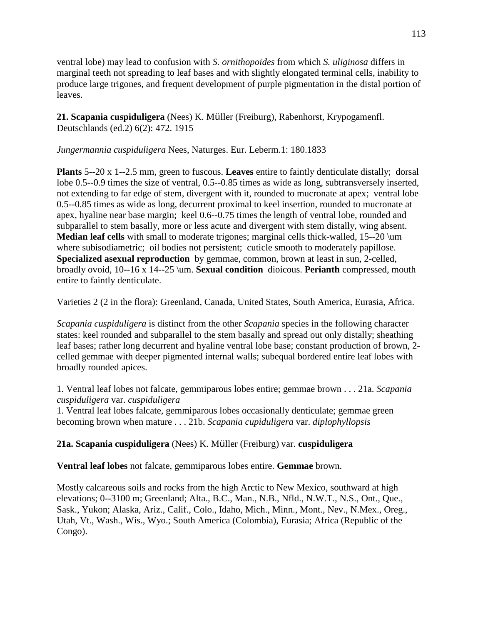ventral lobe) may lead to confusion with *S. ornithopoides* from which *S. uliginosa* differs in marginal teeth not spreading to leaf bases and with slightly elongated terminal cells, inability to produce large trigones, and frequent development of purple pigmentation in the distal portion of leaves.

**21. Scapania cuspiduligera** (Nees) K. Müller (Freiburg), Rabenhorst, Krypogamenfl. Deutschlands (ed.2) 6(2): 472. 1915

*Jungermannia cuspiduligera* Nees, Naturges. Eur. Leberm.1: 180.1833

**Plants** 5--20 x 1--2.5 mm, green to fuscous. **Leaves** entire to faintly denticulate distally; dorsal lobe 0.5--0.9 times the size of ventral, 0.5--0.85 times as wide as long, subtransversely inserted, not extending to far edge of stem, divergent with it, rounded to mucronate at apex; ventral lobe 0.5--0.85 times as wide as long, decurrent proximal to keel insertion, rounded to mucronate at apex, hyaline near base margin; keel 0.6--0.75 times the length of ventral lobe, rounded and subparallel to stem basally, more or less acute and divergent with stem distally, wing absent. **Median leaf cells** with small to moderate trigones; marginal cells thick-walled, 15--20 \um where subisodiametric; oil bodies not persistent; cuticle smooth to moderately papillose. **Specialized asexual reproduction** by gemmae, common, brown at least in sun, 2-celled, broadly ovoid, 10--16 x 14--25 \um. **Sexual condition** dioicous. **Perianth** compressed, mouth entire to faintly denticulate.

Varieties 2 (2 in the flora): Greenland, Canada, United States, South America, Eurasia, Africa.

*Scapania cuspiduligera* is distinct from the other *Scapania* species in the following character states: keel rounded and subparallel to the stem basally and spread out only distally; sheathing leaf bases; rather long decurrent and hyaline ventral lobe base; constant production of brown, 2 celled gemmae with deeper pigmented internal walls; subequal bordered entire leaf lobes with broadly rounded apices.

1. Ventral leaf lobes not falcate, gemmiparous lobes entire; gemmae brown . . . 21a. *Scapania cuspiduligera* var. *cuspiduligera*

1. Ventral leaf lobes falcate, gemmiparous lobes occasionally denticulate; gemmae green becoming brown when mature . . . 21b. *Scapania cupiduligera* var. *diplophyllopsis*

# **21a. Scapania cuspiduligera** (Nees) K. Müller (Freiburg) var. **cuspiduligera**

**Ventral leaf lobes** not falcate, gemmiparous lobes entire. **Gemmae** brown.

Mostly calcareous soils and rocks from the high Arctic to New Mexico, southward at high elevations; 0--3100 m; Greenland; Alta., B.C., Man., N.B., Nfld., N.W.T., N.S., Ont., Que., Sask., Yukon; Alaska, Ariz., Calif., Colo., Idaho, Mich., Minn., Mont., Nev., N.Mex., Oreg., Utah, Vt., Wash., Wis., Wyo.; South America (Colombia), Eurasia; Africa (Republic of the Congo).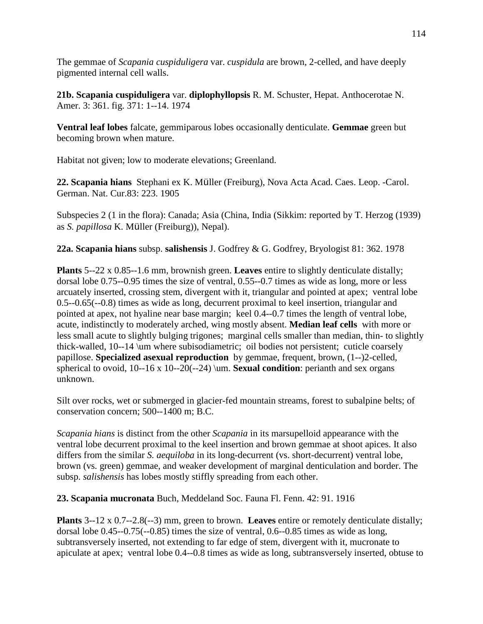The gemmae of *Scapania cuspiduligera* var. *cuspidula* are brown, 2-celled, and have deeply pigmented internal cell walls.

**21b. Scapania cuspiduligera** var. **diplophyllopsis** R. M. Schuster, Hepat. Anthocerotae N. Amer. 3: 361. fig. 371: 1--14. 1974

**Ventral leaf lobes** falcate, gemmiparous lobes occasionally denticulate. **Gemmae** green but becoming brown when mature.

Habitat not given; low to moderate elevations; Greenland.

**22. Scapania hians** Stephani ex K. Müller (Freiburg), Nova Acta Acad. Caes. Leop. -Carol. German. Nat. Cur.83: 223. 1905

Subspecies 2 (1 in the flora): Canada; Asia (China, India (Sikkim: reported by T. Herzog (1939) as *S. papillosa* K. Müller (Freiburg)), Nepal).

**22a. Scapania hians** subsp. **salishensis** J. Godfrey & G. Godfrey, Bryologist 81: 362. 1978

**Plants** 5--22 x 0.85--1.6 mm, brownish green. **Leaves** entire to slightly denticulate distally; dorsal lobe 0.75--0.95 times the size of ventral, 0.55--0.7 times as wide as long, more or less arcuately inserted, crossing stem, divergent with it, triangular and pointed at apex; ventral lobe 0.5--0.65(--0.8) times as wide as long, decurrent proximal to keel insertion, triangular and pointed at apex, not hyaline near base margin; keel 0.4--0.7 times the length of ventral lobe, acute, indistinctly to moderately arched, wing mostly absent. **Median leaf cells** with more or less small acute to slightly bulging trigones; marginal cells smaller than median, thin- to slightly thick-walled, 10--14 \um where subisodiametric; oil bodies not persistent; cuticle coarsely papillose. **Specialized asexual reproduction** by gemmae, frequent, brown, (1--)2-celled, spherical to ovoid, 10--16 x 10--20(--24) \um. **Sexual condition**: perianth and sex organs unknown.

Silt over rocks, wet or submerged in glacier-fed mountain streams, forest to subalpine belts; of conservation concern; 500--1400 m; B.C.

*Scapania hians* is distinct from the other *Scapania* in its marsupelloid appearance with the ventral lobe decurrent proximal to the keel insertion and brown gemmae at shoot apices. It also differs from the similar *S. aequiloba* in its long-decurrent (vs. short-decurrent) ventral lobe, brown (vs. green) gemmae, and weaker development of marginal denticulation and border. The subsp. *salishensis* has lobes mostly stiffly spreading from each other.

**23. Scapania mucronata** Buch, Meddeland Soc. Fauna Fl. Fenn. 42: 91. 1916

**Plants** 3--12 x 0.7--2.8(--3) mm, green to brown. **Leaves** entire or remotely denticulate distally; dorsal lobe 0.45--0.75(--0.85) times the size of ventral, 0.6--0.85 times as wide as long, subtransversely inserted, not extending to far edge of stem, divergent with it, mucronate to apiculate at apex; ventral lobe 0.4--0.8 times as wide as long, subtransversely inserted, obtuse to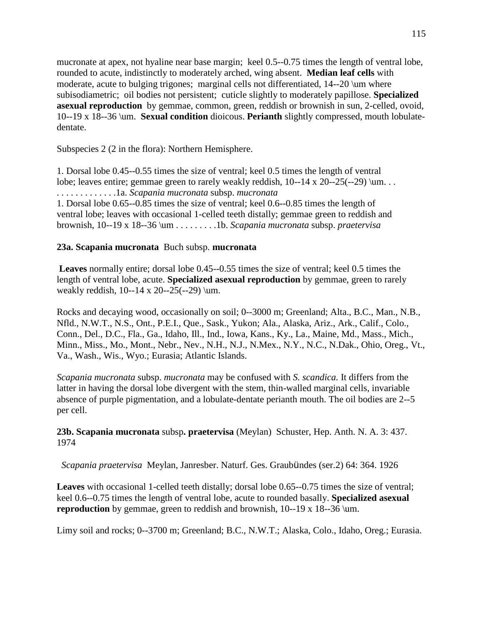mucronate at apex, not hyaline near base margin; keel 0.5--0.75 times the length of ventral lobe, rounded to acute, indistinctly to moderately arched, wing absent. **Median leaf cells** with moderate, acute to bulging trigones; marginal cells not differentiated, 14--20 \um where subisodiametric; oil bodies not persistent; cuticle slightly to moderately papillose. **Specialized asexual reproduction** by gemmae, common, green, reddish or brownish in sun, 2-celled, ovoid, 10--19 x 18--36 \um. **Sexual condition** dioicous. **Perianth** slightly compressed, mouth lobulatedentate.

Subspecies 2 (2 in the flora): Northern Hemisphere.

1. Dorsal lobe 0.45--0.55 times the size of ventral; keel 0.5 times the length of ventral lobe; leaves entire; gemmae green to rarely weakly reddish, 10--14 x 20--25(--29) \um. . . . . . . . . . . . . . . .1a. *Scapania mucronata* subsp. *mucronata* 1. Dorsal lobe 0.65--0.85 times the size of ventral; keel 0.6--0.85 times the length of

ventral lobe; leaves with occasional 1-celled teeth distally; gemmae green to reddish and brownish, 10--19 x 18--36 \um . . . . . . . . .1b. *Scapania mucronata* subsp. *praetervisa*

### **23a. Scapania mucronata** Buch subsp. **mucronata**

**Leaves** normally entire; dorsal lobe 0.45--0.55 times the size of ventral; keel 0.5 times the length of ventral lobe, acute. **Specialized asexual reproduction** by gemmae, green to rarely weakly reddish,  $10 - 14 \times 20 - 25(-29) \mu$ .

Rocks and decaying wood, occasionally on soil; 0--3000 m; Greenland; Alta., B.C., Man., N.B., Nfld., N.W.T., N.S., Ont., P.E.I., Que., Sask., Yukon; Ala., Alaska, Ariz., Ark., Calif., Colo., Conn., Del., D.C., Fla., Ga., Idaho, Ill., Ind., Iowa, Kans., Ky., La., Maine, Md., Mass., Mich., Minn., Miss., Mo., Mont., Nebr., Nev., N.H., N.J., N.Mex., N.Y., N.C., N.Dak., Ohio, Oreg., Vt., Va., Wash., Wis., Wyo.; Eurasia; Atlantic Islands.

*Scapania mucronata* subsp. *mucronata* may be confused with *S. scandica.* It differs from the latter in having the dorsal lobe divergent with the stem, thin-walled marginal cells, invariable absence of purple pigmentation, and a lobulate-dentate perianth mouth. The oil bodies are 2--5 per cell.

**23b. Scapania mucronata** subsp**. praetervisa** (Meylan) Schuster, Hep. Anth. N. A. 3: 437. 1974

*Scapania praetervisa* Meylan, Janresber. Naturf. Ges. Graubündes (ser.2) 64: 364. 1926

**Leaves** with occasional 1-celled teeth distally; dorsal lobe 0.65--0.75 times the size of ventral; keel 0.6--0.75 times the length of ventral lobe, acute to rounded basally. **Specialized asexual reproduction** by gemmae, green to reddish and brownish, 10--19 x 18--36 \um.

Limy soil and rocks; 0--3700 m; Greenland; B.C., N.W.T.; Alaska, Colo., Idaho, Oreg.; Eurasia.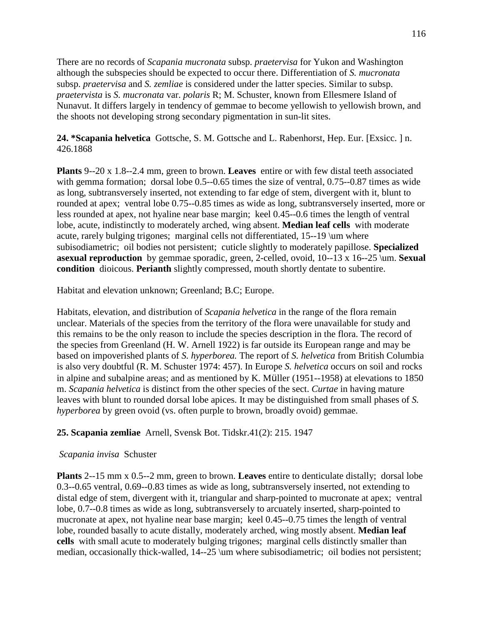There are no records of *Scapania mucronata* subsp. *praetervisa* for Yukon and Washington although the subspecies should be expected to occur there. Differentiation of *S. mucronata* subsp. *praetervisa* and *S. zemliae* is considered under the latter species. Similar to subsp. *praetervista* is *S. mucronata* var. *polaris* R; M. Schuster, known from Ellesmere Island of Nunavut. It differs largely in tendency of gemmae to become yellowish to yellowish brown, and the shoots not developing strong secondary pigmentation in sun-lit sites.

**24. \*Scapania helvetica** Gottsche, S. M. Gottsche and L. Rabenhorst, Hep. Eur. [Exsicc. ] n. 426.1868

**Plants** 9--20 x 1.8--2.4 mm, green to brown. **Leaves** entire or with few distal teeth associated with gemma formation; dorsal lobe 0.5--0.65 times the size of ventral, 0.75--0.87 times as wide as long, subtransversely inserted, not extending to far edge of stem, divergent with it, blunt to rounded at apex; ventral lobe 0.75--0.85 times as wide as long, subtransversely inserted, more or less rounded at apex, not hyaline near base margin; keel 0.45--0.6 times the length of ventral lobe, acute, indistinctly to moderately arched, wing absent. **Median leaf cells** with moderate acute, rarely bulging trigones; marginal cells not differentiated, 15--19 \um where subisodiametric; oil bodies not persistent; cuticle slightly to moderately papillose. **Specialized asexual reproduction** by gemmae sporadic, green, 2-celled, ovoid, 10--13 x 16--25 \um. **Sexual condition** dioicous. **Perianth** slightly compressed, mouth shortly dentate to subentire.

Habitat and elevation unknown; Greenland; B.C; Europe.

Habitats, elevation, and distribution of *Scapania helvetica* in the range of the flora remain unclear. Materials of the species from the territory of the flora were unavailable for study and this remains to be the only reason to include the species description in the flora. The record of the species from Greenland (H. W. Arnell 1922) is far outside its European range and may be based on impoverished plants of *S. hyperborea.* The report of *S. helvetica* from British Columbia is also very doubtful (R. M. Schuster 1974: 457). In Europe *S. helvetica* occurs on soil and rocks in alpine and subalpine areas; and as mentioned by K. Müller (1951--1958) at elevations to 1850 m. *Scapania helvetica* is distinct from the other species of the sect. *Curtae* in having mature leaves with blunt to rounded dorsal lobe apices. It may be distinguished from small phases of *S. hyperborea* by green ovoid (vs. often purple to brown, broadly ovoid) gemmae.

**25. Scapania zemliae** Arnell, Svensk Bot. Tidskr.41(2): 215. 1947

# *Scapania invisa* Schuster

**Plants** 2--15 mm x 0.5--2 mm, green to brown. **Leaves** entire to denticulate distally; dorsal lobe 0.3--0.65 ventral, 0.69--0.83 times as wide as long, subtransversely inserted, not extending to distal edge of stem, divergent with it, triangular and sharp-pointed to mucronate at apex; ventral lobe, 0.7--0.8 times as wide as long, subtransversely to arcuately inserted, sharp-pointed to mucronate at apex, not hyaline near base margin; keel 0.45--0.75 times the length of ventral lobe, rounded basally to acute distally, moderately arched, wing mostly absent. **Median leaf cells** with small acute to moderately bulging trigones; marginal cells distinctly smaller than median, occasionally thick-walled, 14--25 \um where subisodiametric; oil bodies not persistent;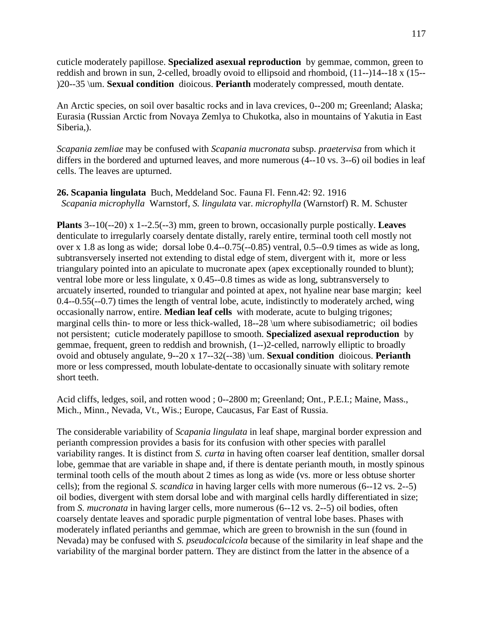cuticle moderately papillose. **Specialized asexual reproduction** by gemmae, common, green to reddish and brown in sun, 2-celled, broadly ovoid to ellipsoid and rhomboid, (11--)14--18 x (15-- )20--35 \um. **Sexual condition** dioicous. **Perianth** moderately compressed, mouth dentate.

An Arctic species, on soil over basaltic rocks and in lava crevices, 0--200 m; Greenland; Alaska; Eurasia (Russian Arctic from Novaya Zemlya to Chukotka, also in mountains of Yakutia in East Siberia,).

*Scapania zemliae* may be confused with *Scapania mucronata* subsp. *praetervisa* from which it differs in the bordered and upturned leaves, and more numerous (4--10 vs. 3--6) oil bodies in leaf cells. The leaves are upturned.

**26. Scapania lingulata** Buch, Meddeland Soc. Fauna Fl. Fenn.42: 92. 1916 *Scapania microphylla* Warnstorf, *S. lingulata* var. *microphylla* (Warnstorf) R. M. Schuster

**Plants** 3--10(--20) x 1--2.5(--3) mm, green to brown, occasionally purple postically. **Leaves** denticulate to irregularly coarsely dentate distally, rarely entire, terminal tooth cell mostly not over x 1.8 as long as wide; dorsal lobe 0.4--0.75(--0.85) ventral, 0.5--0.9 times as wide as long, subtransversely inserted not extending to distal edge of stem, divergent with it, more or less triangulary pointed into an apiculate to mucronate apex (apex exceptionally rounded to blunt); ventral lobe more or less lingulate, x 0.45--0.8 times as wide as long, subtransversely to arcuately inserted, rounded to triangular and pointed at apex, not hyaline near base margin; keel 0.4--0.55(--0.7) times the length of ventral lobe, acute, indistinctly to moderately arched, wing occasionally narrow, entire. **Median leaf cells** with moderate, acute to bulging trigones; marginal cells thin- to more or less thick-walled, 18--28 \um where subisodiametric; oil bodies not persistent; cuticle moderately papillose to smooth. **Specialized asexual reproduction** by gemmae, frequent, green to reddish and brownish, (1--)2-celled, narrowly elliptic to broadly ovoid and obtusely angulate, 9--20 x 17--32(--38) \um. **Sexual condition** dioicous. **Perianth** more or less compressed, mouth lobulate-dentate to occasionally sinuate with solitary remote short teeth.

Acid cliffs, ledges, soil, and rotten wood ; 0--2800 m; Greenland; Ont., P.E.I.; Maine, Mass., Mich., Minn., Nevada, Vt., Wis.; Europe, Caucasus, Far East of Russia.

The considerable variability of *Scapania lingulata* in leaf shape, marginal border expression and perianth compression provides a basis for its confusion with other species with parallel variability ranges. It is distinct from *S. curta* in having often coarser leaf dentition, smaller dorsal lobe, gemmae that are variable in shape and, if there is dentate perianth mouth, in mostly spinous terminal tooth cells of the mouth about 2 times as long as wide (vs. more or less obtuse shorter cells); from the regional *S. scandica* in having larger cells with more numerous (6--12 vs. 2--5) oil bodies, divergent with stem dorsal lobe and with marginal cells hardly differentiated in size; from *S. mucronata* in having larger cells, more numerous (6--12 vs. 2--5) oil bodies, often coarsely dentate leaves and sporadic purple pigmentation of ventral lobe bases. Phases with moderately inflated perianths and gemmae, which are green to brownish in the sun (found in Nevada) may be confused with *S. pseudocalcicola* because of the similarity in leaf shape and the variability of the marginal border pattern. They are distinct from the latter in the absence of a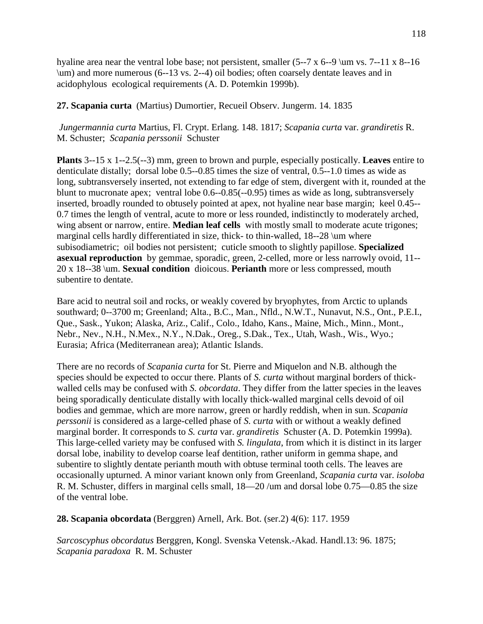hyaline area near the ventral lobe base; not persistent, smaller  $(5-7 \times 6-9 \text{ mm vs. } 7-11 \times 8-16$ \um) and more numerous (6--13 vs. 2--4) oil bodies; often coarsely dentate leaves and in acidophylous ecological requirements (A. D. Potemkin 1999b).

**27. Scapania curta**(Martius) Dumortier, Recueil Observ. Jungerm. 14. 1835

*Jungermannia curta* Martius, Fl. Crypt. Erlang. 148. 1817; *Scapania curta* var. *grandiretis* R. M. Schuster; *Scapania perssonii* Schuster

**Plants** 3--15 x 1--2.5(--3) mm, green to brown and purple, especially postically. **Leaves** entire to denticulate distally; dorsal lobe 0.5--0.85 times the size of ventral, 0.5--1.0 times as wide as long, subtransversely inserted, not extending to far edge of stem, divergent with it, rounded at the blunt to mucronate apex; ventral lobe 0.6--0.85(--0.95) times as wide as long, subtransversely inserted, broadly rounded to obtusely pointed at apex, not hyaline near base margin; keel 0.45-- 0.7 times the length of ventral, acute to more or less rounded, indistinctly to moderately arched, wing absent or narrow, entire. **Median leaf cells** with mostly small to moderate acute trigones; marginal cells hardly differentiated in size, thick- to thin-walled, 18--28 \um where subisodiametric; oil bodies not persistent; cuticle smooth to slightly papillose. **Specialized asexual reproduction** by gemmae, sporadic, green, 2-celled, more or less narrowly ovoid, 11-- 20 x 18--38 \um. **Sexual condition** dioicous. **Perianth** more or less compressed, mouth subentire to dentate.

Bare acid to neutral soil and rocks, or weakly covered by bryophytes, from Arctic to uplands southward; 0--3700 m; Greenland; Alta., B.C., Man., Nfld., N.W.T., Nunavut, N.S., Ont., P.E.I., Que., Sask., Yukon; Alaska, Ariz., Calif., Colo., Idaho, Kans., Maine, Mich., Minn., Mont., Nebr., Nev., N.H., N.Mex., N.Y., N.Dak., Oreg., S.Dak., Tex., Utah, Wash., Wis., Wyo.; Eurasia; Africa (Mediterranean area); Atlantic Islands.

There are no records of *Scapania curta* for St. Pierre and Miquelon and N.B. although the species should be expected to occur there. Plants of *S. curta* without marginal borders of thickwalled cells may be confused with *S. obcordata*. They differ from the latter species in the leaves being sporadically denticulate distally with locally thick-walled marginal cells devoid of oil bodies and gemmae, which are more narrow, green or hardly reddish, when in sun. *Scapania perssonii* is considered as a large-celled phase of *S. curta* with or without a weakly defined marginal border. It corresponds to *S. curta* var. *grandiretis* Schuster (A. D. Potemkin 1999a). This large-celled variety may be confused with *S. lingulata*, from which it is distinct in its larger dorsal lobe, inability to develop coarse leaf dentition, rather uniform in gemma shape, and subentire to slightly dentate perianth mouth with obtuse terminal tooth cells. The leaves are occasionally upturned. A minor variant known only from Greenland, *Scapania curta* var. *isoloba*  R. M. Schuster, differs in marginal cells small, 18—20 /um and dorsal lobe 0.75—0.85 the size of the ventral lobe.

**28. Scapania obcordata** (Berggren) Arnell, Ark. Bot. (ser.2) 4(6): 117. 1959

*Sarcoscyphus obcordatus* Berggren, Kongl. Svenska Vetensk.-Akad. Handl.13: 96. 1875; *Scapania paradoxa* R. M. Schuster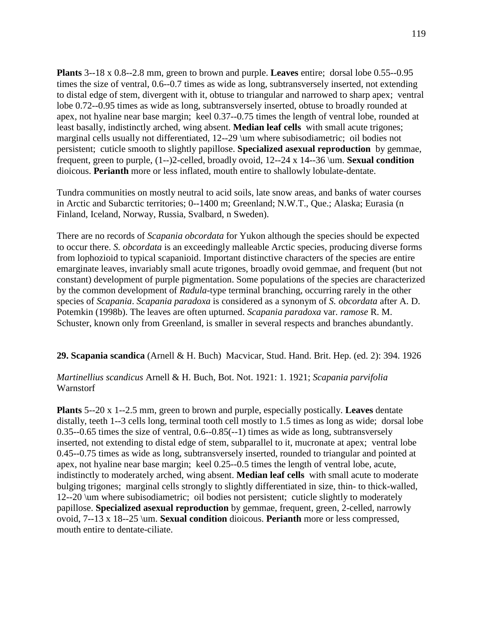**Plants** 3--18 x 0.8--2.8 mm, green to brown and purple. **Leaves** entire; dorsal lobe 0.55--0.95 times the size of ventral, 0.6--0.7 times as wide as long, subtransversely inserted, not extending to distal edge of stem, divergent with it, obtuse to triangular and narrowed to sharp apex; ventral lobe 0.72--0.95 times as wide as long, subtransversely inserted, obtuse to broadly rounded at apex, not hyaline near base margin; keel 0.37--0.75 times the length of ventral lobe, rounded at least basally, indistinctly arched, wing absent. **Median leaf cells** with small acute trigones; marginal cells usually not differentiated, 12--29 \um where subisodiametric; oil bodies not persistent; cuticle smooth to slightly papillose. **Specialized asexual reproduction** by gemmae, frequent, green to purple, (1--)2-celled, broadly ovoid, 12--24 x 14--36 \um. **Sexual condition** dioicous. **Perianth** more or less inflated, mouth entire to shallowly lobulate-dentate.

Tundra communities on mostly neutral to acid soils, late snow areas, and banks of water courses in Arctic and Subarctic territories; 0--1400 m; Greenland; N.W.T., Que.; Alaska; Eurasia (n Finland, Iceland, Norway, Russia, Svalbard, n Sweden).

There are no records of *Scapania obcordata* for Yukon although the species should be expected to occur there. *S. obcordata* is an exceedingly malleable Arctic species, producing diverse forms from lophozioid to typical scapanioid. Important distinctive characters of the species are entire emarginate leaves, invariably small acute trigones, broadly ovoid gemmae, and frequent (but not constant) development of purple pigmentation. Some populations of the species are characterized by the common development of *Radula*-type terminal branching, occurring rarely in the other species of *Scapania*. *Scapania paradoxa* is considered as a synonym of *S. obcordata* after A. D. Potemkin (1998b). The leaves are often upturned. *Scapania paradoxa* var. *ramose* R. M. Schuster, known only from Greenland, is smaller in several respects and branches abundantly.

**29. Scapania scandica** (Arnell & H. Buch) Macvicar, Stud. Hand. Brit. Hep. (ed. 2): 394. 1926

### *Martinellius scandicus* Arnell & H. Buch, Bot. Not. 1921: 1. 1921; *Scapania parvifolia* Warnstorf

**Plants** 5--20 x 1--2.5 mm, green to brown and purple, especially postically. **Leaves** dentate distally, teeth 1--3 cells long, terminal tooth cell mostly to 1.5 times as long as wide; dorsal lobe 0.35--0.65 times the size of ventral, 0.6--0.85(--1) times as wide as long, subtransversely inserted, not extending to distal edge of stem, subparallel to it, mucronate at apex; ventral lobe 0.45--0.75 times as wide as long, subtransversely inserted, rounded to triangular and pointed at apex, not hyaline near base margin; keel 0.25--0.5 times the length of ventral lobe, acute, indistinctly to moderately arched, wing absent. **Median leaf cells** with small acute to moderate bulging trigones; marginal cells strongly to slightly differentiated in size, thin- to thick-walled, 12--20 \um where subisodiametric; oil bodies not persistent; cuticle slightly to moderately papillose. **Specialized asexual reproduction** by gemmae, frequent, green, 2-celled, narrowly ovoid, 7--13 x 18--25 \um. **Sexual condition** dioicous. **Perianth** more or less compressed, mouth entire to dentate-ciliate.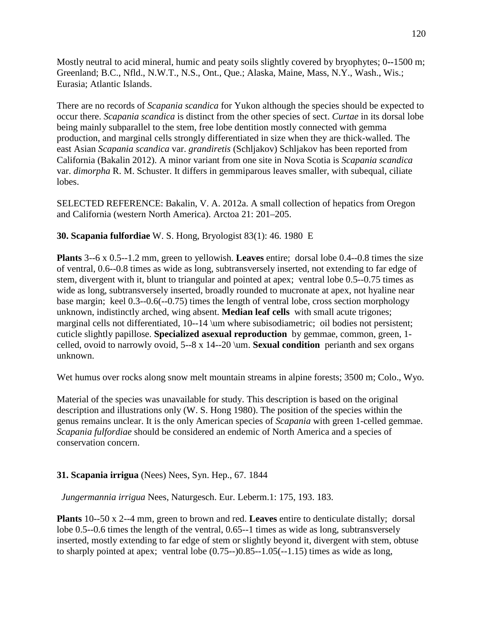Mostly neutral to acid mineral, humic and peaty soils slightly covered by bryophytes; 0**--**1500 m; Greenland; B.C., Nfld., N.W.T., N.S., Ont., Que.; Alaska, Maine, Mass, N.Y., Wash., Wis.; Eurasia; Atlantic Islands.

There are no records of *Scapania scandica* for Yukon although the species should be expected to occur there. *Scapania scandica* is distinct from the other species of sect. *Curtae* in its dorsal lobe being mainly subparallel to the stem, free lobe dentition mostly connected with gemma production, and marginal cells strongly differentiated in size when they are thick-walled. The east Asian *Scapania scandica* var. *grandiretis* (Schljakov) Schljakov has been reported from California (Bakalin 2012). A minor variant from one site in Nova Scotia is *Scapania scandica*  var. *dimorpha* R. M. Schuster. It differs in gemmiparous leaves smaller, with subequal, ciliate lobes.

SELECTED REFERENCE: Bakalin, V. A. 2012a. A small collection of hepatics from Oregon and California (western North America). Arctoa 21: 201–205.

**30. Scapania fulfordiae** W. S. Hong, Bryologist 83(1): 46. 1980 E

**Plants** 3--6 x 0.5--1.2 mm, green to yellowish. **Leaves** entire; dorsal lobe 0.4--0.8 times the size of ventral, 0.6--0.8 times as wide as long, subtransversely inserted, not extending to far edge of stem, divergent with it, blunt to triangular and pointed at apex; ventral lobe 0.5--0.75 times as wide as long, subtransversely inserted, broadly rounded to mucronate at apex, not hyaline near base margin; keel 0.3--0.6(--0.75) times the length of ventral lobe, cross section morphology unknown, indistinctly arched, wing absent. **Median leaf cells** with small acute trigones; marginal cells not differentiated, 10--14 \um where subisodiametric; oil bodies not persistent; cuticle slightly papillose. **Specialized asexual reproduction** by gemmae, common, green, 1 celled, ovoid to narrowly ovoid, 5--8 x 14--20 \um. **Sexual condition** perianth and sex organs unknown.

Wet humus over rocks along snow melt mountain streams in alpine forests; 3500 m; Colo., Wyo.

Material of the species was unavailable for study. This description is based on the original description and illustrations only (W. S. Hong 1980). The position of the species within the genus remains unclear. It is the only American species of *Scapania* with green 1-celled gemmae. *Scapania fulfordiae* should be considered an endemic of North America and a species of conservation concern.

# **31. Scapania irrigua** (Nees) Nees, Syn. Hep., 67. 1844

*Jungermannia irrigua* Nees, Naturgesch. Eur. Leberm.1: 175, 193. 183.

**Plants** 10--50 x 2--4 mm, green to brown and red. **Leaves** entire to denticulate distally; dorsal lobe 0.5--0.6 times the length of the ventral, 0.65--1 times as wide as long, subtransversely inserted, mostly extending to far edge of stem or slightly beyond it, divergent with stem, obtuse to sharply pointed at apex; ventral lobe  $(0.75-0.85-1.05(-1.15))$  times as wide as long,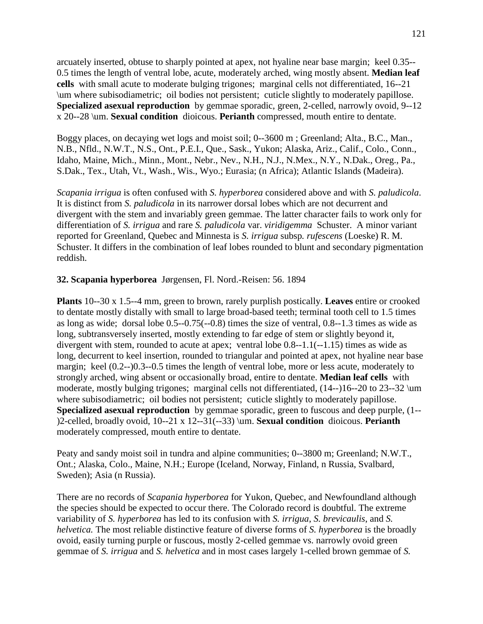arcuately inserted, obtuse to sharply pointed at apex, not hyaline near base margin; keel 0.35-- 0.5 times the length of ventral lobe, acute, moderately arched, wing mostly absent. **Median leaf cells** with small acute to moderate bulging trigones; marginal cells not differentiated, 16--21 \um where subisodiametric; oil bodies not persistent; cuticle slightly to moderately papillose. **Specialized asexual reproduction** by gemmae sporadic, green, 2-celled, narrowly ovoid, 9--12 x 20--28 \um. **Sexual condition** dioicous. **Perianth** compressed, mouth entire to dentate.

Boggy places, on decaying wet logs and moist soil; 0--3600 m ; Greenland; Alta., B.C., Man., N.B., Nfld., N.W.T., N.S., Ont., P.E.I., Que., Sask., Yukon; Alaska, Ariz., Calif., Colo., Conn., Idaho, Maine, Mich., Minn., Mont., Nebr., Nev., N.H., N.J., N.Mex., N.Y., N.Dak., Oreg., Pa., S.Dak., Tex., Utah, Vt., Wash., Wis., Wyo.; Eurasia; (n Africa); Atlantic Islands (Madeira).

*Scapania irrigua* is often confused with *S. hyperborea* considered above and with *S. paludicola*. It is distinct from *S. paludicola* in its narrower dorsal lobes which are not decurrent and divergent with the stem and invariably green gemmae. The latter character fails to work only for differentiation of *S. irrigua* and rare *S. paludicola* var. *viridigemma* Schuster. A minor variant reported for Greenland, Quebec and Minnesta is *S. irrigua* subsp*. rufescens* (Loeske) R. M. Schuster. It differs in the combination of leaf lobes rounded to blunt and secondary pigmentation reddish.

### **32. Scapania hyperborea** Jørgensen, Fl. Nord.-Reisen: 56. 1894

**Plants** 10--30 x 1.5--4 mm, green to brown, rarely purplish postically. **Leaves** entire or crooked to dentate mostly distally with small to large broad-based teeth; terminal tooth cell to 1.5 times as long as wide; dorsal lobe 0.5--0.75(--0.8) times the size of ventral, 0.8--1.3 times as wide as long, subtransversely inserted, mostly extending to far edge of stem or slightly beyond it, divergent with stem, rounded to acute at apex; ventral lobe 0.8--1.1(--1.15) times as wide as long, decurrent to keel insertion, rounded to triangular and pointed at apex, not hyaline near base margin; keel (0.2--)0.3--0.5 times the length of ventral lobe, more or less acute, moderately to strongly arched, wing absent or occasionally broad, entire to dentate. **Median leaf cells** with moderate, mostly bulging trigones; marginal cells not differentiated,  $(14-)16-20$  to  $23-.32$  \um where subisodiametric; oil bodies not persistent; cuticle slightly to moderately papillose. **Specialized asexual reproduction** by gemmae sporadic, green to fuscous and deep purple, (1-- )2-celled, broadly ovoid, 10--21 x 12--31(--33) \um. **Sexual condition** dioicous. **Perianth** moderately compressed, mouth entire to dentate.

Peaty and sandy moist soil in tundra and alpine communities; 0--3800 m; Greenland; N.W.T., Ont.; Alaska, Colo., Maine, N.H.; Europe (Iceland, Norway, Finland, n Russia, Svalbard, Sweden); Asia (n Russia).

There are no records of *Scapania hyperborea* for Yukon, Quebec, and Newfoundland although the species should be expected to occur there. The Colorado record is doubtful. The extreme variability of *S. hyperborea* has led to its confusion with *S. irrigua*, *S. brevicaulis*, and *S. helvetica.* The most reliable distinctive feature of diverse forms of *S. hyperborea* is the broadly ovoid, easily turning purple or fuscous, mostly 2-celled gemmae vs. narrowly ovoid green gemmae of *S. irrigua* and *S. helvetica* and in most cases largely 1-celled brown gemmae of *S.*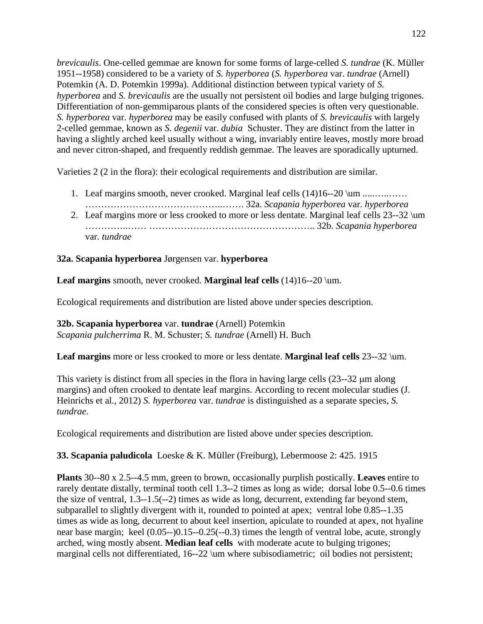*brevicaulis*. One-celled gemmae are known for some forms of large-celled *S. tundrae* (K. Müller 1951--1958) considered to be a variety of *S. hyperborea* (*S. hyperborea* var. *tundrae* (Arnell) Potemkin (A. D. Potemkin 1999a). Additional distinction between typical variety of *S. hyperborea* and *S. brevicaulis* are the usually not persistent oil bodies and large bulging trigones. Differentiation of non-gemmiparous plants of the considered species is often very questionable. *S. hyperborea* var. *hyperborea* may be easily confused with plants of *S. brevicaulis* with largely 2-celled gemmae, known as *S. degenii* var. *dubia* Schuster. They are distinct from the latter in having a slightly arched keel usually without a wing, invariably entire leaves, mostly more broad and never citron-shaped, and frequently reddish gemmae. The leaves are sporadically upturned.

Varieties 2 (2 in the flora): their ecological requirements and distribution are similar.

- 1. Leaf margins smooth, never crooked. Marginal leaf cells (14)16--20 \um .....…..……
- ……………………………………..……. 32a. *Scapania hyperborea* var. *hyperborea* 2. Leaf margins more or less crooked to more or less dentate. Marginal leaf cells 23--32 \um …………..…… …………………………………………….. 32b. *Scapania hyperborea* var. *tundrae*

### **32a. Scapania hyperborea** Jørgensen var. **hyperborea**

Leaf margins smooth, never crooked. **Marginal leaf cells** (14)16--20 \um.

Ecological requirements and distribution are listed above under species description.

**32b. Scapania hyperborea** var. **tundrae** (Arnell) Potemkin *Scapania pulcherrima* R. M. Schuster; *S. tundrae* (Arnell) H. Buch

**Leaf margins** more or less crooked to more or less dentate. **Marginal leaf cells** 23--32 \um.

This variety is distinct from all species in the flora in having large cells  $(23-32 \mu m)$  along margins) and often crooked to dentate leaf margins. According to recent molecular studies (J. Heinrichs et al., 2012) *S. hyperborea* var. *tundrae* is distinguished as a separate species, *S. tundrae*.

Ecological requirements and distribution are listed above under species description.

**33. Scapania paludicola** Loeske & K. Müller (Freiburg), Lebermoose 2: 425. 1915

**Plants** 30--80 x 2.5--4.5 mm, green to brown, occasionally purplish postically. **Leaves** entire to rarely dentate distally, terminal tooth cell 1.3--2 times as long as wide; dorsal lobe 0.5--0.6 times the size of ventral, 1.3--1.5(--2) times as wide as long, decurrent, extending far beyond stem, subparallel to slightly divergent with it, rounded to pointed at apex; ventral lobe 0.85--1.35 times as wide as long, decurrent to about keel insertion, apiculate to rounded at apex, not hyaline near base margin; keel (0.05--)0.15--0.25(--0.3) times the length of ventral lobe, acute, strongly arched, wing mostly absent. **Median leaf cells** with moderate acute to bulging trigones; marginal cells not differentiated, 16--22 \um where subisodiametric; oil bodies not persistent;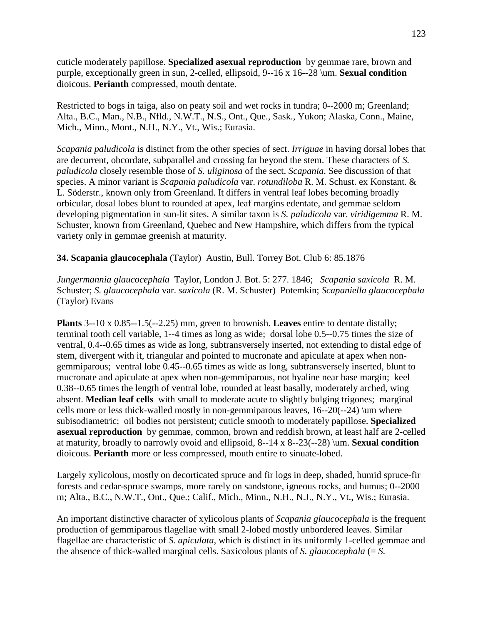cuticle moderately papillose. **Specialized asexual reproduction** by gemmae rare, brown and purple, exceptionally green in sun, 2-celled, ellipsoid, 9--16 x 16--28 \um. **Sexual condition** dioicous. **Perianth** compressed, mouth dentate.

Restricted to bogs in taiga, also on peaty soil and wet rocks in tundra; 0--2000 m; Greenland; Alta., B.C., Man., N.B., Nfld., N.W.T., N.S., Ont., Que., Sask., Yukon; Alaska, Conn., Maine, Mich., Minn., Mont., N.H., N.Y., Vt., Wis.; Eurasia.

*Scapania paludicola* is distinct from the other species of sect. *Irriguae* in having dorsal lobes that are decurrent, obcordate, subparallel and crossing far beyond the stem. These characters of *S. paludicola* closely resemble those of *S. uliginosa* of the sect. *Scapania*. See discussion of that species. A minor variant is *Scapania paludicola* var. *rotundiloba* R. M. Schust. ex Konstant. & L. Söderstr., known only from Greenland. It differs in ventral leaf lobes becoming broadly orbicular, dosal lobes blunt to rounded at apex, leaf margins edentate, and gemmae seldom developing pigmentation in sun-lit sites. A similar taxon is *S. paludicola* var. *viridigemma* R. M. Schuster, known from Greenland, Quebec and New Hampshire, which differs from the typical variety only in gemmae greenish at maturity.

### **34. Scapania glaucocephala** (Taylor) Austin, Bull. Torrey Bot. Club 6: 85.1876

*Jungermannia glaucocephala* Taylor, London J. Bot. 5: 277. 1846; *Scapania saxicola* R. M. Schuster; *S. glaucocephala* var. *saxicola* (R. M. Schuster) Potemkin; *Scapaniella glaucocephala* (Taylor) Evans

**Plants** 3--10 x 0.85--1.5(--2.25) mm, green to brownish. **Leaves** entire to dentate distally; terminal tooth cell variable, 1--4 times as long as wide; dorsal lobe 0.5--0.75 times the size of ventral, 0.4--0.65 times as wide as long, subtransversely inserted, not extending to distal edge of stem, divergent with it, triangular and pointed to mucronate and apiculate at apex when nongemmiparous; ventral lobe 0.45--0.65 times as wide as long, subtransversely inserted, blunt to mucronate and apiculate at apex when non-gemmiparous, not hyaline near base margin; keel 0.38--0.65 times the length of ventral lobe, rounded at least basally, moderately arched, wing absent. **Median leaf cells** with small to moderate acute to slightly bulging trigones; marginal cells more or less thick-walled mostly in non-gemmiparous leaves,  $16-20(-24)$  \um where subisodiametric; oil bodies not persistent; cuticle smooth to moderately papillose. **Specialized asexual reproduction** by gemmae, common, brown and reddish brown, at least half are 2-celled at maturity, broadly to narrowly ovoid and ellipsoid, 8--14 x 8--23(--28) \um. **Sexual condition** dioicous. **Perianth** more or less compressed, mouth entire to sinuate-lobed.

Largely xylicolous, mostly on decorticated spruce and fir logs in deep, shaded, humid spruce-fir forests and cedar-spruce swamps, more rarely on sandstone, igneous rocks, and humus; 0--2000 m; Alta., B.C., N.W.T., Ont., Que.; Calif., Mich., Minn., N.H., N.J., N.Y., Vt., Wis.; Eurasia.

An important distinctive character of xylicolous plants of *Scapania glaucocephala* is the frequent production of gemmiparous flagellae with small 2-lobed mostly unbordered leaves. Similar flagellae are characteristic of *S. apiculata,* which is distinct in its uniformly 1-celled gemmae and the absence of thick-walled marginal cells. Saxicolous plants of *S. glaucocephala* ( $= S$ .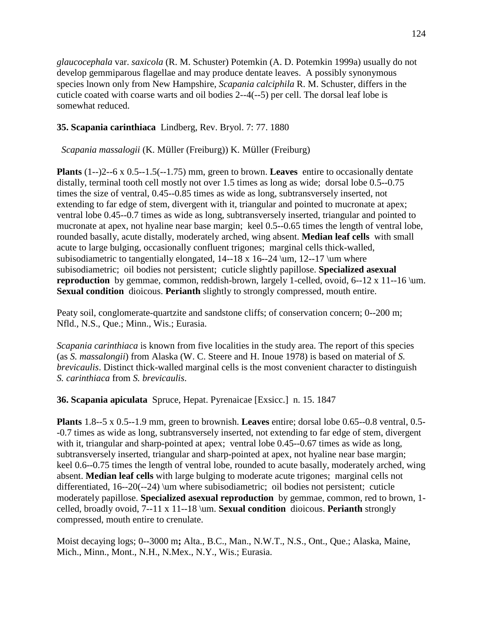*glaucocephala* var. *saxicola* (R. M. Schuster) Potemkin (A. D. Potemkin 1999a) usually do not develop gemmiparous flagellae and may produce dentate leaves. A possibly synonymous species lnown only from New Hampshire, *Scapania calciphila* R. M. Schuster, differs in the cuticle coated with coarse warts and oil bodies 2--4(--5) per cell. The dorsal leaf lobe is somewhat reduced.

# **35. Scapania carinthiaca** Lindberg, Rev. Bryol. 7: 77. 1880

*Scapania massalogii* (K. Müller (Freiburg)) K. Müller (Freiburg)

**Plants** (1--)2--6 x 0.5--1.5(--1.75) mm, green to brown. **Leaves** entire to occasionally dentate distally, terminal tooth cell mostly not over 1.5 times as long as wide; dorsal lobe 0.5--0.75 times the size of ventral, 0.45--0.85 times as wide as long, subtransversely inserted, not extending to far edge of stem, divergent with it, triangular and pointed to mucronate at apex; ventral lobe 0.45--0.7 times as wide as long, subtransversely inserted, triangular and pointed to mucronate at apex, not hyaline near base margin; keel 0.5--0.65 times the length of ventral lobe, rounded basally, acute distally, moderately arched, wing absent. **Median leaf cells** with small acute to large bulging, occasionally confluent trigones; marginal cells thick-walled, subisodiametric to tangentially elongated,  $14--18 \times 16--24 \mu$ ,  $12--17 \mu$  where subisodiametric; oil bodies not persistent; cuticle slightly papillose. **Specialized asexual reproduction** by gemmae, common, reddish-brown, largely 1-celled, ovoid, 6--12 x 11--16 \um. **Sexual condition** dioicous. **Perianth** slightly to strongly compressed, mouth entire.

Peaty soil, conglomerate-quartzite and sandstone cliffs; of conservation concern; 0--200 m; Nfld., N.S., Que.; Minn., Wis.; Eurasia.

*Scapania carinthiaca* is known from five localities in the study area. The report of this species (as *S. massalongii*) from Alaska (W. C. Steere and H. Inoue 1978) is based on material of *S. brevicaulis*. Distinct thick-walled marginal cells is the most convenient character to distinguish *S. carinthiaca* from *S. brevicaulis*.

**36. Scapania apiculata** Spruce, Hepat. Pyrenaicae [Exsicc.] n. 15. 1847

**Plants** 1.8--5 x 0.5--1.9 mm, green to brownish. **Leaves** entire; dorsal lobe 0.65--0.8 ventral, 0.5- -0.7 times as wide as long, subtransversely inserted, not extending to far edge of stem, divergent with it, triangular and sharp-pointed at apex; ventral lobe 0.45--0.67 times as wide as long, subtransversely inserted, triangular and sharp-pointed at apex, not hyaline near base margin; keel 0.6--0.75 times the length of ventral lobe, rounded to acute basally, moderately arched, wing absent. **Median leaf cells** with large bulging to moderate acute trigones; marginal cells not differentiated, 16--20(--24) \um where subisodiametric; oil bodies not persistent; cuticle moderately papillose. **Specialized asexual reproduction** by gemmae, common, red to brown, 1 celled, broadly ovoid, 7--11 x 11--18 \um. **Sexual condition** dioicous. **Perianth** strongly compressed, mouth entire to crenulate.

Moist decaying logs; 0--3000 m**;** Alta., B.C., Man., N.W.T., N.S., Ont., Que.; Alaska, Maine, Mich., Minn., Mont., N.H., N.Mex., N.Y., Wis.; Eurasia.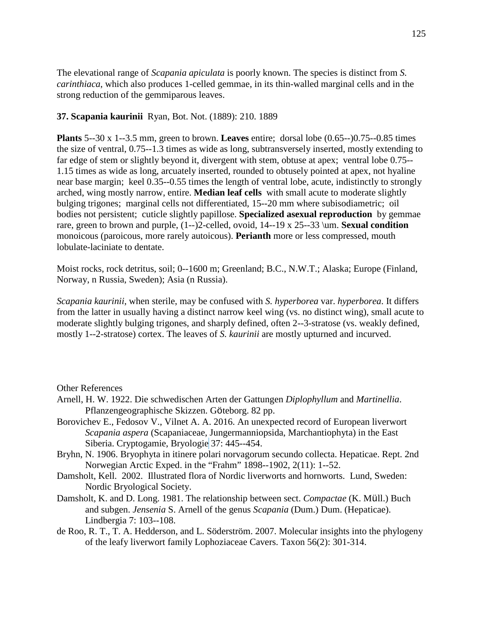The elevational range of *Scapania apiculata* is poorly known. The species is distinct from *S. carinthiaca*, which also produces 1-celled gemmae, in its thin-walled marginal cells and in the strong reduction of the gemmiparous leaves.

### **37. Scapania kaurinii** Ryan, Bot. Not. (1889): 210. 1889

**Plants** 5--30 x 1--3.5 mm, green to brown. **Leaves** entire; dorsal lobe (0.65--)0.75--0.85 times the size of ventral, 0.75--1.3 times as wide as long, subtransversely inserted, mostly extending to far edge of stem or slightly beyond it, divergent with stem, obtuse at apex; ventral lobe 0.75-- 1.15 times as wide as long, arcuately inserted, rounded to obtusely pointed at apex, not hyaline near base margin; keel 0.35--0.55 times the length of ventral lobe, acute, indistinctly to strongly arched, wing mostly narrow, entire. **Median leaf cells** with small acute to moderate slightly bulging trigones; marginal cells not differentiated, 15--20 mm where subisodiametric; oil bodies not persistent; cuticle slightly papillose. **Specialized asexual reproduction** by gemmae rare, green to brown and purple, (1--)2-celled, ovoid, 14--19 x 25--33 \um. **Sexual condition** monoicous (paroicous, more rarely autoicous). **Perianth** more or less compressed, mouth lobulate-laciniate to dentate.

Moist rocks, rock detritus, soil; 0--1600 m; Greenland; B.C., N.W.T.; Alaska; Europe (Finland, Norway, n Russia, Sweden); Asia (n Russia).

*Scapania kaurinii*, when sterile, may be confused with *S. hyperborea* var. *hyperborea*. It differs from the latter in usually having a distinct narrow keel wing (vs. no distinct wing), small acute to moderate slightly bulging trigones, and sharply defined, often 2--3-stratose (vs. weakly defined, mostly 1--2-stratose) cortex. The leaves of *S. kaurinii* are mostly upturned and incurved.

Other References

- Arnell, H. W. 1922. Die schwedischen Arten der Gattungen *Diplophyllum* and *Martinellia*. Pflanzengeographische Skizzen. Göteborg. 82 pp.
- Borovichev E., Fedosov V., Vilnet A. A. 2016. An unexpected record of European liverwort *Scapania aspera* (Scapaniaceae, Jungermanniopsida, Marchantiophyta) in the East Siberia. Cryptogamie, Bryologie 37: 445--454.
- Bryhn, N. 1906. Bryophyta in itinere polari norvagorum secundo collecta. Hepaticae. Rept. 2nd Norwegian Arctic Exped. in the "Frahm" 1898--1902, 2(11): 1--52.
- Damsholt, Kell. 2002. Illustrated flora of Nordic liverworts and hornworts. Lund, Sweden: Nordic Bryological Society.
- Damsholt, K. and D. Long. 1981. The relationship between sect. *Compactae* (K. Müll.) Buch and subgen. *Jensenia* S. Arnell of the genus *Scapania* (Dum.) Dum. (Hepaticae). Lindbergia 7: 103--108.
- de Roo, R. T., T. A. Hedderson, and L. Söderström. 2007. Molecular insights into the phylogeny of the leafy liverwort family Lophoziaceae Cavers. Taxon 56(2): 301-314.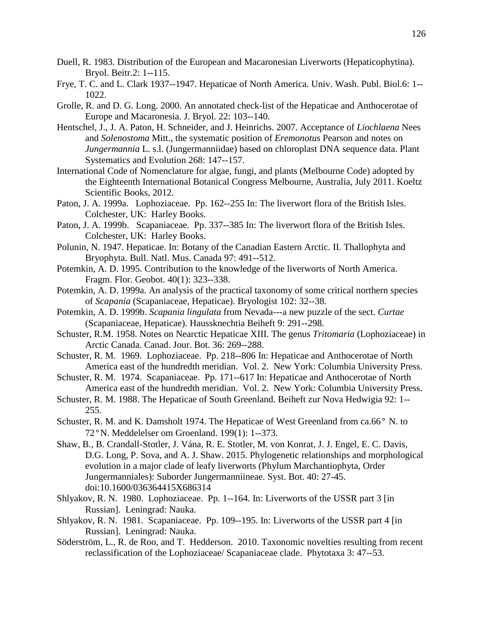- Duell, R. 1983. Distribution of the European and Macaronesian Liverworts (Hepaticophytina). Bryol. Beitr.2: 1--115.
- Frye, T. C. and L. Clark 1937--1947. Hepaticae of North America. Univ. Wash. Publ. Biol.6: 1-- 1022.
- Grolle, R. and D. G. Long. 2000. An annotated check-list of the Hepaticae and Anthocerotae of Europe and Macaronesia. J. Bryol. 22: 103--140.
- Hentschel, J., J. A. Paton, H. Schneider, and J. Heinrichs. 2007. Acceptance of *Liochlaena* Nees and *Solenostoma* Mitt., the systematic position of *Eremonotus* Pearson and notes on *Jungermannia* L. s.l. (Jungermanniidae) based on chloroplast DNA sequence data. Plant Systematics and Evolution 268: 147--157.
- International Code of Nomenclature for algae, fungi, and plants (Melbourne Code) adopted by the Eighteenth International Botanical Congress Melbourne, Australia, July 2011. Koeltz Scientific Books, 2012.
- Paton, J. A. 1999a. Lophoziaceae. Pp. 162--255 In: The liverwort flora of the British Isles. Colchester, UK: Harley Books.
- Paton, J. A. 1999b. Scapaniaceae. Pp. 337--385 In: The liverwort flora of the British Isles. Colchester, UK: Harley Books.
- Polunin, N. 1947. Hepaticae. In: Botany of the Canadian Eastern Arctic. II. Thallophyta and Bryophyta. Bull. Natl. Mus. Canada 97: 491--512.
- Potemkin, A. D. 1995. Contribution to the knowledge of the liverworts of North America. Fragm. Flor. Geobot. 40(1): 323--338.
- Potemkin, A. D. 1999a. An analysis of the practical taxonomy of some critical northern species of *Scapania* (Scapaniaceae, Hepaticae). Bryologist 102: 32--38.
- Potemkin, A. D. 1999b. *Scapania lingulata* from Nevada---a new puzzle of the sect. *Curtae* (Scapaniaceae, Hepaticae). Haussknechtia Beiheft 9: 291--298.
- Schuster, R.M. 1958. Notes on Nearctic Hepaticae XIII. The genus *Tritomaria* (Lophoziaceae) in Arctic Canada. Canad. Jour. Bot. 36: 269--288.
- Schuster, R. M. 1969. Lophoziaceae. Pp. 218--806 In: Hepaticae and Anthocerotae of North America east of the hundredth meridian. Vol. 2. New York: Columbia University Press.
- Schuster, R. M. 1974. Scapaniaceae. Pp. 171--617 In: Hepaticae and Anthocerotae of North America east of the hundredth meridian. Vol. 2. New York: Columbia University Press.
- Schuster, R. M. 1988. The Hepaticae of South Greenland. Beiheft zur Nova Hedwigia 92: 1-- 255.
- Schuster, R. M. and K. Damsholt 1974. The Hepaticae of West Greenland from ca.66° N. to 72°N. Meddelelser om Groenland. 199(1): 1--373.
- Shaw, B., B. Crandall-Stotler, J. Vána, R. E. Stotler, M. von Konrat, J. J. Engel, E. C. Davis, D.G. Long, P. Sova, and A. J. Shaw. 2015. Phylogenetic relationships and morphological evolution in a major clade of leafy liverworts (Phylum Marchantiophyta, Order Jungermanniales): Suborder Jungermanniineae. Syst. Bot. 40: 27-45. doi:10.1600/036364415X686314
- Shlyakov, R. N. 1980. Lophoziaceae. Pp. 1--164. In: Liverworts of the USSR part 3 [in Russian]. Leningrad: Nauka.
- Shlyakov, R. N. 1981. Scapaniaceae. Pp. 109--195. In: Liverworts of the USSR part 4 [in Russian]. Leningrad: Nauka.
- Söderström, L., R. de Roo, and T. Hedderson. 2010. Taxonomic novelties resulting from recent reclassification of the Lophoziaceae/ Scapaniaceae clade. Phytotaxa 3: 47--53.